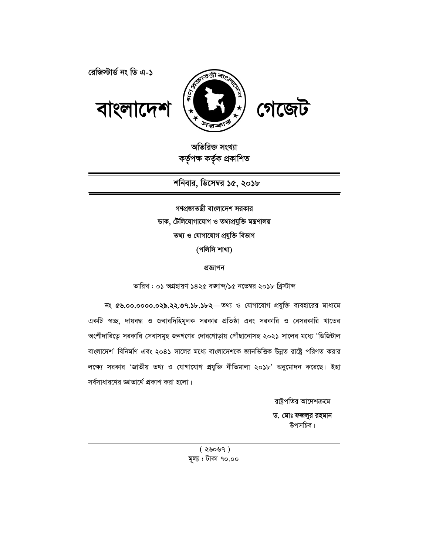

রেজিস্টার্ড নং ডি এ-১

অতিরিক্ত সংখ্যা কৰ্তৃপক্ষ কৰ্তৃক প্ৰকাশিত

বাংলাদে

শনিবার, ডিসেম্বর ১৫, ২০১৮

গণপ্ৰজাতন্ত্ৰী বাংলাদেশ সরকার ডাক, টেলিযোগাযোগ ও তথ্যপ্রযুক্তি মন্ত্রণালয় তথ্য ও যোগাযোগ প্ৰযুক্তি বিভাগ (পলিসি শাখা)

প্ৰজ্ঞাপন

তারিখ: ০১ অগ্রহায়ণ ১৪২৫ বজ্ঞাব্দ/১৫ নভেম্বর ২০১৮ খ্রিস্টাব্দ

নং ৫৬.০০.০০০০.০২৯.২২.৩৭.১৮.১৮২ - তথ্য ও যোগাযোগ প্রযুক্তি ব্যবহারের মাধ্যমে একটি স্বচ্ছ, দায়বদ্ধ ও জবাবদিহিমূলক সরকার প্রতিষ্ঠা এবং সরকারি ও বেসরকারি খাতের অংশীদারিত্বে সরকারি সেবাসমূহ জনগণের দোরগোড়ায় পৌঁছানোসহ ২০২১ সালের মধ্যে 'ডিজিটাল বাংলাদেশ' বিনির্মাণ এবং ২০৪১ সালের মধ্যে বাংলাদেশকে জ্ঞানভিত্তিক উন্নত রাষ্ট্রে পরিণত করার লক্ষ্যে সরকার 'জাতীয় তথ্য ও যোগাযোগ প্রযুক্তি নীতিমালা ২০১৮' অনুমোদন করেছে। ইহা সর্বসাধারণের জ্ঞাতার্থে প্রকাশ করা হলো।

> রাষ্ট্রপতির আদেশক্রমে ড. মোঃ ফজলুর রহমান উপসচিব।

 $(8000)$ মূল্য : টাকা ৭০.০০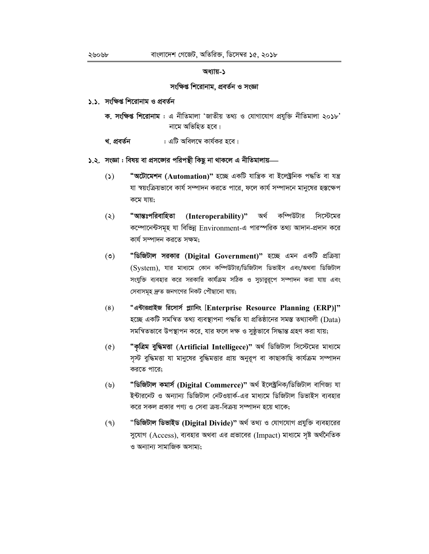### সংক্ষিপ্ত শিরোনাম, প্রবর্তন ও সংজ্ঞা

- ১.১. সংক্ষিপ্ত শিরোনাম ও প্রবর্তন
	- ক. সংক্ষিপ্ত শিরোনাম: এ নীতিমালা 'জাতীয় তথ্য ও যোগাযোগ প্রযুক্তি নীতিমালা ২০১৮' নামে অভিহিত হবে।
	- : এটি অবিলম্বে কার্যকর হবে। খ. প্ৰবৰ্তন
- ১.২. সংজ্ঞা : বিষয় বা প্রসজ্ঞার পরিপন্থী কিছু না থাকলে এ নীতিমালায়—
	- **"অটোমেশন (Automation)"** হচ্ছে একটি যান্ত্ৰিক বা ইলেক্ট্ৰনিক পদ্ধতি বা যন্ত্ৰ  $\mathcal{L}(\mathcal{L})$ যা স্বয়ংক্রিয়ভাবে কার্য সম্পাদন করতে পারে, ফলে কার্য সম্পাদনে মানুষের হস্তক্ষেপ কমে যায়:
	- "আন্তঃপরিবাহিতা  $\left( \infty \right)$ (Interoperability)" অর্থ কম্পিউটার সিস্টেমের কম্পোনেন্টসমূহ যা বিভিন্ন Environment-এ পারস্পরিক তথ্য আদান-প্রদান করে কাৰ্য সম্পাদন করতে সক্ষম;
	- $(\mathcal{O})$ "ডিজিটাল সরকার (Digital Government)" হচ্ছে এমন একটি প্রক্রিয়া (System), যার মাধ্যমে কোন কম্পিউটার/ডিজিটাল ডিভাইস এবং/অথবা ডিজিটাল সংযুক্তি ব্যবহার করে সরকারি কার্যক্রম সঠিক ও সুচারুরূপে সম্পাদন করা যায় এবং সেবাসমূহ দ্রুত জনগণের নিকট পৌছানো যায়;
	- "এন্টারপ্রাইজ রিসোর্স প্ল্যানিং [Enterprise Resource Planning (ERP)]"  $(8)$ হচ্ছে একটি সমন্বিত তথ্য ব্যবস্থাপনা পদ্ধতি যা প্ৰতিষ্ঠানের সমস্ত তথ্যাবলী (Data) সমন্বিতভাবে উপস্থাপন করে, যার ফলে দক্ষ ও সুষ্ঠুভাবে সিদ্ধান্ত গ্রহণ করা যায়;
	- "কৃত্ৰিম বুদ্ধিমত্তা (Artificial Intelligece)" অৰ্থ ডিজিটাল সিস্টেমের মাধ্যমে  $(\delta)$ সৃস্ট বুদ্ধিমত্তা যা মানুষের বুদ্ধিমত্তার প্রায় অনুরূপ বা কাছাকাছি কার্যক্রম সম্পাদন করতে পারে:
	- "ডিজিটাল কমাৰ্স (Digital Commerce)" অৰ্থ ইলেক্ট্ৰনিক/ডিজিটাল বাণিজ্য যা  $(\mathcal{Y})$ ইন্টারনেট ও অন্যান্য ডিজিটাল নেটওয়ার্ক-এর মাধ্যমে ডিজিটাল ডিভাইস ব্যবহার করে সকল প্রকার পণ্য ও সেবা ক্রয়-বিক্রয় সম্পাদন হয়ে থাকে;
	- "ডিজিটাল ডিভাইড (Digital Divide)" অৰ্থ তথ্য ও যোগযোগ প্ৰযুক্তি ব্যবহারের  $(9)$ সুযোগ (Access), ব্যবহার অথবা এর প্রভাবের (Impact) মাধ্যমে সৃষ্ট অর্থনৈতিক ও অন্যান্য সামাজিক অসাম্য;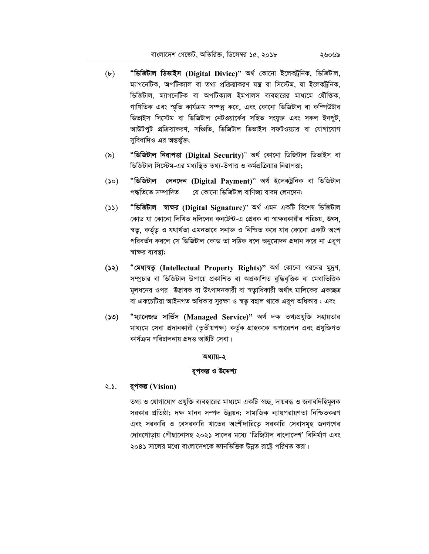- "ডিজিটাল ডিভাইস (Digital Divice)" অৰ্থ কোনো ইলেকট্ৰনিক, ডিজিটাল,  $(b)$ ম্যাগনেটিক, অপটিক্যাল বা তথ্য প্রক্রিয়াকরণ যন্ত্র বা সিস্টেম, যা ইলেকট্রনিক, ডিজিটাল, ম্যাগনেটিক বা অপটিক্যাল ইমপালস ব্যবহারের মাধ্যমে যৌক্তিক, গাণিতিক এবং স্মৃতি কার্যক্রম সম্পন্ন করে, এবং কোনো ডিজিটাল বা কম্পিউটার ডিভাইস সিস্টেম বা ডিজিটাল নেটওয়ার্কের সহিত সংযুক্ত এবং সকল ইনপুট, আউটপুট প্রক্রিয়াকরণ, সঞ্চিতি, ডিজিটাল ডিভাইস সফটওয়্যার বা যোগাযোগ সুবিধাদিও এর অন্তর্ভুক্ত;
- "ডিজিটাল নিরাপত্তা (Digital Security)" অর্থ কোনো ডিজিটাল ডিভাইস বা  $(\delta)$ ডিজিটাল সিস্টেম-এর মধ্যস্থিত তথ্য-উপাত্ত ও কর্মপ্রক্রিয়ার নিরাপত্তা;
- "ডিজিটাল লেনদেন (Digital Payment)" অৰ্থ ইলেকট্ৰনিক বা ডিজিটাল  $(0\zeta)$ পদ্ধতিতে সম্পাদিত যে কোনো ডিজিটাল বাণিজ্য বাবদ লেনদেন:
- "ডিজিটাল স্বাক্ষর (Digital Signature)" অর্থ এমন একটি বিশেষ ডিজিটাল  $(25)$ কোড যা কোনো লিখিত দলিলের কনটেন্ট-এ প্রেরক বা স্বাক্ষরকারীর পরিচয়, উৎস, স্বতু, কর্তৃতু ও যথার্থতা এমনভাবে সনাক্ত ও নিশ্চিত করে যার কোনো একটি অংশ পরিবর্তন করলে সে ডিজিটাল কোড তা সঠিক বলে অনুমোদন প্রদান করে না এরূপ স্বাক্ষর ব্যবস্তা:
- "মেধাস্বত্ব (Intellectual Property Rights)" অৰ্থ কোনো ধরনের মুদ্রণ,  $(55)$ সম্প্রচার বা ডিজিটাল উপায়ে প্রকাশিত বা অপ্রকাশিত বুদ্ধিবৃত্তিক বা মেধাভিত্তিক মূলধনের ওপর উদ্ভাবক বা উৎপাদনকারী বা স্বত্যুধিকারী অর্থাৎ মালিকের একচ্ছত্র বা একচেটিয়া আইনগত অধিকার সুরক্ষা ও স্বতু বহাল থাকে এরূপ অধিকার ; এবং
- "ম্যানেজড সার্ভিস (Managed Service)" অর্থ দক্ষ তথ্যপ্রযুক্তি সহায়তার  $(0\zeta)$ মাধ্যমে সেবা প্রদানকারী (তৃতীয়পক্ষ) কর্তৃক গ্রাহককে অপারেশন এবং প্রযুক্তিগত কাৰ্যক্ৰম পৱিচালনায় প্ৰদত্ত আইটি সেবা।

## ব্বপকল্প ও উদ্দেশ্য

#### $2.5.$ রুপকল্প (Vision)

তথ্য ও যোগাযোগ প্রযুক্তি ব্যবহারের মাধ্যমে একটি স্বচ্ছ, দায়বদ্ধ ও জবাবদিহিমূলক সরকার প্রতিষ্ঠা; দক্ষ মানব সম্পদ উন্নয়ন; সামাজিক ন্যায়পরায়ণতা নিশ্চিতকরণ এবং সরকারি ও বেসরকারি খাতের অংশীদারিতে সরকারি সেবাসমূহ জনগণের দোরগোড়ায় পৌছানোসহ ২০২১ সালের মধ্যে 'ডিজিটাল বাংলাদেশ' বিনির্মাণ এবং ২০৪১ সালের মধ্যে বাংলাদেশকে জ্ঞানভিত্তিক উন্নত রাষ্ট্রে পরিণত করা।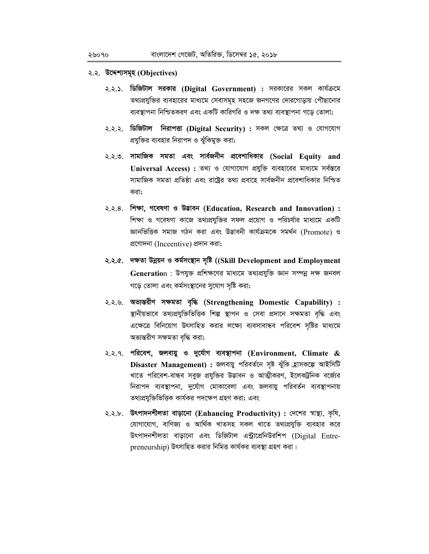# ২.২. উদ্দেশ্যসমূহ (Objectives)

- ২.২.১. ডি**জিটাল সরকার (Digital Government) :** সরকারের সকল কার্যক্রমে তথ্যপ্রযুক্তির ব্যবহারের মাধ্যমে সেবাসমূহ সহজে জনগণের দোরগোড়ায় পৌছানোর ব্যবস্থাপনা নিশ্চিতকরণ এবং একটি কারিগরি ও দক্ষ তথ্য ব্যবস্থাপনা গড়ে তোলা;
- ২.২.২. ডিজিটাল নিরাপত্তা (Digital Security) : সকল ক্ষেত্রে তথ্য ও যোগযোগ প্রযুক্তির ব্যবহার নিরাপদ ও ঝুঁকিমুক্ত করা;
- ২.২.৩. সামাজিক সমতা এবং সার্বজনীন প্রবেশাধিকার (Social Equity and Universal Access) : তথ্য ও যোগাযোগ প্রযুক্তি ব্যবহারের মাধ্যমে সর্বস্তরে সামাজিক সমতা প্রতিষ্ঠা এবং রাষ্ট্রের তথ্য প্রবাহে সার্বজনীন প্রবেশাধিকার নিশ্চিত করা:
- ২.২.৪. শিক্ষা, গবেষণা ও উদ্ভাবন (Education, Research and Innovation): শিক্ষা ও গবেষণা কাজে তথ্যপ্রযুক্তির সফল প্রয়োগ ও পরিচর্যার মাধ্যমে একটি জ্ঞানভিত্তিক সমাজ গঠন করা এবং উদ্ভাবনী কার্যক্রমকে সমর্থন (Promote) ও প্ৰণোদনা (Inceentive) প্ৰদান করা;
- ২.২.৫. দক্ষতা উন্নয়ন ও কর্মসংস্থান সৃষ্টি ((Skill Development and Employment Generation : উপযুক্ত প্রশিক্ষণের মাধ্যমে তথ্যপ্রযুক্তি জ্ঞান সম্পন্ন দক্ষ জনবল গড়ে তোলা এবং কর্মসংস্থানের সুযোগ সৃষ্টি করা;
- ২.২.৬. অভ্যন্তরীণ সক্ষমতা বৃদ্ধি (Strengthening Domestic Capability) : স্থানীয়ভাবে তথ্যপ্রযুক্তিভিত্তিক শিল্প স্থাপন ও সেবা প্রদানে সক্ষমতা বৃদ্ধি এবং এক্ষেত্রে বিনিয়োগ উৎসাহিত করার লক্ষ্যে ব্যবসাবান্ধব পরিবেশ সৃষ্টির মাধ্যমে অভ্যন্তরীণ সক্ষমতা বৃদ্ধি করা;
- ২.২.৭. পরিবেশ. জলবায়ু ও দুর্যোগ ব্যবস্থাপনা (Environment, Climate & Disaster Management) : জলবায়ু পরিবর্তনে সৃষ্ট ঝুঁকি হ্রাসকল্পে আইসিটি খাতে পরিবেশ-বান্ধব সবুজ প্রযুক্তির উদ্ভাবন ও আত্মীকরণ, ইলেকট্রনিক বর্জ্যের নিরাপদ ব্যবস্থাপনা, দুর্যোগ মোকাবেলা এবং জলবায়ু পরিবর্তন ব্যবস্থাপনায় তথ্যপ্রযুক্তিভিত্তিক কার্যকর পদক্ষেপ গ্রহণ করা; এবং
- ২.২.৮. উৎপাদনশীলতা বাড়ানো (Enhancing Productivity): দেশের স্বাস্থ্য, কৃষি, যোগাযোগ, বাণিজ্য ও আৰ্থিক খাতসহ সকল খাতে তথ্যপ্ৰযুক্তি ব্যবহার করে উৎপাদনশীলতা বাড়ানো এবং ডিজিটাল এন্ট্রাপ্রেনিউরশিপ (Digital Entrepreneurship) উৎসাহিত করার নিমিত্ত কার্যকর ব্যবস্থা গ্রহণ করা।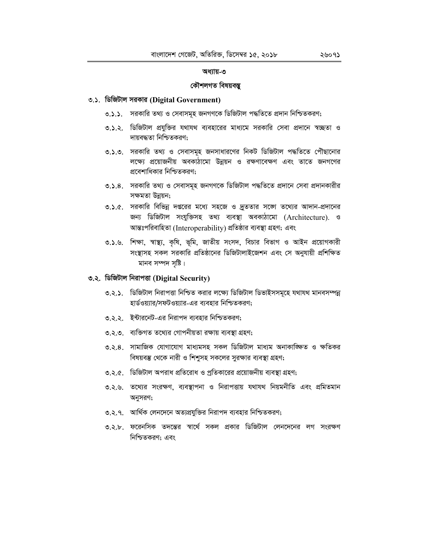#### কৌশলগত বিষয়বস্ত

### ৩.১. ডিজিটাল সরকার (Digital Government)

- ৩.১.১. সরকারি তথ্য ও সেবাসমূহ জনগণকে ডিজিটাল পদ্ধতিতে প্রদান নিশ্চিতকরণ;
- ৩.১.২. ডিজিটাল প্রযুক্তির যথাযথ ব্যবহারের মাধ্যমে সরকারি সেবা প্রদানে স্বচ্ছতা ও দায়বদ্ধতা নিশ্চিতকরণ;
- ৩.১.৩. সরকারি তথ্য ও সেবাসমূহ জনসাধারণের নিকট ডিজিটাল পদ্ধতিতে পৌছানোর লক্ষ্যে প্রয়োজনীয় অবকাঠামো উন্নয়ন ও রক্ষণাবেক্ষণ এবং তাতে জনগণের প্রবেশাধিকার নিশ্চিতকরণ;
- ৩.১.৪. সরকারি তথ্য ও সেবাসমূহ জনগণকে ডিজিটাল পদ্ধতিতে প্রদানে সেবা প্রদানকারীর সক্ষমতা উন্নয়ন;
- ৩.১.৫. সরকারি বিভিন্ন দপ্তরের মধ্যে সহজে ও দ্রুততার সজো তথ্যের আদান-প্রদানের জন্য ডিজিটাল সংযুক্তিসহ তথ্য ব্যবস্থা অবকাঠামো (Architecture). ও আন্তঃপরিবাহিতা (Interoperability) প্রতিষ্ঠার ব্যবস্থা গ্রহণ; এবং
- ৩.১.৬. শিক্ষা, স্বাস্থ্য, কৃষি, ভূমি, জাতীয় সংসদ, বিচার বিভাগ ও আইন প্রয়োগকারী সংস্থাসহ সকল সরকারি প্রতিষ্ঠানের ডিজিটালাইজেশন এবং সে অনুযায়ী প্রশিক্ষিত মানব সম্পদ সষ্টি।

## ৩.২. ডিজিটাল নিরাপত্তা (Digital Security)

- ৩.২.১. ডিজিটাল নিরাপত্তা নিশ্চিত করার লক্ষ্যে ডিজিটাল ডিভাইসসমূহে যথাযথ মানবসম্পন্ন হার্ডওয়্যার/সফটওয়্যার-এর ব্যবহার নিশ্চিতকরণ;
- ৩২২ ইন্টারনেট-এর নিরাপদ ব্যবহার নিশ্চিতকরণ:
- ৩.২.৩. ব্যক্তিগত তথ্যের গোপনীয়তা রক্ষায় ব্যবস্থা গ্রহণ;
- ৩.২.৪. সামাজিক যোগাযোগ মাধ্যমসহ সকল ডিজিটাল মাধ্যম অনাকাজ্ঞিত ও ক্ষতিকর বিষয়বস্তু থেকে নারী ও শিশুসহ সকলের সুরক্ষার ব্যবস্থা গ্রহণ;
- ৩.২.৫. ডিজিটাল অপরাধ প্রতিরোধ ও প্রতিকারের প্রয়োজনীয় ব্যবস্থা গ্রহণ;
- ৩.২.৬. তথ্যের সংরক্ষণ, ব্যবস্থাপনা ও নিরাপত্তায় যথাযথ নিয়মনীতি এবং প্রমিতমান অনুসরণ;
- ৩.২.৭. আর্থিক লেনদেনে অত্যপ্রযুক্তির নিরাপদ ব্যবহার নিশ্চিতকরণ;
- ৩.২.৮. ফরেনসিক তদন্তের স্বার্থে সকল প্রকার ডিজিটাল লেনদেনের লগ সংরক্ষণ নিশ্চিতকরণ: এবং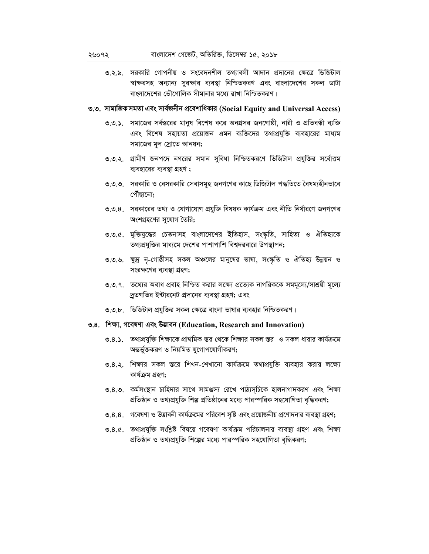৩.২.৯. সরকারি গোপনীয় ও সংবেদনশীল তথ্যাবলী আদান প্রদানের ক্ষেত্রে ডিজিটাল স্বাক্ষরসহ অন্যান্য সুরক্ষার ব্যবস্থা নিশ্চিতকরণ এবং বাংলাদেশের সকল ডাটা বাংলাদেশের ভৌগোলিক সীমানার মধ্যে রাখা নিশ্চিতকরণ।

# ৩.৩. সামাজিক সমতা এবং সার্বজনীন প্রবেশাধিকার (Social Equity and Universal Access)

- ৩.৩.১. সমাজের সর্বস্তরের মানুষ বিশেষ করে অনগ্রসর জনগোষ্ঠী, নারী ও প্রতিবন্ধী ব্যক্তি এবং বিশেষ সহায়তা প্রয়োজন এমন ব্যক্তিদের তথ্যপ্রযুক্তি ব্যবহারের মাধ্যম সমাজের মূল স্রোতে আনয়ন;
- ৩.৩.২. গ্রামীণ জনপদে নগরের সমান সুবিধা নিশ্চিতকরণে ডিজিটাল প্রযুক্তির সর্বোত্তম ব্যবহারের ব্যবস্থা গ্রহণ;
- ৩.৩.৩. সরকারি ও বেসরকারি সেবাসমূহ জনগণের কাছে ডিজিটাল পদ্ধতিতে বৈষম্যহীনভাবে পৌঁছানো:
- ৩.৩.৪. সরকারের তথ্য ও যোগাযোগ প্রযুক্তি বিষয়ক কার্যক্রম এবং নীতি নির্ধারণে জনগণের অংশগ্রহণের সুযোগ তৈরি;
- ৩.৩.৫. মুক্তিযুদ্ধের চেতনাসহ বাংলাদেশের ইতিহাস, সংস্কৃতি, সাহিত্য ও ঐতিহ্যকে তথ্যপ্রযুক্তির মাধ্যমে দেশের পাশাপাশি বিশ্বদরবারে উপস্থাপন;
- ৩.৩.৬. ক্ষুদ্র নৃ-গোষ্ঠীসহ সকল অঞ্চলের মানুষের ভাষা, সংস্কৃতি ও ঐতিহ্য উন্নয়ন ও সংরক্ষণের ব্যবস্থা গ্রহণ;
- ৩.৩.৭. তথ্যের অবাধ প্রবাহ নিশ্চিত করার লক্ষ্যে প্রত্যেক নাগরিককে সমমূল্যে/সাশ্রয়ী মূল্যে দ্রুতগতির ইন্টারনেট প্রদানের ব্যবস্থা গ্রহণ; এবং
- ৩.৩.৮. ডিজিটাল প্রযুক্তির সকল ক্ষেত্রে বাংলা ভাষার ব্যবহার নিশ্চিতকরণ।

# ৩.৪. শিক্ষা, গবেষণা এবং উড়াবন (Education, Research and Innovation)

- ৩.৪.১. তথ্যপ্রযুক্তি শিক্ষাকে প্রাথমিক স্তর থেকে শিক্ষার সকল স্তর ও সকল ধারার কার্যক্রমে অন্তর্ভুক্তকরণ ও নিয়মিত যুগোপযোগীকরণ;
- ৩.৪.২. শিক্ষার সকল স্তরে শিখন-শেখানো কার্যক্রমে তথ্যপ্রযুক্তি ব্যবহার করার লক্ষ্যে কাৰ্যক্ৰম গ্ৰহণ:
- ৩.৪.৩. কর্মসংস্থান চাহিদার সাথে সামঞ্জস্য রেখে পাঠ্যসূচিকে হালনাগাদকরণ এবং শিক্ষা প্রতিষ্ঠান ও তথ্যপ্রযুক্তি শিল্প প্রতিষ্ঠানের মধ্যে পারস্পরিক সহযোগিতা বৃদ্ধিকরণ;
- ৩.৪.৪. গবেষণা ও উদ্ভাবনী কার্যক্রমের পরিবেশ সৃষ্টি এবং প্রয়োজনীয় প্রণোদনার ব্যবস্থা গ্রহণ;
- ৩.৪.৫. তথ্যপ্রযুক্তি সংশ্লিষ্ট বিষয়ে গবেষণা কার্যক্রম পরিচালনার ব্যবস্থা গ্রহণ এবং শিক্ষা প্রতিষ্ঠান ও তথ্যপ্রযুক্তি শিল্পের মধ্যে পারস্পরিক সহযোগিতা বৃদ্ধিকরণ;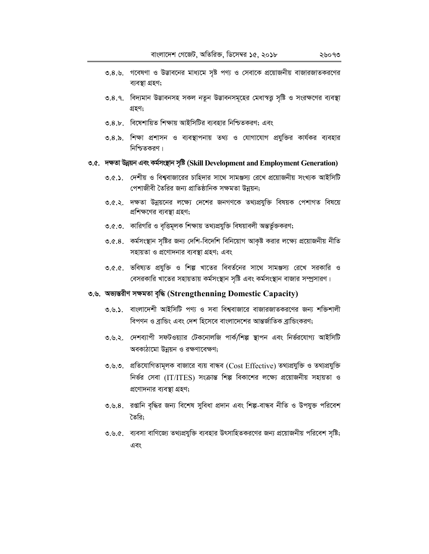- ৩.৪.৭. বিদ্যমান উদ্ভাবনসহ সকল নতুন উদ্ভাবনসমূহের মেধাস্বত্ত সৃষ্টি ও সংরক্ষণের ব্যবস্থা গ্ৰহণ:
- ৩.৪.৮. বিষেশায়িত শিক্ষায় আইসিটির ব্যবহার নিশ্চিতকরণ; এবং
- ৩.৪.৯. শিক্ষা প্রশাসন ও ব্যবস্থাপনায় তথ্য ও যোগাযোগ প্রযুক্তির কার্যকর ব্যবহার নিশ্চিতকরণ।

# ৩.৫. দক্ষতা উন্নয়ন এবং কৰ্মসংস্থান সৃষ্টি (Skill Development and Employment Generation)

- ৩.৫.১. দেশীয় ও বিশ্ববাজারের চাহিদার সাথে সামঞ্জস্য রেখে প্রয়োজনীয় সংখ্যক আইসিটি পেশাজীবী তৈরির জন্য প্রাতিষ্ঠানিক সক্ষমতা উন্নয়ন;
- ৩.৫.২. দক্ষতা উন্নয়নের লক্ষ্যে দেশের জনগণকে তথ্যপ্রযুক্তি বিষয়ক পেশাগত বিষয়ে প্রশিক্ষণের ব্যবস্থা গ্রহণ;
- ৩.৫.৩. কারিগরি ও বৃত্তিমূলক শিক্ষায় তথ্যপ্রযুক্তি বিষয়াবলী অন্তর্ভুক্তকরণ;
- ৩.৫.৪. কর্মসংস্থান সৃষ্টির জন্য দেশি-বিদেশি বিনিয়োগ আকৃষ্ট করার লক্ষ্যে প্রয়োজনীয় নীতি সহায়তা ও প্রণোদনার ব্যবস্থা গ্রহণ; এবং
- ৩.৫.৫. ভবিষ্যত প্রযুক্তি ও শিল্প খাতের বিবর্তনের সাথে সামঞ্জস্য রেখে সরকারি ও বেসরকারি খাতের সহায়তায় কর্মসংস্থান সৃষ্টি এবং কর্মসংস্থান বাজার সম্প্রসারণ।

# ৩.৬. অভ্যন্তরীণ সক্ষমতা বৃদ্ধি (Strengthenning Domestic Capacity)

- ৩.৬.১. বাংলাদেশী আইসিটি পণ্য ও সবা বিশ্ববাজারে বাজারজাতকরণের জন্য শক্তিশালী বিপণন ও ব্রান্ডিং এবং দেশ হিসেবে বাংলাদেশের আন্তর্জাতিক ব্রান্ডিংকরণ;
- ৩.৬.২. দেশব্যাপী সফটওয়্যার টেকনোলজি পার্ক/শিল্প স্থাপন এবং নির্ভরযোগ্য আইসিটি অবকাঠামো উন্নয়ন ও রক্ষণাবেক্ষণ:
- ৩.৬.৩. প্রতিযোগিতামূলক বাজারে ব্যয় বান্ধব (Cost Effective) তথ্যপ্রযুক্তি ও তথ্যপ্রযুক্তি নির্ভর সেবা (IT/ITES) সংক্রান্ত শিল্প বিকাশের লক্ষ্যে প্রয়োজনীয় সহায়তা ও প্রণোদনার ব্যবস্থা গ্রহণ;
- ৩.৬.৪. রগুনি বৃদ্ধির জন্য বিশেষ সুবিধা প্রদান এবং শিল্প-বান্ধব নীতি ও উপযুক্ত পরিবেশ তৈরি:
- ৩.৬.৫. ব্যবসা বাণিজ্যে তথ্যপ্রযুক্তি ব্যবহার উৎসাহিতকরণের জন্য প্রয়োজনীয় পরিবেশ সৃষ্টি; এবং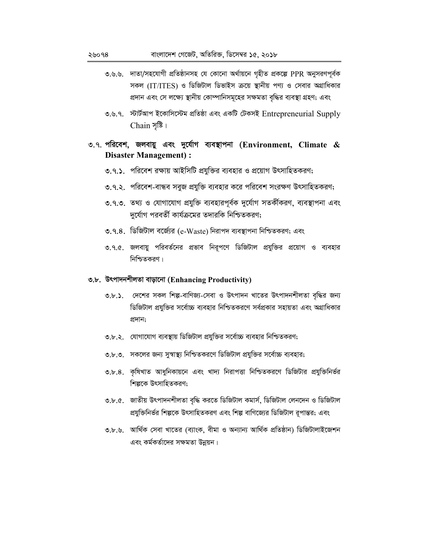- ৩.৬.৬. দাতা/সহযোগী প্রতিষ্ঠানসহ যে কোনো অর্থায়নে গৃহীত প্রকল্পে PPR অনুসরণপূর্বক সকল (IT/ITES) ও ডিজিটাল ডিভাইস ক্রয়ে স্থানীয় পণ্য ও সেবার অগ্রাধিকার প্রদান এবং সে লক্ষ্যে স্থানীয় কোম্পানিসমূহের সক্ষমতা বৃদ্ধির ব্যবস্থা গ্রহণ; এবং
- ৩.৬.৭. স্টার্টআপ ইকোসিস্টেম প্রতিষ্ঠা এবং একটি টেকসই Entrepreneurial Supply Chain সৃষ্টি।

# ৩.৭. পরিবেশ, জলবায়ু এবং দুর্যোগ ব্যবস্থাপনা (Environment, Climate  $\&$ **Disaster Management):**

- ৩.৭.১. পরিবেশ রক্ষায় আইসিটি প্রযুক্তির ব্যবহার ও প্রয়োগ উৎসাহিতকরণ;
- ৩.৭.২. পরিবেশ-বান্ধব সবুজ প্রযুক্তি ব্যবহার করে পরিবেশ সংরক্ষণ উৎসাহিতকরণ;
- ৩.৭.৩. তথ্য ও যোগাযোগ প্রযুক্তি ব্যবহারপূর্বক দুর্যোগ সতর্কীকরণ, ব্যবস্থাপনা এবং দুর্যোগ পরবর্তী কার্যক্রমের তদারকি নিশ্চিতকরণ;
- ৩.৭.৪. ডিজিটাল বর্জ্যের (e-Waste) নিরাপদ ব্যবস্থাপনা নিশ্চিতকরণ; এবং
- ৩.৭.৫. জলবায়ু পরিবর্তনের প্রভাব নিরূপণে ডিজিটাল প্রযুক্তির প্রয়োগ ও ব্যবহার নিশ্চিতকরণ।

# ৩.৮. উৎপাদনশীলতা বাড়ানো (Enhancing Productivity)

- ৩.৮.১. দেশের সকল শিল্প-বাণিজ্য-সেবা ও উৎপাদন খাতের উৎপাদনশীলতা বৃদ্ধির জন্য ডিজিটাল প্রযুক্তির সর্বোচ্চ ব্যবহার নিশ্চিতকরণে সর্বপ্রকার সহায়তা এবং অগ্রাধিকার প্ৰদান;
- ৩.৮.২. যোগাযোগ ব্যবস্থায় ডিজিটাল প্রযুক্তির সর্বোচ্চ ব্যবহার নিশ্চিতকরণ;
- ৩.৮.৩. সকলের জন্য সুস্বাস্থ্য নিশ্চিতকরণে ডিজিটাল প্রযুক্তির সর্বোচ্চ ব্যবহার;
- ৩.৮.৪. কৃষিখাত আধুনিকায়নে এবং খাদ্য নিরাপত্তা নিশ্চিতকরণে ডিজিটার প্রযুক্তিনির্ভর শিল্পকে উৎসাহিতকরণ;
- ৩.৮.৫. জাতীয় উৎপাদনশীলতা বৃদ্ধি করতে ডিজিটাল কমার্স, ডিজিটাল লেনদেন ও ডিজিটাল প্রযুক্তিনির্ভর শিল্পকে উৎসাহিতকরণ এবং শিল্প বাণিজ্যের ডিজিটাল রপান্তর; এবং
- ৩.৮.৬. আৰ্থিক সেবা খাতের (ব্যাংক, বীমা ও অন্যান্য আৰ্থিক প্ৰতিষ্ঠান) ডিজিটালাইজেশন এবং কর্মকর্তাদের সক্ষমতা উন্নয়ন।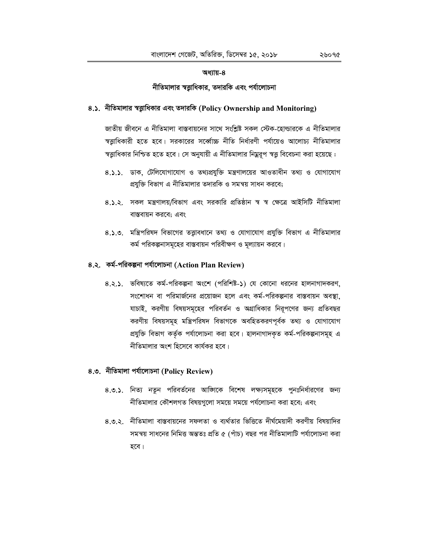#### নীতিমালার স্বত্তাধিকার, তদারকি এবং পর্যালোচনা

# 8.১. নীতিমালার স্বত্তাধিকার এবং তদারকি (Policy Ownership and Monitoring)

জাতীয় জীবনে এ নীতিমালা বাস্তবায়নের সাথে সংশ্লিষ্ট সকল স্টেক-হোল্ডারকে এ নীতিমালার স্বত্তাধিকারী হতে হবে। সরকারের সর্ব্বোচ্চ নীতি নির্ধারণী পর্যায়েও আলোচ্য নীতিমালার স্বত্তাধিকার নিশ্চিত হতে হবে। সে অনুযায়ী এ নীতিমালার নিম্নরূপ স্বত্তু বিবেচনা করা হয়েছে :

- 8.১.১. ডাক, টেলিযোগাযোগ ও তথ্যপ্রযুক্তি মন্ত্রণালয়ের আওতাধীন তথ্য ও যোগাযোগ প্রযুক্তি বিভাগ এ নীতিমালার তদারকি ও সমন্বয় সাধন করবে;
- 8.১.২. সকল মন্ত্রণালয়/বিভাগ এবং সরকারি প্রতিষ্ঠান স্ব স্ব ক্ষেত্রে আইসিটি নীতিমালা বাস্তবায়ন করবে; এবং
- 8.১.৩. মন্ত্রিপরিষদ বিভাগের তত্ত্বাবধানে তথ্য ও যোগাযোগ প্রযুক্তি বিভাগ এ নীতিমালার কর্ম পরিকল্পনাসমূহের বাস্তবায়ন পরিবীক্ষণ ও মূল্যায়ন করবে।

# ৪.২. কৰ্ম-পৱিকল্পনা পৰ্যালোচনা (Action Plan Review)

8.২.১. ভবিষ্যতে কর্ম-পরিকল্পনা অংশে (পরিশিষ্ট-১) যে কোনো ধরনের হালনাগাদকরণ, সংশোধন বা পরিমার্জনের প্রয়োজন হলে এবং কর্ম-পরিকল্পনার বাস্তবায়ন অবস্থা, যাচাই, করণীয় বিষয়সমূহের পরিবর্তন ও অগ্রাধিকার নিরূপণের জন্য প্রতিবছর করণীয় বিষয়সমূহ মন্ত্রিপরিষদ বিভাগকে অবহিতকরণপূর্বক তথ্য ও যোগাযোগ প্রযুক্তি বিভাগ কর্তৃক পর্যালোচনা করা হবে। হালনাগাদকৃত কর্ম-পরিকল্পনাসমূহ এ নীতিমালার অংশ হিসেবে কার্যকর হবে।

## ৪.৩. নীতিমালা পৰ্যালোচনা (Policy Review)

- ৪.৩.১. নিত্য নতুন পরিবর্তনের আজিকে বিশেষ লক্ষ্যসমূহকে পুনঃনির্ধারণের জন্য নীতিমালার কৌশলগত বিষয়গলো সময়ে সময়ে পর্যলোচনা করা হবে: এবং
- ৪৩২ নীতিমালা বাস্তবায়নের সফলতা ও ব্যর্থতার ভিত্তিতে দীর্ঘমেয়াদী করণীয় বিষয়াদির সমন্বয় সাধনের নিমিত্ত অন্ততঃ প্রতি ৫ (পাঁচ) বছর পর নীতিমালাটি পর্যালোচনা করা হবে।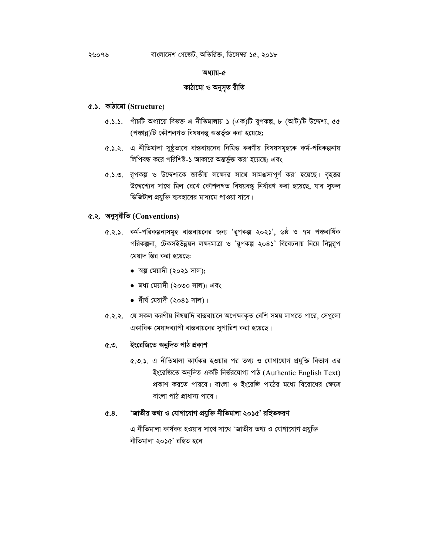## কাঠামো ও অনুসৃত রীতি

# ৫.১. কাঠামো (Structure)

- $(6.5.5)$  পাঁচটি অধ্যায়ে বিভক্ত এ নীতিমালায় ১ (এক)টি রুপকল্প, ৮ (আট)টি উদ্দেশ্য, ৫৫ (পঞ্চান্ন)টি কৌশলগত বিষয়বস্তু অন্তৰ্ভুক্ত করা হয়েছে;
- ৫.১.২. এ নীতিমালা সুষ্ঠূভাবে বাস্তবায়নের নিমিত্ত করণীয় বিষয়সমূহকে কর্ম-পরিকল্পনায় লিপিবদ্ধ করে পরিশিষ্ট-১ আকারে অন্তর্ভুক্ত করা হয়েছে; এবং
- ৫.১.৩. রূপকল্প ও উদ্দেশ্যকে জাতীয় লক্ষ্যের সাথে সামঞ্জস্যপূর্ণ করা হয়েছে। বৃহত্তর উদ্দেশ্যের সাথে মিল রেখে কৌশলগত বিষয়বস্তু নির্ধারণ করা হয়েছে, যার সুফল ডিজিটাল প্রযুক্তি ব্যবহারের মাধ্যমে পাওয়া যাবে।

# ৫.২. অনুসূরীতি (Conventions)

- ৫.২.১. কর্ম-পরিকল্পনাসমূহ বাস্তবায়নের জন্য 'রূপকল্প ২০২১', ৬ষ্ঠ ও ৭ম পঞ্চবার্ষিক পরিকল্পনা, টেকসইউন্নয়ন লক্ষ্যমাত্রা ও 'রূপকল্প ২০৪১' বিবেচনায় নিয়ে নিম্নরূপ মেয়াদ স্তির করা হয়েছে:
	- স্বল্প মেয়াদী (২০২১ সাল);
	- মধ্য মেয়াদী (২০৩০ সাল); এবং
	- দীৰ্ঘ মেয়াদী  $($ ২০৪১ সাল)।
- ৫.২.২. যে সকল করণীয় বিষয়াদি বাস্তবায়নে অপেক্ষাকৃত বেশি সময় লাগতে পারে, সেগুলো একাধিক মেয়াদব্যাপী বাস্তবায়নের সুপারিশ করা হয়েছে।

#### ইংরেজিতে অনুদিত পাঠ প্রকাশ  $\mathfrak{C}$ .  $\mathfrak{O}$

৫.৩.১. এ নীতিমালা কার্যকর হওয়ার পর তথ্য ও যোগাযোগ প্রযুক্তি বিভাগ এর ইংরেজিতে অনূদিত একটি নির্ভরযোগ্য পাঠ (Authentic English Text) প্রকাশ করতে পারবে। বাংলা ও ইংরেজি পাঠের মধ্যে বিরোধের ক্ষেত্রে বাংলা পাঠ প্রাধান্য পাবে।

#### 'জাতীয় তথ্য ও যোগাযোগ প্ৰযুক্তি নীতিমালা ২০১৫' রহিতকরণ  $6.8.$

এ নীতিমালা কার্যকর হওয়ার সাথে সাথে 'জাতীয় তথ্য ও যোগাযোগ প্রযুক্তি নীতিমালা ২০১৫' রহিত হবে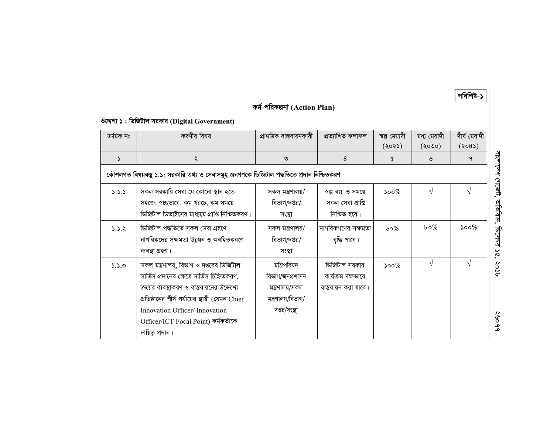| কৰ্ম-পৱিকল্পনা (Action Plan) |  |
|------------------------------|--|
|                              |  |

পরিশিষ্ট-১

# উদ্দেশ্য ১: ডিজিটাল সরকার (Digital Government)

| ক্ৰমিক নং | করণীয় বিষয়                                                                                                                                                                                                                                                                              | প্ৰাথমিক বাস্তবায়নকারী                                                                  | প্ৰত্যাশিত ফলাফল                                            | স্বল্প মেয়াদী<br>(২০২১) | মধ্য মেয়াদী<br>$($ ২০৩০) | দীৰ্ঘ মেয়াদী<br>(208)                        |                      |
|-----------|-------------------------------------------------------------------------------------------------------------------------------------------------------------------------------------------------------------------------------------------------------------------------------------------|------------------------------------------------------------------------------------------|-------------------------------------------------------------|--------------------------|---------------------------|-----------------------------------------------|----------------------|
| 2         | $\lambda$                                                                                                                                                                                                                                                                                 | ৩                                                                                        | 8                                                           | ৫                        | ৬                         | $\mathsf{P}$                                  | বাংলাদেশ             |
|           | কৌশলগত বিষয়বস্তু ১.১: সরকারি তথ্য ও সেবাসমূহ জনগণকে ডিজিটাল পদ্ধতিতে প্রদান নিশ্চিতকরণ                                                                                                                                                                                                   |                                                                                          |                                                             |                          |                           |                                               |                      |
| 3.3.3     | সকল সরকারি সেবা যে কোনো স্থান হতে<br>সহজে, স্বচ্ছভাবে, কম খরচে, কম সময়ে<br>ডিজিটাল ডিভাইসের মাধ্যমে প্রাপ্তি নিশ্চিতকরণ।                                                                                                                                                                 | সকল মন্ত্ৰণালয়/<br>বিভাগ/দপ্তর/<br>সংস্থা                                               | স্বল্প ব্যয় ও সময়ে<br>সকল সেবা প্ৰাপ্তি<br>নিশ্চিত হবে।   | ১০০ $\%$                 | $\sqrt{ }$                | $\sqrt{ }$                                    | colterb,<br>जाणिश्रक |
| 5.5.2     | ডিজিটাল পদ্ধতিতে সকল সেবা গ্ৰহণে<br>নাগরিকদের সক্ষমতা উন্নয়ন ও অবহিতকরণে<br>ব্যবস্থা গ্ৰহণ।                                                                                                                                                                                              | সকল মন্ত্ৰণালয়/<br>বিভাগ/দপ্তর/<br>সংস্থা                                               | নাগরিকগণের সক্ষমতা<br>বৃদ্ধি পাবে।                          | ৬০%                      | $b \circ \%$              | $\mathcal{S}^{\mathcal{O} \circ \mathcal{C}}$ | छायबन्न<br>$\approx$ |
| 0.2.4     | সকল মন্ত্রণালয়, বিভাগ ও দপ্তরের ডিজিটাল<br>সার্ভিস প্রদানের ক্ষেত্রে সার্ভিস চিহ্নিতকরণ,<br>ক্রয়ের ব্যবস্থাকরণ ও বাস্তবায়নের উদ্দেশ্যে<br>প্রতিষ্ঠানের শীর্ষ পর্যায়ের স্থায়ী (যেমন Chief<br>Innovation Officer/Innovation<br>Officer/ICT Focal Point) কৰ্মকৰ্তাকে<br>দায়িতু প্ৰদান। | মন্ত্রিপরিষদ<br>বিভাগ/জনপ্ৰশাসন<br>মন্ত্ৰণালয়/সকল<br>মন্ত্ৰণালয়/বিভাগ/<br>দপ্তর/সংস্থা | ডিজিটাল সরকার<br>কাৰ্যক্ৰম দক্ষভাবে<br>বাস্তবায়ন করা যাবে। | ১০০ $\%$                 | $\sqrt{ }$                | $\sqrt{ }$                                    | १०५<br>२७०१          |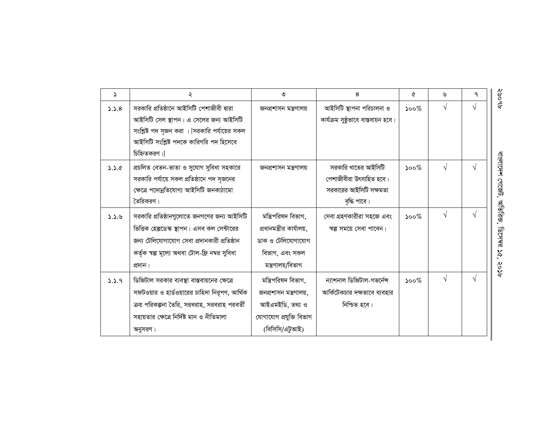| $\Delta$ | ২                                               | ৩                         | 8                                    | Q                           | ৬          | ٩          | ू<br>१०                   |
|----------|-------------------------------------------------|---------------------------|--------------------------------------|-----------------------------|------------|------------|---------------------------|
| 5.5.8    | সরকারি প্রতিষ্ঠানে আইসিটি পেশাজীবী দ্বারা       | জনপ্ৰশাসন মন্ত্ৰণালয়     | আইসিটি স্থাপনা পরিচালনা ও            | $500\%$                     | $\sqrt{}$  | $\sqrt{ }$ | ද්                        |
|          | আইসিটি সেল স্থাপন। এ সেলের জন্য আইসিটি          |                           | কাৰ্যক্ৰম সুষ্ঠূভাবে বাস্তবায়ন হবে। |                             |            |            |                           |
|          | সংশ্লিষ্ট পদ সৃজন করা । [সরকারি পর্যায়ের সকল   |                           |                                      |                             |            |            |                           |
|          | আইসিটি সংশ্লিষ্ট পদকে কারিগরি পদ হিসেবে         |                           |                                      |                             |            |            |                           |
|          | চিহ্নিতকরণ।                                     |                           |                                      |                             |            |            |                           |
| 3.2.6    | প্রচলিত বেতন-ভাতা ও সুযোগ সুবিধা সহকারে         | জনপ্ৰশাসন মন্ত্ৰণালয়     | সরকারি খাতের আইসিটি                  | $\mathcal{S}^{\mathcal{O}}$ | $\sqrt{ }$ | $\sqrt{ }$ |                           |
|          | সরকারি পর্যায়ে সকল প্রতিষ্ঠানে পদ সৃজনের       |                           | পেশাজীবীরা উৎসাহিত হবে।              |                             |            |            |                           |
|          | ক্ষেত্রে পদোন্নতিযোগ্য আইসিটি জনকাঠামো          |                           | সরকারের আইসিটি সক্ষমতা               |                             |            |            | বাংলাদেশ গেজেট,           |
|          | তৈরিকরণ।                                        |                           | বৃদ্ধি পাবে।                         |                             |            |            |                           |
| 3.3.8    | সরকারি প্রতিষ্ঠানগুলোতে জনগণের জন্য আইসিটি      | মন্ত্রিপরিষদ বিভাগ,       | সেবা গ্রহণকারীরা সহজে এবং            | $\mathcal{S}^{\mathcal{O}}$ | $\sqrt{ }$ | $\sqrt{ }$ | অতিরিজ,                   |
|          | ভিত্তিক হেল্পডেস্ক স্থাপন। এসব কল সেন্টারের     | প্রধানমন্ত্রীর কার্যালয়, | স্বল্প সময়ে সেবা পাবেন।             |                             |            |            |                           |
|          | জন্য টেলিযোগাযোগ সেবা প্রদানকারী প্রতিষ্ঠান     | ডাক ও টেলিযোগাযোগ         |                                      |                             |            |            | ়াত শেশৱ                  |
|          | কর্তৃক স্বল্প মূল্যে অথবা টোল-ফ্রি নম্বর সুবিধা | বিভাগ, এবং সকল            |                                      |                             |            |            | $\widetilde{\mathcal{S}}$ |
|          | প্ৰদান।                                         | মন্ত্ৰণালয়/বিভাগ         |                                      |                             |            |            | १०१                       |
| 9.3.9    | ডিজিটাল সরকার ব্যবস্থা বাস্তবায়নের ক্ষেত্রে    | মন্ত্ৰিপরিষদ বিভাগ,       | ন্যাশনাল ডিজিটাল-গভর্নেন্স           | $\mathcal{S}^{\mathcal{O}}$ |            | $\sqrt{ }$ |                           |
|          | সফটওয়ার ও হার্ডওয়ারের চাহিদা নিরূপণ, আর্থিক   | জনপ্ৰশাসন মন্ত্ৰণালয়,    | আর্কিটেকচার দক্ষভাবে ব্যবহার         |                             |            |            |                           |
|          | ক্রয় পরিকল্পনা তৈরি, সরবরাহ, সরবরাহ পরবর্তী    | আইএমইডি, তথ্য ও           | নিশ্চিত হবে।                         |                             |            |            |                           |
|          | সহায়তার ক্ষেত্রে নির্দিষ্ট মান ও নীতিমালা      | যোগাযোগ প্ৰযুক্তি বিভাগ   |                                      |                             |            |            |                           |
|          | অনুসরণ।                                         | (বিসিসি/এটুআই)            |                                      |                             |            |            |                           |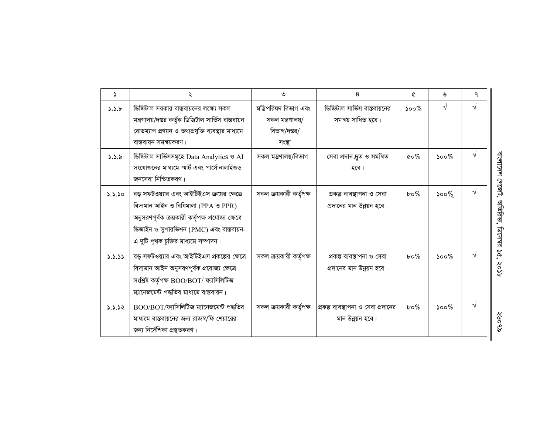| 2      | ২                                                                                                                                                                                                                            | ৩                                                                    | 8                                                       | Q                                             | ৬                           | ٩          |                            |
|--------|------------------------------------------------------------------------------------------------------------------------------------------------------------------------------------------------------------------------------|----------------------------------------------------------------------|---------------------------------------------------------|-----------------------------------------------|-----------------------------|------------|----------------------------|
| 5.5.6  | ডিজিটাল সরকার বাস্তবায়নের লক্ষ্যে সকল<br>মন্ত্রণালয়/দপ্তর কর্তৃক ডিজিটাল সার্ভিস বাস্তবায়ন<br>রোডম্যাপ প্রণয়ন ও তথ্যপ্রযুক্তি ব্যবস্থার মাধ্যমে<br>বাস্তবায়ন সমন্বয়করণ।                                                | মন্ত্রিপরিষদ বিভাগ এবং<br>সকল মন্ত্ৰণালয়/<br>বিভাগ/দপ্তর/<br>সংস্থা | ডিজিটাল সার্ভিস বাস্তবায়নের<br>সমন্বয় সাধিত হবে।      | $\mathcal{S}^{\mathcal{O} \circ \mathcal{O}}$ | $\sqrt{}$                   | $\sqrt{}$  |                            |
| 5.5.8  | ডিজিটাল সার্ভিসসমূহে Data Analytics ও AI<br>সংযোজনের মাধ্যমে স্মার্ট এবং পার্সোনালাইজড<br>জনসেবা নিশ্চিতকরণ।                                                                                                                 | সকল মন্ত্ৰণালয়/বিভাগ                                                | সেবা প্ৰদান দ্ৰুত ও সমন্বিত<br>হবে।                     | $\mathfrak{c}\circ\mathscr{C}_0$              | $\mathcal{S}^{\mathcal{O}}$ | $\sqrt{}$  | বাংলাদেশ গেজেট,            |
| 3.3.30 | বড় সফটওয়্যার এবং আইটিইএস ক্রয়ের ক্ষেত্রে<br>বিদ্যমান আইন ও বিধিমালা (PPA ও PPR)<br>অনুসরণপূর্বক ক্রয়কারী কর্তৃপক্ষ প্রযোজ্য ক্ষেত্রে<br>ডিজাইন ও সুপারভিশন (PMC) এবং বাস্তবায়ন-<br>এ দুটি পৃথক চুক্তির মাধ্যমে সম্পাদন। | সকল ক্রয়কারী কর্তৃপক্ষ                                              | প্ৰকল্প ব্যবস্থাপনা ও সেবা<br>প্রদানের মান উন্নয়ন হবে। | $b \circ \%$                                  | ১০০ $%$                     | $\sqrt{}$  | অতিরিজ,<br>ক্রসম্বর        |
| 3.3.33 | বড় সফটওয়্যার এবং আইটিইএস প্রকল্পের ক্ষেত্রে<br>বিদ্যমান আইন অনুসরণপূর্বক প্রযোজ্য ক্ষেত্রে<br>সংশ্লিষ্ট কৰ্তৃপক্ষ BOO/BOT/ ফ্যাসিলিটিজ<br>ম্যানেজমেন্ট পদ্ধতির মাধ্যমে বাস্তবায়ন।                                         | সকল ক্রয়কারী কর্তৃপক্ষ                                              | প্ৰকল্প ব্যবস্থাপনা ও সেবা<br>প্রদানের মান উন্নয়ন হবে। | $b \circ \%$                                  | $500\%$                     | $\sqrt{}$  | $\tilde{\varsigma}$<br>१०५ |
| 5.3.32 | $BOO/BOT$ /ফ্যাসিলিটিজ ম্যানেজমেন্ট পদ্ধতির<br>মাধ্যমে বাস্তবায়নের জন্য রাজস্ব/ফি শেয়ারের<br>জন্য নির্দেশিকা প্রস্তুতকরণ।                                                                                                  | সকল ক্রয়কারী কর্তৃপক্ষ                                              | প্রকল্প ব্যবস্থাপনা ও সেবা প্রদানের<br>মান উন্নয়ন হবে। | $b \circ \%$                                  | $500\%$                     | $\sqrt{ }$ | १९००९                      |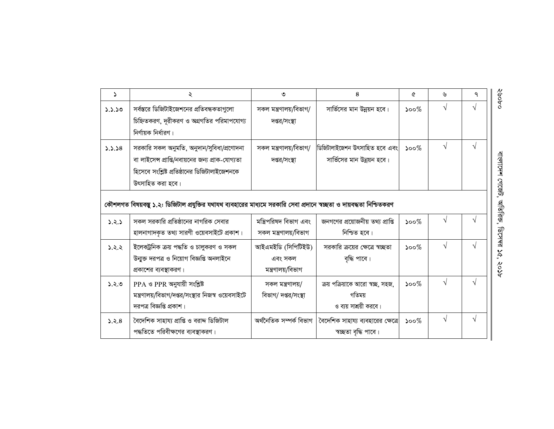| 2      | ২                                                                                                                      | ৩                       | 8                                  | ᢙ                           | ৬          | ٩         | ०,१००६                    |
|--------|------------------------------------------------------------------------------------------------------------------------|-------------------------|------------------------------------|-----------------------------|------------|-----------|---------------------------|
| 3.3.30 | সর্বস্তরে ডিজিটাইজেশনের প্রতিবন্ধকতাগুলো                                                                               | সকল মন্ত্ৰণালয়/বিভাগ/  | সার্ভিসের মান উন্নয়ন হবে।         | $\mathcal{S}^{\mathcal{O}}$ | $\sqrt{}$  | V         |                           |
|        | চিহ্নিতকরণ, দূরীকরণ ও অগ্রগতির পরিমাপযোগ্য                                                                             | দপ্তর/সংস্থা            |                                    |                             |            |           |                           |
|        | নির্ণায়ক নির্ধারণ।                                                                                                    |                         |                                    |                             |            |           |                           |
| 3.3.38 | সরকারি সকল অনুমতি, অনুদান/সুবিধা/প্রণোদনা                                                                              | সকল মন্ত্রণালয়/বিভাগ/  | ডিজিটালাইজেশন উৎসাহিত হবে এবং      | $500\%$                     | $\sqrt{ }$ | $\sqrt{}$ |                           |
|        | বা লাইসেন্স প্রাপ্তি/নবায়নের জন্য প্রাক-যোগ্যতা                                                                       | দপ্তর/সংস্থা            | সার্ভিসের মান উন্নয়ন হবে।         |                             |            |           |                           |
|        | হিসেবে সংশ্লিষ্ট প্রতিষ্ঠানের ডিজিটালাইজেশনকে                                                                          |                         |                                    |                             |            |           |                           |
|        | উৎসাহিত করা হবে।                                                                                                       |                         |                                    |                             |            |           | বাংলাদেশ গেজেট,           |
|        | কৌশলগত বিষয়বস্তু ১.২: ডিজিটাল প্রযুক্তির যথাযথ ব্যবহারের মাধ্যমে সরকারি সেবা প্রদানে স্বচ্ছতা ও দায়বদ্ধতা নিশ্চিতকরণ |                         |                                    |                             |            |           | অতিরিজ,                   |
| 3.2.5  | সকল সরকারি প্রতিষ্ঠানের নাগরিক সেবার                                                                                   | মন্ত্রিপরিষদ বিভাগ এবং  | জনগণের প্রয়োজনীয় তথ্য প্রাপ্তি   | $500\%$                     | $\sqrt{ }$ | V         |                           |
|        | হালনাগাদকৃত তথ্য সারণী ওয়েবসাইটে প্রকাশ।                                                                              | সকল মন্ত্ৰণালয়/বিভাগ   | নিশ্চিত হবে।                       |                             |            |           | <b>ARK291</b>             |
| 5.2.2  | ইলেকট্রনিক ক্রয় পদ্ধতি ও চালুকরণ ও সকল                                                                                | আইএমইডি (সিপিটিইউ)      | সরকারি ক্রয়ের ক্ষেত্রে স্বচ্ছতা   | $\mathcal{S}^{\mathcal{O}}$ | $\sqrt{ }$ |           |                           |
|        | উন্মুক্ত দরপত্র ও নিয়োগ বিজ্ঞপ্তি অনলাইনে                                                                             | এবং সকল                 | বৃদ্ধি পাবে।                       |                             |            |           | $\widetilde{\mathcal{S}}$ |
|        | প্রকাশের ব্যবস্থাকরণ।                                                                                                  | মন্ত্ৰণালয়/বিভাগ       |                                    |                             |            |           | १०१                       |
| 5.5.0  | PPA ও PPR অনুযায়ী সংশ্লিষ্ট                                                                                           | সকল মন্ত্ৰণালয়/        | ক্রয় পক্রিয়াকে আরো স্বচ্ছ, সহজ,  | $\mathcal{S}^{\mathcal{O}}$ | $\sqrt{ }$ | V         |                           |
|        | মন্ত্রণালয়/বিভাগ/দপ্তর/সংস্থার নিজস্ব ওয়েবসাইটে                                                                      | বিভাগ/ দপ্তর/সংস্থা     | গতিময়                             |                             |            |           |                           |
|        | দরপত্র বিজ্ঞপ্তি প্রকাশ।                                                                                               |                         | ও ব্যয় সাশ্রয়ী করবে।             |                             |            |           |                           |
| 5.5.8  | বৈদেশিক সাহায্য প্ৰাপ্তি ও বরাদ্দ ডিজিটাল                                                                              | অৰ্থনৈতিক সম্পৰ্ক বিভাগ | বৈদেশিক সাহায্য ব্যবহারের ক্ষেত্রে | $\mathcal{S}^{\mathcal{O}}$ | $\sqrt{}$  | V         |                           |
|        | পদ্ধতিতে পরিবীক্ষণের ব্যবস্থাকরণ।                                                                                      |                         | স্বচ্ছতা বৃদ্ধি পাবে।              |                             |            |           |                           |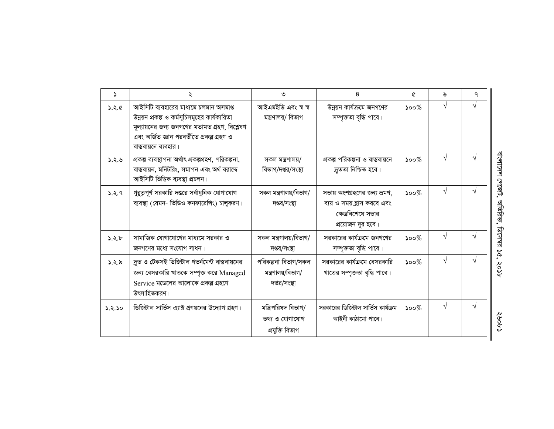| $\Delta$ | ২                                                                                                                                                                                                             | ৩                                                         | 8                                                                                                     | Q                                             | ৬          | ٩         |                               |
|----------|---------------------------------------------------------------------------------------------------------------------------------------------------------------------------------------------------------------|-----------------------------------------------------------|-------------------------------------------------------------------------------------------------------|-----------------------------------------------|------------|-----------|-------------------------------|
| 3.5.6    | আইসিটি ব্যবহারের মাধ্যমে চলমান অসমাপ্ত<br>উন্নয়ন প্রকল্প ও কর্মসূচিসমূহের কার্যকারিতা<br>মূল্যায়নের জন্য জনগণের মতামত গ্রহণ, বিশ্লেষণ<br>এবং অৰ্জিত জ্ঞান পরবর্তীতে প্রকল্প গ্রহণ ও<br>বাস্তবায়নে ব্যবহার। | আইএমইডি এবং স্ব স্ব<br>মন্ত্ৰণালয়/ বিভাগ                 | উন্নয়ন কার্যক্রমে জনগণের<br>সম্পৃক্ততা বৃদ্ধি পাবে।                                                  | $500\%$                                       | $\sqrt{ }$ |           |                               |
| 3.2.6    | প্রকল্প ব্যবস্থাপনা অর্থাৎ প্রকল্পগ্রহণ, পরিকল্পনা,<br>বাস্তবায়ন, মনিটরিং, সমাপন এবং অর্থ বরাদ্দে<br>আইসিটি ভিত্তিক ব্যবস্থা প্রচলন।                                                                         | সকল মন্ত্ৰণালয়/<br>বিভাগ/দপ্তর/সংস্থা                    | প্রকল্প পরিকল্পনা ও বাস্তবায়নে<br>দ্রুততা নিশ্চিত হবে।                                               | $500\%$                                       |            |           | বাংলাদেশ গেজেট,               |
| 3.2.9    | গুরুত্বপূর্ণ সরকারি দপ্তরে সর্বাধুনিক যোগাযোগ<br>ব্যবস্থা (যেমন- ভিডিও কনফারেঙ্গিং) চালুকরণ।                                                                                                                  | সকল মন্ত্রণালয়/বিভাগ/<br>দপ্তর/সংস্থা                    | সভায় অংশগ্রহণের জন্য ভ্রমণ,<br>ব্যয় ও সময়ত্রোস করবে এবং<br>ক্ষেত্রবিশেষে সভার<br>প্রয়োজন দূর হবে। | $\mathcal{S}^{\mathcal{O} \circ \mathcal{O}}$ | $\sqrt{ }$ |           | অতিরিজ                        |
| 5.8.6    | সামাজিক যোগাযোগের মাধ্যমে সরকার ও<br>জনগণের মধ্যে সংযোগ সাধন।                                                                                                                                                 | সকল মন্ত্রণালয়/বিভাগ/<br>দপ্তর/সংস্থা                    | সরকারের কার্যক্রমে জনগণের<br>সম্পৃক্ততা বৃদ্ধি পাবে।                                                  | $500\%$                                       | $\sqrt{ }$ |           | <b>ARL-291</b><br>$\mathbf v$ |
| 5.5.8    | দ্রুত ও টেকসই ডিজিটাল গভর্নমেন্ট বাস্তবায়নের<br>জন্য বেসরকারি খাতকে সম্পৃক্ত করে Managed<br>Service মডেলের আলোকে প্রকল্প গ্রহণে<br>উৎসাহিতকরণ।                                                               | পরিকল্পনা বিভাগ/সকল<br>মন্ত্ৰণালয়/বিভাগ/<br>দপ্তর/সংস্থা | সরকারের কার্যক্রমে বেসরকারি<br>খাতের সম্পৃক্ততা বৃদ্ধি পাবে।                                          | $500\%$                                       | $\sqrt{ }$ |           | $\tilde{\mathcal{S}}$<br>१०१  |
| 5.5.50   | ডিজিটাল সার্ভিস এ্যাক্ট প্রণয়নের উদ্যোগ গ্রহণ।                                                                                                                                                               | মন্ত্রিপরিষদ বিভাগ/<br>তথ্য ও যোগাযোগ<br>প্ৰযুক্তি বিভাগ  | সরকারের ডিজিটাল সার্ভিস কার্যক্রম<br>আইনী কাঠামো পাবে।                                                | $500\%$                                       | $\sqrt{ }$ | $\sqrt{}$ | ८, २००९                       |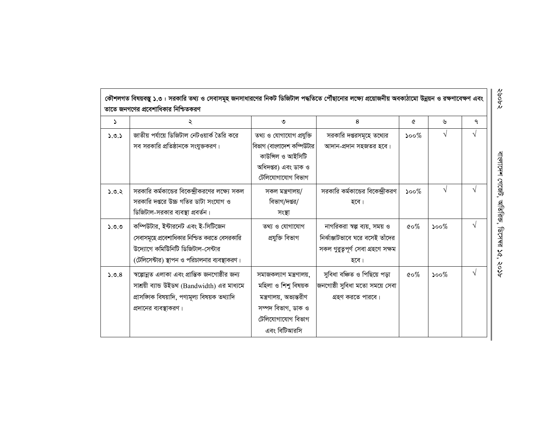|       | কৌশলগত বিষয়বস্তু ১.৩ : সরকারি তথ্য ও সেবাসমূহ জনসাধারণের নিকট ডিজিটাল পদ্ধতিতে পৌঁছানোর লক্ষ্যে প্রয়েজনীয় অবকাঠামো উন্নয়ন ও রক্ষণাবেক্ষণ এবং<br>তাতে জনগণের প্রবেশাধিকার নিশ্চিতকরণ |                                                                                                                                      |                                                                                                                |                                  |         |            |
|-------|-----------------------------------------------------------------------------------------------------------------------------------------------------------------------------------------|--------------------------------------------------------------------------------------------------------------------------------------|----------------------------------------------------------------------------------------------------------------|----------------------------------|---------|------------|
| 2     |                                                                                                                                                                                         | ৩                                                                                                                                    | 8                                                                                                              | Q                                | ৬       | ٩          |
| 5.0.5 | জাতীয় পর্যায়ে ডিজিটাল নেটওয়ার্ক তৈরি করে<br>সব সরকারি প্রতিষ্ঠানকে সংযুক্তকরণ।                                                                                                       | তথ্য ও যোগাযোগ প্রযুক্তি<br>বিভাগ (বাংলাদেশ কম্পিউটার<br>কাউন্সিল ও আইসিটি<br>অধিদপ্তর) এবং ডাক ও<br>টেলিযোগাযোগ বিভাগ               | সরকারি দপ্তরসমূহে তথ্যের<br>আদান-প্রদান সহজতর হবে।                                                             | $500\%$                          | V       | $\sqrt{ }$ |
| 5.0.2 | সরকারি কর্মকান্ডের বিকেন্দ্রীকরণের লক্ষ্যে সকল<br>সরকারি দপ্তরে উচ্চ গতির ডাটা সংযোগ ও<br>ডিজিটাল-সরকার ব্যবস্থা প্রবর্তন।                                                              | সকল মন্ত্ৰণালয়/<br>বিভাগ/দপ্তর/<br>সংস্থা                                                                                           | সরকারি কর্মকান্ডের বিকেন্দ্রীকরণ<br>হবে।                                                                       | $\mathcal{S}^{\text{oo}}$        | V       |            |
| 9.9.0 | কম্পিউটার, ইন্টারনেট এবং ই-সিটিজেন<br>সেবাসমূহে প্রবেশাধিকার নিশ্চিত করতে বেসরকারি<br>উদ্যোগে কমিউনিটি ডিজিটাল-সেন্টার<br>(টেলিসেন্টার) স্থাপন ও পরিচালনার ব্যবস্থাকরণ।                 | তথ্য ও যোগাযোগ<br>প্ৰযুক্তি বিভাগ                                                                                                    | নাগরিকরা স্বল্প ব্যয়, সময় ও<br>নির্বাঞ্জাটভাবে ঘরে বসেই তাঁদের<br>সকল গুৱুত্বপূৰ্ণ সেবা গ্ৰহণে সক্ষম<br>হবে। | $\mathfrak{c} \circ \mathscr{C}$ | $500\%$ | $\sqrt{ }$ |
| 5.0.8 | স্বল্পোন্নত এলাকা এবং প্রান্তিক জনগোষ্ঠীর জন্য<br>সাশ্রয়ী ব্যান্ড উইডথ (Bandwidth) এর মাধ্যমে<br>প্ৰাসজ্ঞাক বিষয়াদি, পণ্যমূল্য বিষয়ক তথ্যাদি<br>প্রদানের ব্যবস্থাকরণ।                | সমাজকল্যাণ মন্ত্ৰণালয়,<br>মহিলা ও শিশু বিষয়ক<br>মন্ত্রণালয়, অভ্যন্তরীণ<br>সম্পদ বিভাগ, ডাক ও<br>টেলিযোগাযোগ বিভাগ<br>এবং বিটিআরসি | সুবিধা বঞ্চিত ও পিছিয়ে পড়া<br>জনগোষ্ঠী সুবিধা মতো সময়ে সেবা<br>গ্রহণ করতে পারবে।                            | $\&o\%$                          | $500\%$ | $\sqrt{ }$ |

বাংলাদেশ গেজেট, অতিরিক্ত, ডিসেম্ব ১৫, ২০১৮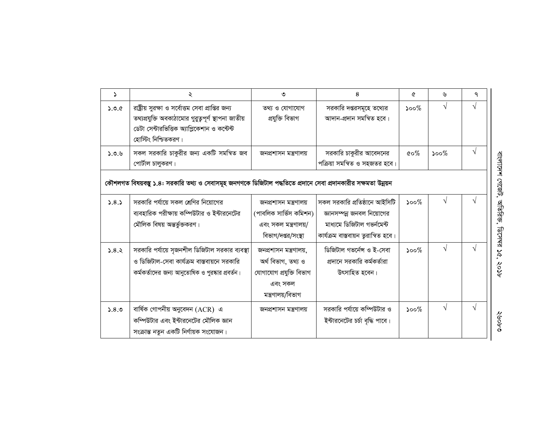| د     | ২                                                                                                                                                                                | ৩                                                                                                       | 8                                                                                                                                | Q                                              | ৬          | ٩ |                           |
|-------|----------------------------------------------------------------------------------------------------------------------------------------------------------------------------------|---------------------------------------------------------------------------------------------------------|----------------------------------------------------------------------------------------------------------------------------------|------------------------------------------------|------------|---|---------------------------|
| 5.0.6 | রাষ্ট্রীয় সুরক্ষা ও সর্বোত্তম সেবা প্রাপ্তির জন্য<br>তথ্যপ্রযুক্তি অবকাঠামোর গুরুত্বপূর্ণ স্থাপনা জাতীয়<br>ডেটা সেন্টারভিত্তিক অ্যাপ্লিকেশান ও কন্টেন্ট<br>হোস্টিং নিশ্চিতকরণ। | তথ্য ও যোগাযোগ<br>প্ৰযুক্তি বিভাগ                                                                       | সরকারি দপ্তরসমূহে তথ্যের<br>আদান-প্ৰদান সমন্বিত হবে।                                                                             | $\mathcal{S}^{\mathcal{O} \circ \mathcal{O}}$  | $\sqrt{}$  | V |                           |
| 5.0.6 | সকল সরকারি চাকুরীর জন্য একটি সমন্বিত জব<br>পোর্টাল চালুকরণ।                                                                                                                      | জনপ্ৰশাসন মন্ত্ৰণালয়                                                                                   | সরকারি চাকুরীর আবেদনের<br>পক্রিয়া সমন্বিত ও সহজতর হবে।                                                                          | $\mathfrak{c}\!\circ\!\mathscr{C}\!\!$         | $500\%$    |   |                           |
|       | কৌশলগত বিষয়বস্তু ১.৪: সরকারি তথ্য ও সেবাসমূহ জনগণকে ডিজিটাল পদ্ধতিতে প্রদানে সেবা প্রদানকারীর সক্ষমতা উন্নয়ন                                                                   |                                                                                                         |                                                                                                                                  |                                                |            |   | বাংলাদেশ গেজেট,           |
| 3.8.5 | সরকারি পর্যায়ে সকল শ্রেণির নিয়োগের<br>ব্যবহারিক পরীক্ষায় কম্পিউটার ও ইন্টারনেটের<br>মৌলিক বিষয় অন্তর্ভুক্তকরণ।                                                               | জনপ্ৰশাসন মন্ত্ৰণালয়<br>(পাবলিক সার্ভিস কমিশন)<br>এবং সকল মন্ত্রণালয়/<br>বিভাগ/দপ্তর/সংস্থা           | সকল সরকারি প্রতিষ্ঠানে আইসিটি<br>জ্ঞানসম্পন্ন জনবল নিয়োগের<br>মাধ্যমে ডিজিটাল গভৰ্নমেন্ট<br>কাৰ্যক্ৰম বাস্তবায়ন তুরান্বিত হবে। | $\mathcal{S}^{\mathcal{O}}$                    | $\sqrt{}$  | V | অতিরিজ,<br><b>DRL-291</b> |
| 5.8.3 | সরকারি পর্যায়ে সৃজনশীল ডিজিটাল সরকার ব্যবস্থা<br>ও ডিজিটাল-সেবা কার্যক্রম বাস্তবায়নে সরকারি<br>কর্মকর্তাদের জন্য আনুতোষিক ও পুরষ্কার প্রবর্তন।                                 | জনপ্ৰশাসন মন্ত্ৰণালয়,<br>অৰ্থ বিভাগ, তথ্য ও<br>যোগাযোগ প্ৰযুক্তি বিভাগ<br>এবং সকল<br>মন্ত্ৰণালয়/বিভাগ | ডিজিটাল গভর্নেন্স ও ই-সেবা<br>প্রদানে সরকারি কর্মকর্তারা<br>উৎসাহিত হবেন।                                                        | $500\%$                                        | $\sqrt{ }$ |   | 56,<br>१०१                |
| 5.8.0 | বাৰ্ষিক গোপনীয় অনুবেদন (ACR) এ<br>কম্পিউটার এবং ইন্টারনেটের মৌলিক জ্ঞান<br>সংক্রান্ত নতুন একটি নির্ণায়ক সংযোজন।                                                                | জনপ্ৰশাসন মন্ত্ৰণালয়                                                                                   | সরকারি পর্যায়ে কম্পিউটার ও<br>ইন্টারনেটের চর্চা বৃদ্ধি পাবে।                                                                    | $\mathcal{S}^{\mathcal{O} \times \mathcal{O}}$ | V          | V | ०,१००६                    |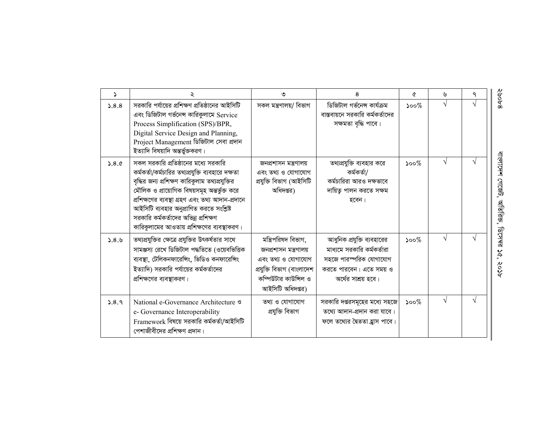| $\mathcal{L}$ |                                                                                                                                                                                                                                                                                                                                                                                     | ৩                                                                                                                                           | 8                                                                                                                                    | Q                                             | ৬          | ٩          |
|---------------|-------------------------------------------------------------------------------------------------------------------------------------------------------------------------------------------------------------------------------------------------------------------------------------------------------------------------------------------------------------------------------------|---------------------------------------------------------------------------------------------------------------------------------------------|--------------------------------------------------------------------------------------------------------------------------------------|-----------------------------------------------|------------|------------|
| 5.8.8         | সরকারি পর্যায়ের প্রশিক্ষণ প্রতিষ্ঠানের আইসিটি<br>এবং ডিজিটাল গর্ভনেন্স কারিকুলামে Service<br>Process Simplification (SPS)/BPR,<br>Digital Service Design and Planning,<br>Project Management ডিজিটাল সেবা প্রদান<br>ইত্যাদি বিষয়াদি অন্তৰ্ভুক্তকরণ।                                                                                                                               | সকল মন্ত্ৰণালয়/ বিভাগ                                                                                                                      | ডিজিটাল গৰ্ভনেন্স কাৰ্যক্ৰম<br>বাস্তবায়নে সরকারি কর্মকর্তাদের<br>সক্ষমতা বৃদ্ধি পাবে।                                               | $500\%$                                       | $\sqrt{ }$ | V          |
| 5.8.c         | সকল সরকারি প্রতিষ্ঠানের মধ্যে সরকারি<br>কর্মকর্তা/কর্মচারির তথ্যপ্রযুক্তি ব্যবহারে দক্ষতা<br>বৃদ্ধির জন্য প্রশিক্ষণ কারিকুলাম তথ্যপ্রযুক্তির<br>মৌলিক ও প্রায়োগিক বিষয়সমূহ অন্তর্ভুক্ত করে<br>প্রশিক্ষণের ব্যবস্থা গ্রহণ এবং তথ্য আদান-প্রদানে<br>আইসিটি ব্যবহার অনুপ্রাণিত করতে সংশ্লিষ্ট<br>সরকারি কর্মকর্তাদের অভিন্ন প্রশিক্ষণ<br>কারিকুলামের আওতায় প্রশিক্ষণের ব্যবস্থাকরণ। | জনপ্ৰশাসন মন্ত্ৰণালয়<br>এবং তথ্য ও যোগাযোগ<br>প্ৰযুক্তি বিভাগ (আইসিটি<br>অধিদপ্তর)                                                         | তথ্যপ্রযুক্তি ব্যবহার করে<br>কৰ্মকৰ্তা/<br>কর্মচারিরা আরও দক্ষভাবে<br>দায়িত্ব পালন করতে সক্ষম<br>হবেন।                              | $500\%$                                       | $\sqrt{ }$ | $\sqrt{ }$ |
| 3.8.6         | তথ্যপ্রযুক্তির ক্ষেত্রে প্রযুক্তির উৎকর্ষতার সাথে<br>সামঞ্জস্য রেখে ডিজিটাল পদ্ধতিতে (ওয়েবভিত্তিক<br>ব্যবস্থা, টেলিকনফারেঙ্গিং, ভিডিও কনফারেঙ্গিং<br>ইত্যাদি) সরকারি পর্যায়ের কর্মকর্তাদের<br>প্রশিক্ষণের ব্যবস্থাকরণ।                                                                                                                                                            | মন্ত্ৰিপরিষদ বিভাগ,<br>জনপ্ৰশাসন মন্ত্ৰণালয়<br>এবং তথ্য ও যোগাযোগ<br>প্ৰযুক্তি বিভাগ (বাংলাদেশ<br>কম্পিউটার কাউন্সিল ও<br>আইসিটি অধিদপ্তর) | আধুনিক প্রযুক্তি ব্যবহারের<br>মাধ্যমে সরকারি কর্মকর্তারা<br>সহজে পারস্পরিক যোগাযোগ<br>করতে পারবেন। এতে সময় ও<br>অর্থের সাশ্রয় হবে। | $\mathcal{S}^{\mathcal{O} \circ \mathcal{O}}$ | $\sqrt{ }$ | $\sqrt{ }$ |
| 3.8.9         | National e-Governance Architecture <sup>9</sup><br>e- Governance Interoperability<br>Framework বিষয়ে সরকারি কর্মকর্তা/আইসিটি<br>পেশাজীবীদের প্রশিক্ষণ প্রদান।                                                                                                                                                                                                                      | তথ্য ও যোগাযোগ<br>প্ৰযুক্তি বিভাগ                                                                                                           | সরকারি দপ্তরসমূহের মধ্যে সহজে<br>তথ্যে আদান-প্রদান করা যাবে।<br>ফলে তথ্যের দ্বৈততা হ্রাস পাবে।                                       | $\mathcal{S}^{\mathcal{O} \circ \mathcal{O}}$ | $\sqrt{ }$ | $\sqrt{ }$ |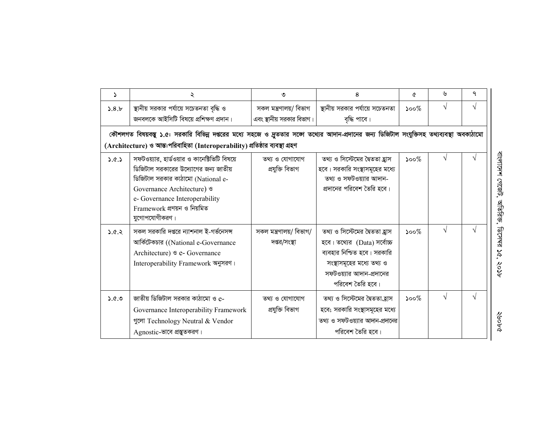| $\Delta$ | ২                                                                                                                                                                                                                                         | ৩                                       | 8                                                                                                                                                                         | A                                             | ৬          | ٩ |
|----------|-------------------------------------------------------------------------------------------------------------------------------------------------------------------------------------------------------------------------------------------|-----------------------------------------|---------------------------------------------------------------------------------------------------------------------------------------------------------------------------|-----------------------------------------------|------------|---|
| 5.8.b    | স্থানীয় সরকার পর্যায়ে সচেতনতা বৃদ্ধি ও                                                                                                                                                                                                  | সকল মন্ত্ৰণালয়/ বিভাগ                  | স্থানীয় সরকার পর্যায়ে সচেতনতা                                                                                                                                           | $\mathcal{S}^{\mathcal{O} \circ \mathcal{O}}$ | $\sqrt{}$  | V |
|          | জনবলকে আইসিটি বিষয়ে প্রশিক্ষণ প্রদান।                                                                                                                                                                                                    | এবং স্থানীয় সরকার বিভাগ।               | বৃদ্ধি পাবে।                                                                                                                                                              |                                               |            |   |
|          | কৌশলগত বিষয়বস্তু ১.৫: সরকারি বিভিন্ন দপ্তরের মধ্যে সহজে ও দ্রুততার সজো তথ্যের আদান-প্রদানের জন্য ডিজিটাল সংযুক্তিসহ তথ্যব্যবস্থা অবকাঠামো                                                                                                |                                         |                                                                                                                                                                           |                                               |            |   |
|          | (Architecture) ও আন্ত:পরিবাহিতা (Interoperability) প্রতিষ্ঠার ব্যবস্থা গ্রহণ                                                                                                                                                              |                                         |                                                                                                                                                                           |                                               |            |   |
| 3.0.5    | সফটওয়্যার, হার্ডওয়ার ও কানেক্টিভিটি বিষয়ে<br>ডিজিটাল সরকারের উদ্যোগের জন্য জাতীয়<br>ডিজিটাল সরকার কাঠামো (National e-<br>Governance Architecture) &<br>e- Governance Interoperability<br>Framework প্রণয়ন ও নিয়মিত<br>যুগোপযোগীকরণ। | তথ্য ও যোগাযোগ<br>প্ৰযুক্তি বিভাগ       | তথ্য ও সিস্টেমের দ্বৈততা হ্রাস<br>হবে। সরকারি সংস্থাসমূহের মধ্যে<br>তথ্য ও সফটওয়্যার আদান-<br>প্রদানের পরিবেশ তৈরি হবে।                                                  | $500\%$                                       | $\sqrt{}$  |   |
| 5.0.8    | সকল সরকারি দপ্তরে ন্যাশনাল ই-গর্ভনেসন্স<br>আৰ্কিটেকচার ((National e-Governance<br>Architecture) <sup>9</sup> e- Governance<br>Interoperability Framework অনুসরণ।                                                                          | সকল মন্ত্রণালয়/ বিভাগ/<br>দপ্তর/সংস্থা | তথ্য ও সিস্টেমের দ্বৈততা হ্রাস<br>হবে। তথ্যের (Data) সর্বোচ্চ<br>ব্যবহার নিশ্চিত হবে। সরকারি<br>সংস্থাসমূহের মধ্যে তথ্য ও<br>সফটওয়্যার আদান-প্রদানের<br>পরিবেশ তৈরি হবে। | $\mathcal{S}^{\mathcal{O}}$                   | $\sqrt{ }$ | V |
| 0.96     | জাতীয় ডিজিটাল সরকার কাঠামো ও e-<br>Governance Interoperability Framework<br>গুলো Technology Neutral & Vendor<br>Agnostic-ভাবে প্রন্তুতকরণ।                                                                                               | তথ্য ও যোগাযোগ<br>প্ৰযুক্তি বিভাগ       | তথ্য ও সিস্টেমের দ্বৈততা_হ্রাস<br>হবে; সরকারি সংস্থাসমূহের মধ্যে<br>তথ্য ও সফটওয়্যার আদান-প্রদানের<br>পরিবেশ তৈরি হবে।                                                   | $\mathcal{S}^{\mathcal{O}}$                   | $\sqrt{ }$ | V |

বাংলাদেশ গেজেট, অতিরিজ, ডিসেমর ১৫, ২০১৮

2409€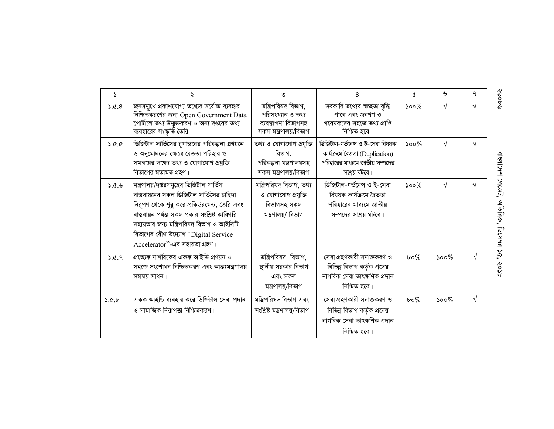| $\Delta$ | ২                                                                                                                                                                                                                                                                                                            | ৩                                                                                        | 8                                                                                                                       | Q            | ৬       | ٩          |
|----------|--------------------------------------------------------------------------------------------------------------------------------------------------------------------------------------------------------------------------------------------------------------------------------------------------------------|------------------------------------------------------------------------------------------|-------------------------------------------------------------------------------------------------------------------------|--------------|---------|------------|
| 3.0.8    | জনসন্মুখে প্রকাশযোগ্য তথ্যের সর্বোচ্চ ব্যবহার<br>নিশ্চিতকরণের জন্য Open Government Data<br>পোর্টালে তথ্য উন্মুক্তকরণ ও অন্য দপ্তরের তথ্য<br>ব্যবহারের সংস্কৃতি তৈরি।                                                                                                                                         | মন্ত্রিপরিষদ বিভাগ,<br>পরিসংখ্যান ও তথ্য<br>ব্যবস্থাপনা বিভাগসহ<br>সকল মন্ত্ৰণালয়/বিভাগ | সরকারি তথ্যের স্বচ্ছতা বৃদ্ধি<br>পাবে এবং জনগণ ও<br>গবেষকদের সহজে তথ্য প্রাপ্তি<br>নিশ্চিত হবে।                         | $500\%$      |         | $\sqrt{ }$ |
| 9.9.4    | ডিজিটাল সার্ভিসের রূপান্তরের পরিকল্পনা প্রণয়নে<br>ও অনুমোদনের ক্ষেত্রে দ্বৈততা পরিহার ও<br>সমন্বয়ের লক্ষ্যে তথ্য ও যোগাযোগ প্রযুক্তি<br>বিভাগের মতামত গ্রহণ।                                                                                                                                               | তথ্য ও যোগাযোগ প্রযুক্তি<br>বিভাগ.<br>পরিকল্পনা মন্ত্রণালয়সহ<br>সকল মন্ত্ৰণালয়/বিভাগ   | ডিজিটাল-গৰ্ভনেন্স ও ই-সেবা বিষয়ক<br>কাৰ্যক্ৰমে দৈততা (Duplication)<br>পরিহারের মাধ্যমে জাতীয় সম্পদের<br>সাশ্রয় ঘটবে। | $500\%$      |         | $\sqrt{ }$ |
| 9.9.4    | মন্ত্রণালয়/দপ্তরসমূহের ডিজিটাল সার্ভিস<br>বাস্তবায়নের সকল ডিজিটাল সার্ভিসের চাহিদা<br>নিরূপণ থেকে শুরু করে প্রকিউরমেন্ট, তৈরি এবং<br>বাস্তবায়ন পর্যন্ত সকল প্রকার সংশ্লিষ্ট কারিগরি<br>সহায়তার জন্য মন্ত্রিপরিষদ বিভাগ ও আইসিটি<br>বিভাগের যৌথ উদ্যোগ "Digital Service<br>Accelerator"-এর সহায়তা গ্রহণ। | মন্ত্ৰিপরিষদ বিভাগ, তথ্য<br>ও যোগাযোগ প্রযুক্তি<br>বিভাগসহ সকল<br>মন্ত্ৰণালয়/ বিভাগ     | ডিজিটাল-গৰ্ভনেন্স ও ই-সেবা<br>বিষয়ক কাৰ্যক্ৰমে দ্বৈততা<br>পরিহারের মাধ্যমে জাতীয়<br>সম্পদের সাশ্রয় ঘটবে।             | $500\%$      |         | $\sqrt{ }$ |
| 9.6.9    | প্রত্যেক নাগরিকের একক আইডি প্রণয়ন ও<br>সহজে সংশোধন নিশ্চিতকরণ এবং আন্তঃমন্ত্রণালয়<br>সমন্বয় সাধন।                                                                                                                                                                                                         | মন্ত্রিপরিষদ বিভাগ,<br>স্থানীয় সরকার বিভাগ<br>এবং সকল<br>মন্ত্ৰণালয়/বিভাগ              | সেবা গ্রহণকারী সনাক্তকরণ ও<br>বিভিন্ন বিভাগ কর্তৃক প্রদেয়<br>নাগরিক সেবা তাৎক্ষণিক প্রদান<br>নিশ্চিত হবে।              | $b \circ \%$ | $500\%$ | $\sqrt{ }$ |
| 3.0.6    | একক আইডি ব্যবহার করে ডিজিটাল সেবা প্রদান<br>ও সামাজিক নিরাপত্তা নিশ্চিতকরণ।                                                                                                                                                                                                                                  | মন্ত্রিপরিষদ বিভাগ এবং<br>সংশ্লিষ্ট মন্ত্ৰণালয়/বিভাগ                                    | সেবা গ্রহণকারী সনাক্তকরণ ও<br>বিভিন্ন বিভাগ কর্তৃক প্রদেয়<br>নাগরিক সেবা তাৎক্ষণিক প্রদান<br>নিশ্চিত হবে।              | $b \circ \%$ | $500\%$ | $\sqrt{ }$ |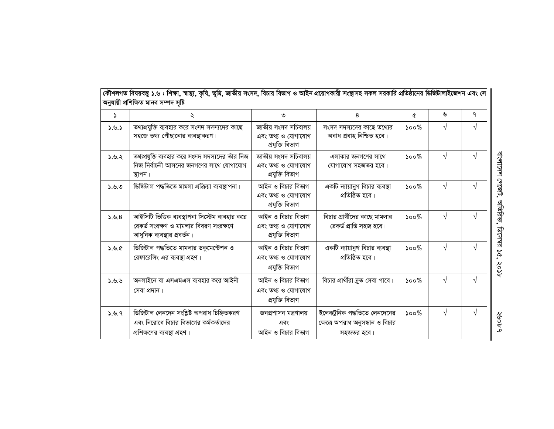| S     | ২                                                                                                                      | ৩                                                             | 8                                                                              | ৫                           | ৬          | ٩          |
|-------|------------------------------------------------------------------------------------------------------------------------|---------------------------------------------------------------|--------------------------------------------------------------------------------|-----------------------------|------------|------------|
| 2.9.5 | তথ্যপ্রযুক্তি ব্যবহার করে সংসদ সদস্যদের কাছে<br>সহজে তথ্য পৌছানোর ব্যবস্থাকরণ।                                         | জাতীয় সংসদ সচিবালয়<br>এবং তথ্য ও যোগাযোগ<br>প্ৰযুক্তি বিভাগ | সংসদ সদস্যদের কাছে তথ্যের<br>অবাধ প্ৰবাহ নিশ্চিত হবে।                          | $500\%$                     | $\sqrt{ }$ | $\sqrt{ }$ |
| 5.8.2 | তথ্যপ্রযুক্তি ব্যবহার করে সংসদ সদস্যদের তাঁর নিজ<br>নিজ নির্বাচনী আসনের জনগণের সাথে যোগাযোগ<br>স্থাপন।                 | জাতীয় সংসদ সচিবালয়<br>এবং তথ্য ও যোগাযোগ<br>প্ৰযুক্তি বিভাগ | এলাকার জনগণের সাথে<br>যোগাযোগ সহজতর হবে।                                       | $\mathcal{S}^{\mathcal{O}}$ | $\sqrt{ }$ | $\sqrt{ }$ |
| 9.9.0 | ডিজিটাল পদ্ধতিতে মামলা প্রক্রিয়া ব্যবস্থাপনা।                                                                         | আইন ও বিচার বিভাগ<br>এবং তথ্য ও যোগাযোগ<br>প্ৰযুক্তি বিভাগ    | একটি ন্যায়ানুগ বিচার ব্যবস্থা<br>প্ৰতিষ্ঠিত হবে।                              | $500\%$                     | $\sqrt{}$  |            |
| 3.9.8 | আইসিটি ভিত্তিক ব্যবস্থাপনা সিস্টেম ব্যবহার করে<br>রেকর্ড সংরক্ষণ ও মামলার বিবরণ সংরক্ষণে<br>আধুনিক ব্যবস্থার প্রবর্তন। | আইন ও বিচার বিভাগ<br>এবং তথ্য ও যোগাযোগ<br>প্ৰযুক্তি বিভাগ    | বিচার প্রার্থীদের কাছে মামলার<br>রেকর্ড প্রাপ্তি সহজ হবে।                      | $500\%$                     | $\sqrt{ }$ |            |
| 9.9.6 | ডিজিটাল পদ্ধতিতে মামলার ডকুমেন্টেশন ও<br>রেফারেঙ্গিং এর ব্যবস্থা গ্রহণ।                                                | আইন ও বিচার বিভাগ<br>এবং তথ্য ও যোগাযোগ<br>প্ৰযুক্তি বিভাগ    | একটি ন্যায়ানুগ বিচার ব্যবস্থা<br>প্ৰতিষ্ঠিত হবে।                              | $500\%$                     | $\sqrt{ }$ | V          |
| 9.9.6 | অনলাইনে বা এসএমএস ব্যবহার করে আইনী<br>সেবা প্ৰদান।                                                                     | আইন ও বিচার বিভাগ<br>এবং তথ্য ও যোগাযোগ<br>প্ৰযুক্তি বিভাগ    | বিচার প্রার্থীরা দ্রুত সেবা পাবে।                                              | $500\%$                     | $\sqrt{ }$ |            |
| 9.9.9 | ডিজিটাল লেনদেন সংশ্লিষ্ট অপরাধ চিহ্নিতকরণ<br>এবং নিরোধে বিচার বিভাগের কর্মকর্তাদের<br>প্রশিক্ষণের ব্যবস্থা গ্রহণ।      | জনপ্ৰশাসন মন্ত্ৰণালয়<br>এবং<br>আইন ও বিচার বিভাগ             | ইলেকট্রনিক পদ্ধতিতে লেনদেনের<br>ক্ষেত্রে অপরাধ অনুসন্ধান ও বিচার<br>সহজতর হবে। | $500\%$                     | $\sqrt{ }$ | V          |

কৌশলগত বিষয়বস্তু ১.৬ : শিক্ষা, স্বাস্থ্য, কৃষি, জাতীয় সংসদ, বিচার বিভাগ ও আইন প্রয়োগকারী সংস্থাসহ সকল সরকারি প্রতিষ্ঠানের ডিজিটালাইজেশন এবং সে ||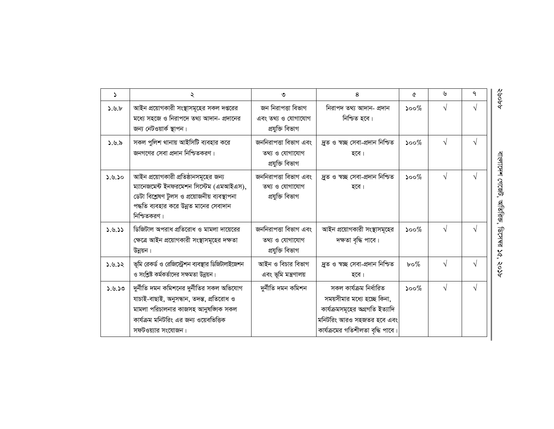| $\Delta$ | ২                                                                                                                                                                                             | ৩                                                           | 8                                                                                                                                                           | ৫                           | ৬          | ٩          |
|----------|-----------------------------------------------------------------------------------------------------------------------------------------------------------------------------------------------|-------------------------------------------------------------|-------------------------------------------------------------------------------------------------------------------------------------------------------------|-----------------------------|------------|------------|
| 3.9.6    | আইন প্রয়োগকারী সংস্থাসমূহের সকল দপ্তরের<br>মধ্যে সহজে ও নিরাপদে তথ্য আদান- প্রদানের<br>জন্য নেটওয়ার্ক স্থাপন।                                                                               | জন নিরাপত্তা বিভাগ<br>এবং তথ্য ও যোগাযোগ<br>প্ৰযুক্তি বিভাগ | নিরাপদ তথ্য আদান- প্রদান<br>নিশ্চিত হবে।                                                                                                                    | ১০০ $\%$                    | $\sqrt{ }$ | $\sqrt{ }$ |
| ১.৬.৯    | সকল পুলিশ থানায় আইসিটি ব্যবহার করে<br>জনগণের সেবা প্রদান নিশ্চিতকরণ।                                                                                                                         | জননিরাপত্তা বিভাগ এবং<br>তথ্য ও যোগাযোগ<br>প্ৰযুক্তি বিভাগ  | দ্ৰুত ও স্বচ্ছ সেবা-প্ৰদান নিশ্চিত<br>হবে।                                                                                                                  | ১০০ $\%$                    | V          | V          |
| 3.9.50   | আইন প্রয়োগকারী প্রতিষ্ঠানসমূহের জন্য<br>ম্যানেজমেন্ট ইনফরমেশন সিস্টেম (এমআইএস),<br>ডেটা বিশ্লেষণ টুলস ও প্রয়োজনীয় ব্যবস্থাপনা<br>পদ্ধতি ব্যবহার করে উন্নত মানের সেবাদান<br>নিশ্চিতকরণ।     | জননিরাপত্তা বিভাগ এবং<br>তথ্য ও যোগাযোগ<br>প্ৰযুক্তি বিভাগ  | দ্ৰুত ও স্বচ্ছ সেবা-প্ৰদান নিশ্চিত<br>হবে।                                                                                                                  | $\mathcal{S}^{\mathcal{O}}$ | $\sqrt{ }$ | $\sqrt{}$  |
| 2.9.55   | ডিজিটাল অপরাধ প্রতিরোধ ও মামলা দায়েরের<br>ক্ষেত্রে আইন প্রয়োগকারী সংস্থাসমূহের দক্ষতা<br>উন্নয়ন।                                                                                           | জননিরাপত্তা বিভাগ এবং<br>তথ্য ও যোগাযোগ<br>প্ৰযুক্তি বিভাগ  | আইন প্রয়োগকারী সংস্থাসমূহের<br>দক্ষতা বৃদ্ধি পাবে।                                                                                                         | $500\%$                     | $\sqrt{ }$ | $\sqrt{}$  |
| 56.9.2   | ভূমি রেকর্ড ও রেজিস্ট্রেশন ব্যবস্থার ডিজিটালাইজেশন<br>ও সংশ্লিষ্ট কর্মকর্তাদের সক্ষমতা উন্নয়ন।                                                                                               | আইন ও বিচার বিভাগ<br>এবং ভূমি মন্ত্রণালয়                   | দ্ৰুত ও স্বচ্ছ সেবা-প্ৰদান নিশ্চিত<br>হবে।                                                                                                                  | $b \circ \%$                | $\sqrt{ }$ |            |
| 02.9.50  | দুৰ্নীতি দমন কমিশনের দুৰ্নীতির সকল অভিযোগ<br>যাচাই-বাছাই, অনুসন্ধান, তদন্ত, প্ৰতিরোধ ও<br>মামলা পরিচালনার কাজসহ আনুষজ্ঞাক সকল<br>কার্যক্রম মনিটরিং এর জন্য ওয়েবভিত্তিক<br>সফটওয়্যার সংযোজন। | দুৰ্নীতি দমন কমিশন                                          | সকল কাৰ্যক্ৰম নিৰ্ধারিত<br>সময়সীমার মধ্যে হচ্ছে কিনা,<br>কাৰ্যক্ৰমসমূহের অগ্ৰগতি ইত্যাদি<br>মনিটরিং আরও সহজতর হবে এবং<br>কাৰ্যক্ৰমের গতিশীলতা বৃদ্ধি পাবে। | $\mathcal{S}^{\mathcal{O}}$ | $\sqrt{ }$ | $\sqrt{ }$ |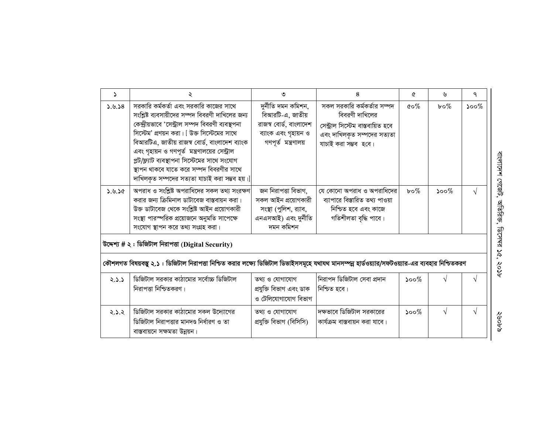| 2      |                                                                                                                                                                                                                                                                                                                                                                                                                                               | ৩                                                                                                                | 8                                                                                                                                         | ᢙ                                | ৬                           | ٩          |
|--------|-----------------------------------------------------------------------------------------------------------------------------------------------------------------------------------------------------------------------------------------------------------------------------------------------------------------------------------------------------------------------------------------------------------------------------------------------|------------------------------------------------------------------------------------------------------------------|-------------------------------------------------------------------------------------------------------------------------------------------|----------------------------------|-----------------------------|------------|
| 3.9.38 | সরকারি কর্মকর্তা এবং সরকারি কাজের সাথে<br>সংশ্লিষ্ট ব্যবসায়ীদের সম্পদ বিবরণী দাখিলের জন্য<br>কেন্দ্রীয়ভাবে 'সেন্ট্রাল সম্পদ বিবরণী ব্যবস্থপনা<br>সিস্টেম' প্রণয়ন করা। [ উক্ত সিস্টেমের সাথে<br>বিআরটিএ, জাতীয় রাজস্ব বোর্ড, বাংলাদেশ ব্যাংক<br>এবং গৃহায়ন ও গণপূর্ত মন্ত্রণালয়ের সেন্ট্রাল<br>প্লট/ফ্ল্যাট ব্যবস্থাপনা সিস্টেমের সাথে সংযোগ<br>স্থাপন থাকবে যাতে করে সম্পদ বিবরণীর সাথে<br>দাখিলকৃত সম্পদের সত্যতা যাচাই করা সম্ভব হয়। | দুৰ্নীতি দমন কমিশন,<br>বিআরটি-এ, জাতীয়<br>রাজস্ব বোর্ড, বাংলাদেশ<br>ব্যাংক এবং গৃহায়ন ও<br>গণপূৰ্ত মন্ত্ৰণালয় | সকল সরকারি কর্মকর্তার সম্পদ<br>বিবরণী দাখিলের<br>সেন্ট্ৰাল সিস্টেম বাস্তবায়িত হবে<br>এবং দাখিলকৃত সম্পদের সত্যতা<br>যাচাই করা সম্ভব হবে। | $\mathfrak{c} \circ \mathscr{C}$ | $b \circ \%$                | $500\%$    |
| 3.9.50 | অপরাধ ও সংশ্লিষ্ট অপরাধিদের সকল তথ্য সংরক্ষণ<br>করার জন্য ক্রিমিনাল ডাটাবেজ বাস্তবায়ন করা।<br>উক্ত ডাটাবেজ থেকে সংশ্লিষ্ট আইন প্রয়োগকারী<br>সংস্থা পারস্পরিক প্রয়োজনে অনুমতি সাপেক্ষে<br>সংযোগ স্থাপন করে তথ্য সংগ্রহ করা।<br>উদ্দেশ্য # ২: ডিজিটাল নিরাপত্তা (Digital Security)                                                                                                                                                           | জন নিরাপত্তা বিভাগ,<br>সকল আইন প্রয়োগকারী<br>সংস্থা (পুলিশ, র্যাব,<br>এনএসআই) এবং দুৰ্নীতি<br>দমন কমিশন         | যে কোনো অপরাধ ও অপরাধিদের<br>ব্যাপারে বিস্তারিত তথ্য পাওয়া<br>নিশ্চিত হবে এবং কাজে<br>গতিশীলতা বৃদ্ধি পাবে।                              | $b \circ \%$                     | $\mathcal{S}^{\mathcal{O}}$ |            |
|        | কৌশলগত বিষয়বস্তু ২.১ : ডিজিটাল নিরাপত্তা নিশ্চিত করার লক্ষ্যে ডিজিটাল ডিভাইসসমূহে যথাযথ মানসম্পন্ন হার্ডওয়্যার/সফটওয়্যার-এর ব্যবহার নিশ্চিতকরণ                                                                                                                                                                                                                                                                                             |                                                                                                                  |                                                                                                                                           |                                  |                             |            |
| 2.2.5  | ডিজিটাল সরকার কাঠামোর সর্বোচ্চ ডিজিটাল<br>নিরাপত্তা নিশ্চিতকরণ।                                                                                                                                                                                                                                                                                                                                                                               | তথ্য ও যোগাযোগ<br>প্ৰযুক্তি বিভাগ এবং ডাক<br>ও টেলিযোগাযোগ বিভাগ                                                 | নিরাপদ ডিজিটাল সেবা প্রদান<br> নিশ্চিত হবে।                                                                                               | $\mathcal{S}^{\mathcal{O}}$      |                             |            |
| 2.2.2  | ডিজিটাল সরকার কাঠামোর সকল উদ্যোগের<br>ডিজিটাল নিরাপত্তার মানদণ্ড নির্ধারণ ও তা<br>বাস্তবায়নে সক্ষমতা উন্নয়ন।                                                                                                                                                                                                                                                                                                                                | তথ্য ও যোগাযোগ<br>প্ৰযুক্তি বিভাগ (বিসিসি)                                                                       | দক্ষভাবে ডিজিটাল সরকারের<br>কাৰ্যক্ৰম বাস্তবায়ন করা যাবে।                                                                                | $500\%$                          | $\sqrt{ }$                  | $\sqrt{ }$ |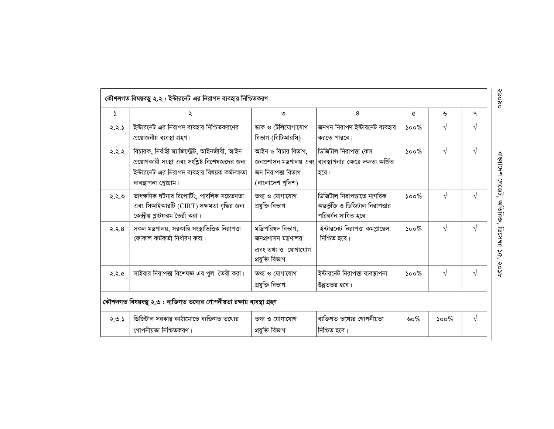| $\mathbf{z}$ | ২                                                                                                                                                                            | ৩                                                                                     | 8                                                                                              | ৫                           | ৬                                             | ٩          |
|--------------|------------------------------------------------------------------------------------------------------------------------------------------------------------------------------|---------------------------------------------------------------------------------------|------------------------------------------------------------------------------------------------|-----------------------------|-----------------------------------------------|------------|
| 2.2.5        | ইন্টারনেট এর নিরাপদ ব্যবহার নিশ্চিতকরণের<br>প্রয়োজনীয় ব্যবস্থা গ্রহণ।                                                                                                      | ডাক ও টেলিযোগাযোগ<br>বিভাগ (বিটিআরসি)                                                 | জনগন নিরাপদ ইন্টারনেট ব্যবহার<br>করতে পারবে।                                                   | $\mathcal{S}^{\mathcal{O}}$ | V                                             |            |
| २.२.२        | বিচারক, নির্বাহী ম্যাজিস্ট্রেট, আইনজীবী, আইন<br>প্রয়োগকারী সংস্থা এবং সংশ্লিষ্ট বিশেষজ্ঞদের জন্য<br>ইন্টারনেট এর নিরাপদ ব্যবহার বিষয়ক কর্মদক্ষতা<br>ব্যবস্থাপনা প্ৰোগ্ৰাম। | আইন ও বিচার বিভাগ,<br>জন নিরাপত্তা বিভাগ<br>(বাংলাদেশ পুলিশ)                          | ডিজিটাল নিরাপত্তা কেস<br>জনপ্রশাসন মন্ত্রণালয় এবং ব্যবস্থাপনার ক্ষেত্রে দক্ষতা অর্জিত<br>হবে। | $\mathcal{S}^{\mathcal{O}}$ | $\sqrt{}$                                     | $\sqrt{ }$ |
| ২.২.৩        | তাৎক্ষণিক ঘটনার রিপোর্টিং, পাবলিক সচেতনতা<br>এবং সিআইআরটি (CIRT) সক্ষমতা বৃদ্ধির জন্য<br>কেন্দ্রীয় প্লাটফরম তৈরী করা।                                                       | তথ্য ও যোগাযোগ<br>প্ৰযুক্তি বিভাগ                                                     | ডিজিটাল নিরাপত্তাতে নাগরিক<br>অন্তর্ভুক্তি ও ডিজিটাল নিরাপত্তার<br>পরিবর্ধন সাধিত হবে।         | $\mathcal{S}^{\mathcal{O}}$ | V                                             | V          |
| 2.2.8        | সকল মন্ত্রণালয়, সরকারি সংস্থাভিত্তিক নিরাপত্তা<br>ফোকাল কৰ্মকৰ্তা নিৰ্ধাৱণ কৱা।                                                                                             | মন্ত্রিপরিষদ বিভাগ,<br>জনপ্ৰশাসন মন্ত্ৰণালয়<br>এবং তথ্য ও যোগাযোগ<br>প্ৰযুক্তি বিভাগ | ইন্টারনেট নিরাপত্তা কমপ্লায়েন্স<br>নিশ্চিত হবে।                                               | $\mathcal{S}^{\mathcal{O}}$ | $\sqrt{}$                                     |            |
| 2.2.6        | সাইবার নিরাপত্তা বিশেষজ্ঞ এর পুল তৈরী করা।                                                                                                                                   | তথ্য ও যোগাযোগ<br>প্ৰযুক্তি বিভাগ                                                     | ইন্টারনেট নিরাপত্তা ব্যবস্থাপনা<br>উন্নততর হবে।                                                | $\mathcal{S}^{\mathcal{O}}$ | $\sqrt{ }$                                    | N          |
|              | কৌশলগত বিষয়বস্তু ২.৩ : ব্যক্তিগত তথ্যের গোপনীয়তা রক্ষায় ব্যবস্থা গ্রহণ                                                                                                    |                                                                                       |                                                                                                |                             |                                               |            |
| 2.0.5        | ডিজিটাল সরকার কাঠামোতে ব্যক্তিগত তথ্যের<br>গোপনীয়তা নিশ্চিতকরণ।                                                                                                             | তথ্য ও যোগাযোগ<br>প্ৰযুক্তি বিভাগ                                                     | ব্যক্তিগত তথ্যের গোপনীয়তা<br>নিশ্চিত হবে।                                                     | ৬০%                         | $\mathcal{S}^{\mathcal{O} \circ \mathcal{O}}$ | $\sqrt{ }$ |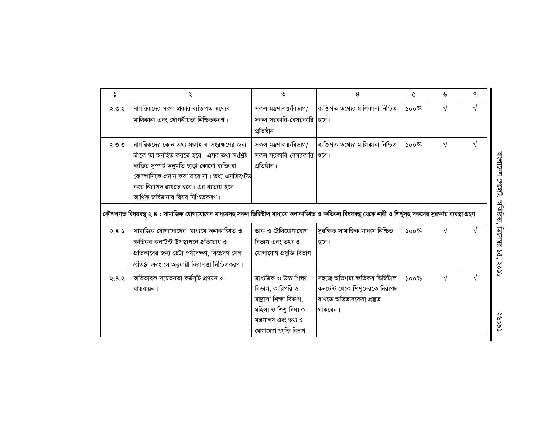| د     | ২                                                                                                                                                       | ৩                         | 8                                 | ᢙ                           | ৬          | ٩          |                     |
|-------|---------------------------------------------------------------------------------------------------------------------------------------------------------|---------------------------|-----------------------------------|-----------------------------|------------|------------|---------------------|
| ২.৩.২ | নাগরিকদের সকল প্রকার ব্যক্তিগত তথ্যের                                                                                                                   | সকল মন্ত্ৰণালয়/বিভাগ/    | ব্যক্তিগত তথ্যের মালিকানা নিশ্চিত | $500\%$                     | $\sqrt{ }$ | V          |                     |
|       | মালিকানা এবং গোপনীয়তা নিশ্চিতকরণ।                                                                                                                      | সকল সরকারি-বেসরকারি হিবে। |                                   |                             |            |            |                     |
|       |                                                                                                                                                         | প্ৰতিষ্ঠান                |                                   |                             |            |            |                     |
| ২.৩.৩ | নাগরিকদের কোন তথ্য সংগ্রহ বা সংরক্ষণের জন্য                                                                                                             | সকল মন্ত্ৰণালয়/বিভাগ/    | ব্যক্তিগত তথ্যের মালিকানা নিশ্চিত | $500\%$                     | $\sqrt{ }$ | $\sqrt{ }$ |                     |
|       | তাঁকে তা অবহিত করতে হবে। এসব তথ্য সংশ্লিষ্ট                                                                                                             | সকল সরকারি-বেসরকারি হিবে। |                                   |                             |            |            |                     |
|       | ব্যক্তির সুস্পষ্ট অনুমতি ছাড়া কোনো ব্যক্তি বা                                                                                                          | প্রতিষ্ঠান।               |                                   |                             |            |            |                     |
|       | কোম্পানিকে প্রদান করা যাবে না। তথ্য এনক্রিপ্টেড                                                                                                         |                           |                                   |                             |            |            | বাংলাদেশ গেজেট,     |
|       | করে নিরাপদ রাখতে হবে। এর ব্যত্যয় হলে                                                                                                                   |                           |                                   |                             |            |            |                     |
|       | আর্থিক জরিমানার বিষয় নিশ্চিতকরণ।                                                                                                                       |                           |                                   |                             |            |            |                     |
|       | কৌশলগত বিষয়বস্তু ২.৪ : সামাজিক যোগাযোগের মাধ্যমসহ সকল ডিজিটাল মাধ্যমে অনাকাঙ্খিত ও ক্ষতিকর বিষয়বস্তু থেকে নারী ও শিশুসহ সকলের সুরক্ষার ব্যবস্থা গ্রহণ |                           |                                   |                             |            |            | অতিরিজ,             |
| 2.8.5 | সামাজিক যোগাযোগের  মাধ্যমে অনাকাঙ্খিত ও                                                                                                                 | ডাক ও টেলিযোগাযোগ         | সুরক্ষিত সামাজিক মাধ্যম নিশ্চিত   | $500\%$                     | N          | $\sqrt{ }$ |                     |
|       | ক্ষতিকর কনটেন্ট উপস্থাপনে প্রতিরোধ ও                                                                                                                    | বিভাগ এবং তথ্য ও          | হবে।                              |                             |            |            | <b>ARL-291</b>      |
|       | প্রতিকারের জন্য ডেটা পর্যবেক্ষণ, বিশ্লেষণ সেল                                                                                                           | যোগাযোগ প্ৰযুক্তি বিভাগ   |                                   |                             |            |            | $\mathbf{v}$<br>آمي |
|       | প্রতিষ্ঠা এবং সে অনুযায়ী নিরাপত্তা নিশ্চিতকরণ।                                                                                                         |                           |                                   |                             |            |            | १०१                 |
| 2.8.2 | অভিভাবক সচেতনতা কৰ্মসূচি প্ৰণয়ন ও                                                                                                                      | মাধ্যমিক ও উচ্চ শিক্ষা    | সহজে অভিগম্য ক্ষতিকর ডিজিটাল      | $\mathcal{S}^{\mathcal{O}}$ | $\sqrt{ }$ | $\sqrt{ }$ |                     |
|       | বাস্তবায়ন।                                                                                                                                             | বিভাগ, কারিগরি ও          | কনটেন্ট থেকে শিশুদেরকে নিরাপদ     |                             |            |            |                     |
|       |                                                                                                                                                         | মাদ্রাসা শিক্ষা বিভাগ,    | রাখতে অভিভাবকেরা প্রস্তুত         |                             |            |            |                     |
|       |                                                                                                                                                         | মহিলা ও শিশু বিষয়ক       | থাকবেন।                           |                             |            |            |                     |
|       |                                                                                                                                                         | মন্ত্ৰণালয় এবং তথ্য ও    |                                   |                             |            |            | ८९०१२               |
|       |                                                                                                                                                         | যোগাযোগ প্রযুক্তি বিভাগ।  |                                   |                             |            |            |                     |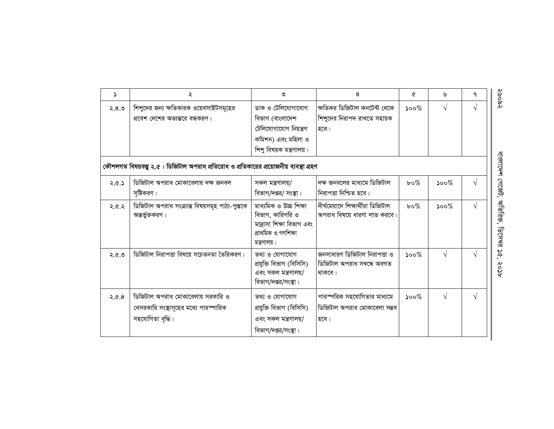| $\Delta$ | $\lambda$                                                                                      | ৩                                                                                                              | 8                                                                     | ৫                           | ৬          | ٩          |
|----------|------------------------------------------------------------------------------------------------|----------------------------------------------------------------------------------------------------------------|-----------------------------------------------------------------------|-----------------------------|------------|------------|
| 8.8      | শিশুদের জন্য ক্ষতিকারক ওয়েবসাইটসমূহের<br>প্রবেশ দেশের অভ্যন্তরে বন্ধকরণ।                      | ডাক ও টেলিযোগাযোগ<br>বিভাগ (বাংলাদেশ                                                                           | ক্ষতিকর ডিজিটাল কনটেন্ট থেকে<br>শিশুদের নিরাপদ রাখতে সহায়ক           | ১০০ $\%$                    | V          | $\sqrt{ }$ |
|          |                                                                                                | টেলিযোগাযোগ নিয়ন্ত্ৰণ<br>কমিশন) এবং মহিলা ও<br>শিশু বিষয়ক মন্ত্রণালয়।                                       | হবে।                                                                  |                             |            |            |
|          | কৌশলগত বিষয়বস্তু ২.৫ : ডিজিটাল অপরাধ প্রতিরোধ ও প্রতিকারের প্রয়োজনীয় ব্যবস্থা গ্রহণ         |                                                                                                                |                                                                       |                             |            |            |
| 2.8.5    | ডিজিটাল অপরাধ মোকাবেলায় দক্ষ জনবল<br>সৃষ্টিকরণ।                                               | সকল মন্ত্ৰণালয়/<br>বিভাগ/দপ্তর/ সংস্থা।                                                                       | দক্ষ জনবলের মাধ্যমে ডিজিটাল<br>নিরাপত্তা নিশ্চিত হবে।                 | $b \circ \%$                | $500\%$    | V          |
| ২.৫.২    | ডিজিটাল অপরাধ সংক্রান্ত বিষয়সমূহ পাঠ্য-পুস্তকে<br>অন্তর্ভুক্তকরণ।                             | মাধ্যমিক ও উচ্চ শিক্ষা<br>বিভাগ, কারিগরি ও<br>মাদ্রাসা শিক্ষা বিভাগ এবং<br>প্ৰাথমিক ও গণশিক্ষা<br>মন্ত্রণালয়। | দীৰ্ঘমেয়াদে শিক্ষাৰ্থীরা ডিজিটাল<br>অপরাধ বিষয়ে ধারণা লাভ করবে।     | $b \circ \%$                | $500\%$    | $\sqrt{ }$ |
| 8.8.5    | ডিজিটাল নিরাপত্তা বিষয়ে সচেতনতা তৈরিকরণ।                                                      | তথ্য ও যোগাযোগ<br>প্ৰযুক্তি বিভাগ (বিসিসি)<br>এবং সকল মন্ত্রণালয়/<br>বিভাগ/দপ্তর/সংস্থা।                      | জনসাধারণ ডিজিটাল নিরাপত্তা ও<br>ডিজিটাল অপরাধ সম্বন্ধে অবগত<br>থাকবে। | $500\%$                     | $\sqrt{ }$ | $\sqrt{ }$ |
| 8.9.5    | ডিজিটাল অপরাধ মোকাবেলায় সরকারি ও<br>বেসরকারি সংস্থাসূহের মধ্যে পারস্পারিক<br>সহযোগিতা বৃদ্ধি। | তথ্য ও যোগাযোগ<br>প্ৰযুক্তি বিভাগ (বিসিসি)<br>এবং সকল মন্ত্রণালয়/<br>বিভাগ/দপ্তর/সংস্থা।                      | পারস্পরিক সহযোগিতার মাধ্যমে<br>ডিজিটাল অপরাধ মোকাবেলা সম্ভব<br>হবে।   | $\mathcal{S}^{\mathcal{O}}$ | V          | $\sqrt{ }$ |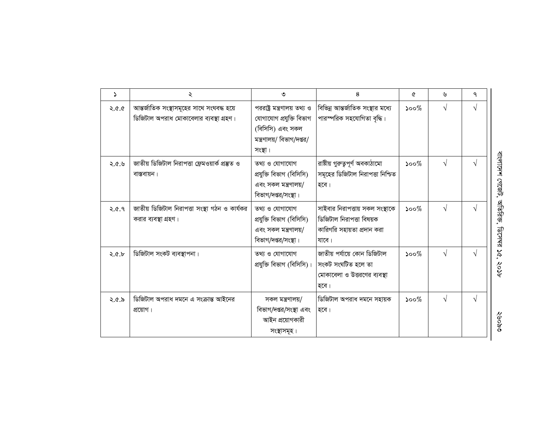| 2     | ২                                                                                     | ৩                                                                                                                   | 8                                                                                                  | Q        | ৬          | ٩          |                                                      |
|-------|---------------------------------------------------------------------------------------|---------------------------------------------------------------------------------------------------------------------|----------------------------------------------------------------------------------------------------|----------|------------|------------|------------------------------------------------------|
| D.D.S | আন্তর্জাতিক সংস্থাসমূহের সাথে সংঘবদ্ধ হয়ে<br>ডিজিটাল অপরাধ মোকাবেলার ব্যবস্থা গ্রহণ। | পররাষ্ট্র মন্ত্রণালয় তথ্য ও<br>যোগাযোগ প্ৰযুক্তি বিভাগ<br>(বিসিসি) এবং সকল<br>মন্ত্রণালয়/ বিভাগ/দপ্তর/<br>সংস্থা। | বিভিন্ন আন্তর্জাতিক সংস্থার মধ্যে<br>পারস্পরিক সহযোগিতা বৃদ্ধি।                                    | $500\%$  | $\sqrt{ }$ | V          |                                                      |
| 8.2.5 | জাতীয় ডিজিটাল নিরাপত্তা ফ্রেমওয়ার্ক প্রস্তুত ও<br>বাস্তবায়ন।                       | তথ্য ও যোগাযোগ<br>প্ৰযুক্তি বিভাগ (বিসিসি)<br>এবং সকল মন্ত্রণালয়/<br>বিভাগ/দপ্তর/সংস্থা।                           | রাষ্টীয় গুরুত্বপূর্ণ অবকাঠামো<br>সমূহের ডিজিটাল নিরাপত্তা নিশ্চিত<br>হবে।                         | ১০০ $\%$ | $\sqrt{ }$ |            | বাংলাদেশ গেজেট,                                      |
| 9.6.9 | জাতীয় ডিজিটাল নিরাপত্তা সংস্থা গঠন ও কার্যকর<br>করার ব্যবস্থা গ্রহণ।                 | তথ্য ও যোগাযোগ<br>প্ৰযুক্তি বিভাগ (বিসিসি)<br>এবং সকল মন্ত্রণালয়/<br>বিভাগ/দপ্তর/সংস্থা।                           | সাইবার নিরাপত্তায় সকল সংস্থাকে<br>ডিজিটাল নিরাপত্তা বিষয়ক<br>কারিগরি সহায়তা প্রদান করা<br>যাবে। | $500\%$  | $\sqrt{ }$ | V          | অতিরিক্ত,<br><b>ARK294</b>                           |
| 2.6.5 | ডিজিটাল সংকট ব্যবস্থাপনা।                                                             | তথ্য ও যোগাযোগ<br>প্রযুক্তি বিভাগ (বিসিসি)।                                                                         | জাতীয় পর্যায়ে কোন ডিজিটাল<br>সংকট সংঘটিত হলে তা<br>মোকাবেলা ও উত্তরণের ব্যবস্থা<br>হবে।          | $500\%$  | $\sqrt{ }$ |            | $\mathbf{\tilde{v}}$<br>$\tilde{\mathcal{S}}$<br>१०१ |
| ২.৫.৯ | ডিজিটাল অপরাধ দমনে এ সংক্রান্ত আইনের<br>প্রয়োগ।                                      | সকল মন্ত্ৰণালয়/<br>বিভাগ/দপ্তর/সংস্থা এবং<br>আইন প্রয়োগকারী<br>সংস্থাসমূহ।                                        | ।ডিজিটাল অপরাধ দমনে সহায়ক<br>হবে।                                                                 | ১০০ $\%$ | $\sqrt{ }$ | $\sqrt{ }$ | ୧୪୦୦୧୨                                               |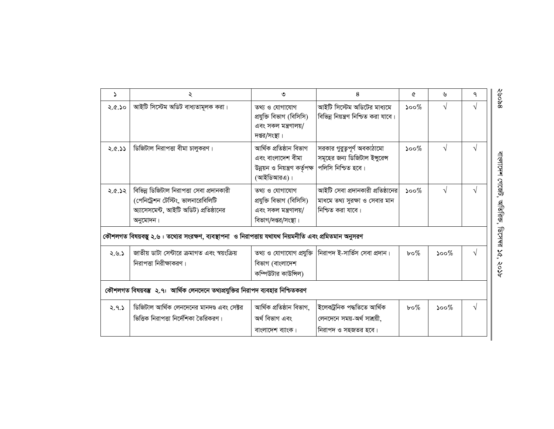| $\Delta$ | ২                                                                                                                                    | ৩                                                                                            | 8                                                                                        | A                           | ৬                           | ٩          |
|----------|--------------------------------------------------------------------------------------------------------------------------------------|----------------------------------------------------------------------------------------------|------------------------------------------------------------------------------------------|-----------------------------|-----------------------------|------------|
| ২.৫.১০   | আইটি সিস্টেম অডিট বাধ্যতামূলক করা।                                                                                                   | তথ্য ও যোগাযোগ<br>প্ৰযুক্তি বিভাগ (বিসিসি)<br>এবং সকল মন্ত্রণালয়/<br>দপ্তর/সংস্থা।          | আইটি সিস্টেম অডিটের মাধ্যমে<br>বিভিন্ন নিয়ন্ত্রণ নিশ্চিত করা যাবে।                      | $\mathcal{S}^{\mathcal{O}}$ | $\sqrt{}$                   |            |
| 2.6.33   | ডিজিটাল নিরাপত্তা বীমা চালুকরণ।                                                                                                      | আৰ্থিক প্ৰতিষ্ঠান বিভাগ<br>এবং বাংলাদেশ বীমা<br>উন্নয়ন ও নিয়ন্ত্রণ কর্তৃপক্ষ<br>(আইডিআরএ)। | সরকার গুরুত্বপূর্ণ অবকাঠামো<br>সমূহের জন্য ডিজিটাল ইন্সুরেন্স<br>পলিসি নিশ্চিত হবে।      | $\mathcal{S}^{\mathcal{O}}$ | $\sqrt{}$                   | $\sqrt{ }$ |
| 56.9.5   | বিভিন্ন ডিজিটাল নিরাপত্তা সেবা প্রদানকারী<br>(পেনিট্রেশন টেস্টিং, ভালনারেবিলিটি<br>অ্যাসেসমেন্ট, আইটি অডিট) প্রতিষ্ঠানের<br>অনুমোদন। | তথ্য ও যোগাযোগ<br>প্ৰযুক্তি বিভাগ (বিসিসি)<br>এবং সকল মন্ত্রণালয়/<br>বিভাগ/দপ্তর/সংস্থা।    | আইটি সেবা প্রদানকারী প্রতিষ্ঠানের<br>মাধমে তথ্য সুরক্ষা ও সেবার মান<br>নিশ্চিত করা যাবে। | $\mathcal{S}^{\mathcal{O}}$ | V                           |            |
|          | কৌশলগত বিষয়বস্তু ২.৬ : তথ্যের সংরক্ষণ, ব্যবস্থাপনা  ও নিরাপত্তায় যথাযথ নিয়মনীতি এবং প্রমিতমান অনুসরণ                              |                                                                                              |                                                                                          |                             |                             |            |
| 2.9.5    | জাতীয় ডাটা সেন্টারে ক্রমাগত এবং স্বয়ংক্রিয়<br>নিরাপত্তা নিরীক্ষাকরণ।                                                              | তথ্য ও যোগাযোগ প্রযুক্তি<br>বিভাগ (বাংলাদেশ<br>কম্পিউটার কাউন্সিল)                           | নিরাপদ ই-সার্ভিস সেবা প্রদান।                                                            | $b \circ \%$                | $\mathcal{S}^{\mathcal{O}}$ |            |
|          | কৌশলগত বিষয়বম্ভ ২.৭: আর্থিক লেনদেনে তথ্যপ্রযুক্তির নিরাপদ ব্যবহার নিশ্চিতকরণ                                                        |                                                                                              |                                                                                          |                             |                             |            |
| 2.9.5    | ডিজিটাল আর্থিক লেনদেনের মানদণ্ড এবং সেক্টর<br>ভিত্তিক নিরাপত্তা নির্দেশিকা তৈরিকরণ।                                                  | আৰ্থিক প্ৰতিষ্ঠান বিভাগ,<br>অৰ্থ বিভাগ এবং<br>বাংলাদেশ ব্যাংক।                               | ইলেকট্ৰনিক পদ্ধতিতে আৰ্থিক<br>লেনদেনে সময়-অৰ্থ সাশ্ৰয়ী,<br>নিরাপদ ও সহজতর হবে।         | $b \circ \%$                | $\mathcal{S}^{\mathcal{O}}$ |            |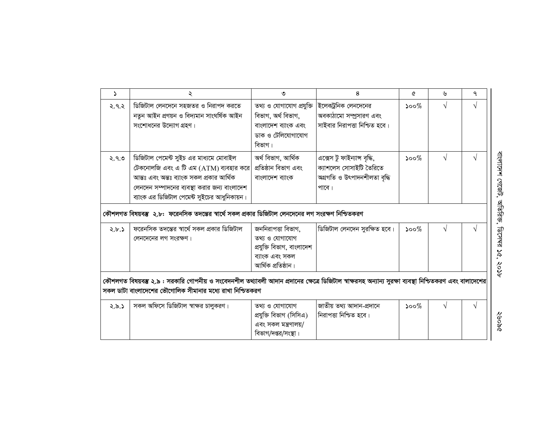| 2     | ২                                                                                                                                                                                                                                                                                                                                   | ৩                                                                                                         | 8                                                                                                | ᢙ                           | ৬         | ٩ |
|-------|-------------------------------------------------------------------------------------------------------------------------------------------------------------------------------------------------------------------------------------------------------------------------------------------------------------------------------------|-----------------------------------------------------------------------------------------------------------|--------------------------------------------------------------------------------------------------|-----------------------------|-----------|---|
| 2.9.2 | ডিজিটাল লেনদেনে সহজতর ও নিরাপদ করতে<br>নতুন আইন প্ৰণয়ন ও বিদ্যমান সাংঘৰ্ষিক আইন<br>সংশোধনের উদ্যোগ গ্রহণ।                                                                                                                                                                                                                          | তথ্য ও যোগাযোগ প্রযুক্তি<br>বিভাগ, অৰ্থ বিভাগ,<br>বাংলাদেশ ব্যাংক এবং<br>ডাক ও টেলিযোগাযোগ<br>বিভাগ।      | ইলেকট্রনিক লেনদেনের<br>অবকাঠামো সম্প্রসারণ এবং<br>সাইবার নিরাপত্তা নিশ্চিত হবে।                  | $\mathcal{S}^{\mathcal{O}}$ | $\sqrt{}$ | V |
| ২.৭.৩ | ডিজিটাল পেমেন্ট সুইচ এর মাধ্যমে মোবাইল<br>টেকনোলজি এবং এ টি এম $(ATM)$ ব্যবহার করে<br>আন্তঃ এবং অন্তঃ ব্যাংক সকল প্রকার আর্থিক<br>লেনদেন সম্পাদনের ব্যবস্থা করার জন্য বাংলাদেশ<br>ব্যাংক এর ডিজিটাল পেমেন্ট সুইচের আধুনিকায়ন।<br>কৌশলগত বিষয়বস্তু ২.৮: ফরেনসিক তদন্তের স্বার্থে সকল প্রকার ডিজিটাল লেনদেনের লগ সংরক্ষণ নিশ্চিতকরণ | অৰ্থ বিভাগ, আৰ্থিক<br>প্ৰতিষ্ঠান বিভাগ এবং<br>বাংলাদেশ ব্যাংক                                             | এক্সেস টু ফাইন্যান্স বৃদ্ধি,<br>ক্যাশলেস সোসাইটি তৈরিতে<br>অগ্ৰগতি ও উৎপাদনশীলতা বৃদ্ধি<br>পাবে। | $\mathcal{S}^{\mathcal{O}}$ | $\sqrt{}$ |   |
| 2.6.5 | ফরেনসিক তদন্তের স্বার্থে সকল প্রকার ডিজিটাল<br>লেনদেনের লগ সংরক্ষণ।                                                                                                                                                                                                                                                                 | জননিরাপত্তা বিভাগ,<br>তথ্য ও যোগাযোগ<br>প্রযুক্তি বিভাগ, বাংলাদেশ<br>ব্যাংক এবং সকল<br>আৰ্থিক প্ৰতিষ্ঠান। | ডিজিটাল লেনদেন সুরক্ষিত হবে।                                                                     | $500\%$                     | V         | V |
|       | কৌশলগত বিষয়বম্ভ ২.৯ : সরকারি গোপনীয় ও সংবেদনশীল তথ্যাবলী আদান প্রদানের ক্ষেত্রে ডিজিটাল স্বাক্ষরসহ অন্যান্য সুরক্ষা ব্যবস্থা নিশ্চিতকরণ এবং বালাদেশের<br>সকল ডাটা বাংলাদেশের ভৌগোলিক সীমানার মধ্যে রাখা নিশ্চিতকরণ                                                                                                                |                                                                                                           |                                                                                                  |                             |           |   |
| 2.5.5 | সকল অফিসে ডিজিটাল স্বাক্ষর চালুকরণ।                                                                                                                                                                                                                                                                                                 | তথ্য ও যোগাযোগ<br>প্ৰযুক্তি বিভাগ (সিসিএ)<br>এবং সকল মন্ত্রণালয়/<br>বিভাগ/দপ্তর/সংস্থা।                  | জাতীয় তথ্য আদান-প্ৰদানে<br>নিরাপত্তা নিশ্চিত হবে।                                               | $500\%$                     | V         | V |

**DROGS**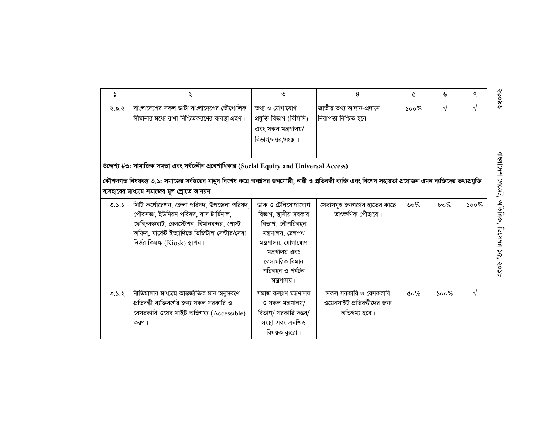| S.    | ২                                                                                                                                                                                                                  | ৩                                                                                                                                                                                   | 8                                                                     | Q                                | ৬            | ٩             |
|-------|--------------------------------------------------------------------------------------------------------------------------------------------------------------------------------------------------------------------|-------------------------------------------------------------------------------------------------------------------------------------------------------------------------------------|-----------------------------------------------------------------------|----------------------------------|--------------|---------------|
| ২.৯.২ | বাংলাদেশের সকল ডাটা বাংলাদেশের ভৌগোলিক<br>সীমানার মধ্যে রাখা নিশ্চিতকরণের ব্যবস্থা গ্রহণ।<br>উদ্দেশ্য #৩: সামাজিক সমতা এবং সর্বজনীন প্রবেশাধিকার (Social Equity and Universal Access)                              | তথ্য ও যোগাযোগ<br>প্ৰযুক্তি বিভাগ (বিসিসি)<br>এবং সকল মন্ত্রণালয়/<br>বিভাগ/দপ্তর/সংস্থা।                                                                                           | জাতীয় তথ্য আদান-প্ৰদানে<br>নিরাপত্তা নিশ্চিত হবে।                    | ১০০ $\%$                         | $\sqrt{ }$   | $\mathcal{N}$ |
|       | কৌশলগত বিষয়বস্তু ৩.১: সমাজের সর্বস্তরের মানুষ বিশেষ করে অনগ্রসর জনগোষ্ঠী, নারী ও প্রতিবন্ধী ব্যক্তি এবং বিশেষ সহায়তা প্রয়োজন এমন ব্যক্তিদের তথ্যপ্রযুক্তি<br>ব্যবহারের মাধ্যমে সমাজের মূল স্রোতে আনয়ন          |                                                                                                                                                                                     |                                                                       |                                  |              |               |
| 0.5.5 | সিটি কর্পোরেশন, জেলা পরিষদ, উপজেলা পরিষদ,<br>পৌরসভা, ইউনিয়ন পরিষদ, বাস টার্মিনাল,<br>ফেরি/লঞ্চঘাট, রেলস্টেশন, বিমানবন্দর, পোস্ট<br>অফিস, মার্কেট ইত্যাদিতে ডিজিটাল সেন্টার/সেবা<br>নিৰ্ভর কিয়স্ক (Kiosk) স্থাপন। | ডাক ও টেলিযোগাযোগ<br>বিভাগ, স্থানীয় সরকার<br>বিভাগ, নৌপরিবহন<br>মন্ত্রণালয়, রেলপথ<br>মন্ত্রণালয়, যোগাযোগ<br>মন্ত্রণালয় এবং<br>বেসামরিক বিমান<br>পরিবহন ও পর্যটন<br>মন্ত্রণালয়। | সেবাসমূহ জনগণের হাতের কাছে<br>তাৎক্ষণিক পৌছাবে।                       | ৬০%                              | $b \circ \%$ | $500\%$       |
| 9.3.2 | নীতিমালার মাধ্যমে আন্তর্জাতিক মান অনুসরণে<br>প্রতিবন্ধী ব্যক্তিবর্গের জন্য সকল সরকারি ও<br>বেসরকারি ওয়েব সাইট অভিগম্য (Accessible)<br>করণ ।                                                                       | সমাজ কল্যাণ মন্ত্ৰণালয়<br>ও সকল মন্ত্ৰণালয়/<br>বিভাগ/ সরকারি দপ্তর/<br>সংস্থা এবং এনজিও<br>বিষয়ক ব্যুরো।                                                                         | সকল সরকারি ও বেসরকারি<br>ওয়েবসাইট প্রতিবন্ধীদের জন্য<br>অভিগম্য হবে। | $\mathfrak{c}\circ\mathscr{C}_0$ | ১০০ $\%$     | $\sqrt{ }$    |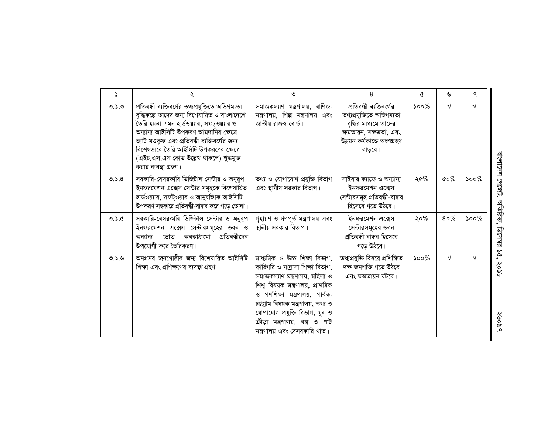| د     | ২                                                                                                                                                                                                                                                                                                                                                         | ৩                                                                                                                                                                                                                                                                                                                          | 8                                                                                                                                                   | ৫       | ৬             | ٩         |
|-------|-----------------------------------------------------------------------------------------------------------------------------------------------------------------------------------------------------------------------------------------------------------------------------------------------------------------------------------------------------------|----------------------------------------------------------------------------------------------------------------------------------------------------------------------------------------------------------------------------------------------------------------------------------------------------------------------------|-----------------------------------------------------------------------------------------------------------------------------------------------------|---------|---------------|-----------|
| 0.5.0 | প্ৰতিবন্ধী ব্যক্তিবৰ্গের তথ্যপ্ৰযুক্তিতে অভিগম্যতা<br>বৃদ্ধিকল্পে তাদের জন্য বিশেষায়িত ও বাংলাদেশে<br>তৈরি হয়না এমন হার্ডওয়্যার, সফট্ওয়্যার ও<br>অন্যান্য আইসিটি উপকরণ আমদানির ক্ষেত্রে<br>ভ্যাট মওকুফ এবং প্রতিবন্ধী ব্যক্তিবর্গের জন্য<br>বিশেষভাবে তৈরি আইসিটি উপকরণের ক্ষেত্রে<br>(এইচ.এস.এস কোড উল্লেখ থাকলে) শুল্কমুক্ত<br>করার ব্যবস্থা গ্রহণ। | সমাজকল্যাণ মন্ত্ৰণালয়, বাণিজ্য<br>মন্ত্রণালয়, শিল্প মন্ত্রণালয় এবং<br>জাতীয় রাজস্ব বোর্ড।                                                                                                                                                                                                                              | প্রতিবন্ধী ব্যক্তিবর্গের<br>তথ্যপ্ৰযুক্তিতে অভিগম্যতা<br>বৃদ্ধির মাধ্যমে তাদের<br>ক্ষমতায়ন, সক্ষমতা, এবং<br>উন্নয়ন কৰ্মকান্ডে অংশগ্ৰহণ<br>বাড়বে। | $500\%$ | $\sqrt{ }$    | V         |
| 0.5.8 | সরকারি-বেসরকারি ডিজিটাল সেন্টার ও অনুরূপ<br>ইনফরমেশন এক্সেস সেন্টার সমূহকে বিশেষায়িত<br>হার্ডওয়্যার, সফট্ওয়ার ও আনুষজ্ঞাক আইসিটি<br>উপকরণ সহকারে প্রতিবন্ধী-বান্ধব করে গড়ে তোলা।                                                                                                                                                                      | তথ্য ও যোগাযোগ প্রযুক্তি বিভাগ<br>এবং স্থানীয় সরকার বিভাগ।                                                                                                                                                                                                                                                                | সাইবার ক্যাফে ও অন্যান্য<br>ইনফরমেশন এক্সেস<br>সেন্টারসমূহ প্রতিবন্ধী-বান্ধব<br>হিসেবে গড়ে উঠবে।                                                   | ২৫%     | $\&o\%$       | $500\%$   |
| 0.3.6 | সরকারি-বেসরকারি ডিজিটাল সেন্টার ও অনুরুপ<br>ইনফরমেশন এক্সেস সেন্টারসমূহের ভবন ও<br>প্রতিবন্ধীদের<br>ভৌত<br>অবকাঠামো<br>অন্যান্য<br>উপযোগী করে তৈরিকরণ।                                                                                                                                                                                                    | গৃহায়ণ ও গণপূর্ত মন্ত্রণালয় এবং<br>স্থানীয় সরকার বিভাগ।                                                                                                                                                                                                                                                                 | ইনফরমেশন এক্সেস<br>সেন্টারসমূহের ভবন<br>প্ৰতিবন্ধী বান্ধব হিসেবে<br>গড়ে উঠবে।                                                                      | ২০%     | $8\,\sigma\%$ | $500\%$   |
| 0.3.9 | অনগ্রসর জনগোষ্ঠীর জন্য বিশেষায়িত আইসিটি<br>শিক্ষা এবং প্রশিক্ষণের ব্যবস্থা গ্রহণ।                                                                                                                                                                                                                                                                        | মাধ্যমিক ও উচ্চ শিক্ষা বিভাগ,<br>কারিগরি ও মা্রাসা শিক্ষা বিভাগ,<br>সমাজকল্যাণ মন্ত্ৰণালয়, মহিলা ও<br>শিশু বিষয়ক মন্ত্রণালয়, প্রাথমিক<br>ও গণশিক্ষা মন্ত্রণালয়, পার্বত্য<br>চউগ্ৰাম বিষয়ক মন্ত্ৰণালয়, তথ্য ও<br>যোগাযোগ প্রযুক্তি বিভাগ, যুব ও<br>ক্রীড়া মন্ত্রণালয়, বস্ত্র ও পাট<br>মন্ত্রণালয় এবং বেসরকারি খাত। | তথ্যপ্ৰযুক্তি বিষয়ে প্ৰশিক্ষিত<br>দক্ষ জনশক্তি গড়ে উঠবে<br>এবং ক্ষমতায়ন ঘটবে।                                                                    | $500\%$ | $\sqrt{ }$    | $\sqrt{}$ |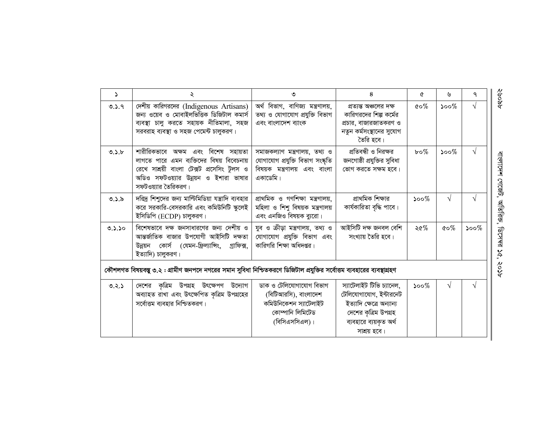| Ž.     | ২                                                                                                                                                                                              | ৩                                                                                                              | 8                                                                                                                                                 | Q            | ৬          | ٩          |
|--------|------------------------------------------------------------------------------------------------------------------------------------------------------------------------------------------------|----------------------------------------------------------------------------------------------------------------|---------------------------------------------------------------------------------------------------------------------------------------------------|--------------|------------|------------|
| 0.5.9  | দেশীয় কারিগরদের (Indigenous Artisans)<br>জন্য ওয়েব ও মোবাইলভিত্তিক ডিজিটাল কমার্স<br>ব্যবস্থা চালু করতে সহায়ক নীতিমালা, সহজ<br>সরবরাহ ব্যবস্থা ও সহজ পেমেন্ট চালুকরণ।                       | অৰ্থ বিভাগ, বাণিজ্য মন্ত্ৰণালয়,<br>তথ্য ও যোগাযোগ প্ৰযুক্তি বিভাগ<br>এবং বাংলাদেশ ব্যাংক                      | প্রত্যন্ত অঞ্চলের দক্ষ<br>কারিগরদের শিল্প কর্মের<br>প্রচার, বাজারজাতকরণ ও<br>নতুন কর্মসংস্থানের সুযোগ<br>তৈরি হবে।                                | $\&o\%$      | $500\%$    | V          |
| 0.5.5  | শারীরিকভাবে অক্ষম এবং বিশেষ সহায়তা<br>লাগতে পারে এমন ব্যক্তিদের বিষয় বিবেচনায়<br>রেখে সাশ্রয়ী বাংলা টেক্সট প্রসেসিং টুলস ও<br>অডিও সফটওয়্যার উন্নয়ন ও ইশারা ভাষার<br>সফটওয়্যার তৈরিকরণ। | সমাজকল্যাণ মন্ত্ৰণালয়, তথ্য ও<br>যোগাযোগ প্রযুক্তি বিভাগ সংষ্কৃতি<br>বিষয়ক মন্ত্রণালয় এবং বাংলা<br>একাডেমি। | প্রতিবন্ধী ও নিরক্ষর<br>জনগোষ্ঠী প্রযুক্তির সুবিধা<br>ভোগ করতে সক্ষম হবে।                                                                         | $b \circ \%$ | $500\%$    | $\sqrt{ }$ |
| 0.5.5  | দরিদ্র শিশুদের জন্য মাল্টিমিডিয়া যন্ত্রাদি ব্যবহার<br>করে সরকারি-বেসরকারি এবং কমিউনিটি স্কুলেই<br>ইসিডিপি (ECDP) চালুকরণ।                                                                     | প্ৰাথমিক ও গণশিক্ষা মন্ত্ৰণালয়,<br>মহিলা ও শিশু বিষয়ক মন্ত্রণালয়<br>এবং এনজিও বিষয়ক ব্যুরো।                | প্রাথমিক শিক্ষার<br>কাৰ্যকারিতা বৃদ্ধি পাবে।                                                                                                      | $500\%$      | $\sqrt{ }$ |            |
| 0.5.50 | বিশেষভাবে দক্ষ জনসাধারণের জন্য দেশীয় ও<br>আন্তর্জাতিক বাজার উপযোগী আইসিটি দক্ষতা<br>উন্নয়ন কোর্স (যেমন-ফ্রিল্যাঙ্গিং, গ্রাফিক্স,<br>ইত্যাদি) চালুকরণ।                                        | যুব ও ক্রীড়া মন্ত্রণালয়, তথ্য ও<br>যোগাযোগ প্রযুক্তি বিভাগ এবং<br>কারিগরি শিক্ষা অধিদপ্তর।                   | আইসিটি দক্ষ জনবল বেশি<br>সংখ্যায় তৈরি হবে।                                                                                                       | ২৫%          | $\&o\%$    | $500\%$    |
|        | কৌশলগত বিষয়বস্তু ৩.২ : গ্রামীণ জনপদে নগরের সমান সুবিধা নিশ্চিতকরণে ডিজিটাল প্রযুক্তির সর্বোত্তম ব্যবহারের ব্যবস্থাগ্রহণ                                                                       |                                                                                                                |                                                                                                                                                   |              |            |            |
| 0.2.5  | দেশের কৃত্রিম উপগ্রহ উৎক্ষেপণ উদ্যোগ<br>অব্যাহত রাখা এবং উৎক্ষেপিত কৃত্রিম উপগ্রহের<br>সর্বোত্তম ব্যবহার নিশ্চিতকরণ।                                                                           | ডাক ও টেলিযোগাযোগ বিভাগ<br>(বিটিআরসি), বাংলাদেশ<br>কমিউনিকেশন স্যাটেলাইট<br>কোম্পানি লিমিটেড<br>(বিসিএসসিএল)।  | স্যাটেলাইট টিভি চ্যানেল,<br>টেলিযোগাযোগ, ইন্টারনেট<br>ইত্যাদি ক্ষেত্ৰে অন্যান্য<br>দেশের কৃত্রিম উপগ্রহ<br>ব্যবহারে ব্যয়কৃত অর্থ<br>সাশ্রয় হবে। | $500\%$      | $\sqrt{ }$ |            |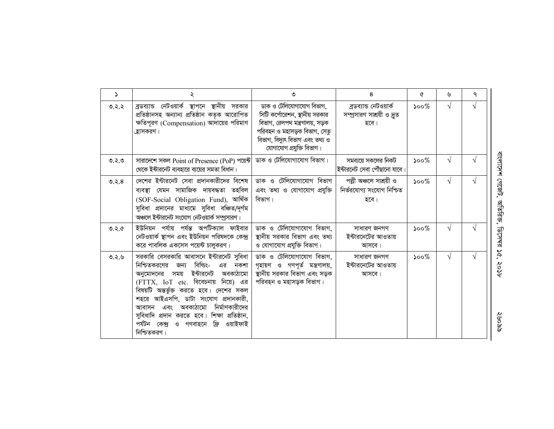| $\Delta$ | ২                                                                                                                                                                                                                                                                                                                                                                                                          | ৩                                                                                                                                                                                           | 8                                                             | ৫                           | ৬          | ٩          |
|----------|------------------------------------------------------------------------------------------------------------------------------------------------------------------------------------------------------------------------------------------------------------------------------------------------------------------------------------------------------------------------------------------------------------|---------------------------------------------------------------------------------------------------------------------------------------------------------------------------------------------|---------------------------------------------------------------|-----------------------------|------------|------------|
| ত.২.২    | ব্রডব্যান্ড নেটওয়ার্ক স্থাপনে স্থানীয় সরকার<br>প্ৰতিষ্ঠানসহ অন্যান্য প্ৰতিষ্ঠান কতৃক আরোপিত<br>ক্ষতিপূরণ (Compensation) আদায়ের পরিমাণ<br>্রহাসকরণ।                                                                                                                                                                                                                                                      | ডাক ও টেলিযোগাযোগ বিভাগ,<br>সিটি কর্পোরেশন, স্থানীয় সরকার<br>বিভাগ, রেলপথ মন্ত্রণালয়, সড়ক<br>পরিবহন ও মহাসড়ক বিভাগ, সেতু<br>বিভাগ, বিদ্যুৎ বিভাগ এবং তথ্য ও<br>যোগাযোগ প্রযুক্তি বিভাগ। | ব্ৰডব্যান্ড নেটওয়াৰ্ক<br>সম্প্রসারণ সাশ্রয়ী ও দ্রুত<br>হবে। | ১০০ $%$                     | $\sqrt{ }$ | $\sqrt{ }$ |
| ত.২.৩    | সারাদেশে সকল Point of Presence (PoP) পয়েন্ট<br>থেকে ইন্টারনেট ব্যবহারে ব্যয়ের সমতা বিধান।                                                                                                                                                                                                                                                                                                                | ডাক ও টেলিযোগাযোগ বিভাগ।                                                                                                                                                                    | সমব্যয়ে সকলের নিকট<br>ইন্টারনেট সেবা পৌঁছানো যাবে।           | $\mathcal{S}^{\mathcal{O}}$ | $\sqrt{ }$ | V          |
| 0.2.8    | দেশের ইন্টারনেট সেবা প্রদানকারীদের বিশেষ<br>ব্যবস্থা যেমন সামাজিক দায়বদ্ধতা তহবিল<br>(SOF-Social Obligation Fund), আৰ্থিক<br>সুবিধা প্রদানের মাধ্যমে সুবিধা বঞ্চিত/দূর্গম<br>অঞ্চলে ইন্টারনেট সংযোগ নেটওয়ার্ক সম্প্রসারণ।                                                                                                                                                                                | ডাক ও টেলিযোগাযোগ বিভাগ<br>এবং তথ্য ও যোগাযোগ প্রযুক্তি<br>বিভাগ।                                                                                                                           | পল্লী অঞ্চলে সাশ্রয়ী ও<br>নিৰ্ভরযোগ্য সংযোগ নিশ্চিত<br>হবে।  | $500\%$                     | $\sqrt{}$  | $\sqrt{}$  |
| 9.5.0    | ইউনিয়ন পর্যায় পর্যন্ত অপটিক্যাল ফাইবার<br>নেটওয়ার্ক স্থাপন এবং ইউনিয়ন পরিষদকে কেন্দ্র<br>করে পাবলিক একসেস পয়েন্ট চালুকরণ।                                                                                                                                                                                                                                                                             | ডাক ও টেলিযোগাযোগ বিভাগ,<br>স্থানীয় সরকার বিভাগ এবং তথ্য<br>ও যোগাযোগ প্রযুক্তি বিভাগ।                                                                                                     | সাধারণ জনগণ<br>ইন্টারনেটের আওতায়<br>আসবে।                    | $\mathcal{S}^{\mathcal{O}}$ | $\sqrt{ }$ | V          |
| ৩.২.৬    | সরকারি বেসরকারি আবাসনে ইন্টারনেট সুবিধা<br>বিল্ডিং-<br>নিশ্চিতকরণের<br>জন্য<br>এর<br>নকশা<br>ইন্টারনেট<br>অবকাঠামো<br>অনমোদনের সময়<br>(FTTX, IoT etc. বিবেচনায় নিয়ে) এর<br>বিষয়টি অন্তর্ভুক্ত করতে হবে। দেশের সকল<br>শহরে আইএসপি, ডাটা সংযোগ প্রদানকারী,<br>আবাসন এবং অবকাঠামো নির্মাণকারীদের<br>সুবিধাদি প্রদান করতে হবে। শিক্ষা প্রতিষ্ঠান,<br>পৰ্যটন কেন্দ্ৰ ও গণবাহনে ফ্ৰি ওয়াইফাই<br>নিশ্চিতকরণ। | ডাক ও টেলিযোগাযোগ বিভাগ,<br>গৃহায়ণ ও গণপূৰ্ত মন্ত্ৰণালয়,<br>স্থানীয় সরকার বিভাগ এবং সড়ক<br>পরিবহন ও মহাসড়ক বিভাগ।                                                                      | সাধারণ জনগণ<br>ইন্টারনেটের আওতায়<br>আসবে।                    | $500\%$                     | $\sqrt{}$  | $\sqrt{ }$ |

বাংলাদেশ গেজেট, অতিরিক্ত, ডিসেমর ১৫, ২০১৮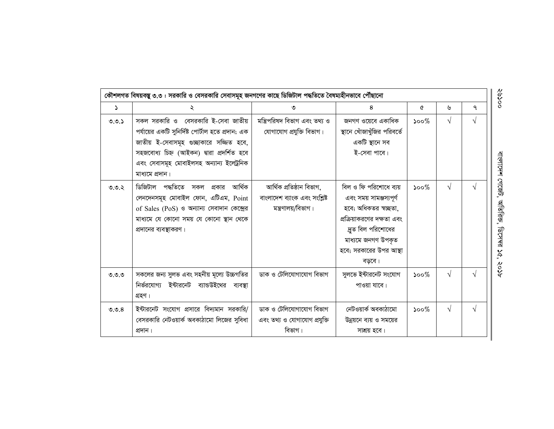| 2        | ২                                                                                                                                                                                                                                                 | ৩                                                                               | 8                                                                                                                                                                                        | ৫       | ৬          | ٩ |
|----------|---------------------------------------------------------------------------------------------------------------------------------------------------------------------------------------------------------------------------------------------------|---------------------------------------------------------------------------------|------------------------------------------------------------------------------------------------------------------------------------------------------------------------------------------|---------|------------|---|
| 0.0.5    | সকল সরকারি ও বেসরকারি ই-সেবা জাতীয়<br>পর্যায়ের একটি সুনির্দিষ্ট পোর্টাল হতে প্রদান; এক<br>জাতীয় ই-সেবাসমূহ গুচ্ছাকারে সজ্জিত হবে,<br>সহজবোধ্য চিহ্ন (আইকন) দ্বারা প্রদর্শিত হবে<br>এবং সেবাসমূহ মোবাইলসহ অন্যান্য ইলেট্ৰনিক<br>মাধ্যমে প্ৰদান। | মন্ত্ৰিপরিষদ বিভাগ এবং তথ্য ও<br>যোগাযোগ প্রযুক্তি বিভাগ।                       | জনগণ ওয়েবে একাধিক<br>স্থানে খোঁজাখুঁজির পরিবর্তে<br>একটি স্থানে সব<br>ই-সেবা পাবে।                                                                                                      | $500\%$ | $\sqrt{ }$ | √ |
| $9.9.8$  | ডিজিটাল পদ্ধতিতে<br>আৰ্থিক<br>সকল<br>প্রকার<br>লেনদেনসমূহ মোবাইল ফোন, এটিএম, Point<br>of Sales (PoS) ও অন্যান্য সেবাদান কেন্দ্রের<br>মাধ্যমে যে কোনো সময় যে কোনো স্থান থেকে<br>প্রদানের ব্যবস্থাকরণ।                                             | আৰ্থিক প্ৰতিষ্ঠান বিভাগ,<br>বাংলাদেশ ব্যাংক এবং সংশ্লিষ্ট<br>মন্ত্রণালয়/বিভাগ। | বিল ও ফি পরিশোধে ব্যয়<br>এবং সময় সামঞ্জস্যপূর্ণ<br>হবে; অধিকতর স্বচ্ছতা,<br>প্রক্রিয়াকরণের দক্ষতা এবং<br>দ্রুত বিল পরিশোধের<br>মাধ্যমে জনগণ উপকৃত<br>হবে; সরকারের উপর আস্থা<br>বড়বে। | $500\%$ | $\sqrt{}$  | V |
| ಲಿ.ಲಿ.ಲಿ | সকলের জন্য সুলভ এবং সহনীয় মূল্যে উচ্চগতির<br>নির্ভরযোগ্য ইন্টারনেট ব্যান্ডউইথের ব্যবস্থা<br>গ্ৰহণ।                                                                                                                                               | ডাক ও টেলিযোগাযোগ বিভাগ                                                         | সুলভে ইন্টারনেট সংযোগ<br>পাওয়া যাবে।                                                                                                                                                    | $500\%$ | $\sqrt{ }$ |   |
| 9.9.8    | ইন্টারনেট সংযোগ প্রসারে বিদ্যমান সরকারি/<br>বেসরকারি নেটওয়ার্ক অবকাঠামো লিজের সুবিধা<br>প্ৰদান।                                                                                                                                                  | ডাক ও টেলিযোগাযোগ বিভাগ<br>এবং তথ্য ও যোগাযোগ প্রযুক্তি<br>বিভাগ।               | নেটওয়ার্ক অবকাঠামো<br>উন্নয়নে ব্যয় ও সময়ের<br>সাশ্রয় হবে।                                                                                                                           | $500\%$ | $\sqrt{ }$ | V |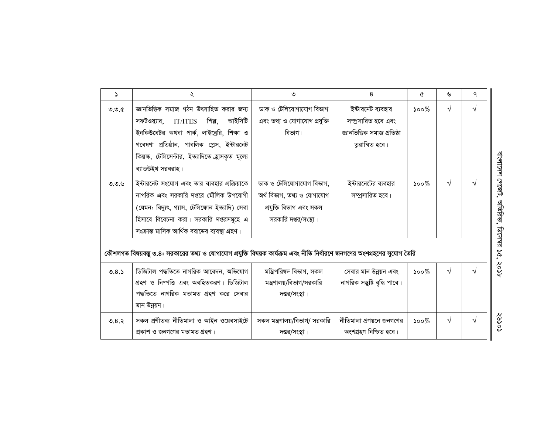| Ž.    | ২                                                                                                                        | ৩                             | 8                             | ৫                           | ৬          | ٩          |
|-------|--------------------------------------------------------------------------------------------------------------------------|-------------------------------|-------------------------------|-----------------------------|------------|------------|
| 0.0.c | জ্ঞানভিত্তিক সমাজ গঠন উৎসাহিত করার জন্য                                                                                  | ডাক ও টেলিযোগাযোগ বিভাগ       | ইন্টারনেট ব্যবহার             | $\mathcal{S}^{\mathcal{O}}$ | √          | $\sqrt{ }$ |
|       | শিল্প,<br>আইসিটি<br>সফটওয়্যার,<br><b>IT/ITES</b>                                                                        | এবং তথ্য ও যোগাযোগ প্রযুক্তি  | সম্প্রসারিত হবে এবং           |                             |            |            |
|       | ইনকিউবেটর অথবা পার্ক, লাইব্রেরি, শিক্ষা ও                                                                                | বিভাগ।                        | জ্ঞানভিত্তিক সমাজ প্ৰতিষ্ঠা   |                             |            |            |
|       | গবেষণা প্রতিষ্ঠান, পাবলিক প্লেস, ইন্টারনেট                                                                               |                               | তুরান্বিত হবে।                |                             |            |            |
|       | কিয়স্ক, টেলিসেন্টার, ইত্যাদিতে হ্রাসকৃত মূল্যে                                                                          |                               |                               |                             |            |            |
|       | ব্যান্ডউইথ সরবরাহ।                                                                                                       |                               |                               |                             |            |            |
| 0.0.9 | ইন্টারনেট সংযোগ এবং তার ব্যবহার প্রক্রিয়াকে                                                                             | ডাক ও টেলিযোগাযোগ বিভাগ,      | ইন্টারনেটের ব্যবহার           | $\mathcal{S}^{\mathcal{O}}$ | $\sqrt{ }$ | $\sqrt{ }$ |
|       | নাগরিক এবং সরকারি দপ্তরে মৌলিক উপযোগী                                                                                    | অৰ্থ বিভাগ, তথ্য ও যোগাযোগ    | সম্প্রসারিত হবে।              |                             |            |            |
|       | (যেমন: বিদ্যুৎ, গ্যাস, টেলিফোন ইত্যাদি) সেবা                                                                             | প্ৰযুক্তি বিভাগ এবং সকল       |                               |                             |            |            |
|       | হিসাবে বিবেচনা করা। সরকারি দপ্তরসমূহে এ                                                                                  | সরকারি দপ্তর/সংস্থা।          |                               |                             |            |            |
|       | সংক্রান্ত মাসিক আর্থিক বরাদ্দের ব্যবস্থা গ্রহণ।                                                                          |                               |                               |                             |            |            |
|       | কৌশলগত বিষয়বস্তু ৩.৪: সরকারের তথ্য ও যোগাযোগ প্রযুক্তি বিষয়ক কার্যক্রম এবং নীতি নির্ধারণে জনগণের অংশগ্রহণের সুযোগ তৈরি |                               |                               |                             |            |            |
| 0.8.5 | ডিজিটাল পদ্ধতিতে নাগরিক আবেদন, অভিযোগ                                                                                    | মন্ত্ৰিপরিষদ বিভাগ, সকল       | সেবার মান উন্নয়ন এবং         | $500\%$                     | $\sqrt{}$  | $\sqrt{ }$ |
|       | গ্রহণ ও নিম্পত্তি এবং অবহিতকরণ। ডিজিটাল                                                                                  | মন্ত্রণালয়/বিভাগ/সরকারি      | নাগরিক সম্ভুষ্টি বৃদ্ধি পাবে। |                             |            |            |
|       | পদ্ধতিতে নাগরিক মতামত গ্রহণ করে সেবার                                                                                    | দপ্তর/সংস্থা।                 |                               |                             |            |            |
|       | মান উন্নয়ন।                                                                                                             |                               |                               |                             |            |            |
| 0.8.5 | সকল প্রণীতব্য নীতিমালা ও আইন ওয়েবসাইটে                                                                                  | সকল মন্ত্রণালয়/বিভাগ/ সরকারি | নীতিমালা প্রণয়নে জনগণের      | $\mathcal{S}^{\mathcal{O}}$ | $\sqrt{ }$ | $\sqrt{ }$ |
|       | প্ৰকাশ ও জনগণের মতামত গ্ৰহণ।                                                                                             | দপ্তর/সংস্থা।                 | অংশগ্ৰহণ নিশ্চিত হবে।         |                             |            |            |

বাংলাদেশ গেজেট, অতিরিক্ত, ডিসেম্বর ১৫, ২০১৮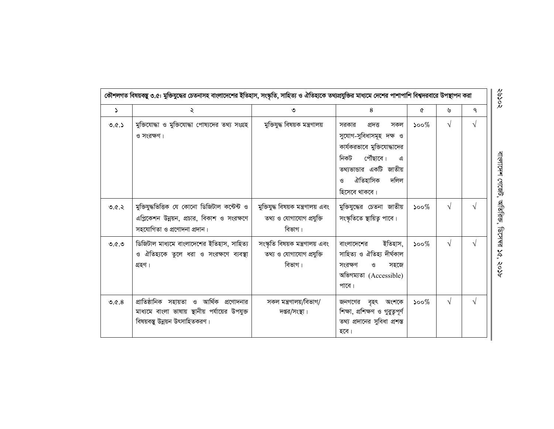| $\Delta$ | ২                                                                                                                             | ৩                                                                        | 8                                                                                                                                                                                           | Q        | ৬          | ٩          |
|----------|-------------------------------------------------------------------------------------------------------------------------------|--------------------------------------------------------------------------|---------------------------------------------------------------------------------------------------------------------------------------------------------------------------------------------|----------|------------|------------|
| 0.6.5    | মুক্তিযোদ্ধা ও মুক্তিযোদ্ধা পোষ্যদের তথ্য সংগ্রহ<br>ও সংরক্ষণ।                                                                | মুক্তিযুদ্ধ বিষয়ক মন্ত্রণালয়                                           | সরকার<br>প্ৰদত্ত<br>সকল<br>সুযোগ-সুবিধাসমূহ দক্ষ ও<br>কার্যকরভাবে মুক্তিযোদ্ধাদের<br>পৌঁছাবে।<br>নিকট<br>এ<br>তথ্যভান্ডার একটি জাতীয়<br>ঐতিহাসিক<br>দলিল<br>$\mathcal{O}$<br>হিসেবে থাকবে। | ১০০ $%$  | $\sqrt{ }$ | $\sqrt{ }$ |
| 9.6.5    | মুক্তিযুদ্ধভিত্তিক যে কোনো ডিজিটাল কন্টেন্ট ও<br>এপ্লিকেশন উন্নয়ন, প্রচার, বিকাশ ও সংরক্ষণে<br>সহযোগিতা ও প্রণোদনা প্রদান।   | মুক্তিযুদ্ধ বিষয়ক মন্ত্রণালয় এবং<br>তথ্য ও যোগাযোগ প্রযুক্তি<br>বিভাগ। | মুক্তিযুদ্ধের চেতনা জাতীয়<br>সংস্কৃতিতে স্থায়িত্ব পাবে।                                                                                                                                   | $500\%$  | $\sqrt{ }$ |            |
| 0.6.9    | ডিজিটাল মাধ্যমে বাংলাদেশের ইতিহাস, সাহিত্য<br>ও ঐতিহ্যকে তুলে ধরা ও সংরক্ষণে ব্যবস্থা<br>গ্ৰহণ।                               | সংস্কৃতি বিষয়ক মন্ত্রণালয় এবং<br>তথ্য ও যোগাযোগ প্রযুক্তি<br>বিভাগ।    | ইতিহাস,<br>বাংলাদেশের<br>সাহিত্য ও ঐতিহ্য দীৰ্ঘকাল<br>সংরক্ষণ<br>ও<br>সহজে<br>অভিগম্যতা (Accessible)<br>পাবে।                                                                               | $500\%$  | $\sqrt{ }$ | $\sqrt{ }$ |
| 0.6.8    | প্রাতিষ্ঠানিক সহায়তা ও আর্থিক প্রণোদনার<br>মাধ্যমে বাংলা ভাষায় স্থানীয় পর্যায়ের উপযুক্ত<br>বিষয়বস্তু উন্নয়ন উৎসাহিতকরণ। | সকল মন্ত্রণালয়/বিভাগ/<br>দপ্তর/সংস্থা।                                  | জনগণের বৃহৎ অংশকে<br>শিক্ষা, প্ৰশিক্ষণ ও গুৱুত্বপূৰ্ণ<br>তথ্য প্রদানের সুবিধা প্রশস্ত<br>হবে।                                                                                               | ১০০ $\%$ | $\sqrt{}$  | $\sqrt{ }$ |

२०९०४

বাংলাদেশ গেজেট, অতিরিক্ত, ডিসেম্ব ১৫, ২০১৮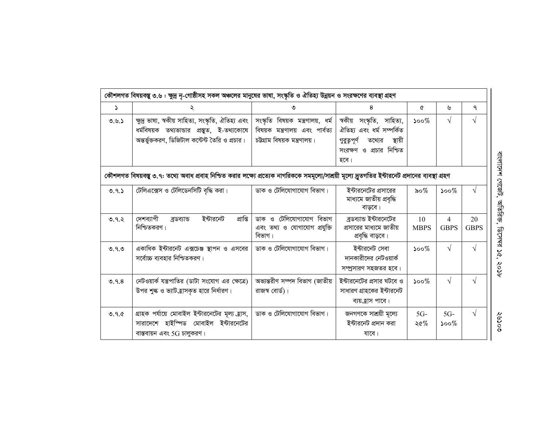|       | কৌশলগত বিষয়বস্তু ৩.৬ : ক্ষুদ্র নৃ-গোষ্ঠীসহ সকল অঞ্চলের মানুষের ভাষা, সংস্কৃতি ও ঐতিহ্য উন্নয়ন ও সংরক্ষণের ব্যবস্থা গ্রহণ                            |                                                                                                     |                                                                                                                               |                   |                  |                   |
|-------|-------------------------------------------------------------------------------------------------------------------------------------------------------|-----------------------------------------------------------------------------------------------------|-------------------------------------------------------------------------------------------------------------------------------|-------------------|------------------|-------------------|
| ډ     | ২                                                                                                                                                     | ৩                                                                                                   | 8                                                                                                                             | Q                 | ৬                | ٩                 |
| 0.9.5 | ক্ষুদ্র ভাষা, স্বকীয় সাহিত্য, সংস্কৃতি, ঐতিহ্য এবং<br>ধর্মবিষয়ক তথ্যভান্ডার প্রস্তুত, ই-তথ্যকোষে<br>অন্তর্ভুক্তকরণ, ডিজিটাল কন্টেন্ট তৈরি ও প্রচার। | সংস্কৃতি বিষয়ক মন্ত্ৰণালয়, ধৰ্ম<br>বিষয়ক মন্ত্রণালয় এবং পার্বত্য<br>চউগ্রাম বিষয়ক মন্ত্রণালয়। | স্বকীয় সংস্কৃতি, সাহিত্য,<br>ঐতিহ্য এবং ধর্ম সম্পর্কিত<br>গুরুত্বপূর্ণ তথ্যের<br>স্থায়ী<br>সংরক্ষণ ও প্রচার নিশ্চিত<br>হবে। | $500\%$           | $\sqrt{}$        | V                 |
|       | কৌশলগত বিষয়বস্তু ৩.৭: তথ্যে অবাধ প্রবাহ নিশ্চিত করার লক্ষ্যে প্রত্যেক নাগরিককে সমমূল্যে/সাশ্রয়ী মূল্যে দ্রুতগতির ইন্টারনেট প্রদানের ব্যবস্থা গ্রহণ  |                                                                                                     |                                                                                                                               |                   |                  |                   |
| 0.9.5 | টেলিএক্সেস ও টেলিডেনসিটি বৃদ্ধি করা।                                                                                                                  | ডাক ও টেলিযোগাযোগ বিভাগ।                                                                            | ইন্টারনেটের প্রসারের<br>মাধ্যমে জাতীয় প্রবৃদ্ধি<br>বাডবে।                                                                    | ৯০%               | $500\%$          | $\sqrt{ }$        |
| 0.9.5 | দেশব্যাপী<br>প্ৰাপ্তি<br>ইন্টারনেট<br>ব্ৰডব্যান্ড<br>নিশ্চিতকরণ।                                                                                      | ডাক ও টেলিযোগাযোগ বিভাগ<br>এবং তথ্য ও যোগাযোগ প্রযুক্তি<br>বিভাগ।                                   | ব্রডব্যান্ড ইন্টারনেটের<br>প্রসারের মাধ্যমে জাতীয়<br>প্ৰবৃদ্ধি বাড়বে।                                                       | 10<br><b>MBPS</b> | 4<br><b>GBPS</b> | 20<br><b>GBPS</b> |
| 9.9.9 | একাধিক ইন্টারনেট এক্সচেঞ্জ স্থাপন ও এসবের<br>সর্বোচ্চ ব্যবহার নিশ্চিতকরণ।                                                                             | ডাক ও টেলিযোগাযোগ বিভাগ।                                                                            | ইন্টারনেট সেবা<br>দানকারীদের নেটওয়ার্ক<br>সম্প্রসারণ সহজতর হবে।                                                              | $500\%$           | $\sqrt{}$        | $\sqrt{ }$        |
| 0.9.8 | নেটওয়ার্ক যন্ত্রপাতির (ডাটা সংযোগ এর ক্ষেত্রে)<br>উপর শুল্ক ও ভ্যাট হ্রাসকৃত হারে নির্ধারণ।                                                          | অভ্যন্তরীণ সম্পদ বিভাগ (জাতীয়<br>রাজস্ব বোর্ড)।                                                    | ইন্টারনেটের প্রসার ঘটবে ও<br>সাধারণ গ্রাহকের ইন্টারনেট<br>ব্যয়ত্রাস পাবে।                                                    | $500\%$           | $\sqrt{}$        | $\sqrt{ }$        |
| 0.9.c | গ্রাহক পর্যায়ে মোবাইল ইন্টারনেটের মূল্য হ্রাস,<br>সারাদেশে হাইস্পিড মোবাইল ইন্টারনেটের<br>বাস্তবায়ন এবং 5G চালুকরণ।                                 | ডাক ও টেলিযোগাযোগ বিভাগ।                                                                            | জনগণকে সাশ্রয়ী মূল্যে<br>ইন্টারনেট প্রদান করা<br>যাবে।                                                                       | $5G-$<br>২৫%      | $5G-$<br>১০০ $%$ | $\sqrt{ }$        |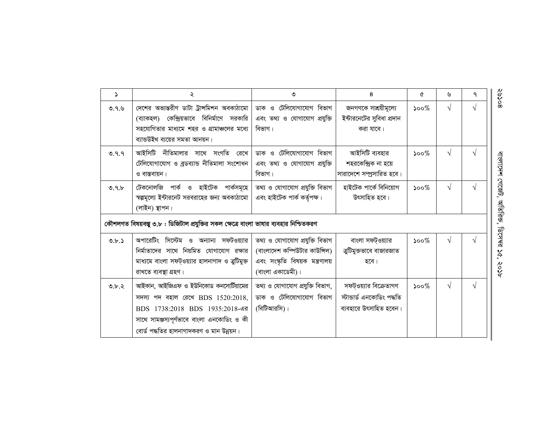| $\Delta$ | ২                                                                                                                                                                                                       | ৩                                                                                                                      | 8                                                                            | ৫                           | ৬          | ٩          |
|----------|---------------------------------------------------------------------------------------------------------------------------------------------------------------------------------------------------------|------------------------------------------------------------------------------------------------------------------------|------------------------------------------------------------------------------|-----------------------------|------------|------------|
| 0.9.9    | দেশের অভ্যন্তরীণ ডাটা ট্রান্সমিশন অবকাঠামো  <br>(ব্যাকহল) কেন্দ্রিয়ভাবে বিনির্মাণে সরকারি<br>সহযোগিতার মাধ্যমে শহর ও গ্রামাঞ্চলের মধ্যে<br>ব্যান্ডউইথ ব্যয়ের সমতা আনয়ন।                              | ডাক ও টেলিযোগাযোগ বিভাগ<br>এবং তথ্য ও যোগাযোগ প্রযুক্তি<br>বিভাগ।                                                      | জনগণকে সাশ্রয়ীমূল্যে<br>ইন্টারনেটের সুবিধা প্রদান<br>করা যাবে।              | ১০০ $%$                     | V          |            |
| 0.9.9    | আইসিটি নীতিমালার সাথে সংগতি রেখে<br>টেলিযোগাযোগ ও ব্ৰডব্যান্ড নীতিমালা সংশোধন<br>ও বাস্তবায়ন।                                                                                                          | ডাক ও টেলিযোগাযোগ বিভাগ<br>এবং তথ্য ও যোগাযোগ প্রযুক্তি<br>বিভাগ।                                                      | আইসিটি ব্যবহার<br>শহরকেন্দ্রিক না হয়ে<br>সারাদেশে সম্প্রসারিত হবে।          | $500\%$                     | $\sqrt{}$  | $\sqrt{ }$ |
| 0.9.5    | টেকনোলজি পার্ক ও হাইটেক পার্কসমূহে  <br>স্বল্পমূল্যে ইন্টারনেট সরবরাহের জন্য অবকাঠামো  <br>(লাইন) স্থাপন।                                                                                               | তথ্য ও যোগাযোগ প্রযুক্তি বিভাগ<br>এবং হাইটেক পাৰ্ক কৰ্তৃপক্ষ।                                                          | হাইটেক পাৰ্কে বিনিয়োগ<br>উৎসাহিত হবে।                                       | $\mathcal{S}^{\mathcal{O}}$ | $\sqrt{}$  | $\sqrt{ }$ |
|          | কৌশলগত বিষয়বস্তু ৩.৮ : ডিজিটাল প্রযুক্তির সকল ক্ষেত্রে বাংলা ভাষার ব্যবহার নিশ্চিতকরণ                                                                                                                  |                                                                                                                        |                                                                              |                             |            |            |
| 0.b.5    | অপারেটিং সিস্টেম ও অন্যান্য সফটওয়্যার<br>নির্মাতাদের সাথে নিয়মিত যোগাযোগ রক্ষার<br>মাধ্যমে বাংলা সফট্ওয়্যার হালনাগাদ ও ত্রুটিমুক্ত<br>রাখতে ব্যবস্থা গ্রহণ।                                          | তথ্য ও যোগাযোগ প্ৰযুক্তি বিভাগ<br>(বাংলাদেশ কম্পিউটার কাউন্সিল)<br>এবং সংস্কৃতি বিষয়ক মন্ত্রণালয়<br>(বাংলা একাডেমী)। | বাংলা সফট্ওয়্যার<br>ত্রুটিমুক্তভাবে বাজারজাত<br>হবে।                        | $500\%$                     | V          |            |
| 0.b.8    | আইকান, আইজিএফ ও ইউনিকোড কনসোর্টিয়ামের<br>সদস্য পদ বহাল রেখে BDS 1520:2018,<br>BDS 1738:2018 BDS 1935:2018-এর<br>সাথে সামঞ্জস্যপূর্ণভাবে বাংলা এনকোডিং ও কী<br>বোর্ড পদ্ধতির হালনাগাদকরণ ও মান উন্নয়ন। | তথ্য ও যোগাযোগ প্ৰযুক্তি বিভাগ,<br>ডাক ও টেলিযোগাযোগ বিভাগ<br>(বিটিআরসি)।                                              | সফট্ওয়্যার বিক্রেতাগণ<br>স্টাভাৰ্ড এনকোডিং পদ্ধতি<br>ব্যবহারে উৎসাহিত হবেন। | $500\%$                     | $\sqrt{ }$ | $\sqrt{ }$ |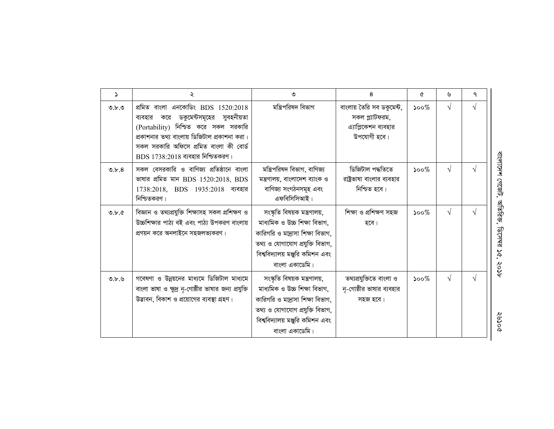| د     | ২                                                                                                                                                                                                                                                      | ৩                                                                                                                                                                                         | 8                                                                                   | ৫                           | ৬          | ٩         |
|-------|--------------------------------------------------------------------------------------------------------------------------------------------------------------------------------------------------------------------------------------------------------|-------------------------------------------------------------------------------------------------------------------------------------------------------------------------------------------|-------------------------------------------------------------------------------------|-----------------------------|------------|-----------|
| 0.b.0 | প্ৰমিত বাংলা এনকোডিং BDS 1520:2018<br>ব্যবহার করে ডকুমেন্টসমূহের সুবহনীয়তা<br>(Portability) নিশ্চিত করে সকল সরকারি<br>প্রকাশনার তথ্য বাংলায় ডিজিটাল প্রকাশনা করা।<br>সকল সরকারি অফিসে প্রমিত বাংলা কী বোর্ড<br>$BDS$ $1738:2018$ ব্যবহার নিশ্চিতকরণ। | মন্ত্ৰিপরিষদ বিভাগ                                                                                                                                                                        | বাংলায় তৈরি সব ডকুমেন্ট,<br>সকল প্ল্যাটফরম,<br>এ্যাপ্লিকেশন ব্যবহার<br>উপযোগী হবে। | $500\%$                     | $\sqrt{ }$ | $\sqrt{}$ |
| 0.5.8 | সকল বেসরকারি ও বাণিজ্য প্রতিষ্ঠানে বাংলা<br>ভাষার প্রমিত মান BDS $1520:2018$ , BDS<br>1738:2018, BDS 1935:2018 ব্যবহার<br>নিশ্চিতকরণ।                                                                                                                  | মন্ত্রিপরিষদ বিভাগ, বাণিজ্য<br>মন্ত্রণালয়, বাংলাদেশ ব্যাংক ও<br>বাণিজ্য সংগঠনসমূহ এবং<br>এফবিসিসিআই।                                                                                     | ডিজিটাল পদ্ধতিতে<br>রাষ্ট্রভাষা বাংলার ব্যবহার<br>নিশ্চিত হবে।                      | $500\%$                     | $\sqrt{ }$ | V         |
| Q.b.c | বিজ্ঞান ও তথ্যপ্রযুক্তি শিক্ষাসহ সকল প্রশিক্ষণ ও<br>উচ্চশিক্ষার পাঠ্য বই এবং পাঠ্য উপকরণ বাংলায়<br>প্রণয়ন করে অনলাইনে সহজলভ্যকরণ।                                                                                                                    | সংস্কৃতি বিষয়ক মন্ত্ৰণালয়,<br>মাধ্যমিক ও উচ্চ শিক্ষা বিভাগ,<br>কারিগরি ও মদ্রাসা শিক্ষা বিভাগ,<br>তথ্য ও যোগাযোগ প্ৰযুক্তি বিভাগ,<br>বিশ্ববিদ্যালয় মঞ্জুরি কমিশন এবং<br>বাংলা একাডেমি। | শিক্ষা ও প্ৰশিক্ষণ সহজ<br>হবে।                                                      | $500\%$                     | $\sqrt{ }$ |           |
| 0.b.b | গবেষণা ও উন্নয়নের মাধ্যমে ডিজিটাল মাধ্যমে<br>বাংলা ভাষা ও ক্ষুদ্র নৃ-গোষ্ঠীর ভাষার জন্য প্রযুক্তি<br>উদ্ভাবন, বিকাশ ও প্রয়োগের ব্যবস্থা গ্রহণ।                                                                                                       | সংস্কৃতি বিষয়ক মন্ত্রণালয়,<br>মাধ্যমিক ও উচ্চ শিক্ষা বিভাগ,<br>কারিগরি ও মদ্রাসা শিক্ষা বিভাগ,<br>তথ্য ও যোগাযোগ প্ৰযুক্তি বিভাগ,<br>বিশ্ববিদ্যালয় মঞ্জুরি কমিশন এবং<br>বাংলা একাডেমি। | তথ্যপ্ৰযুক্তিতে বাংলা ও<br>নৃ-গোষ্ঠীর ভাষার ব্যবহার<br>সহজ হবে।                     | $\mathcal{S}^{\mathcal{O}}$ | $\sqrt{ }$ | V         |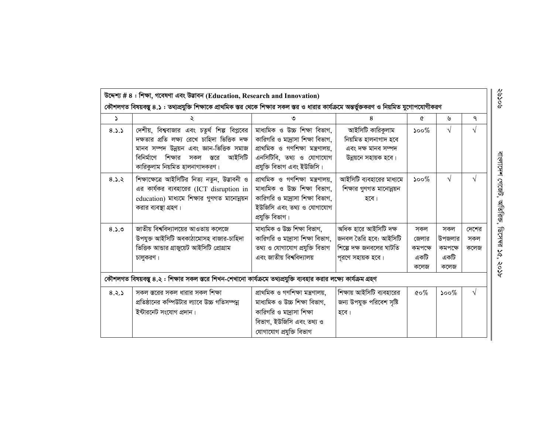| S.    |                                                                                                                                                                                                                              |                                                                                                                                                                 | 8                                                                                               | Q                                       | ৬                                        | ٩                    |
|-------|------------------------------------------------------------------------------------------------------------------------------------------------------------------------------------------------------------------------------|-----------------------------------------------------------------------------------------------------------------------------------------------------------------|-------------------------------------------------------------------------------------------------|-----------------------------------------|------------------------------------------|----------------------|
| 8.3.3 | দেশীয়, বিশ্ববাজার এবং চতুর্থ শিল্প বিপ্লবের<br>দক্ষতার প্রতি লক্ষ্য রেখে চাহিদা ভিত্তিক দক্ষ<br>মানব সম্পদ উন্নয়ন এবং জ্ঞান-ভিত্তিক সমাজ<br>বিনির্মাণে শিক্ষার<br>আইসিটি<br>সকল<br>স্তরে<br>কারিকুলাম নিয়মিত হালনাগাদকরণ। | মাধ্যমিক ও উচ্চ শিক্ষা বিভাগ,<br>কারিগরি ও মা্রাসা শিক্ষা বিভাগ,<br>প্ৰাথমিক ও গণশিক্ষা মন্ত্ৰণালয়,<br>এনসিটিবি, তথ্য ও যোগাযোগ<br>প্রযুক্তি বিভাগ এবং ইউজিসি। | আইসিটি কারিকুলাম<br>নিয়মিত হালনাগাদ হবে<br>এবং দক্ষ মানব সম্পদ<br>উন্নয়নে সহায়ক হবে।         | $500\%$                                 | $\sqrt{}$                                | $\sqrt{ }$           |
| 8.3.2 | শিক্ষাক্ষেত্রে আইসিটির নিত্য নতুন, উদ্ভাবনী ও<br>এর কার্যকর ব্যবহারের (ICT disruption in<br>education) মাধ্যমে শিক্ষার গুণগত মানোন্নয়ন<br>করার ব্যবস্থা গ্রহণ।                                                              | প্ৰাথমিক ও গণশিক্ষা মন্ত্ৰণালয়,<br>মাধ্যমিক ও উচ্চ শিক্ষা বিভাগ,<br>কারিগরি ও মাদ্রাসা শিক্ষা বিভাগ,<br>ইউজিসি এবং তথ্য ও যোগাযোগ<br>প্ৰযুক্তি বিভাগ।          | আইসিটি ব্যবহারের মাধ্যমে<br>শিক্ষার গুণগত মানোন্নয়ন<br>হবে।                                    | $500\%$                                 | $\sqrt{}$                                |                      |
| 8.3.0 | জাতীয় বিশ্ববিদ্যালয়ের আওতায় কলেজে<br>উপযুক্ত আইসিটি অবকাঠামোসহ বাজার-চাহিদা<br>ভিত্তিক আভার গ্রাজুয়েট আইসিটি প্রোগ্রাম<br>চালুকরণ।                                                                                       | মাধ্যমিক ও উচ্চ শিক্ষা বিভাগ,<br>কারিগরি ও মদ্রাসা শিক্ষা বিভাগ,<br>তথ্য ও যোগাযোগ প্ৰযুক্তি বিভাগ<br>এবং জাতীয় বিশ্ববিদ্যালয়                                 | অধিক হারে আইসিটি দক্ষ<br>জনবল তৈরি হবে: আইসিটি<br>শিল্পে দক্ষ জনবলের ঘাটতি<br>পূরণে সহায়ক হবে। | সকল<br>জেলার<br>কমপক্ষে<br>একটি<br>কলেজ | সকল<br>উপজলার<br>কমপক্ষে<br>একটি<br>কলেজ | দেশের<br>সকল<br>কলেজ |
|       | কৌশলগত বিষয়বস্তু ৪.২ : শিক্ষার সকল স্তরে শিখন-শেখানো কার্যক্রমে তথ্যপ্রযুক্তি ব্যবহার করার লক্ষ্যে কার্যক্রম গ্রহণ                                                                                                          |                                                                                                                                                                 |                                                                                                 |                                         |                                          |                      |
| 8.2.5 | সকল স্তরের সকল ধারার সকল শিক্ষা<br>প্রতিষ্ঠানের কম্পিউটার ল্যাবে উচ্চ গতিসম্পন্ন<br>ইন্টারনেট সংযোগ প্রদান।                                                                                                                  | প্ৰাথমিক ও গণশিক্ষা মন্ত্ৰণালয়,<br>মাধ্যমিক ও উচ্চ শিক্ষা বিভাগ,<br>কারিগরি ও মাদ্রাসা শিক্ষা<br>বিভাগ, ইউজিসি এবং তথ্য ও<br>যোগাযোগ প্ৰযুক্তি বিভাগ           | শিক্ষায় আইসিটি ব্যবহারের<br>জন্য উপযুক্ত পরিবেশ সৃষ্টি<br>হবে।                                 | $\&o\%$                                 | $500\%$                                  | $\sqrt{ }$           |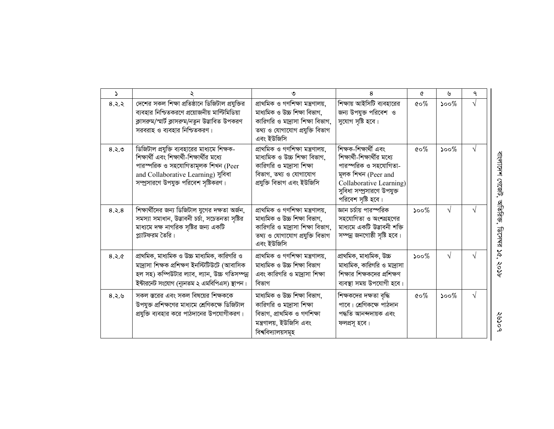| $\Delta$ |                                                                                                                                                                                                                 | ۹                                                                                                                                                           | 8                                                                                                                                                                                    | ৫                                 | ৬                         | ٩         |                             |
|----------|-----------------------------------------------------------------------------------------------------------------------------------------------------------------------------------------------------------------|-------------------------------------------------------------------------------------------------------------------------------------------------------------|--------------------------------------------------------------------------------------------------------------------------------------------------------------------------------------|-----------------------------------|---------------------------|-----------|-----------------------------|
| 8.3.8    | দেশের সকল শিক্ষা প্রতিষ্ঠানে ডিজিটাল প্রযুক্তির<br>ব্যবহার নিশ্চিতকরণে প্রয়োজনীয় মাল্টিমিডিয়া<br>ক্লাসরুম/স্মার্ট ক্লাসরুম/নতুন উদ্ভাবিত উপকরণ<br>সরবরাহ ও ব্যবহার নিশ্চিতকরণ।                               | __<br>প্ৰাথমিক ও গণশিক্ষা মন্ত্ৰণালয়,<br>মাধ্যমিক ও উচ্চ শিক্ষা বিভাগ,<br>কারিগরি ও মাদ্রাসা শিক্ষা বিভাগ,<br>তথ্য ও যোগাযোগ প্ৰযুক্তি বিভাগ<br>এবং ইউজিসি | শিক্ষায় আইসিটি ব্যবহারের<br>জন্য উপযুক্ত পরিবেশ ও<br>সুযোগ সৃষ্টি হবে।                                                                                                              | $\mathfrak{c} \circ \mathcal{\%}$ | $\mathcal{S}^{\text{oo}}$ | V         |                             |
| 8.5.8    | ডিজিটাল প্রযুক্তি ব্যবহারের মাধ্যমে শিক্ষক-<br>শিক্ষার্থী এবং শিক্ষার্থী-শিক্ষার্থীর মধ্যে<br>পারস্পরিক ও সহযোগিতামূলক শিখন (Peer<br>and Collaborative Learning) সুবিধা<br>সম্প্রসারণে উপযুক্ত পরিবেশ সৃষ্টিকরণ | প্ৰাথমিক ও গণশিক্ষা মন্ত্ৰণালয়,<br>মাধ্যমিক ও উচ্চ শিক্ষা বিভাগ,<br>কারিগরি ও মা্রাসা শিক্ষা<br>বিভাগ, তথ্য ও যোগাযোগ<br>প্ৰযুক্তি বিভাগ এবং ইউজিসি        | শিক্ষক-শিক্ষাৰ্থী এবং<br>শিক্ষার্থী-শিক্ষার্থীর মধ্যে<br>পারস্পরিক ও সহযোগিতা-<br>মূলক শিখন (Peer and<br>Collaborative Learning)<br>সুবিধা সম্প্রসারণে উপযুক্ত<br>পরিবেশ সৃষ্টি হবে। | $\mathfrak{c} \circ \mathcal{\%}$ | $500\%$                   | $\sqrt{}$ | বাংলাদেশ গেজেট,             |
| 8.5.8    | শিক্ষার্থীদের জন্য ডিজিটাল যুগের দক্ষতা অর্জন,<br>সমস্যা সমাধান, উদ্ভাবনী চৰ্চা, সচেতনতা সৃষ্টির<br>মাধ্যমে দক্ষ নাগরিক সৃষ্টির জন্য একটি<br>প্ল্যাটফরম তৈরি।                                                   | প্ৰাথমিক ও গণশিক্ষা মন্ত্ৰণালয়,<br>মাধ্যমিক ও উচ্চ শিক্ষা বিভাগ,<br>কারিগরি ও মা্রাসা শিক্ষা বিভাগ,<br>তথ্য ও যোগাযোগ প্ৰযুক্তি বিভাগ<br>এবং ইউজিসি        | জ্ঞান চর্চায় পারস্পরিক<br>সহযোগিতা ও অংশগ্ৰহণের<br>মাধ্যমে একটি উদ্ভাবনী শক্তি<br>সম্পন্ন জনগোষ্ঠী সৃষ্টি হবে।                                                                      | $500\%$                           | $\sqrt{ }$                | N         | অতিরিক্ত,<br><b>ARL-294</b> |
| 8.3.6    | প্রাথমিক, মাধ্যমিক ও উচ্চ মাধ্যমিক, কারিগরি ও<br>মাদ্ৰাসা শিক্ষক প্ৰশিক্ষণ ইনস্টিটিউটে (আবাসিক<br>হল সহ) কম্পিউটার ল্যাব, ল্যান, উচ্চ গতিসম্পন্ন<br>ইন্টারনেট সংযোগ (ন্যূনতম ২ এমবিপিএস) স্থাপন।                | প্ৰাথমিক ও গণশিক্ষা মন্ত্ৰণালয়,<br>মাধ্যমিক ও উচ্চ শিক্ষা বিভাগ<br>এবং কারিগরি ও মাদ্রাসা শিক্ষা<br>বিভাগ                                                  | প্ৰাথমিক, মাধ্যমিক, উচ্চ<br>মাধ্যমিক, কারিগরি ও মাদ্রাসা<br>শিক্ষার শিক্ষকদের প্রশিক্ষণ<br>ব্যবস্থা সময় উপযোগী হবে।                                                                 | $500\%$                           | $\sqrt{ }$                | $\sqrt{}$ | 56,<br>१०१                  |
| 8.3.6    | সকল স্তরের এবং সকল বিষয়ের শিক্ষককে<br>উপযুক্ত প্রশিক্ষণের মাধ্যমে শ্রেণিকক্ষে ডিজিটাল<br>প্রযুক্তি ব্যবহার করে পাঠদানের উপযোগীকরণ।                                                                             | মাধ্যমিক ও উচ্চ শিক্ষা বিভাগ,<br>কারিগরি ও মা্রাসা শিক্ষা<br>বিভাগ, প্ৰাথমিক ও গণশিক্ষা<br>মন্ত্রণালয়, ইউজিসি এবং<br>বিশ্ববিদ্যালয়সমূহ                    | শিক্ষকদের দক্ষতা বৃদ্ধি<br>পাবে। শ্রেণিকক্ষে পাঠদান<br>পদ্ধতি আনন্দদায়ক এবং<br>ফলপ্ৰসূ হবে।                                                                                         | $\mathfrak{c}\circ\mathcal{\%}$   | $500\%$                   | $\sqrt{}$ | २७५०९                       |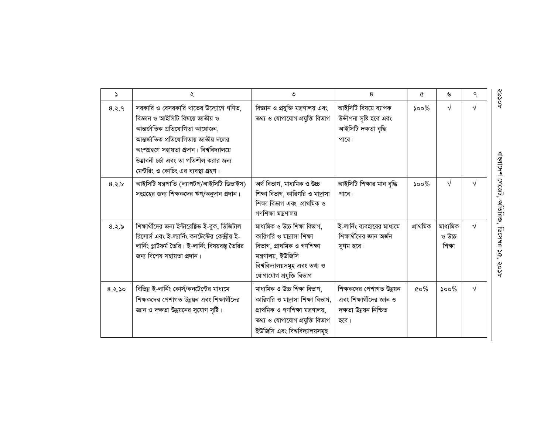| $\Delta$ | ২                                                                                                                                                                                                                                                                                   | ৩                                                                                                                                                                           | 8                                                                                       | ৫                                 | ৬                             | ٩          |
|----------|-------------------------------------------------------------------------------------------------------------------------------------------------------------------------------------------------------------------------------------------------------------------------------------|-----------------------------------------------------------------------------------------------------------------------------------------------------------------------------|-----------------------------------------------------------------------------------------|-----------------------------------|-------------------------------|------------|
| 8.2.9    | সরকারি ও বেসরকারি খাতের উদ্যোগে গণিত,<br>বিজ্ঞান ও আইসিটি বিষয়ে জাতীয় ও<br>আন্তর্জাতিক প্রতিযোগিতা আয়োজন,<br>আন্তর্জাতিক প্রতিযোগিতায় জাতীয় দলের<br>অংশগ্ৰহণে সহায়তা প্ৰদান। বিশ্ববিদ্যালয়ে<br>উদ্ভাবনী চৰ্চা এবং তা গতিশীল করার জন্য<br>মেন্টরিং ও কোচিং এর ব্যবস্থা গ্রহণ। | বিজ্ঞান ও প্রযুক্তি মন্ত্রণালয় এবং<br>তথ্য ও যোগাযোগ প্ৰযুক্তি বিভাগ                                                                                                       | আইসিটি বিষয়ে ব্যাপক<br>উদ্দীপনা সৃষ্টি হবে এবং<br>আইসিটি দক্ষতা বৃদ্ধি<br>পাবে।        | ১০০ $%$                           | $\sqrt{ }$                    | $\sqrt{ }$ |
| 8.2.5    | আইসিটি যন্ত্ৰপাতি (ল্যাপটপ/আইসিটি ডিভাইস)<br>সংগ্রহের জন্য শিক্ষকদের ঋণ/অনুদান প্রদান।                                                                                                                                                                                              | অৰ্থ বিভাগ, মাধ্যমিক ও উচ্চ<br>শিক্ষা বিভাগ, কারিগরি ও মাদ্রাসা<br>শিক্ষা বিভাগ এবং প্রাথমিক ও<br>গণশিক্ষা মন্ত্ৰণালয়                                                      | আইসিটি শিক্ষার মান বৃদ্ধি<br>পাবে।                                                      | $500\%$                           | $\sqrt{}$                     | $\sqrt{ }$ |
| 8.3.5    | শিক্ষার্থীদের জন্য ইন্টারেক্টিভ ই-বুক, ডিজিটাল<br>রিসোর্স এবং ই-ল্যার্নিং কনটেন্টের কেন্দ্রীয় ই-<br>লার্নিং প্লাটফর্ম তৈরি। ই-লার্নিং বিষয়বস্তু তৈরির<br>জন্য বিশেষ সহায়তা প্ৰদান।                                                                                               | মাধ্যমিক ও উচ্চ শিক্ষা বিভাগ,<br>কারিগরি ও মাদ্রাসা শিক্ষা<br>বিভাগ, প্ৰাথমিক ও গণশিক্ষা<br>মন্ত্ৰণালয়, ইউজিসি<br>বিশ্ববিদ্যালয়সমূহ এবং তথ্য ও<br>যোগাযোগ প্ৰযুক্তি বিভাগ | ই-লার্নিং ব্যবহারের মাধ্যমে<br>শিক্ষার্থীদের জ্ঞান অর্জন<br>সুগম হবে।                   | প্ৰাথমিক                          | মাধ্যমিক<br>ৰেৰ্ড প<br>শিক্ষা | $\sqrt{ }$ |
| 8.5.50   | বিভিন্ন ই-লার্নিং কোর্স/কনটেন্টের মাধ্যমে<br>শিক্ষকদের পেশাগত উন্নয়ন এবং শিক্ষার্থীদের<br>জ্ঞান ও দক্ষতা উন্নয়নের সুযোগ সৃষ্টি।                                                                                                                                                   | মাধ্যমিক ও উচ্চ শিক্ষা বিভাগ,<br>কারিগরি ও মাদ্রাসা শিক্ষা বিভাগ,<br>প্ৰাথমিক ও গণশিক্ষা মন্ত্ৰণালয়,<br>তথ্য ও যোগাযোগ প্ৰযুক্তি বিভাগ<br>ইউজিসি এবং বিশ্ববিদ্যালয়সমূহ    | শিক্ষকদের পেশাগত উন্নয়ন<br>এবং শিক্ষার্থীদের জ্ঞান ও<br>দক্ষতা উন্নয়ন নিশ্চিত<br>হবে। | $\mathfrak{c} \circ \mathcal{\%}$ | $500\%$                       | $\sqrt{ }$ |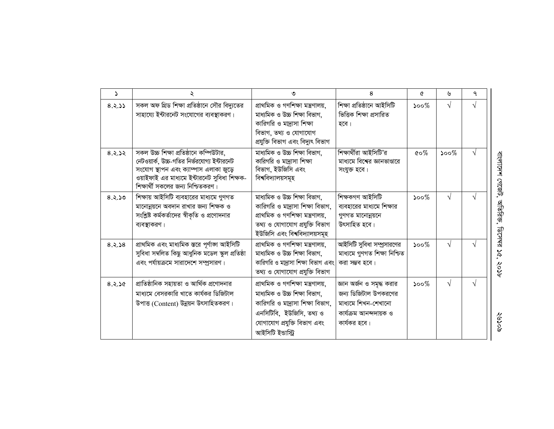| $\Delta$ | ২                                                                                                                                                                                                                    | ৩                                                                                                                                                                                   | 8                                                                                                                  | ৫                                 | ৬          | ٩          |
|----------|----------------------------------------------------------------------------------------------------------------------------------------------------------------------------------------------------------------------|-------------------------------------------------------------------------------------------------------------------------------------------------------------------------------------|--------------------------------------------------------------------------------------------------------------------|-----------------------------------|------------|------------|
| 8.2.55   | সকল অফ গ্রিড শিক্ষা প্রতিষ্ঠানে সৌর বিদ্যুতের<br>সাহায্যে ইন্টারনেট সংযোগের ব্যবস্থাকরণ।                                                                                                                             | প্ৰাথমিক ও গণশিক্ষা মন্ত্ৰণালয়,<br>মাধ্যমিক ও উচ্চ শিক্ষা বিভাগ,<br>কারিগরি ও মা্রাসা শিক্ষা<br>বিভাগ, তথ্য ও যোগাযোগ<br>প্ৰযুক্তি বিভাগ এবং বিদ্যুৎ বিভাগ                         | শিক্ষা প্ৰতিষ্ঠানে আইসিটি<br>ভিত্তিক শিক্ষা প্ৰসারিত<br>হবে।                                                       | $\mathcal{S}^{\mathcal{O}}$       | $\sqrt{}$  | $\sqrt{ }$ |
| 8.2.52   | সকল উচ্চ শিক্ষা প্রতিষ্ঠানে কম্পিউটার,<br>নেটওয়ার্ক, উচ্চ-গতির নির্ভরযোগ্য ইন্টারনেট<br>সংযোগ স্থাপন এবং ক্যাম্পাস এলাকা জুড়ে<br>ওয়াইফাই এর মাধ্যমে ইন্টারনেট সুবিধা শিক্ষক-<br>শিক্ষার্থী সকলের জন্য নিশ্চিতকরণ। | মাধ্যমিক ও উচ্চ শিক্ষা বিভাগ,<br>কারিগরি ও মাদ্রাসা শিক্ষা<br>বিভাগ, ইউজিসি এবং<br>বিশ্ববিদ্যালয়সমূহ                                                                               | শিক্ষার্থীরা আইসিটি'র<br>মাধ্যমে বিশের জ্ঞানভাণ্ডারে<br>সংযুক্ত হবে।                                               | $\mathfrak{c} \circ \mathcal{\%}$ | $500\%$    | $\sqrt{ }$ |
| 8.5.50   | শিক্ষায় আইসিটি ব্যবহারের মাধ্যমে গুণগত<br>মানোন্নয়নে অবদান রাখার জন্য শিক্ষক ও<br>সংশ্লিষ্ট কর্মকর্তাদের স্বীকৃতি ও প্রণোদনার<br>ব্যবস্থাকরণ।                                                                      | মাধ্যমিক ও উচ্চ শিক্ষা বিভাগ,<br>কারিগরি ও মা্দ্রাসা শিক্ষা বিভাগ,<br>প্ৰাথমিক ও গণশিক্ষা মন্ত্ৰণালয়,<br>তথ্য ও যোগাযোগ প্ৰযুক্তি বিভাগ<br>ইউজিসি এবং বিশ্ববিদ্যালয়সমূহ           | শিক্ষকগণ আইসিটি<br>ব্যবহারের মাধ্যমে শিক্ষার<br>গুণগত মানোন্নয়নে<br>উৎসাহিত হবে।                                  | $500\%$                           | $\sqrt{ }$ |            |
| 8.5.8    | প্ৰাথমিক এবং মাধ্যমিক স্তৱে পূৰ্ণাজ্ঞা আইসিটি<br>সুবিধা সম্বলিত কিছু আধুনিক মডেল স্কুল প্ৰতিষ্ঠা<br>এবং পর্যায়ক্রমে সারাদেশে সম্প্রসারণ।                                                                            | প্ৰাথমিক ও গণশিক্ষা মন্ত্ৰণালয়,<br>মাধ্যমিক ও উচ্চ শিক্ষা বিভাগ,<br>কারিগরি ও মাদ্রাসা শিক্ষা বিভাগ এবং<br>তথ্য ও যোগাযোগ প্ৰযুক্তি বিভাগ                                          | আইসিটি সুবিধা সম্প্রসারণের<br>মাধ্যমে গুণগত শিক্ষা নিশ্চিত<br>করা সম্ভব হবে।                                       | $500\%$                           | $\sqrt{ }$ |            |
| 8.5.8    | প্রাতিষ্ঠানিক সহায়তা ও আর্থিক প্রণোদনার<br>মাধ্যমে বেসরকারি খাতে কার্যকর ডিজিটাল<br>উপাত্ত (Content) উন্নয়ন উৎসাহিতকরণ।                                                                                            | প্ৰাথমিক ও গণশিক্ষা মন্ত্ৰণালয়,<br>মাধ্যমিক ও উচ্চ শিক্ষা বিভাগ,<br>কারিগরি ও মা্রাসা শিক্ষা বিভাগ,<br>এনসিটিবি, ইউজিসি, তথ্য ও<br>যোগাযোগ প্রযুক্তি বিভাগ এবং<br>আইসিটি ইভাস্ট্রি | জ্ঞান অৰ্জন ও সমৃদ্ধ করার<br>জন্য ডিজিটাল উপকরণের<br>মাধ্যমে শিখন-শেখানো<br>কাৰ্যক্ৰম আনন্দদায়ক ও<br>কার্যকর হবে। | $500\%$                           | $\sqrt{}$  | $\sqrt{ }$ |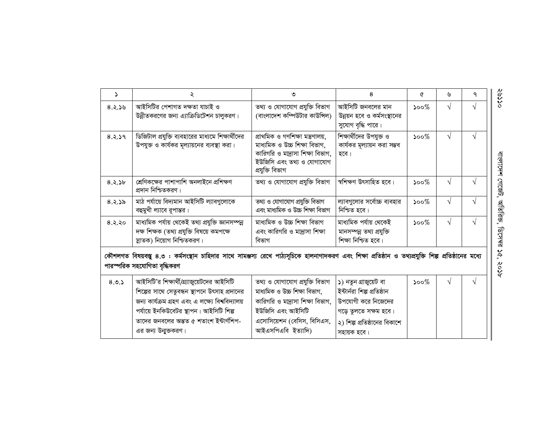| $\Delta$ | ২                                                                                                                                                                                      | ৩                                                                                                                                                     | 8                                                                          | ৫                           | ৬          | ٩  |
|----------|----------------------------------------------------------------------------------------------------------------------------------------------------------------------------------------|-------------------------------------------------------------------------------------------------------------------------------------------------------|----------------------------------------------------------------------------|-----------------------------|------------|----|
| 8.2.56   | আইসিটির পেশাগত দক্ষতা যাচাই ও<br>উন্নীতকরণের জন্য এ্যাক্রিডিটেশন চালুকরণ।                                                                                                              | তথ্য ও যোগাযোগ প্ৰযুক্তি বিভাগ<br>(বাংলাদেশ কম্পিউটার কাউন্সিল)                                                                                       | আইসিটি জনবলের মান<br>উন্নয়ন হবে ও কর্মসংস্থানের<br>সুযোগ বৃদ্ধি পারে।     | $\mathcal{S}^{\mathcal{O}}$ | $\sqrt{}$  | ٦l |
| 8.2.59   | ডিজিটাল প্রযুক্তি ব্যবহারের মাধ্যমে শিক্ষার্থীদের<br>উপযুক্ত ও কার্যকর মূল্যায়নের ব্যবস্থা করা।                                                                                       | প্ৰাথমিক ও গণশিক্ষা মন্ত্ৰণালয়,<br>মাধ্যমিক ও উচ্চ শিক্ষা বিভাগ,<br>কারিগরি ও মাদ্রাসা শিক্ষা বিভাগ,<br>ইউজিসি এবং তথ্য ও যোগাযোগ<br>প্ৰযুক্তি বিভাগ | শিক্ষার্থীদের উপযুক্ত ও<br>কার্যকর মূল্যায়ন করা সম্ভব<br>হবে।             | $500\%$                     | $\sqrt{}$  | V  |
| 8.2.55   | শ্রেণিকক্ষের পাশাপাশি অনলাইনে প্রশিক্ষণ<br>প্রদান নিশ্চিতকরণ।                                                                                                                          | তথ্য ও যোগাযোগ প্ৰযুক্তি বিভাগ                                                                                                                        | স্বশিক্ষণ উৎসাহিত হবে।                                                     | $500\%$                     | $\sqrt{}$  | V  |
| 8.2.55   | মাঠ পৰ্যায়ে বিদ্যমান আইসিটি ল্যাবগুলোকে<br>বহুমুখী ল্যাবে রূপান্তর।                                                                                                                   | তথ্য ও যোগাযোগ প্ৰযুক্তি বিভাগ<br>এবং মাধ্যমিক ও উচ্চ শিক্ষা বিভাগ                                                                                    | ল্যাবগুলোর সর্বোচ্চ ব্যবহার<br>নিশ্চিত হবে।                                | $500\%$                     | $\sqrt{}$  |    |
| 8.3.80   | মাধ্যমিক পৰ্যায় থেকেই তথ্য প্ৰযুক্তি জ্ঞানসম্পন্ন<br>দক্ষ শিক্ষক (তথ্য প্রযুক্তি বিষয়ে কমপক্ষে<br>স্নাতক) নিয়োগ নিশ্চিতকরণ।                                                         | মাধ্যমিক ও উচ্চ শিক্ষা বিভাগ<br>এবং কারিগরি ও মাদ্রাসা শিক্ষা<br>বিভাগ                                                                                | মাধ্যমিক পর্যায় থেকেই<br>মানসম্পন্ন তথ্য প্রযুক্তি<br>শিক্ষা নিশ্চিত হবে। | $\mathcal{S}^{\mathcal{O}}$ | $\sqrt{}$  |    |
|          | কৌশলগত বিষয়বস্তু ৪.৩ : কর্মসংস্থান চাহিদার সাথে সামঞ্জস্য রেখে পাঠ্যসূচিকে হালনাগাদকরণ এবং শিক্ষা প্রতিষ্ঠান ও তথ্যপ্রযুক্তি শিল্প প্রতিষ্ঠানের মধ্যে<br>পারস্পরিক সহযোগিতা বৃদ্ধিকরণ |                                                                                                                                                       |                                                                            |                             |            |    |
| 8.0.5    | আইসিটি'র শিক্ষার্থী/গ্র্যাজুয়েটদের আইসিটি<br>শিল্পের সাথে সেতুবন্ধন স্থাপনে উৎসাহ প্রদানের                                                                                            | তথ্য ও যোগাযোগ প্ৰযুক্তি বিভাগ<br>মাধ্যমিক ও উচ্চ শিক্ষা বিভাগ,                                                                                       | ১) নতুন গ্ৰাজুয়েট বা<br>ইন্টাৰ্নরা শিল্প প্রতিষ্ঠান                       | $500\%$                     | $\sqrt{ }$ |    |
|          | জন্য কাৰ্যক্ৰম গ্ৰহণ এবং এ লক্ষ্যে বিশ্ববিদ্যালয়                                                                                                                                      | কারিগরি ও মদ্রাসা শিক্ষা বিভাগ,                                                                                                                       | উপযোগী করে নিজেদের                                                         |                             |            |    |
|          | পর্যায়ে ইনকিউবেটর স্থাপন। আইসিটি শিল্প                                                                                                                                                | ইউজিসি এবং আইসিটি                                                                                                                                     | গড়ে তুলতে সক্ষম হবে।                                                      |                             |            |    |

আইএসপিএবি ইত্যাদি)

|সহায়ক হবে।

এর জন্য উন্মুক্তকরণ।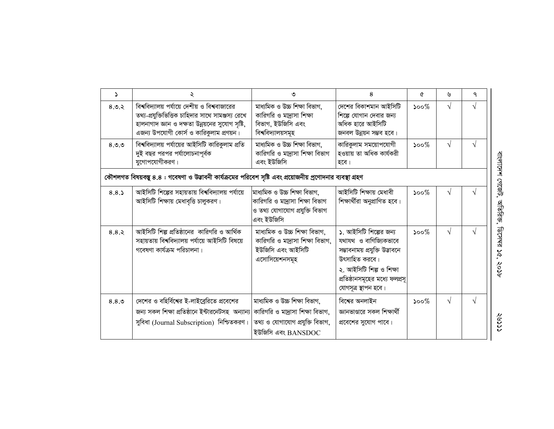| $\Delta$ | ২                                                                                                                                                                                                | ৩                                                                                                                         | 8                                                                                                                                                                                        | ৫                           | ৬          | ٩         |
|----------|--------------------------------------------------------------------------------------------------------------------------------------------------------------------------------------------------|---------------------------------------------------------------------------------------------------------------------------|------------------------------------------------------------------------------------------------------------------------------------------------------------------------------------------|-----------------------------|------------|-----------|
| 8.0.8    | বিশ্ববিদ্যালয় পর্যায়ে দেশীয় ও বিশ্ববাজারের<br>তথ্য-প্রযুক্তিভিত্তিক চাহিদার সাথে সামঞ্জস্য রেখে<br>হালনাগাদ জ্ঞান ও দক্ষতা উন্নয়নের সুযোগ সৃষ্টি,<br>এজন্য উপযোগী কোর্স ও কারিকুলাম প্রণয়ন। | মাধ্যমিক ও উচ্চ শিক্ষা বিভাগ,<br>কারিগরি ও মা্রাসা শিক্ষা<br>বিভাগ, ইউজিসি এবং<br>বিশ্ববিদ্যালয়সমূহ                      | দেশের বিকাশমান আইসিটি<br>শিল্পে যোগান দেবার জন্য<br>অধিক হারে আইসিটি<br>জনবল উন্নয়ন সম্ভব হবে।                                                                                          | $500\%$                     | $\sqrt{}$  | $\sqrt{}$ |
| 8.9.9    | বিশ্ববিদ্যালয় পর্যায়ের আইসিটি কারিকুলাম প্রতি<br>দুই বছর পরপর পর্যালোচনাপূর্বক<br>যুগোপযোগীকরণ।                                                                                                | মাধ্যমিক ও উচ্চ শিক্ষা বিভাগ,<br>কারিগরি ও মাদ্রাসা শিক্ষা বিভাগ<br>এবং ইউজিসি                                            | কারিকুলাম সময়োপযোগী<br>হওয়ায় তা অধিক কাৰ্যকরী<br>হবে।                                                                                                                                 | $500\%$                     | $\sqrt{ }$ | V         |
|          | কৌশলগত বিষয়বস্তু ৪.৪ : গবেষণা ও উদ্ভাবনী কার্যক্রমের পরিবেশ সৃষ্টি এবং প্রয়োজনীয় প্রণোদনার ব্যবস্থা গ্রহণ                                                                                     |                                                                                                                           |                                                                                                                                                                                          |                             |            |           |
| 8.8.5    | আইসিটি শিল্পের সহায়তায় বিশ্ববিদ্যালয় পর্যায়ে<br>আইসিটি শিক্ষায় মেধাবৃত্তি চালুকরণ।                                                                                                          | মাধ্যমিক ও উচ্চ শিক্ষা বিভাগ,<br>কারিগরি ও মা্রাসা শিক্ষা বিভাগ<br>ও তথ্য যোগাযোগ প্ৰযুক্তি বিভাগ<br>এবং ইউজিসি           | আইসিটি শিক্ষায় মেধাবী<br>শিক্ষাৰ্থীরা অনুপ্রাণিত হবে।                                                                                                                                   | $500\%$                     | $\sqrt{ }$ | V         |
| 8.8.5    | আইসিটি শিল্প প্রতিষ্ঠানের কারিগরি ও আর্থিক<br>সহায়তায় বিশ্ববিদ্যালয় পর্যায়ে আইসিটি বিষয়ে<br>গবেষণা কাৰ্যক্ৰম পরিচালনা।                                                                      | মাধ্যমিক ও উচ্চ শিক্ষা বিভাগ,<br>কারিগরি ও মাদ্রাসা শিক্ষা বিভাগ,<br>ইউজিসি এবং আইসিটি<br>এসোসিয়েশনসমূহ                  | ১. আইসিটি শিল্পের জন্য<br>যথাযথ ও বাণিজ্যিকভাবে<br>সম্ভাবনাময় প্রযুক্তি উদ্ভাবনে<br>উৎসাহিত করবে।<br>২. আইসিটি শিল্প ও শিক্ষা<br>প্রতিষ্ঠানসমূহের মধ্যে ফলপ্রসূ<br>যোগসূত্র স্থাপন হবে। | $500\%$                     | $\sqrt{}$  |           |
| 8.8.9    | দেশের ও বহির্বিশের ই-লাইব্রেরিতে প্রবেশের<br>জন্য সকল শিক্ষা প্ৰতিষ্ঠানে ইন্টারনেটসহ অন্যান্য<br>সুবিধা (Journal Subscription) নিশ্চিতকরণ।                                                       | মাধ্যমিক ও উচ্চ শিক্ষা বিভাগ,<br>কারিগরি ও মদ্রাসা শিক্ষা বিভাগ,<br>তথ্য ও যোগাযোগ প্ৰযুক্তি বিভাগ,<br>ইউজিসি এবং BANSDOC | বিশ্বের অনলাইন<br>জ্ঞানভাণ্ডারে সকল শিক্ষার্থী<br>প্রবেশের সুযোগ পাবে।                                                                                                                   | $\mathcal{S}^{\mathcal{O}}$ | $\sqrt{ }$ | V         |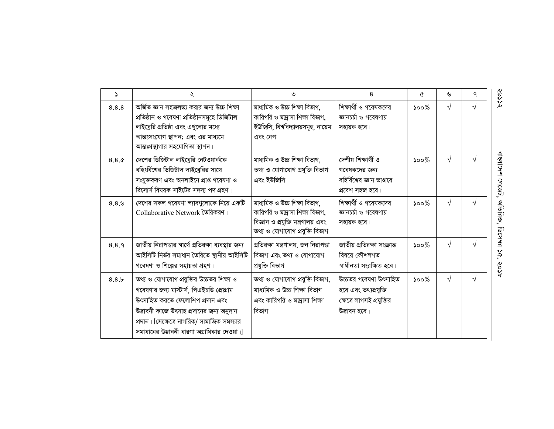| S     | ২                                                                                                                                                                                                                                                                  | ৩                                                                                                                                          | 8                                                                                           | Q                           | ৬          | ٩          |
|-------|--------------------------------------------------------------------------------------------------------------------------------------------------------------------------------------------------------------------------------------------------------------------|--------------------------------------------------------------------------------------------------------------------------------------------|---------------------------------------------------------------------------------------------|-----------------------------|------------|------------|
| 8.8.8 | অৰ্জিত জ্ঞান সহজলভ্য করার জন্য উচ্চ শিক্ষা<br>প্ৰতিষ্ঠান ও গবেষণা প্ৰতিষ্ঠানসমূহে ডিজিটাল<br>লাইব্রেরি প্রতিষ্ঠা এবং এগুলোর মধ্যে<br>আন্তঃসংযোগ স্থাপন; এবং এর মাধ্যমে<br>আন্তঃগ্রন্থাগার সহযোগিতা স্থাপন।                                                         | মাধ্যমিক ও উচ্চ শিক্ষা বিভাগ,<br>কারিগরি ও মাদ্রাসা শিক্ষা বিভাগ,<br>ইউজিসি, বিশ্ববিদ্যালয়সমূহ, নায়েম<br>এবং নেপ                         | শিক্ষার্থী ও গবেষকদের<br>জ্ঞানচর্চা ও গবেষণায়<br>সহায়ক হবে।                               | $500\%$                     | $\sqrt{ }$ | $\sqrt{ }$ |
| 8.8.0 | দেশের ডিজিটাল লাইব্রেরি নেটওয়ার্ককে<br>বহিঃর্বিশের ডিজিটাল লাইব্রেরির সাথে<br>সংযুক্তকরণ এবং অনলাইনে প্রাপ্ত গবেষণা ও<br>রিসোর্স বিষয়ক সাইটের সদস্য পদ গ্রহণ।                                                                                                    | মাধ্যমিক ও উচ্চ শিক্ষা বিভাগ,<br>তথ্য ও যোগাযোগ প্ৰযুক্তি বিভাগ<br>এবং ইউজিসি                                                              | দেশীয় শিক্ষাৰ্থী ও<br>গবেষকদের জন্য<br>বহির্বিশের জ্ঞান ভাণ্ডারে<br>প্রবেশ সহজ হবে।        | $500\%$                     | $\sqrt{ }$ | $\sqrt{ }$ |
| 8.8.9 | দেশের সকল গবেষণা ল্যাবগুলোকে নিয়ে একটি<br>Collaborative Network তৈরিকরণ।                                                                                                                                                                                          | মাধ্যমিক ও উচ্চ শিক্ষা বিভাগ,<br>কারিগরি ও মাদ্রাসা শিক্ষা বিভাগ,<br>বিজ্ঞান ও প্রযুক্তি মন্ত্রণালয় এবং<br>তথ্য ও যোগাযোগ প্ৰযুক্তি বিভাগ | শিক্ষার্থী ও গবেষকদের<br>জ্ঞানচর্চা ও গবেষণায়<br>সহায়ক হবে।                               | $500\%$                     | $\sqrt{ }$ | $\sqrt{ }$ |
| 8.8.9 | জাতীয় নিরাপত্তার স্বার্থে প্রতিরক্ষা ব্যবস্থার জন্য<br>আইসিটি নিৰ্ভর সমাধান তৈরিতে স্থানীয় আইসিটি<br>গবেষণা ও শিল্পের সহায়তা গ্রহণ।                                                                                                                             | প্রতিরক্ষা মন্ত্রণালয়, জন নিরাপত্তা<br>বিভাগ এবং তথ্য ও যোগাযোগ<br>প্ৰযুক্তি বিভাগ                                                        | জাতীয় প্ৰতিরক্ষা সংক্ৰান্ত<br>বিষয়ে কৌশলগত<br>স্বাধীনতা সংরক্ষিত হবে।                     | $500\%$                     | $\sqrt{ }$ | $\sqrt{ }$ |
| 8.8.5 | তথ্য ও যোগাযোগ প্রযুক্তির উচ্চতর শিক্ষা ও<br>গবেষণার জন্য মাস্টার্স, পিএইচডি প্রোগ্রাম<br>উৎসাহিত করতে ফেলোশিপ প্রদান এবং<br>উদ্ভাবনী কাজে উৎসাহ প্রদানের জন্য অনুদান<br>প্রদান। [সেক্ষেত্রে নাগরিক/ সামাজিক সমস্যার<br>সমাধানের উদ্ভাবনী ধারণা অগ্রাধিকার দেওয়া। | তথ্য ও যোগাযোগ প্ৰযুক্তি বিভাগ,<br>মাধ্যমিক ও উচ্চ শিক্ষা বিভাগ<br>এবং কারিগরি ও মাদ্রাসা শিক্ষা<br>বিভাগ                                  | উচ্চতর গবেষণা উৎসাহিত<br>হবে এবং তথ্যপ্রযুক্তি<br>ক্ষেত্রে লাগসই প্রযুক্তির<br>উদ্ভাবন হবে। | $\mathcal{S}^{\mathcal{O}}$ | $\sqrt{ }$ | $\sqrt{ }$ |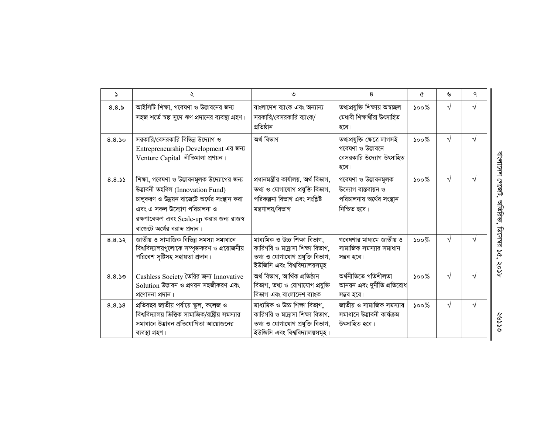| <sup>2</sup> | ২                                                                                                                                                                                                                                          | ৩                                                                                                                                       | 8                                                                                        | Q                           | ৬         | ٩          |
|--------------|--------------------------------------------------------------------------------------------------------------------------------------------------------------------------------------------------------------------------------------------|-----------------------------------------------------------------------------------------------------------------------------------------|------------------------------------------------------------------------------------------|-----------------------------|-----------|------------|
| 8.8.x        | আইসিটি শিক্ষা, গবেষণা ও উদ্ভাবনের জন্য<br>সহজ শর্তে স্বল্প সুদে ঋণ প্রদানের ব্যবস্থা গ্রহণ।                                                                                                                                                | বাংলাদেশ ব্যাংক এবং অন্যান্য<br>সরকারি/বেসরকারি ব্যাংক/<br>প্ৰতিষ্ঠান                                                                   | তথ্যপ্রযুক্তি শিক্ষায় অস্বচ্ছল<br>মেধাবী শিক্ষাৰ্থীরা উৎসাহিত<br>হবে।                   | $500\%$                     | $\sqrt{}$ | $\sqrt{}$  |
| 8.8.50       | সরকারি/বেসরকারি বিভিন্ন উদ্যোগ ও<br>Entrepreneurship Development এর জন্য<br>Venture Capital নীতিমালা প্ৰণয়ন।                                                                                                                              | অৰ্থ বিভাগ                                                                                                                              | তথ্যপ্ৰযুক্তি ক্ষেত্ৰে লাগসই<br>গবেষণা ও উদ্ভাবনে<br>বেসরকারি উদ্যোগ উৎসাহিত<br>হবে।     | $\mathcal{S}^{\mathcal{O}}$ | $\sqrt{}$ | $\sqrt{ }$ |
| 8.8.33       | শিক্ষা, গবেষণা ও উদ্ভাবনমূলক উদ্যোগের জন্য<br>উদ্ভাবনী তহবিল (Innovation Fund)<br>চালুকরণ ও উন্নয়ন বাজেটে অর্থের সংস্থান করা<br>এবং এ সকল উদ্যোগ পরিচালনা ও<br>রক্ষণাবেক্ষণ এবং Scale-up করার জন্য রাজস্ব<br>বাজেটে অর্থের বরাদ্দ প্রদান। | প্ৰধানমন্ত্ৰীর কাৰ্যালয়, অৰ্থ বিভাগ,<br>তথ্য ও যোগাযোগ প্ৰযুক্তি বিভাগ,<br>পরিকল্পনা বিভাগ এবং সংশ্লিষ্ট<br>মন্ত্ৰণালয়/বিভাগ          | গবেষণা ও উড্ডাবনমূলক<br>উদ্যোগ বাস্তবায়ন ও<br>পরিচালনায় অর্থের সংস্থান<br>নিশ্চিত হবে। | $500\%$                     | $\sqrt{}$ |            |
| 8.8.32       | <u>লা</u> তীয় ও সামাজিক বিভিন্ন সমস্যা সমাধানে<br>বিশ্ববিদ্যালয়গুলোকে সম্পৃক্তকরণ ও প্রয়োজনীয়<br>পরিবেশ সৃষ্টিসহ সহায়তা প্রদান।                                                                                                       | মাধ্যমিক ও উচ্চ শিক্ষা বিভাগ,<br>কারিগরি ও মা্রাসা শিক্ষা বিভাগ,<br>তথ্য ও যোগাযোগ প্ৰযুক্তি বিভাগ,<br>ইউজিসি এবং বিশ্ববিদ্যালয়সমূহ    | গবেষণার মাধ্যমে জাতীয় ও<br>সামাজিক সমস্যার সমাধান<br>সম্ভব হবে।                         | $\mathcal{S}^{\text{oo}}$   | $\sqrt{}$ |            |
| 8.8.50       | Cashless Society তৈরির জন্য Innovative<br>Solution উদ্ভাবন ও প্রণয়ন সহজীকরণ এবং<br>প্রণোদনা প্রদান।                                                                                                                                       | অৰ্থ বিভাগ, আৰ্থিক প্ৰতিষ্ঠান<br>বিভাগ, তথ্য ও যোগাযোগ প্রযুক্তি<br>বিভাগ এবং বাংলাদেশ ব্যাংক                                           | অৰ্থনীতিতে গতিশীলতা<br>আনয়ন এবং দুর্নীতি প্রতিরোধ<br>সম্ভব হবে।                         | $\mathcal{S}^{\mathcal{O}}$ | $\sqrt{}$ | N          |
| 8.8.38       | প্রতিবছর জাতীয় পর্যায়ে স্কুল, কলেজ ও<br>বিশ্ববিদ্যালয় ভিত্তিক সামাজিক/রাষ্ট্রীয় সমস্যার<br>সমাধানে উদ্ভাবন প্রতিযোগিতা আয়োজনের<br>ব্যবস্থা গ্ৰহণ।                                                                                     | মাধ্যমিক ও উচ্চ শিক্ষা বিভাগ,<br>কারিগরি ও মা্দ্রাসা শিক্ষা বিভাগ,<br>তথ্য ও যোগাযোগ প্ৰযুক্তি বিভাগ,<br>ইউজিসি এবং বিশ্ববিদ্যালয়সমূহ। | জাতীয় ও সামাজিক সমস্যার<br>সমাধানে উদ্ভাবনী কাৰ্যক্ৰম<br>উৎসাহিত হবে।                   | $\mathcal{S}^{\mathcal{O}}$ | $\sqrt{}$ | $\sqrt{ }$ |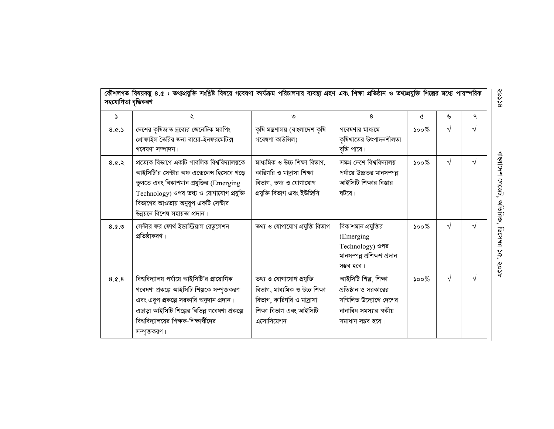|          | কৌশলগত বিষয়বস্তু ৪.৫ : তথ্যপ্রযুক্তি সংশ্লিষ্ট বিষয়ে গবেষণা কার্যক্রম পরিচালনার ব্যবস্থা গ্রহণ এবং শিক্ষা প্রতিষ্ঠান ও তথ্যপ্রযুক্তি শিল্পের মধ্যে পারস্পরিক<br>সহযোগিতা বৃদ্ধিকরণ                                                                      |                                                                                                                                 |                                                                                                                        |                             |            |            |  |  |
|----------|-----------------------------------------------------------------------------------------------------------------------------------------------------------------------------------------------------------------------------------------------------------|---------------------------------------------------------------------------------------------------------------------------------|------------------------------------------------------------------------------------------------------------------------|-----------------------------|------------|------------|--|--|
| $\Delta$ | ২                                                                                                                                                                                                                                                         | ৩                                                                                                                               | 8                                                                                                                      | ৫                           | ৬          | ٩          |  |  |
| 8.0.5    | দেশের কৃষিজাত দ্রব্যের জেনেটিক ম্যাপিং<br>প্রোফাইল তৈরির জন্য বায়ো-ইনফরমেটিক্স<br>গবেষণা সম্পাদন।                                                                                                                                                        | কৃষি মন্ত্ৰণালয় (বাংলাদেশ কৃষি<br>গবেষণা কাউন্সিল)                                                                             | গবেষণার মাধ্যমে<br>কৃষিখাতের উৎপাদনশীলতা<br>বৃদ্ধি পাবে।                                                               | $\mathcal{S}^{\mathcal{O}}$ | $\sqrt{}$  | $\sqrt{ }$ |  |  |
| 8.0.8    | প্ৰত্যেক বিভাগে একটি পাবলিক বিশ্ববিদ্যালয়কে<br>আইসিটি'র সেন্টার অফ এক্সেলেন্স হিসেবে গড়ে<br>তুলতে এবং বিকাশমান প্রযুক্তির (Emerging<br>Technology) ওপর তথ্য ও যোগাযোগ প্রযুক্তি<br>বিভাগের আওতায় অনুরূপ একটি সেন্টার<br>উন্নয়নে বিশেষ সহায়তা প্ৰদান। | মাধ্যমিক ও উচ্চ শিক্ষা বিভাগ,<br>কারিগরি ও মাদ্রাসা শিক্ষা<br>বিভাগ, তথ্য ও যোগাযোগ<br>প্ৰযুক্তি বিভাগ এবং ইউজিসি               | সমগ্ৰ দেশে বিশ্ববিদ্যালয়<br>পর্যায়ে উচ্চতর মানসম্পন্ন<br>আইসিটি শিক্ষার বিস্তার<br>ঘটবে।                             | $500\%$                     | $\sqrt{ }$ | $\sqrt{ }$ |  |  |
| 8.6.9    | সেন্টার ফর ফোর্থ ইন্ডাস্ট্রিয়াল রেভুলেশন<br>প্রতিষ্ঠাকরণ।                                                                                                                                                                                                | তথ্য ও যোগাযোগ প্ৰযুক্তি বিভাগ                                                                                                  | বিকাশমান প্রযুক্তির<br>(Emerging<br>Technology) ওপর<br>মানসম্পন্ন প্ৰশিক্ষণ প্ৰদান<br>সম্ভব হবে।                       | $500\%$                     | $\sqrt{}$  | $\Delta$   |  |  |
| 8.0.8    | বিশ্ববিদ্যালয় পর্যায়ে আইসিটি'র প্রায়োগিক<br>গবেষণা প্রকল্পে আইসিটি শিল্পকে সম্পৃক্তকরণ<br>এবং এরূপ প্রকল্পে সরকারি অনুদান প্রদান।<br>এছাড়া আইসিটি শিল্পের বিভিন্ন গবেষণা প্রকল্পে<br>বিশ্ববিদ্যালয়ের শিক্ষক-শিক্ষার্থীদের<br>সম্পৃক্তকরণ।            | তথ্য ও যোগাযোগ প্রযুক্তি<br>বিভাগ, মাধ্যমিক ও উচ্চ শিক্ষা<br>বিভাগ, কারিগরি ও মাদ্রাসা<br>শিক্ষা বিভাগ এবং আইসিটি<br>এসোসিয়েশন | আইসিটি শিল্প, শিক্ষা<br>প্রতিষ্ঠান ও সরকারের<br>সম্মিলিত উদ্যোগে দেশের<br>নানাবিধ সমস্যার স্বকীয়<br>সমাধান সম্ভব হবে। | $500\%$                     | $\sqrt{ }$ | $\sqrt{ }$ |  |  |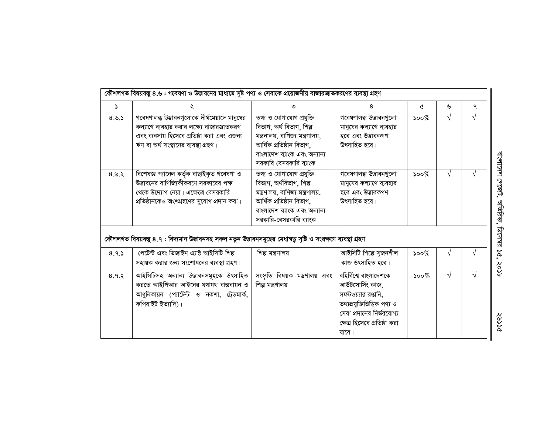| কৌশলগত বিষয়বস্তু ৪.৬ : গবেষণা ও উদ্ভাবনের মাধ্যমে সৃষ্ট পণ্য ও সেবাকে প্রয়োজনীয় বাজারজাতকরণের ব্যবস্থা গ্রহণ |                                                                                                                                                                                  |                                                                                                                                                                                 |                                                                                                                                                                       |         |            |   |  |  |  |
|-----------------------------------------------------------------------------------------------------------------|----------------------------------------------------------------------------------------------------------------------------------------------------------------------------------|---------------------------------------------------------------------------------------------------------------------------------------------------------------------------------|-----------------------------------------------------------------------------------------------------------------------------------------------------------------------|---------|------------|---|--|--|--|
| $\Delta$                                                                                                        | ২                                                                                                                                                                                | ৩                                                                                                                                                                               | 8                                                                                                                                                                     | ৫       | ৬          | ٩ |  |  |  |
| 8.9.5                                                                                                           | গবেষণালব্ধ উদ্ভাবনগুলোকে দীর্ঘমেয়াদে মানুষের<br>কল্যাণে ব্যবহার করার লক্ষ্যে বাজারজাতকরণ<br>এবং ব্যবসায় হিসেবে প্রতিষ্ঠা করা এবং এজন্য<br>ঋণ বা অর্থ সংস্থানের ব্যবস্থা গ্রহণ। | তথ্য ও যোগাযোগ প্রযুক্তি<br>বিভাগ, অৰ্থ বিভাগ, শিল্প<br>মন্ত্ৰনালয়, বাণিজ্য মন্ত্ৰণালয়,<br>আৰ্থিক প্ৰতিষ্ঠান বিভাগ,<br>বাংলাদেশ ব্যাংক এবং অন্যান্য<br>সরকারি বেসরকারি ব্যাংক | ___<br>গবেষণালব্ধ উদ্ভাবনগুলো<br>মানুষের কল্যাণে ব্যবহার<br>হবে এবং উদ্ভাবকগণ<br>উৎসাহিত হবে।                                                                         | $500\%$ | $\sqrt{ }$ |   |  |  |  |
| 8.8.8                                                                                                           | বিশেষজ্ঞ প্যানেল কৰ্তৃক বাছাইকৃত গবেষণা ও<br>উদ্ভাবনের বাণিজ্যিকীকরণে সরকারের পক্ষ<br>থেকে উদ্যোগ নেয়া। এক্ষেত্রে বেসরকারি<br>প্রতিষ্ঠানকেও অংশগ্রহণের সুযোগ প্রদান করা।        | তথ্য ও যোগাযোগ প্রযুক্তি<br>বিভাগ, অৰ্থবিভাগ, শিল্প<br>মন্ত্রণালয়, বাণিজ্য মন্ত্রণালয়,<br>আৰ্থিক প্ৰতিষ্ঠান বিভাগ,<br>বাংলাদেশ ব্যাংক এবং অন্যান্য<br>সরকারি-বেসরকারি ব্যাংক  | গবেষণালব্ধ উড্ডাবনগুলো<br>মানুষের কল্যাণে ব্যবহার<br>হবে এবং উদ্ভাবকগণ<br>উৎসাহিত হবে।                                                                                | $500\%$ | $\sqrt{ }$ | V |  |  |  |
|                                                                                                                 | কৌশলগত বিষয়বস্তু ৪.৭ : বিদ্যমান উদ্ভাবনসহ সকল নতুন উদ্ভাবনসমূহের মেধাস্বত্ত সৃষ্টি ও সংরক্ষণে ব্যবস্থা গ্রহণ                                                                    |                                                                                                                                                                                 |                                                                                                                                                                       |         |            |   |  |  |  |
| 8.9.5                                                                                                           | পেটেন্ট এবং ডিজাইন এ্যাক্ট আইসিটি শিল্প<br>সহায়ক করার জন্য সংশোধনের ব্যবস্থা গ্রহণ।                                                                                             | শিল্প মন্ত্ৰণালয়                                                                                                                                                               | আইসিটি শিল্পে সজনশীল<br>কাজ উৎসাহিত হবে।                                                                                                                              | $500\%$ | $\sqrt{ }$ |   |  |  |  |
| 8.9.8                                                                                                           | আইসিটিসহ অন্যান্য উদ্ভাবনসমূহকে উৎসাহিত<br>করতে আইপিআর আইনের যথাযথ বাস্তবায়ন ও<br>আধুনিকায়ন (প্যাটেন্ট ও নকশা, ট্রেডমার্ক,<br>কপিরাইট ইত্যাদি)।                                | সংস্কৃতি বিষয়ক মন্ত্রণালয় এবং<br>শিল্প মন্ত্ৰণালয়                                                                                                                            | বহিৰ্বিশ্বে বাংলাদেশকে<br>আউটসোর্সিং কাজ,<br>সফটওয়্যার রপ্তানি,<br>তথ্যপ্রযুক্তিভিত্তিক পণ্য ও<br>সেবা প্রদানের নির্ভরযোগ্য<br>ক্ষেত্র হিসেবে প্রতিষ্ঠা করা<br>যাবে। | $500\%$ | $\sqrt{ }$ |   |  |  |  |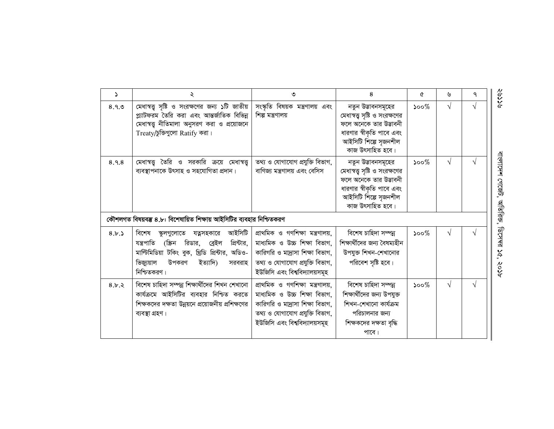| $\Delta$ | ২                                                                                                                                                                                                                       | ৩                                                                                                                                                                        | 8                                                                                                                                                        | Q       | ৬          | ٩          |
|----------|-------------------------------------------------------------------------------------------------------------------------------------------------------------------------------------------------------------------------|--------------------------------------------------------------------------------------------------------------------------------------------------------------------------|----------------------------------------------------------------------------------------------------------------------------------------------------------|---------|------------|------------|
| 8.9.9    | মেধাস্বত্ত্ব সৃষ্টি ও সংরক্ষণের জন্য ১টি জাতীয়<br>প্ল্যাটফরম তৈরি করা এবং আন্তর্জাতিক বিভিন্ন<br>মেধাস্বত্ত্ব নীতিমালা অনুসরণ করা ও প্রয়োজনে<br>Treaty/চুক্তিগুলো Ratify করা।                                         | সংস্কৃতি বিষয়ক মন্ত্রণালয় এবং<br>শিল্প মন্ত্ৰণালয়                                                                                                                     | নতুন উদ্ভাবনসমূহের<br>মেধাস্বত্ত্ব সৃষ্টি ও সংরক্ষণের<br>ফলে অনেকে তার উদ্ভাবনী<br>ধারণার স্বীকৃতি পাবে এবং<br>আইসিটি শিল্পে সৃজনশীল<br>কাজ উৎসাহিত হবে। | $500\%$ | $\sqrt{ }$ | $\sqrt{ }$ |
| 8.9.8    | মেধাস্বত্ত্ব তৈরি ও সরকারি ক্রয়ে মেধাস্বত্ত্ব<br>ব্যবস্থাপনাকে উৎসাহ ও সহযোগিতা প্ৰদান।                                                                                                                                | তথ্য ও যোগাযোগ প্ৰযুক্তি বিভাগ,<br>বাণিজ্য মন্ত্রণালয় এবং বেসিস                                                                                                         | নতুন উড্ডাবনসমূহের<br>মেধাস্বত্ত্ব সৃষ্টি ও সংরক্ষণের<br>ফলে অনেকে তার উদ্ভাবনী<br>ধারণার স্বীকৃতি পাবে এবং<br>আইসিটি শিল্পে সৃজনশীল<br>কাজ উৎসাহিত হবে। | $500\%$ | $\sqrt{ }$ | $\sqrt{ }$ |
|          | কৌশলগত বিষয়বম্ভ ৪.৮: বিশেষায়িত শিক্ষায় আইসিটির ব্যবহার নিশ্চিতকরণ                                                                                                                                                    |                                                                                                                                                                          |                                                                                                                                                          |         |            |            |
| 8.5.5    | আইসিটি<br>বিশেষ<br>যত্নসহকারে<br>স্কুলগুলোতে<br>প্রিন্টার,<br>যন্ত্ৰপাতি<br>(স্ক্রিন<br>রিডার,<br>ব্ৰেইল<br>মাল্টিমিডিয়া টকিং বুক, খ্রিডি প্রিন্টার, অডিও-<br>ভিজ্যুয়াল<br>উপকরণ<br>ইত্যাদি)<br>সরবরাহ<br>নিশ্চিতকরণ। | প্ৰাথমিক ও গণশিক্ষা মন্ত্ৰণালয়,<br>মাধ্যমিক ও উচ্চ শিক্ষা বিভাগ,<br>কারিগরি ও মা্রাসা শিক্ষা বিভাগ,<br>তথ্য ও যোগাযোগ প্ৰযুক্তি বিভাগ,<br>ইউজিসি এবং বিশ্ববিদ্যালয়সমূহ | বিশেষ চাহিদা সম্পন্ন<br>শিক্ষার্থীদের জন্য বৈষম্যহীন<br>উপযুক্ত শিখন-শেখানোর<br>পরিবেশ সৃষ্টি হবে।                                                       | $500\%$ | $\sqrt{ }$ | $\sqrt{ }$ |
| 8.5.3    | বিশেষ চাহিদা সম্পন্ন শিক্ষাৰ্থীদের শিখন শেখানো<br>কার্যক্রমে আইসিটির ব্যবহার নিশ্চিত করতে<br>শিক্ষকদের দক্ষতা উন্নয়নে প্রয়োজনীয় প্রশিক্ষণের<br>ব্যবস্থা গ্ৰহণ।                                                       | প্ৰাথমিক ও গণশিক্ষা মন্ত্ৰণালয়,<br>মাধ্যমিক ও উচ্চ শিক্ষা বিভাগ,<br>কারিগরি ও মা্রাসা শিক্ষা বিভাগ,<br>তথ্য ও যোগাযোগ প্ৰযুক্তি বিভাগ,<br>ইউজিসি এবং বিশ্ববিদ্যালয়সমূহ | বিশেষ চাহিদা সম্পন্ন<br>শিক্ষার্থীদের জন্য উপযুক্ত<br>শিখন-শেখানো কাৰ্যক্ৰম<br>পরিচালনার জন্য<br>শিক্ষকদের দক্ষতা বৃদ্ধি<br>পাবে।                        | $500\%$ | $\sqrt{ }$ | $\sqrt{ }$ |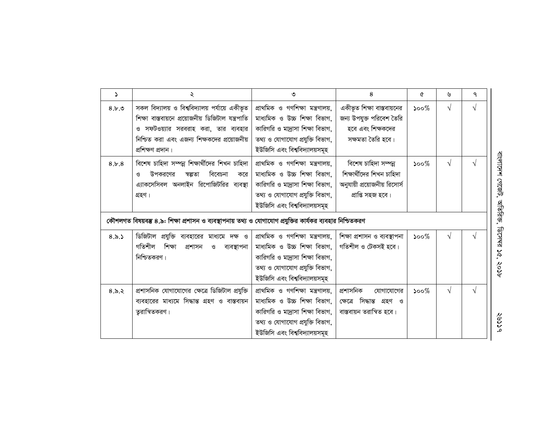| S     | ২                                                                                                                                                                                                                                                        | ৩                                                                                                                                                                         | 8                                                                                                      | ৫       | ৬          | ٩          |
|-------|----------------------------------------------------------------------------------------------------------------------------------------------------------------------------------------------------------------------------------------------------------|---------------------------------------------------------------------------------------------------------------------------------------------------------------------------|--------------------------------------------------------------------------------------------------------|---------|------------|------------|
| 8.5.9 | সকল বিদ্যালয় ও বিশ্ববিদ্যালয় পর্যায়ে একীভূত<br>শিক্ষা বাস্তবায়নে প্রয়োজনীয় ডিজিটাল যন্ত্রপাতি<br>ও সফটওয়্যার সরবরাহ করা, তার ব্যবহার<br>নিশ্চিত করা এবং এজন্য শিক্ষকদের প্রয়োজনীয়<br>প্ৰশিক্ষণ প্ৰদান।                                          | প্ৰাথমিক ও গণশিক্ষা মন্ত্ৰণালয়,<br>মাধ্যমিক ও উচ্চ শিক্ষা বিভাগ,<br>কারিগরি ও মা্রাসা শিক্ষা বিভাগ,<br>তথ্য ও যোগাযোগ প্ৰযুক্তি বিভাগ,<br>ইউজিসি এবং বিশ্ববিদ্যালয়সমূহ  | একীভূত শিক্ষা বাস্তবায়নের<br>জন্য উপযুক্ত পরিবেশ তৈরি<br>হবে এবং শিক্ষকদের<br>সক্ষমতা তৈরি হবে।       | $500\%$ | $\sqrt{ }$ | $\sqrt{ }$ |
| 8.5.8 | বিশেষ চাহিদা সম্পন্ন শিক্ষাৰ্থীদের শিখন চাহিদা<br>বিবেচনা<br>উপকরণের<br>স্বল্পতা<br>করে<br>এ্যাকসেসিবল অনলাইন রিপোজিটরির ব্যবস্থা<br>গ্ৰহণ।<br>কৌশলগত বিষয়বম্ভ ৪.৯: শিক্ষা প্রশাসন ও ব্যবস্থাপনায় তথ্য ও যোগাযোগ প্রযুক্তির কার্যকর ব্যবহার নিশ্চিতকরণ | প্ৰাথমিক ও গণশিক্ষা মন্ত্ৰণালয়,<br>মাধ্যমিক ও উচ্চ শিক্ষা বিভাগ,<br>কারিগরি ও মা্রাসা শিক্ষা বিভাগ,<br>তথ্য ও যোগাযোগ প্ৰযুক্তি বিভাগ,<br>ইউজিসি এবং বিশ্ববিদ্যালয়সমূহ  | বিশেষ চাহিদা সম্পন্ন<br>শিক্ষার্থীদের শিখন চাহিদা<br>অনুযায়ী প্রয়োজনীয় রিসোর্স<br>প্ৰাপ্তি সহজ হবে। | $500\%$ | $\sqrt{ }$ | $\sqrt{ }$ |
| 8.5.5 | ডিজিটাল প্রযুক্তি ব্যবহারের মাধ্যমে দক্ষ ও<br>গতিশীল<br>শিক্ষা<br>প্ৰশাসন<br>$\mathcal{G}$<br>ব্যবস্থাপনা<br>নিশ্চিতকরণ।                                                                                                                                 | প্ৰাথমিক ও গণশিক্ষা মন্ত্ৰণালয়,<br>মাধ্যমিক ও উচ্চ শিক্ষা বিভাগ,<br>কারিগরি ও মা্রাসা শিক্ষা বিভাগ,<br>তথ্য ও যোগাযোগ প্ৰযুক্তি বিভাগ,<br>ইউজিসি এবং বিশ্ববিদ্যালয়সমূহ  | শিক্ষা প্রশাসন ও ব্যবস্থাপনা<br>গতিশীল ও টেকসই হবে।                                                    | $500\%$ | $\sqrt{ }$ | $\sqrt{ }$ |
| 8.5.3 | প্রশাসনিক যোগাযোগের ক্ষেত্রে ডিজিটাল প্রযুক্তি<br>ব্যবহারের মাধ্যমে সিদ্ধান্ত গ্রহণ ও বাস্তবায়ন<br>তুরান্বিতকরণ।                                                                                                                                        | প্ৰাথমিক ও গণশিক্ষা মন্ত্ৰণালয়,<br>মাধ্যমিক ও উচ্চ শিক্ষা বিভাগ,<br>কারিগরি ও মাদ্রাসা শিক্ষা বিভাগ,<br>তথ্য ও যোগাযোগ প্ৰযুক্তি বিভাগ,<br>ইউজিসি এবং বিশ্ববিদ্যালয়সমূহ | প্ৰশাসনিক<br>যোগাযোগের<br>সিদ্ধান্ত গ্ৰহণ ও<br>ক্ষেত্ৰে<br>বাস্তবায়ন তরান্বিত হবে।                    | $500\%$ | $\sqrt{ }$ | $\sqrt{ }$ |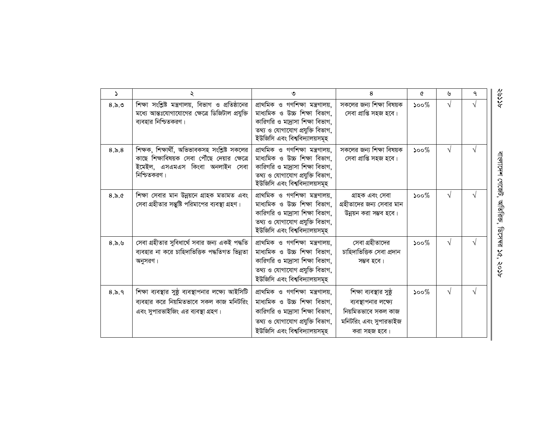| $\mathcal{L}$ | ২                                                                                                                                               | ی                                                                                                                                                                        | 8                                                                                                               | Q       | ৬          | ٩          |
|---------------|-------------------------------------------------------------------------------------------------------------------------------------------------|--------------------------------------------------------------------------------------------------------------------------------------------------------------------------|-----------------------------------------------------------------------------------------------------------------|---------|------------|------------|
| 8.5.9         | শিক্ষা সংশ্লিষ্ট মন্ত্রণালয়, বিভাগ ও প্রতিষ্ঠানের<br>মধ্যে আন্তঃযোগাযোগের ক্ষেত্রে ডিজিটাল প্রযুক্তি<br>ব্যবহার নিশ্চিতকরণ।                    | প্ৰাথমিক ও গণশিক্ষা মন্ত্ৰণালয়,<br>মাধ্যমিক ও উচ্চ শিক্ষা বিভাগ,<br>কারিগরি ও মা্রাসা শিক্ষা বিভাগ,<br>তথ্য ও যোগাযোগ প্ৰযুক্তি বিভাগ,<br>ইউজিসি এবং বিশ্ববিদ্যালয়সমূহ | সকলের জন্য শিক্ষা বিষয়ক<br>সেবা প্রাপ্তি সহজ হবে।                                                              | $500\%$ | V          |            |
| 8.5.8         | শিক্ষক, শিক্ষার্থী, অভিভাবকসহ সংশ্লিষ্ট সকলের<br>কাছে শিক্ষাবিষয়ক সেবা পৌঁছে দেয়ার ক্ষেত্রে<br>ইমেইল, এসএমএস কিংবা অনলাইন সেবা<br>নিশ্চিতকরণ। | প্ৰাথমিক ও গণশিক্ষা মন্ত্ৰণালয়,<br>মাধ্যমিক ও উচ্চ শিক্ষা বিভাগ,<br>কারিগরি ও মা্রাসা শিক্ষা বিভাগ,<br>তথ্য ও যোগাযোগ প্ৰযুক্তি বিভাগ,<br>ইউজিসি এবং বিশ্ববিদ্যালয়সমূহ | সকলের জন্য শিক্ষা বিষয়ক<br>সেবা প্রাপ্তি সহজ হবে।                                                              | $500\%$ | $\sqrt{ }$ | $\sqrt{ }$ |
| 8.5.0         | শিক্ষা সেবার মান উন্নয়নে গ্রাহক মতামত এবং<br>সেবা গ্রহীতার সন্তুষ্টি পরিমাপের ব্যবস্থা গ্রহণ।                                                  | প্ৰাথমিক ও গণশিক্ষা মন্ত্ৰণালয়,<br>মাধ্যমিক ও উচ্চ শিক্ষা বিভাগ,<br>কারিগরি ও মা্রাসা শিক্ষা বিভাগ,<br>তথ্য ও যোগাযোগ প্ৰযুক্তি বিভাগ,<br>ইউজিসি এবং বিশ্ববিদ্যালয়সমূহ | গ্ৰাহক এবং সেবা<br>গ্রহীতাদের জন্য সেবার মান<br>উন্নয়ন করা সম্ভব হবে।                                          | $500\%$ | $\sqrt{ }$ | $\sqrt{}$  |
| 8.5.9         | সেবা গ্রহীতার সুবিধার্থে সবার জন্য একই পদ্ধতি<br>ব্যবহার না করে চাহিদাভিত্তিক পদ্ধতিগত ভিন্নতা<br>অনুসরণ।                                       | প্ৰাথমিক ও গণশিক্ষা মন্ত্ৰণালয়,<br>মাধ্যমিক ও উচ্চ শিক্ষা বিভাগ,<br>কারিগরি ও মা্রাসা শিক্ষা বিভাগ,<br>তথ্য ও যোগাযোগ প্ৰযুক্তি বিভাগ,<br>ইউজিসি এবং বিশ্ববিদ্যালয়সমূহ | সেবা গ্রহীতাদের<br>চাহিদাভিত্তিক সেবা প্ৰদান<br>সম্ভব হবে।                                                      | $500\%$ | $\sqrt{ }$ | V          |
| 8.5.9         | শিক্ষা ব্যবস্থার সুষ্ঠু ব্যবস্থাপনার লক্ষ্যে আইসিটি<br>ব্যবহার করে নিয়মিতভাবে সকল কাজ মনিটরিং<br>এবং সুপারভাইজিং এর ব্যবস্থা গ্রহণ।            | প্ৰাথমিক ও গণশিক্ষা মন্ত্ৰণালয়,<br>মাধ্যমিক ও উচ্চ শিক্ষা বিভাগ,<br>কারিগরি ও মা্রাসা শিক্ষা বিভাগ,<br>তথ্য ও যোগাযোগ প্ৰযুক্তি বিভাগ,<br>ইউজিসি এবং বিশ্ববিদ্যালয়সমূহ | শিক্ষা ব্যবস্থার সুষ্ঠূ<br>ব্যবস্থাপনার লক্ষ্যে<br>নিয়মিতভাবে সকল কাজ<br>মনিটরিং এবং সুপারভাইজ<br>করা সহজ হবে। | $500\%$ | $\sqrt{ }$ | $\sqrt{ }$ |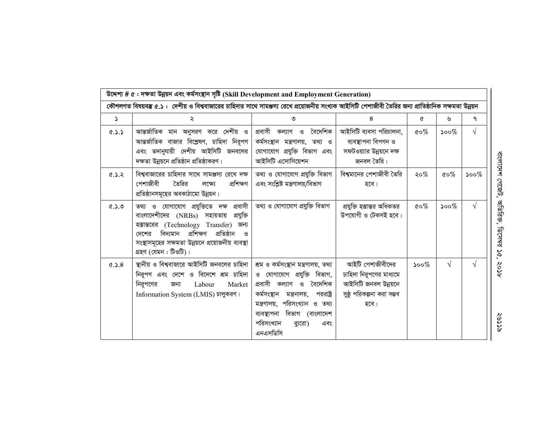|                                                                                                                                                      | উদ্দেশ্য # ৫: দক্ষতা উন্নয়ন এবং কৰ্মসংস্থান সৃষ্টি (Skill Development and Employment Generation)                                                                                                                                                             |                                                                                                                                                                                                                                                            |                                                                                                           |                                      |                                   |            |  |  |  |  |
|------------------------------------------------------------------------------------------------------------------------------------------------------|---------------------------------------------------------------------------------------------------------------------------------------------------------------------------------------------------------------------------------------------------------------|------------------------------------------------------------------------------------------------------------------------------------------------------------------------------------------------------------------------------------------------------------|-----------------------------------------------------------------------------------------------------------|--------------------------------------|-----------------------------------|------------|--|--|--|--|
| কৌশলগত বিষয়বম্ভ ৫.১ : দেশীয় ও বিশ্ববাজারের চাহিদার সাথে সামঞ্জস্য রেখে প্রয়োজনীয় সংখ্যক আইসিটি পেশাজীবী তৈরির জন্য প্রাতিষ্ঠানিক সক্ষমতা উন্নয়ন |                                                                                                                                                                                                                                                               |                                                                                                                                                                                                                                                            |                                                                                                           |                                      |                                   |            |  |  |  |  |
| Ž.                                                                                                                                                   | ২                                                                                                                                                                                                                                                             | ৩                                                                                                                                                                                                                                                          | 8                                                                                                         | ৫                                    | ৬                                 | ٩          |  |  |  |  |
| 6.3.5                                                                                                                                                | আন্তর্জাতিক মান অনুসরণ করে দেশীয় ও<br>আন্তর্জাতিক বাজার বিশ্লেষণ, চাহিদা নিরূপণ<br>এবং তদানুযায়ী দেশীয় আইসিটি জনবলের<br>দক্ষতা উন্নয়নে প্রতিষ্ঠান প্রতিষ্ঠাকরণ।                                                                                           | প্রবাসী কল্যাণ ও বৈদেশিক<br>কৰ্মসংস্থান মন্ত্ৰণালয়, তথ্য ও<br>যোগাযোগ প্রযুক্তি বিভাগ এবং<br>আইসিটি এসোসিয়েশন                                                                                                                                            | আইসিটি ব্যবসা পরিচালনা,<br>ব্যবস্থাপনা বিপণন ও<br>সফটওয়্যার উন্নয়নে দক্ষ<br>জনবল তৈরি।                  | $\mathfrak{c}\!\circ\!\mathscr{C}_o$ | $500\%$                           | $\sqrt{ }$ |  |  |  |  |
| 6.3.3                                                                                                                                                | বিশ্ববাজারের চাহিদার সাথে সামঞ্জস্য রেখে দক্ষ<br>তৈরির<br>প্ৰশিক্ষণ<br>পেশাজীবী<br>লক্ষ্যে<br>প্রতিষ্ঠানসমূহের অবকাঠামো উন্নয়ন।                                                                                                                              | তথ্য ও যোগাযোগ প্ৰযুক্তি বিভাগ<br>এবং সংশ্লিষ্ট মন্ত্ৰণালয়/বিভাগ                                                                                                                                                                                          | বিশ্বমানের পেশাজীবী তৈরি<br>হবে।                                                                          | ২০%                                  | $\mathfrak{c} \circ \mathcal{\%}$ | $500\%$    |  |  |  |  |
| 8.2.9                                                                                                                                                | তথ্য ও যোগাযোগ প্রযুক্তিতে দক্ষ প্রবাসী<br>বাংলাদেশীদের (NRBs) সহায়তায় প্রযুক্তি<br>হস্তান্তরের (Technology Transfer)<br>জন্য<br>বিদ্যমান প্ৰশিক্ষণ প্ৰতিষ্ঠান<br>দেশের<br>ଓ<br>সংস্থাসমূহের সক্ষমতা উন্নয়নে প্রয়োজনীয় ব্যবস্থা<br>গ্ৰহণ (যেমন : টিওটি)। | তথ্য ও যোগাযোগ প্ৰযুক্তি বিভাগ                                                                                                                                                                                                                             | প্রযুক্তি হস্তান্তর অধিকতর<br>উপযোগী ও টেকসই হবে।                                                         | $\mathfrak{c} \circ \mathscr{C}$     | ১০০ $%$                           | $\sqrt{ }$ |  |  |  |  |
| 8.2.9                                                                                                                                                | স্থানীয় ও বিশ্ববাজারে আইসিটি জনবলের চাহিদা  <br>নিরূপণ এবং দেশে ও বিদেশে শ্রম চাহিদা<br>নিরূপণের<br>Labour<br>Market<br>জন্য<br>Information System (LMIS) চালুকরণ।                                                                                           | শ্ৰম ও কৰ্মসংস্থান মন্ত্ৰণালয়, তথ্য<br>ও যোগাযোগ প্রযুক্তি বিভাগ,<br>প্ৰবাসী কল্যাণ<br>ও বৈদেশিক<br>কৰ্মসংস্থান<br>মন্ত্ৰনালয়,<br>পররাষ্ট্র<br>মন্ত্রণালয়, পরিসংখ্যান ও তথ্য<br>ব্যবস্থাপনা বিভাগ (বাংলাদেশ<br>পরিসংখ্যান<br>ব্যুরো)<br>এবং<br>এনএসডিসি | আইটি পেশাজীবীদের<br>চাহিদা নিরূপণের মাধ্যমে<br>আইসিটি জনবল উন্নয়নে<br>সুষ্ঠূ পরিকল্পনা করা সম্ভব<br>হবে। | $500\%$                              | $\sqrt{ }$                        | $\sqrt{ }$ |  |  |  |  |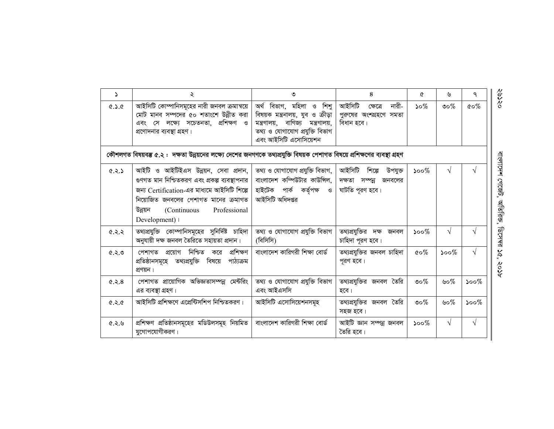| $\Delta$ | ২                                                                                                                                                                                                                                           | ৩                                                                                                                                                                   | 8                                                                          | A                                | ৬                           | ٩                 |
|----------|---------------------------------------------------------------------------------------------------------------------------------------------------------------------------------------------------------------------------------------------|---------------------------------------------------------------------------------------------------------------------------------------------------------------------|----------------------------------------------------------------------------|----------------------------------|-----------------------------|-------------------|
| 0.2.9    | আইসিটি কোম্পানিসমূহের নারী জনবল ক্রমান্বয়ে<br>মোট মানব সম্পদের ৫০ শতাংশে উন্নীত করা<br>এবং সে লক্ষ্যে সচেতনতা, প্রশিক্ষণ ও<br>প্রণোদনার ব্যবস্থা গ্রহণ।                                                                                    | অৰ্থ বিভাগ, মহিলা ও শিশু<br>বিষয়ক মন্ত্রনালয়, যুব ও ক্রীড়া<br>বাণিজ্য<br>মন্ত্ৰণালয়,<br>মন্ত্রণালয়,<br>তথ্য ও যোগাযোগ প্ৰযুক্তি বিভাগ<br>এবং আইসিটি এসোসিয়েশন | আইসিটি<br>নারী-<br>ক্ষেত্ৰে<br>পুরুষের অংশগ্রহণে সমতা<br>বিধান হবে।        | $50\%$                           | ುಂ $\%$                     | $\alpha \circ \%$ |
|          | কৌশলগত বিষয়বম্ভ ৫.২ :  দক্ষতা উন্নয়নের লক্ষ্যে দেশের জনগণকে তথ্যপ্রযুক্তি বিষয়ক পেশাগত বিষয়ে প্রশিক্ষণের ব্যবস্থা গ্রহণ                                                                                                                 |                                                                                                                                                                     |                                                                            |                                  |                             |                   |
| 4.5.9    | আইটি ও আইটিইএস উন্নয়ন, সেবা প্রদান,<br>গুণগত মান নিশ্চিতকরণ এবং প্রকল্প ব্যবস্থাপনার  <br>জন্য Certification-এর মাধ্যমে আইসিটি শিল্পে  <br>নিয়োজিত জনবলের পেশাগত মানের ক্রমাগত<br>Professional<br>উন্নয়ন<br>(Continuous)<br>Development) | তথ্য ও যোগাযোগ প্ৰযুক্তি বিভাগ,<br>বাংলাদেশ কম্পিউটার কাউন্সিল,<br>হাইটেক পাৰ্ক কৰ্তৃপক্ষ ও<br>আইসিটি অধিদপ্তর                                                      | আইসিটি<br>শিল্পে<br>উপযুক্ত<br>দক্ষতা সম্পন্ন<br>জনবলের<br>ঘাটতি পূরণ হবে। | $500\%$                          | $\sqrt{ }$                  |                   |
| 6.5.5    | তথ্যপ্রযুক্তি কোম্পানিসমূহের সুনির্দিষ্ট চাহিদা<br>অনুযায়ী দক্ষ জনবল তৈরিতে সহায়তা প্রদান।                                                                                                                                                | তথ্য ও যোগাযোগ প্রযুক্তি বিভাগ<br>(বিসিসি)                                                                                                                          | তথ্যপ্রযুক্তির দক্ষ জনবল<br>চাহিদা পূরণ হবে।                               | $500\%$                          | $\sqrt{ }$                  |                   |
| 8.5.9    | প্ৰশিক্ষণ<br>নিশ্চিত<br>পেশাগত<br>প্রয়োগ<br>করে<br>পাঠ্যক্ৰম<br>প্রতিষ্ঠানসমূহে তথ্যপ্রযুক্তি বিষয়ে<br>প্ৰণয়ন।                                                                                                                           | বাংলাদেশ কারিগরী শিক্ষা বোর্ড                                                                                                                                       | তথ্যপ্রযুক্তির জনবল চাহিদা<br>পূরণ হবে।                                    | $\mathfrak{c}\circ\mathscr{C}_0$ | $\mathcal{S}^{\mathcal{O}}$ | ٦I                |
| 6.5.8    | পেশাগত প্রায়োগিক অভিজ্ঞতাসম্পন্ন মেন্টরিং<br>এর ব্যবস্থা গ্রহণ।                                                                                                                                                                            | তথ্য ও যোগাযোগ প্ৰযুক্তি বিভাগ<br>এবং আইএসসি                                                                                                                        | তথ্যপ্রযুক্তির জনবল তৈরি<br>হবে।                                           | ುಂ $\%$                          | ৬০%                         | $500\%$           |
| 6.5.0    | আইসিটি প্রশিক্ষণে এপ্রেন্টিসশিপ নিশ্চিতকরণ।                                                                                                                                                                                                 | আইসিটি এসোসিয়েশনসমূহ                                                                                                                                               | তথ্যপ্রযুক্তির জনবল তৈরি<br>সহজ হবে।                                       | ৩০%                              | ৬০%                         | $500\%$           |
| ৫.২.৬    | প্ৰশিক্ষণ প্ৰতিষ্ঠানসমূহের মডিউলসমূহ নিয়মিত  <br>যুগোপযোগীকরণ।                                                                                                                                                                             | বাংলাদেশ কারিগরী শিক্ষা বোর্ড                                                                                                                                       | আইটি জ্ঞান সম্পন্ন জনবল<br>তৈরি হবে।                                       | $\mathcal{S}^{\mathcal{O}}$      | $\sqrt{ }$                  | V                 |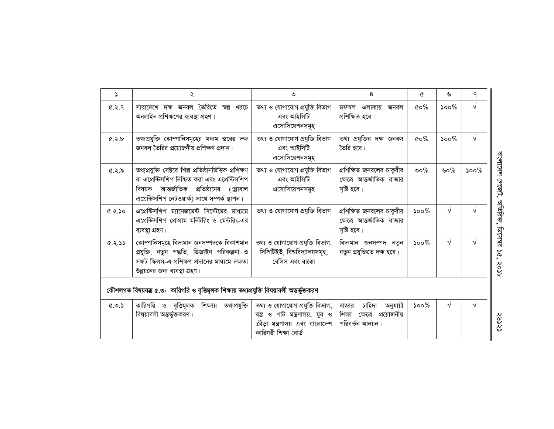| $\Delta$                                                                                   | ২                                                                                                                                                                                                       | ৩                                                                                                                              | 8                                                                                | ৫       | ৬                           | $\mathsf{P}$ |  |  |  |
|--------------------------------------------------------------------------------------------|---------------------------------------------------------------------------------------------------------------------------------------------------------------------------------------------------------|--------------------------------------------------------------------------------------------------------------------------------|----------------------------------------------------------------------------------|---------|-----------------------------|--------------|--|--|--|
| 6.5.9                                                                                      | সারাদেশে দক্ষ জনবল তৈরিতে স্বল্প খরচে<br>অনলাইন প্রশিক্ষণের ব্যবস্থা গ্রহণ।                                                                                                                             | তথ্য ও যোগাযোগ প্ৰযুক্তি বিভাগ<br>এবং আইসিটি<br>এসোসিয়েশনসমূহ                                                                 | এলাকায়<br>মফস্বল<br>জনবল<br>প্ৰশিক্ষিত হবে।                                     | $\&o\%$ | $\mathcal{S}^{\mathcal{O}}$ | $\sqrt{}$    |  |  |  |
| 8.5.9                                                                                      | তথ্যপ্রযুক্তি কোম্পানিসমূহের মধ্যম স্তরের দক্ষ<br>জনবল তৈরির প্রয়োজনীয় প্রশিক্ষণ প্রদান।                                                                                                              | তথ্য ও যোগাযোগ প্ৰযুক্তি বিভাগ<br>এবং আইসিটি<br>এসোসিয়েশনসমূহ                                                                 | তথ্য প্রযুক্তির দক্ষ জনবল<br>তৈরি হবে।                                           | $\&o\%$ | $500\%$                     | $\sqrt{}$    |  |  |  |
| ৫.২.৯                                                                                      | তথ্যপ্রযুক্তি সেক্টরে শিল্প প্রতিষ্ঠানভিত্তিক প্রশিক্ষণ<br>বা এপ্রেন্টিসশিপ নিশ্চিত করা এবং এপ্রেন্টিসশিপ<br>বিষয়ক আন্তর্জাতিক প্রতিষ্ঠানের (গ্লোবাল<br>এপ্রেন্টিসশিপ নেটওয়ার্ক) সাথে সম্পর্ক স্থাপন। | তথ্য ও যোগাযোগ প্ৰযুক্তি বিভাগ<br>এবং আইসিটি<br>এসোসিয়েশনসমূহ                                                                 | প্রশিক্ষিত জনবলের চাকুরীর<br>ক্ষেত্রে আন্তর্জাতিক বাজার<br>সৃষ্টি হবে।           | ುಂ $\%$ | ৬০%                         | $500\%$      |  |  |  |
| 0.5.9                                                                                      | এপ্রেন্টিসশিপ ম্যানেজমেন্ট সিস্টেমের মাধ্যমে<br>এপ্রেন্টিসশিপ প্রোগ্রাম মনিটরিং ও মেন্টরিং-এর<br>ব্যবস্থা গ্ৰহণ।                                                                                        | তথ্য ও যোগাযোগ প্ৰযুক্তি বিভাগ                                                                                                 | প্রশিক্ষিত জনবলের চাকুরীর<br>ক্ষেত্রে আন্তর্জাতিক বাজার<br>সৃষ্টি হবে।           | $500\%$ | $\sqrt{ }$                  |              |  |  |  |
| 6.5.5                                                                                      | কোম্পানিসমূহে বিদ্যমান জনসম্পদকে বিকাশমান<br>প্রযুক্তি, নতুন পদ্ধতি, ডিজাইন পরিকল্পনা ও<br>সফট স্কিলস-এ প্রশিক্ষণ প্রদানের মাধ্যমে দক্ষতা<br>উন্নয়নের জন্য ব্যবস্থা গ্রহণ।                             | তথ্য ও যোগাযোগ প্ৰযুক্তি বিভাগ,<br>সিপিটিইউ, বিশ্ববিদ্যালয়সমূহ,<br>বেসিস এবং বাক্কো                                           | বিদ্যমান জনসম্পদ নতুন<br>নতুন প্রযুক্তিতে দক্ষ হবে।                              | $500\%$ | $\sqrt{ }$                  |              |  |  |  |
| কৌশলগত বিষয়বম্ভ ৫.৩: কারিগরি ও বৃত্তিমূলক শিক্ষায় তথ্যপ্রযুক্তি বিষয়াবলী অন্তর্ভুক্তকরণ |                                                                                                                                                                                                         |                                                                                                                                |                                                                                  |         |                             |              |  |  |  |
| 0.9.5                                                                                      | কারিগরি ও বৃত্তিমূলক শিক্ষায় তথ্যপ্রযুক্তি<br>বিষয়াবলী অন্তর্ভুক্তকরণ।                                                                                                                                | তথ্য ও যোগাযোগ প্ৰযুক্তি বিভাগ,<br>বস্ত্র ও পাট মন্ত্রণালয়, যুব ও<br>ক্রীড়া মন্ত্রণালয় এবং বাংলাদেশ<br>কারিগরী শিক্ষা বোর্ড | চাহিদা<br>অনুযায়ী<br>বাজার<br>প্রয়োজনীয়<br>শিক্ষা ক্ষেত্রে<br>পরিবর্তন আনয়ন। | $500\%$ | $\sqrt{ }$                  | V            |  |  |  |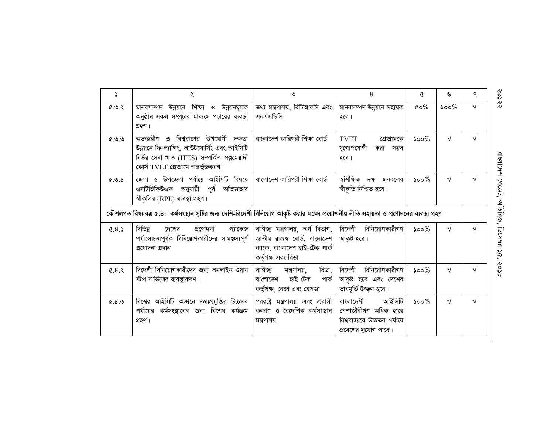| $\Delta$  | ২                                                                                                                                                                                | ৩                                                                                                                         | 8                                                                                                  | ৫                           | ৬                           | ٩          |
|-----------|----------------------------------------------------------------------------------------------------------------------------------------------------------------------------------|---------------------------------------------------------------------------------------------------------------------------|----------------------------------------------------------------------------------------------------|-----------------------------|-----------------------------|------------|
| 6.0.5     | মানবসম্পদ উন্নয়নে শিক্ষা ও উন্নয়নমূলক<br>অনুষ্ঠান সকল সম্প্রচার মাধ্যমে প্রচারের ব্যবস্থা<br>গ্ৰহণ।                                                                            | তথ্য মন্ত্রণালয়, বিটিআরসি এবং<br>এনএসডিসি                                                                                | মানবসম্পদ উন্নয়নে সহায়ক<br>হবে।                                                                  | $\&o\%$                     | $\mathcal{S}^{\mathcal{O}}$ |            |
| (0, 0, 0) | অভ্যন্তরীণ ও বিশ্ববাজার উপযোগী দক্ষতা<br>উন্নয়নে ফি-ল্যান্সিং, আউটসোর্সিং এবং আইসিটি<br>নিৰ্ভর সেবা খাত (ITES) সম্পর্কিত স্বল্পমেয়াদী<br>কোর্স TVET প্রোগ্রামে অন্তর্ভুক্তকরণ। | বাংলাদেশ কারিগরী শিক্ষা বোর্ড                                                                                             | <b>TVET</b><br>প্রোগ্রামকে<br>যুগোপযোগী<br>করা<br>সম্ভব<br>হবে।                                    | $\mathcal{S}^{\mathcal{O}}$ | $\sqrt{}$                   |            |
| 8.0.9     | জেলা ও উপজেলা পর্যায়ে আইসিটি বিষয়ে  <br>এনটিভিকিউএফ অনুযায়ী পূর্ব অভিজ্ঞতার<br>স্বীকৃতির (RPL) ব্যবস্থা গ্রহণ।                                                                | বাংলাদেশ কারিগরী শিক্ষা বোর্ড                                                                                             | স্বশিক্ষিত<br>দক্ষ<br>জনবলের<br>স্বীকৃতি নিশ্চিত হবে।                                              | $\mathcal{S}^{\mathcal{O}}$ | $\sqrt{}$                   |            |
|           | কৌশলগত বিষয়বম্ভ ৫.৪: কর্মসংস্থান সৃষ্টির জন্য দেশি-বিদেশী বিনিয়োগ আকৃষ্ট করার লক্ষ্যে প্রয়োজনীয় নীতি সহায়তা ও প্রণোদনের ব্যবস্থা গ্রহণ                                      |                                                                                                                           |                                                                                                    |                             |                             |            |
| 0.8.5     | বিভিন্ন<br>প্ৰণোদনা<br>প্যাকেজ<br>দেশের<br>পর্যালোচনাপূর্বক বিনিয়োগকারীদের সামঞ্জস্যপূর্ণ  <br>প্ৰণোদনা প্ৰদান                                                                  | বাণিজ্য মন্ত্ৰণালয়, অৰ্থ বিভাগ,<br>জাতীয় রাজস্ব বোর্ড, বাংলাদেশ<br>ব্যাংক, বাংলাদেশ হাই-টেক পার্ক<br>কৰ্তৃপক্ষ এবং বিডা | বিদেশী বিনিয়োগকারীগণ<br>আকৃষ্ট হবে।                                                               | $500\%$                     | V                           | $\sqrt{ }$ |
| 6.8.5     | বিদেশী বিনিয়োগকারীদের জন্য অনলাইন ওয়ান<br>স্টপ সার্ভিসের ব্যবস্থাকরণ।                                                                                                          | বাণিজ্য<br>বিডা,<br>মন্ত্ৰণালয়,<br>হাই-টেক<br>পাৰ্ক<br>বাংলাদেশ<br>কর্তৃপক্ষ, বেজা এবং বেপজা                             | বিদেশী বিনিয়োগকারীগণ<br>আকৃষ্ট হবে এবং দেশের<br>ভাবমূর্তি উজ্জল হবে।                              | $500\%$                     | $\sqrt{ }$                  |            |
| 8.8       | বিশ্বের আইসিটি অজানে তথ্যপ্রযুক্তির উচ্চতর  <br>পর্যায়ের কর্মসংস্থানের জন্য বিশেষ কর্যক্রম<br>গ্ৰহণ।                                                                            | পররাষ্ট্র মন্ত্রণালয় এবং প্রবাসী<br>কল্যাণ ও বৈদেশিক কৰ্মসংস্থান<br>মন্ত্ৰণালয়                                          | আইসিটি<br>বাংলাদেশী<br>পেশাজীবীগণ অধিক হারে<br>বিশ্ববাজারে উচ্চতর পর্যায়ে<br>প্রবেশের সুযোগ পাবে। | $\mathcal{S}^{\mathcal{O}}$ | $\sqrt{ }$                  |            |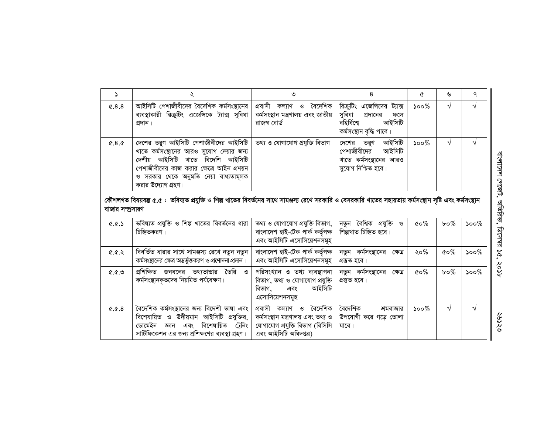| Z.                                                                                                                                                                             | ২                                                                                                                                                                                                                                | ৩                                                                                                                            | 8                                                                                                                 | ৫                                | ৬            | ٩                                             |  |  |  |  |
|--------------------------------------------------------------------------------------------------------------------------------------------------------------------------------|----------------------------------------------------------------------------------------------------------------------------------------------------------------------------------------------------------------------------------|------------------------------------------------------------------------------------------------------------------------------|-------------------------------------------------------------------------------------------------------------------|----------------------------------|--------------|-----------------------------------------------|--|--|--|--|
| 0.8.8                                                                                                                                                                          | আইসিটি পেশাজীবীদের বৈদেশিক কর্মসংস্থানের<br>ব্যবস্থাকারী রিক্রুটিং এজেন্সিকে ট্যাক্স সুবিধা<br>প্ৰদান।                                                                                                                           | প্রবাসী কল্যাণ ও বৈদেশিক<br>কৰ্মসংস্থান মন্ত্ৰণালয় এবং জাতীয়<br>রাজস্ব বোর্ড                                               | রিক্রুটিং এজেন্সিদের<br>ট্যাক্স<br>সুবিধা<br>প্রদানের<br>ফলে<br>বহিৰ্বিশ্বে<br>আইসিটি<br>কৰ্মসংস্থান বৃদ্ধি পাবে। | $500\%$                          | $\sqrt{}$    | $\sqrt{}$                                     |  |  |  |  |
| 0.8.0                                                                                                                                                                          | দেশের তরুণ আইসিটি পেশাজীবীদের আইসিটি<br>খাতে কর্মসংস্থানের আরও সুযোগ দেয়ার জন্য<br>দেশীয় আইসিটি খাতে বিদেশি আইসিটি<br>পেশাজীবীদের কাজ করার ক্ষেত্রে আইন প্রণয়ন<br>ও সরকার থেকে অনুমতি নেয়া বাধ্যতামূলক<br>করার উদ্যোগ গ্রহণ। | তথ্য ও যোগাযোগ প্ৰযুক্তি বিভাগ                                                                                               | দেশের তরুণ আইসিটি<br>পেশাজীবীদের<br>আইসিটি<br>খাতে কর্মসংস্থানের আরও<br>সুযোগ নিশ্চিত হবে।                        | $\mathcal{S}^{\mathcal{O}}$      | V            | $\sqrt{ }$                                    |  |  |  |  |
| কৌশলগত বিষয়বম্ভ ৫.৫ :  ভবিষ্যত প্রযুক্তি ও শিল্প খাতের বিবর্তনের সাথে সামঞ্জস্য রেখে সরকারি ও বেসরকারি খাতের সহায়তায় কর্মসংস্থান সৃষ্টি এবং কর্মসংস্থান<br>বাজার সম্প্রসারণ |                                                                                                                                                                                                                                  |                                                                                                                              |                                                                                                                   |                                  |              |                                               |  |  |  |  |
| 0.03                                                                                                                                                                           | ভবিষ্যত প্রযুক্তি ও শিল্প খাতের বিবর্তনের ধারা<br>চিহ্নিতকরণ।                                                                                                                                                                    | তথ্য ও যোগাযোগ প্ৰযুক্তি বিভাগ,<br>বাংলাদেশ হাই-টেক পার্ক কর্তৃপক্ষ<br>এবং আইসিটি এসোসিয়েশনসমূহ                             | নতুন বৈশ্বিক প্ৰযুক্তি ও<br>শিল্পখাত চিহ্নিত হবে।                                                                 | $\mathfrak{c}\circ\mathscr{C}_0$ | $b \circ \%$ | $\mathcal{S}^{\mathcal{O} \circ \mathcal{O}}$ |  |  |  |  |
| 6.0.9                                                                                                                                                                          | বিবর্তিত ধারার সাথে সামঞ্জস্য রেখে নতুন নতুন<br>কর্মসংস্থানের ক্ষেত্র অন্তর্ভুক্তকরণ ও প্রণোদনা প্রদান।                                                                                                                          | বাংলাদেশ হাই-টেক পার্ক কর্তৃপক্ষ<br>এবং আইসিটি এসোসিয়েশনসমূহ                                                                | নতুন কর্মসংস্থানের ক্ষেত্র<br>প্ৰস্তুত হবে।                                                                       | २० $%$                           | $\&o\%$      | $500\%$                                       |  |  |  |  |
| (0, 0, 0)                                                                                                                                                                      | প্রশিক্ষিত জনবলের তথ্যভান্ডার তৈরি<br>ও<br>কর্মসংস্থানকৃতদের নিয়মিত পর্যবেক্ষণ।                                                                                                                                                 | পরিসংখ্যান ও তথ্য ব্যবস্থাপনা<br>বিভাগ, তথ্য ও যোগাযোগ প্রযুক্তি<br>আইসিটি<br>বিভাগ.<br>এবং<br>এসোসিয়েশনসমূহ                | নতুন কর্মসংস্থানের ক্ষেত্র<br>প্ৰস্তুত হবে।                                                                       | $\mathfrak{c} \circ \mathscr{C}$ | $b \circ \%$ | $500\%$                                       |  |  |  |  |
| 0.0.8                                                                                                                                                                          | বৈদেশিক কর্মসংস্থানের জন্য বিদেশী ভাষা এবং<br>বিশেষায়িত ও উদীয়মান আইসিটি প্রযুক্তির,<br>ডোমেইন জ্ঞান এবং বিশেষায়িত<br>ট্রেনিং<br>সার্টিফিকেশন এর জন্য প্রশিক্ষণের ব্যবস্থা গ্রহণ।                                             | প্ৰবাসী কল্যাণ ও<br>বৈদেশিক<br>কৰ্মসংস্থান মন্ত্ৰণালয় এবং তথ্য ও<br>যোগাযোগ প্রযুক্তি বিভাগ (বিসিসি<br>এবং আইসিটি অধিদপ্তর) | বৈদেশিক<br>শ্রমবাজার<br>উপযোগী করে গড়ে তোলা<br>যাবে।                                                             | $500\%$                          | √            | V                                             |  |  |  |  |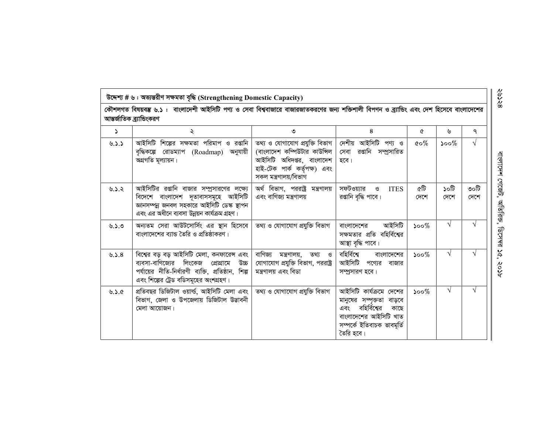|          | কৌশলগত বিষয়বম্ভ ৬.১ : বাংলাদেশী আইসিটি পণ্য ও সেবা বিশ্ববাজারে বাজারজাতকরণের জন্য শক্তিশালী বিপণন ও ব্র্যাভিং এবং দেশ হিসেবে বাংলাদেশের<br>আন্তর্জাতিক ব্র্যান্ডিংকরণ                   |                                                                                                                                                        |                                                                                                                                                         |                                   |              |              |
|----------|------------------------------------------------------------------------------------------------------------------------------------------------------------------------------------------|--------------------------------------------------------------------------------------------------------------------------------------------------------|---------------------------------------------------------------------------------------------------------------------------------------------------------|-----------------------------------|--------------|--------------|
| ډ        | ২                                                                                                                                                                                        | ৩                                                                                                                                                      | 8                                                                                                                                                       | ৫                                 | ৬            | ٩            |
| 0.5.5    | আইসিটি শিল্পের সক্ষমতা পরিমাপ ও রপ্তানি<br>বৃদ্ধিকল্পে রোডম্যাপ (Roadmap) অনুযায়ী<br>অগ্রগতি মূল্যায়ন।                                                                                 | তথ্য ও যোগাযোগ প্রযুক্তি বিভাগ  <br>(বাংলাদেশ কম্পিউটার কাউন্সিল<br>আইসিটি অধিদপ্তর, বাংলাদেশ<br>হাই-টেক পাৰ্ক কৰ্তৃপক্ষ) এবং<br>সকল মন্ত্ৰণালয়/বিভাগ | দেশীয় আইসিটি পণ্য ও<br>সেবা রপ্তানি সম্প্রসারিত<br>হবে।                                                                                                | $\mathfrak{c} \circ \mathcal{\%}$ | $500\%$      | $\sqrt{}$    |
| ৬.১.২    | আইসিটির রপ্তানি বাজার সম্প্রসারণের লক্ষ্যে<br>বিদেশে বাংলাদেশ দূতাবাসসমূহে আইসিটি<br>জ্ঞানসম্পন্ন জনবল সহকারে আইসিটি ডেস্ক স্থাপন<br>এবং এর অধীনে ব্যবসা উন্নয়ন কার্যক্রম গ্রহণ।        | অর্থ বিভাগ, পররাষ্ট্র মন্ত্রণালয়<br>এবং বাণিজ্য মন্ত্রণালয়                                                                                           | সফটওয়্যার<br>ও<br><b>ITES</b><br>রপ্তানি বৃদ্ধি পাবে।                                                                                                  | ৫টি<br>দেশে                       | টা০১<br>দেশে | ৩০টি<br>দেশে |
| 0.2.0    | অন্যতম সেরা আউটসোর্সিং এর স্থান হিসেবে<br>বাংলাদেশের ব্যান্ড তৈরি ও প্রতিষ্ঠাকরণ।                                                                                                        | তথ্য ও যোগাযোগ প্ৰযুক্তি বিভাগ                                                                                                                         | আইসিটি<br>বাংলাদেশের<br>সক্ষমতার প্রতি বহির্বিশ্বের<br>আস্থা বৃদ্ধি পাবে।                                                                               | $500\%$                           | $\sqrt{}$    |              |
| ৬.১. $8$ | বিশ্বের বড় বড় আইসিটি মেলা, কনফারেন্স এবং<br>ব্যবসা-বাণিজ্যের লিংকেজ প্রোগ্রামে<br>অর্ড<br>পর্যায়ের নীতি-নির্ধারণী ব্যক্তি, প্রতিষ্ঠান, শিল্প<br>এবং শিল্পের ট্রেড বডিসমূহের অংশগ্রহণ। | বাণিজ্য<br>মন্ত্ৰণালয়,<br>তথ্য ও<br>যোগাযোগ প্রযুক্তি বিভাগ, পররাষ্ট্র<br>মন্ত্ৰণালয় এবং বিডা                                                        | বহিৰ্বিশ্বে<br>বাংলাদেশের<br>আইসিটি<br>পণ্যের বাজার<br>সম্প্রসারণ হবে।                                                                                  | $500\%$                           | $\sqrt{}$    |              |
| ৬.১.৫    | প্ৰতিবছর ডিজিটাল ওয়াৰ্ল্ড, আইসিটি মেলা এবং<br>বিভাগ, জেলা ও উপজেলায় ডিজিটাল উড্ডাবনী<br>মেলা আয়োজন।                                                                                   | তথ্য ও যোগাযোগ প্ৰযুক্তি বিভাগ                                                                                                                         | আইসিটি কার্যক্রমে দেশের<br>মানুষের সম্পৃক্ততা বাড়বে<br>বহির্বিশ্বের<br>এবং<br>কাছে<br>বাংলাদেশের আইসিটি খাত<br>সম্পৰ্কে ইতিবাচক ভাবমূৰ্তি<br>তৈরি হবে। | $500\%$                           | $\sqrt{ }$   | V            |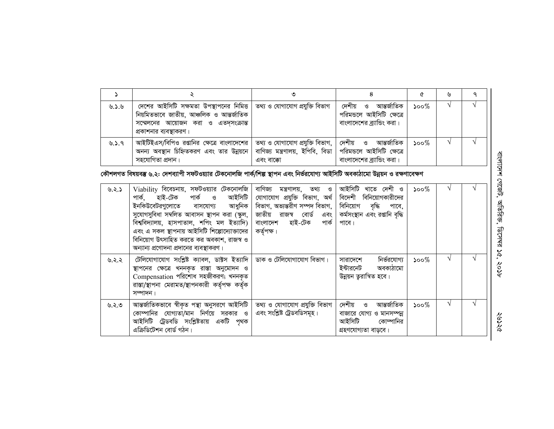|       |                                                                                                                                                                                         |                                                  |                                                                                     |      | ৬ |  |
|-------|-----------------------------------------------------------------------------------------------------------------------------------------------------------------------------------------|--------------------------------------------------|-------------------------------------------------------------------------------------|------|---|--|
| ৬.১.৬ | দেশের আইসিটি সক্ষমতা উপস্থাপনের নিমিত্ত   তথ্য ও যোগাযোগ প্রযুক্তি বিভাগ<br>নিয়মিতভাবে জাতীয়, আঞ্চলিক ও আন্তর্জাতিক<br>সম্মেলনের আয়োজন করা ও এতদৃসংক্রান্ত<br>প্রকাশনার ব্যবস্থাকরণ। |                                                  | আন্তৰ্জাতিক<br>দেশীয় ও<br>পরিমন্ডলে আইসিটি ক্ষেত্রে<br>বাংলাদেশের ব্র্যান্ডিং করা। | ১০০% |   |  |
| 9.3.9 | আইটিইএস/বিপিও রপ্তানির ক্ষেত্রে বাংলাদেশের   তথ্য ও যোগাযোগ প্রযুক্তি বিভাগ,   দেশীয়     ও    আন্তর্জাতিক<br>অনন্য অবস্থান চিহ্নিতকরণ এবং তার উন্নয়নে  <br>সহযোগিতা প্ৰদান।           | বাণিজ্য মন্ত্ৰণালয়, ইপিবি, বিডা  <br>এবং বাক্কো | পরিমন্ডলে আইসিটি ক্ষেত্রে<br>বাংলাদেশের ব্র্যান্ডিং করা ।                           | ১০০% |   |  |

*কৌ*শলগত বিষয়বস্তু ৬.২: দেশব্যাপী সফটওয়্যার টেকনোলজি পার্ক/শিল্প স্থাপন এবং নির্ভরযোগ্য আইসিটি অবকাঠামো উন্নয়ন ও রক্ষণাবেক্ষণ

| ৬.২.১ | $Viability$ বিবেচনায়, সফটওয়্যার টেকনোলজি<br>পাৰ্ক, হাই-টেক পাৰ্ক ও আইসিটি<br>ইনকিউবেটরগুলোতে বাসযোগ্য<br>আধুনিক<br>সুযোগসুবিধা সম্বলিত আবাসন স্থাপন করা (স্কুল,<br>বিশ্ববিদ্যালয়, হাসপাতাল, শপিং মল ইত্যাদি)<br>এবং এ সকল স্থাপনায় আইসিটি শিল্পোদ্যোক্তাদের<br>বিনিয়োগ উৎসাহিত করতে কর অবকাশ, রাজস্ব ও<br>অন্যান্য প্রণোদনা প্রদানের ব্যবস্থাকরণ। | বাণিজ্য মন্ত্ৰণালয়, তথ্য ও<br>যোগাযোগ প্রযুক্তি বিভাগ, অর্থ  <br>বিভাগ, অভ্যন্তরীণ সম্পদ বিভাগ,  <br>জাতীয় রাজস্ব বোর্ড এবং।<br>বাংলাদেশ হাই-টেক<br>পাৰ্ক<br>কর্তৃপক্ষ। | আইসিটি খাতে দেশী ও<br>বিদেশী বিনিয়োগকারীদের<br>বিনিয়োগ বৃদ্ধি<br>পাবে,<br>কৰ্মসংস্থান এবং রপ্তানি বৃদ্ধি<br>পাবে। | $\mathcal{S}^{\mathcal{O}}$ |               |  |
|-------|--------------------------------------------------------------------------------------------------------------------------------------------------------------------------------------------------------------------------------------------------------------------------------------------------------------------------------------------------------|---------------------------------------------------------------------------------------------------------------------------------------------------------------------------|---------------------------------------------------------------------------------------------------------------------|-----------------------------|---------------|--|
| ৬.২.২ | টেলিযোগাযোগ সংশ্লিষ্ট ক্যাবল, ডাক্টস ইত্যাদি  <br>স্থাপনের ক্ষেত্রে খননকৃত রাস্তা অনুমোদন ও<br>Compensation পরিশোধ সহজীকরণ; খননকৃত<br>রাস্তা/স্থাপনা মেরামত/স্থাপনকারী কর্তৃপক্ষ কর্তৃক<br>সম্পাদন।                                                                                                                                                    | ' ডাক ও টেলিযোগাযোগ বিভাগ।                                                                                                                                                | নির্ভরযোগ্য<br>সারাদেশে<br>ইন্টারনেট অবকাঠামো<br>উন্নয়ন তুরান্বিত হবে।                                             | ১০০ $\%$                    | $\mathcal{N}$ |  |
| ৬.২.৩ | আন্তর্জাতিকভাবে স্বীকৃত পন্থা অনুসরণে আইসিটি<br>কোম্পানির যোগ্যতা/মান নির্ণয়ে সরকার ও<br>আইসিটি ট্রেডবডি সংশ্লিষ্টতায় একটি পৃথক<br>এক্রিডিটেশন বোর্ড গঠন।                                                                                                                                                                                            | তথ্য ও যোগাযোগ প্রযুক্তি বিভাগ<br>এবং সংশ্লিষ্ট ট্রেডবডিসমূহ।                                                                                                             | আন্তৰ্জাতিক<br>দেশীয়<br>ও<br>বাজারে যোগ্য ও মানসম্পন্ন<br>আইসিটি<br>কোম্পানির<br>গ্ৰহণযোগ্যতা বাডবে।               | ১০০ $\%$                    |               |  |

বাংলাদেশ গেজেট, অতিরিক্ত, ডিসেম্বর ১৫, ২০১৮ বাংলাদেশ গেজেট , আতরিক, ডিসেম্র ১৫, ২০১৮

という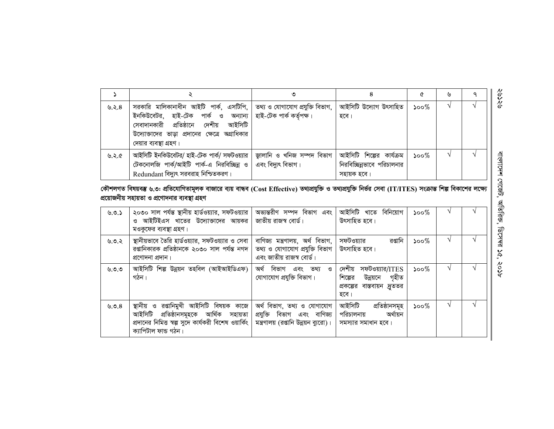|          |                                                                                                                                                                                                                                                                       |                                                   |                                                                       |                             | ৬ | $\circ$ |  |
|----------|-----------------------------------------------------------------------------------------------------------------------------------------------------------------------------------------------------------------------------------------------------------------------|---------------------------------------------------|-----------------------------------------------------------------------|-----------------------------|---|---------|--|
| ৬.২. $8$ | সরকারি মালিকানাধীন আইটি পার্ক, এসটিপি,   তথ্য ও যোগাযোগ প্রযুক্তি বিভাগ,<br>ইনকিউবেটর, হাই-টেক পার্ক ও অন্যান্য  হাই-টেক পার্ক কর্তৃপক্ষ।<br>আইসিটি<br>সেবাদানকারী প্রতিষ্ঠানে<br>দেশীয়<br>উদ্যোক্তাদের ভাড়া প্রদানের ক্ষেত্রে অগ্রাধিকার<br>দেয়ার ব্যবস্থা গ্রহণ। |                                                   | আইসিটি উদ্যোগ উৎসাহিত<br>হবে।                                         | $500\%$                     |   |         |  |
| ৬.২.৫    | আইসিটি ইনকিউবেটর/ হাই-টেক পার্ক/ সফটওয়্যার<br>টেকনোলজি পার্ক/আইটি পার্ক-এ নিরবিচ্ছিন্ন ও<br>Redundant বিদ্যুৎ সরবরাহ নিশ্চিতকরণ।                                                                                                                                     | জ্গালানি ও খনিজ সম্পদ বিভাগ<br>এবং বিদ্যুৎ বিভাগ। | আইসিটি শিল্পের কার্যক্রম<br>নিরবিচ্ছিন্নভাবে পরিচালনার<br>সহায়ক হবে। | $\mathcal{S}^{\mathcal{O}}$ |   |         |  |

## কৌশলগত বিষয়বম্ভ ৬.৩: প্রতিযোগিতামূলক বাজারে ব্যয় বান্ধব (Cost Effective) তথ্যপ্রযুক্তি ও তথ্যপ্রযুক্তি নির্ভর সেবা (IT/ITES) সংক্রান্ত শিল্প বিকাশের লক্ষ্যে প্রয়োজনীয় সহায়তা ও প্রণোদনার ব্যবস্থা গ্রহণ

| ৬.৩.১    | ২০৩০ সাল পর্যন্ত স্থানীয় হার্ডওয়্যার, সফটওয়্যার<br>আইটিইএস খাতের উদ্যোজাদের আয়কর<br>মওকুফের ব্যবস্থা গ্রহণ।                                                        | অভ্যন্তরীণ সম্পদ বিভাগ এবং<br>জাতীয় রাজস্ব বোর্ড।                                                 | আইসিটি খাতে বিনিয়োগ<br>উৎসাহিত হবে।                                                           | ১০০ $\%$ |  |
|----------|------------------------------------------------------------------------------------------------------------------------------------------------------------------------|----------------------------------------------------------------------------------------------------|------------------------------------------------------------------------------------------------|----------|--|
| ৬.৩.২    | স্থানীয়ভাবে তৈরি হার্ডওয়্যার, সফটওয়্যার ও সেবা<br>রপ্তানিকারক প্রতিষ্ঠানকে ২০৩০ সাল পর্যন্ত নগদ<br>প্ৰণোদনা প্ৰদান।                                                 | বাণিজ্য মন্ত্ৰণালয়, অৰ্থ বিভাগ,<br>তথ্য ও যোগাযোগ প্রযুক্তি বিভাগ<br>এবং জাতীয় রাজস্ব বোর্ড।     | রপ্তানি<br>সফটওয়্যার<br>উৎসাহিত হবে।                                                          | ১০০ $\%$ |  |
| ৬.৩.৩    | আইসিটি শিল্প উন্নয়ন তহবিল (আইআইডিএফ)<br>গঠন।                                                                                                                          | অৰ্থ বিভাগ এবং তথ্য ও<br>যোগাযোগ প্রযুক্তি বিভাগ।                                                  | দেশীয়<br>সফটওয়্যার/ITES<br>উন্নয়নে গৃহীত<br>শিল্পের<br>প্রকল্পের বাস্তবায়ন দ্রুততর<br>হবে। | ১০০ $\%$ |  |
| ৬.৩. $8$ | স্থানীয় ও রপ্তানিমুখী আইসিটি বিষয়ক কাজে<br>আইসিটি প্ৰতিষ্ঠানসমূহকে আৰ্থিক সহায়তা<br>প্রদানের নিমিত্ত স্বল্প সুদে কার্যকরী বিশেষ ওয়ার্কিং  <br>ক্যাপিটাল ফান্ড গঠন। | অৰ্থ বিভাগ, তথ্য ও যোগাযোগ<br>প্রযুক্তি বিভাগ এবং বাণিজ্য<br>মন্ত্রণালয় (রপ্তানি উন্নয়ন ব্যুরো)। | আইসিটি<br>প্ৰতিষ্ঠানসমূহ<br>অৰ্থায়ন<br>পরিচালনায়<br>সমস্যার সমাধান হবে।                      | ১০০ $\%$ |  |

ବ୍ୟସ୍କ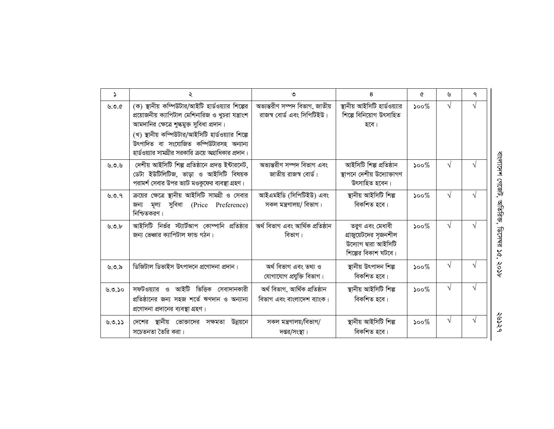| $\mathbf{v}$ | ২                                                                                                                                                                                                                                                                                                             | ৩                                                            | 8                                                                                       | ৫                           | ৬         | ٩             |
|--------------|---------------------------------------------------------------------------------------------------------------------------------------------------------------------------------------------------------------------------------------------------------------------------------------------------------------|--------------------------------------------------------------|-----------------------------------------------------------------------------------------|-----------------------------|-----------|---------------|
| 9.96         | (ক) স্থানীয় কম্পিউটার/আইটি হার্ডওয়্যার শিল্পের<br>প্রয়োজনীয় ক্যাপিটাল মেশিনারিজ ও খুচরা যন্ত্রাংশ<br>আমদানির ক্ষেত্রে শুল্কমুক্ত সুবিধা প্রদান।<br>(খ) স্থানীয় কম্পিউটার/আইসিটি হার্ডওয়্যার শিল্পে<br>উৎপাদিত বা সংযোজিত কম্পিউটারসহ অন্যান্য<br>হার্ডওয়্যার সামগ্রীর সরকারি ক্রয়ে অগ্রাধিকার প্রদান। | অভ্যন্তরীণ সম্পদ বিভাগ, জাতীয়<br>রাজস্ব বোর্ড এবং সিপিটিইউ। | স্থানীয় আইসিটি হার্ডওয়্যার<br>শিল্পে বিনিয়োগ উৎসাহিত<br>হবে।                         | $\mathcal{S}^{\mathcal{O}}$ | $\sqrt{}$ | $\sqrt{ }$    |
| ৬.৩.৬        | দেশীয় আইসিটি শিল্প প্রতিষ্ঠানে প্রদত্ত ইন্টারনেট,<br>ডেটা ইউটিলিটিজ, ভাড়া ও আইসিটি বিষয়ক<br>পরামর্শ সেবার উপর ভ্যাট মওকুফের ব্যবস্থা গ্রহণ।                                                                                                                                                                | অভ্যন্তরীণ সম্পদ বিভাগ এবং<br>জাতীয় রাজস্ব বোর্ড।           | আইসিটি শিল্প প্ৰতিষ্ঠান<br>স্থাপনে দেশীয় উদ্যোক্তাগণ<br>উৎসাহিত হবেন।                  | $500\%$                     | V         |               |
| ৬.৩.৭        | ক্রয়ের ক্ষেত্রে স্থানীয় আইসিটি সামগ্রী ও সেবার<br>জন্য মূল্য সুবিধা (Price Preference)<br>নিশ্চিতকরণ।                                                                                                                                                                                                       | আইএমইডি (সিপিটিইউ) এবং<br>সকল মন্ত্রণালয়/ বিভাগ।            | স্থানীয় আইসিটি শিল্প<br>বিকশিত হবে।                                                    | $500\%$                     | V         | $\sqrt{ }$    |
| 9.9.6        | আইসিটি নির্ভর স্ট্যার্টআপ কোম্পানি প্রতিষ্ঠার<br>জন্য ভেঞ্চার ক্যাপিটাল ফান্ড গঠন।                                                                                                                                                                                                                            | অৰ্থ বিভাগ এবং আৰ্থিক প্ৰতিষ্ঠান<br>বিভাগ।                   | তরুণ এবং মেধাবী<br>গ্রাজুয়েটদের সৃজনশীল<br>উদ্যোগ দ্বারা আইসিটি<br>শিল্পের বিকাশ ঘটবে। | $500\%$                     | V         | $\mathcal{N}$ |
| ৬.৩.৯        | ডিজিটাল ডিভাইস উৎপাদনে প্রণোদনা প্রদান।                                                                                                                                                                                                                                                                       | অৰ্থ বিভাগ এবং তথ্য ও<br>যোগাযোগ প্রযুক্তি বিভাগ।            | স্থানীয় উৎপাদন শিল্প<br>বিকশিত হবে।                                                    | $\mathcal{S}^{\mathcal{O}}$ | $\sqrt{}$ | N             |
| ৬.৩.১০       | সফটওয়্যার ও আইটি ভিত্তিক সেবাদানকারী<br>প্রতিষ্ঠানের জন্য সহজ শর্তে ঋণদান ও অন্যান্য<br>প্রণোদনা প্রদানের ব্যবস্থা গ্রহণ।                                                                                                                                                                                    | অৰ্থ বিভাগ, আৰ্থিক প্ৰতিষ্ঠান<br>বিভাগ এবং বাংলাদেশ ব্যাংক।  | স্থানীয় আইসিটি শিল্প<br>বিকশিত হবে।                                                    | $\mathcal{S}^{\mathcal{O}}$ | V         |               |
| 0.9.55       | দেশের স্থানীয় ভোক্তাদের সক্ষমতা উন্নয়নে<br>সচেতনতা তৈরি করা।                                                                                                                                                                                                                                                | সকল মন্ত্রণালয়/বিভাগ/<br>দপ্তর/সংস্থা।                      | স্থানীয় আইসিটি শিল্প<br>বিকশিত হবে।                                                    | $500\%$                     | $\sqrt{}$ | V             |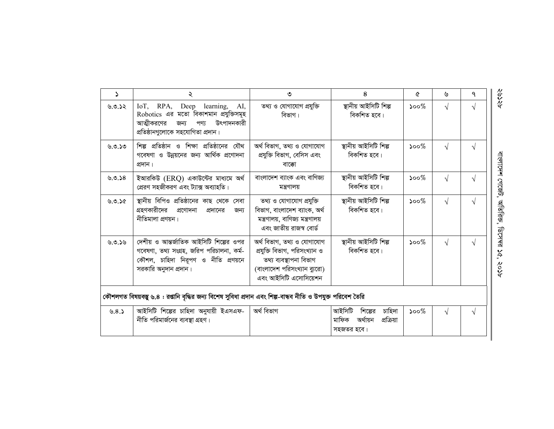| $\Delta$ | ২                                                                                                                                                          | ৩                                                                                                                                              | 8                                                                            | Q                           | ৬          | ٩          |
|----------|------------------------------------------------------------------------------------------------------------------------------------------------------------|------------------------------------------------------------------------------------------------------------------------------------------------|------------------------------------------------------------------------------|-----------------------------|------------|------------|
| 9.9.52   | IoT, RPA, Deep learning,<br>AI,<br>Robotics এর মতো বিকাশমান প্রযুক্তিসমূহ<br>উৎপাদনকারী<br>আত্মীকরণের<br>পণ্য<br>জন্য<br>প্রতিষ্ঠানগুলোকে সহযোগিতা প্রদান। | তথ্য ও যোগাযোগ প্রযুক্তি<br>বিভাগ।                                                                                                             | স্থানীয় আইসিটি শিল্প<br>বিকশিত হবে।                                         | $500\%$                     | $\sqrt{}$  | V          |
| ৬.৩.১৩   | শিল্প প্রতিষ্ঠান ও শিক্ষা প্রতিষ্ঠানের যৌথ<br>গবেষণা ও উন্নয়নের জন্য আর্থিক প্রণোদনা<br>প্ৰদান।                                                           | অৰ্থ বিভাগ, তথ্য ও যোগাযোগ<br>প্রযুক্তি বিভাগ, বেসিস এবং<br>বাক্কো                                                                             | স্থানীয় আইসিটি শিল্প<br>বিকশিত হবে।                                         | $500\%$                     | $\sqrt{ }$ | V          |
| 0.0.58   | ইআরকিউ (ERQ) একাউন্টের মাধ্যমে অর্থ<br>প্রেরণ সহজীকরণ এবং ট্যাক্স অব্যাহতি।                                                                                | বাংলাদেশ ব্যাংক এবং বাণিজ্য<br>মন্ত্রণালয়                                                                                                     | স্থানীয় আইসিটি শিল্প<br>বিকশিত হবে।                                         | $500\%$                     | $\sqrt{ }$ | V          |
| 9.9.56   | স্থানীয় বিপিও প্রতিষ্ঠানের কাছ থেকে সেবা<br>গ্রহণকারীদের<br>প্ৰণোদনা<br>প্রদানের<br>জন্য<br>নীতিমালা প্ৰণয়ন।                                             | তথ্য ও যোগাযোগ প্রযুক্তি<br>বিভাগ, বাংলাদেশ ব্যাংক, অর্থ<br>মন্ত্রণালয়, বাণিজ্য মন্ত্রণালয়<br>এবং জাতীয় রাজস্ব বোর্ড                        | স্থানীয় আইসিটি শিল্প<br>বিকশিত হবে।                                         | $500\%$                     | $\sqrt{ }$ | $\sqrt{ }$ |
| 9.9.59   | দেশীয় ও আন্তর্জাতিক আইসিটি শিল্পের ওপর<br>গবেষণা, তথ্য সংগ্ৰহ, জরিপ পরিচালনা, কর্ম-<br>কৌশল, চাহিদা নিরূপণ ও নীতি প্রণয়নে<br>সরকারি অনুদান প্রদান।       | অৰ্থ বিভাগ, তথ্য ও যোগাযোগ<br>প্রযুক্তি বিভাগ, পরিসংখ্যান ও<br>তথ্য ব্যবস্থাপনা বিভাগ<br>(বাংলাদেশ পরিসংখ্যান ব্যুরো)<br>এবং আইসিটি এসোসিয়েশন | স্থানীয় আইসিটি শিল্প<br>বিকশিত হবে।                                         | $500\%$                     | $\sqrt{ }$ | V          |
|          | কৌশলগত বিষয়বস্তু ৬.৪ : রপ্তানি বৃদ্ধির জন্য বিশেষ সুবিধা প্রদান এবং শিল্প-বান্ধব নীতি ও উপযুক্ত পরিবেশ তৈরি                                               |                                                                                                                                                |                                                                              |                             |            |            |
| ৬.8.১    | আইসিটি শিল্পের চাহিদা অনুযায়ী ইএসএফ-<br>নীতি পরিমার্জনের ব্যবস্থা গ্রহণ।                                                                                  | অৰ্থ বিভাগ                                                                                                                                     | চাহিদা<br>আইসিটি<br>শিল্পের<br>অৰ্থায়ন<br>প্রক্রিয়া<br>মাফিক<br>সহজতর হবে। | $\mathcal{S}^{\mathcal{O}}$ | $\sqrt{ }$ | V          |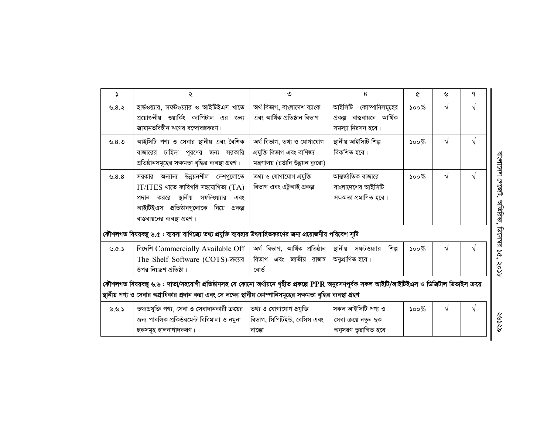| $\Delta$ | ২                                                                                                                                                                                                 | ৩                                                                                                 | 8                                                                        | Q                           | ৬          | ٩ |
|----------|---------------------------------------------------------------------------------------------------------------------------------------------------------------------------------------------------|---------------------------------------------------------------------------------------------------|--------------------------------------------------------------------------|-----------------------------|------------|---|
| ৬. $8.5$ | হার্ডওয়্যার, সফটওয়্যার ও আইটিইএস খাতে<br>প্রয়োজনীয় ওয়ার্কিং ক্যাপিটাল এর জন্য<br>জামানতবিহীন ঋণের বন্দোবস্তকরণ।                                                                              | অৰ্থ বিভাগ, বাংলাদেশ ব্যাংক<br>এবং আৰ্থিক প্ৰতিষ্ঠান বিভাগ                                        | আইসিটি কোম্পানিসমূহের<br>প্ৰকল্প বাস্তবায়নে আৰ্থিক<br>সমস্যা নিরসন হবে। | $\mathcal{S}^{\mathcal{O}}$ | $\sqrt{}$  | V |
| ৬. $8.9$ | আইসিটি পণ্য ও সেবার স্থানীয় এবং বৈশিক<br>বাজারের চাহিদা পূরণের জন্য সরকারি<br>প্রতিষ্ঠানসমূহের সক্ষমতা বৃদ্ধির ব্যবস্থা গ্রহণ।                                                                   | অৰ্থ বিভাগ, তথ্য ও যোগাযোগ<br>প্ৰযুক্তি বিভাগ এবং বাণিজ্য<br>মন্ত্রণালয় (রপ্তানি উন্নয়ন ব্যুরো) | স্থানীয় আইসিটি শিল্প<br>বিকশিত হবে।                                     | $\mathcal{S}^{\mathcal{O}}$ | $\sqrt{ }$ | V |
| ৬.8.8    | সরকার অন্যান্য উন্নয়নশীল দেশগুলোতে<br>$IT/ITES$ খাতে কারিগরি সহযোগিতা $(TA)$<br>প্রদান কররে স্থানীয় সফটওয়্যার<br>এবং<br>আইটিইএস প্রতিষ্ঠানগুলোকে নিয়ে প্রকল্প<br>বাস্তবায়নের ব্যবস্থা গ্রহণ। | তথ্য ও যোগাযোগ প্রযুক্তি<br>বিভাগ এবং এটুআই প্ৰকল্প                                               | আন্তর্জাতিক বাজারে<br>বাংলাদেশের আইসিটি<br>সক্ষমতা প্ৰমাণিত হবে।         | $\mathcal{S}^{\mathcal{O}}$ | $\sqrt{ }$ | V |
|          | কৌশলগত বিষয়বস্তু ৬.৫ : ব্যবসা বাণিজ্যে তথ্য প্রযুক্তি ব্যবহার উৎসাহিতকরণের জন্য প্রয়োজনীয় পরিবেশ সৃষ্টি                                                                                        |                                                                                                   |                                                                          |                             |            |   |
| 6.6.5    | বিদেশি Commercially Available Off<br>The Shelf Software (COTS)-ক্ৰয়ের<br>উপর নিয়ন্ত্রণ প্রতিষ্ঠা।                                                                                               | অৰ্থ বিভাগ, আৰ্থিক প্ৰতিষ্ঠান<br>বিভাগ এবং জাতীয় রাজস্ব<br>বোৰ্ড                                 | স্থানীয় সফটওয়্যার<br>শিল্প<br>অনুপ্রাণিত হবে।                          | $500\%$                     | $\sqrt{}$  | V |
|          | কৌশলগত বিষয়বস্তু ৬.৬ : দাতা/সহযোগী প্ৰতিষ্ঠানসহ যে কোনো অৰ্থায়নে গৃহীত প্ৰকল্পে PPR অনুরসণপূর্বক সকল আইটি/আইটিইএস ও ডিজিটাল ডিভাইস ক্রয়ে                                                       |                                                                                                   |                                                                          |                             |            |   |
|          | স্থানীয় পণ্য ও সেবার অগ্রাধিকার প্রদান করা এবং সে লক্ষ্যে স্থানীয় কোম্পানিসমূহের সক্ষমতা বৃদ্ধির ব্যবস্থা গ্রহণ                                                                                 |                                                                                                   |                                                                          |                             |            |   |
| 9.9.5    | তথ্যপ্রযুক্তি পণ্য, সেবা ও সেবাদানকারী ক্রয়ের<br>জন্য পাবলিক প্রকিউরমেন্ট বিধিমালা ও নমুনা<br>ছকসমূহ হালনাগাদকরণ।                                                                                | তথ্য ও যোগাযোগ প্রযুক্তি<br>বিভাগ, সিপিটিইউ, বেসিস এবং<br>বাক্কো                                  | সকল আইসিটি পণ্য ও<br>সেবা ক্ৰয়ে নতুন ছক<br>অনুসরণ তুরান্বিত হবে।        | $\mathcal{S}^{\mathcal{O}}$ | V          |   |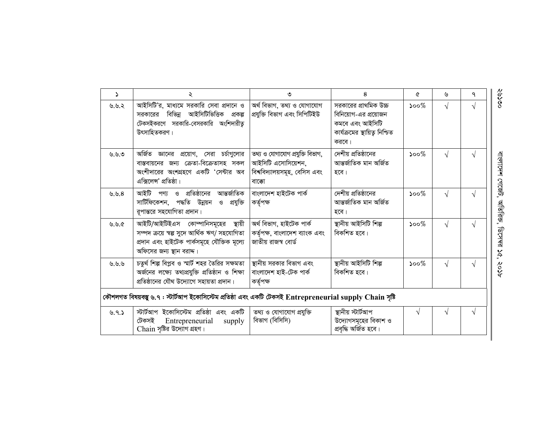| $\Delta$ | ২                                                                                                                                                               | ৩                                                                                                | 8                                                                                                           | Q                           | ৬          | ٩ |
|----------|-----------------------------------------------------------------------------------------------------------------------------------------------------------------|--------------------------------------------------------------------------------------------------|-------------------------------------------------------------------------------------------------------------|-----------------------------|------------|---|
| ৬.৬.২    | আইসিটি'র, মাধ্যমে সরকারি সেবা প্রদানে ও<br>আইসিটিভিত্তিক প্ৰকল্প<br>সরকারের বিভিন্ন<br>টেকসইকরণে সরকারি-বেসরকারি অংশিদারীত্ব<br>উৎসাহিতকরণ।                     | অৰ্থ বিভাগ, তথ্য ও যোগাযোগ<br>প্ৰযুক্তি বিভাগ এবং সিপিটিইউ                                       | সরকারের প্রাথমিক উচ্চ<br>বিনিয়োগ-এর প্রয়োজন<br>কমবে এবং আইসিটি<br>কার্যক্রমের স্থায়িত্ব নিশ্চিত<br>করবে। | $\mathcal{S}^{\mathcal{O}}$ | V          |   |
| ৬.৬.৩    | অৰ্জিত জ্ঞানের<br>প্রয়োগ, সেরা চর্চাগুলোর<br>বাস্তবায়নের জন্য ক্রেতা-বিক্রেতাসহ সকল<br>অংশীদারের অংশগ্রহণে একটি 'সেন্টার অব<br>এক্সিলেন্স' প্রতিষ্ঠা।         | তথ্য ও যোগাযোগ প্ৰযুক্তি বিভাগ,<br>আইসিটি এসোসিয়েশন,<br>বিশ্ববিদ্যালয়সমূহ, বেসিস এবং<br>বাক্কো | দেশীয় প্রতিষ্ঠানের<br>আন্তৰ্জাতিক মান অৰ্জিত<br>হবে।                                                       | $500\%$                     | $\sqrt{}$  | N |
| ৬.৬.8    | আইটি পণ্য ও প্রতিষ্ঠানের আন্তর্জাতিক<br>সার্টিফিকেশন, পদ্ধতি উন্নয়ন<br>ও প্রযুক্তি<br>রূপান্তরে সহযোগিতা প্রদান।                                               | বাংলাদেশ হাইটেক পাৰ্ক<br>কৰ্তৃপক্ষ                                                               | দেশীয় প্রতিষ্ঠানের<br>আন্তৰ্জাতিক মান অৰ্জিত<br>হবে।                                                       | $500\%$                     | V          |   |
| ৬.৬.৫    | আইটি/আইটিইএস কোম্পানিসমূহের স্থায়ী<br>সম্পদ ক্রয়ে স্বল্প সুদে আর্থিক ঋণ/ সহযোগিতা<br>প্ৰদান এবং হাইটেক পাৰ্কসমূহে যৌক্তিক মূল্যে<br>অফিসের জন্য স্থান বরাদ্দ। | অৰ্থ বিভাগ, হাইটেক পাৰ্ক<br>কর্তৃপক্ষ, বাংলাদেশ ব্যাংক এবং<br>জাতীয় রাজস্ব বোর্ড                | স্থানীয় আইসিটি শিল্প<br>বিকশিত হবে।                                                                        | $\mathcal{S}^{\mathcal{O}}$ | $\sqrt{ }$ |   |
| ৬.৬.৬    | চতুর্থ শিল্প বিপ্লব ও স্মার্ট শহর তৈরির সক্ষমতা<br>অৰ্জনের লক্ষ্যে তথ্যপ্রযুক্তি প্রতিষ্ঠান ও শিক্ষা<br>প্রতিষ্ঠানের যৌথ উদ্যোগে সহায়তা প্রদান।                | স্থানীয় সরকার বিভাগ এবং<br>বাংলাদেশ হাই-টেক পাৰ্ক<br>কৰ্তৃপক্ষ                                  | স্থানীয় আইসিটি শিল্প<br>বিকশিত হবে।                                                                        | $\mathcal{S}^{\mathcal{O}}$ | $\sqrt{ }$ |   |
|          | কৌশলগত বিষয়বস্তু ৬.৭ : স্টার্টআপ ইকোসিস্টেম প্রতিষ্ঠা এবং একটি টেকসই Entrepreneurial supply Chain সৃষ্টি                                                       |                                                                                                  |                                                                                                             |                             |            |   |
| 9.9.5    | স্টার্টআপ ইকোসিস্টেম প্রতিষ্ঠা এবং একটি<br>টেকসই<br>Entrepreneurial<br>supply<br>Chain সৃষ্টির উদ্যোগ গ্রহণ।                                                    | তথ্য ও যোগাযোগ প্রযুক্তি<br>বিভাগ (বিসিসি)                                                       | স্থানীয় স্টার্টআপ<br>উদ্যোগসমূহের বিকাশ ও<br>প্ৰবৃদ্ধি অৰ্জিত হবে।                                         | $\sqrt{ }$                  |            |   |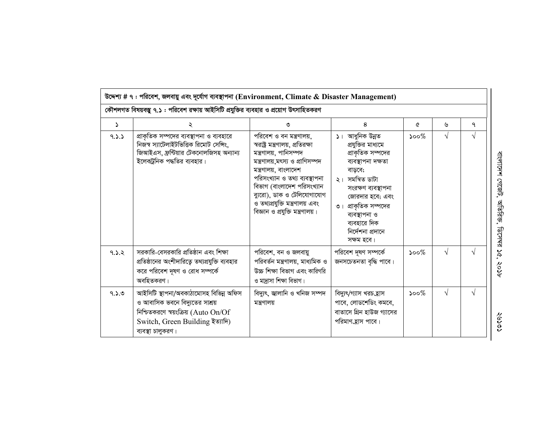| কৌশলগত বিষয়বস্তু ৭.১ : পরিবেশ রক্ষায় আইসিটি প্রযুক্তির ব্যবহার ও প্রয়োগ উৎসাহিতকরণ |                                                                                                                                                                             |                                                                                                                                                                                                                                                                                                                          |                                                                                                                                                                                                                                                      |                             |            |            |  |  |  |
|---------------------------------------------------------------------------------------|-----------------------------------------------------------------------------------------------------------------------------------------------------------------------------|--------------------------------------------------------------------------------------------------------------------------------------------------------------------------------------------------------------------------------------------------------------------------------------------------------------------------|------------------------------------------------------------------------------------------------------------------------------------------------------------------------------------------------------------------------------------------------------|-----------------------------|------------|------------|--|--|--|
| ډ                                                                                     |                                                                                                                                                                             | ৩                                                                                                                                                                                                                                                                                                                        | 8                                                                                                                                                                                                                                                    | Q                           | ৬          | ٩          |  |  |  |
| 9.3.3                                                                                 | প্রাকৃতিক সম্পদের ব্যবস্থাপনা ও ব্যবহারে<br>নিজস্ব স্যাটেলাইটভিত্তিক রিমোট সেন্সিং,<br>জিআইএস, ফ্রন্টিয়ার টেকনোলজিসহ অন্যান্য<br>ইলেকট্রনিক পদ্ধতির ব্যবহার।               | পরিবেশ ও বন মন্ত্রণালয়,<br>স্বরাষ্ট্র মন্ত্রণালয়, প্রতিরক্ষা<br>মন্ত্ৰণালয়, পানিসম্পদ<br>মন্ত্ৰণালয়,মৎস্য ও প্ৰাণিসম্পদ<br>মন্ত্রণালয়, বাংলাদেশ<br>পরিসংখ্যান ও তথ্য ব্যবস্থাপনা<br>বিভাগ (বাংলাদেশ পরিসংখ্যান<br>ব্যুরো), ডাক ও টেলিযোগাযোগ<br>ও তথ্যপ্রযুক্তি মন্ত্রণালয় এবং<br>বিজ্ঞান ও প্রযুক্তি মন্ত্রণালয়। | ১। আধুনিক উন্নত<br>প্রযুক্তির মাধ্যমে<br>প্রাকৃতিক সম্পদের<br>ব্যবস্থাপনা দক্ষতা<br>বাড়বে;<br>২। সমন্বিত ডাটা<br>সংরক্ষণ ব্যবস্থাপনা<br>জোরদার হবে; এবং<br>৩। প্রাকৃতিক সম্পদের<br>ব্যবস্থাপনা ও<br>ব্যবহারে দিক<br>নিৰ্দেশনা প্ৰদানে<br>সক্ষম হবে। | $500\%$                     | $\sqrt{}$  | V          |  |  |  |
| 9.5.8                                                                                 | সরকারি-বেসরকারি প্রতিষ্ঠান এবং শিক্ষা<br>প্রতিষ্ঠানের অংশীদারিত্বে তথ্যপ্রযুক্তি ব্যবহার<br>করে পরিবেশ দূষণ ও রোধ সম্পর্কে<br>অবহিতকরণ।                                     | পরিবেশ, বন ও জলবায়ু<br>পরিবর্তন মন্ত্রণালয়, মাধ্যমিক ও<br>উচ্চ শিক্ষা বিভাগ এবং কারিগরি<br>ও মাদ্রাসা শিক্ষা বিভাগ।                                                                                                                                                                                                    | পরিবেশ দূষণ সম্পর্কে<br>জনসচেতনতা বৃদ্ধি পাবে।                                                                                                                                                                                                       | $500\%$                     | $\sqrt{ }$ | $\sqrt{ }$ |  |  |  |
| 9.3.9                                                                                 | আইসিটি স্থাপনা/অবকাঠামোসহ বিভিন্ন অফিস<br>ও আবাসিক ভবনে বিদ্যুতের সাশ্রয়<br>নিশ্চিতকরণে স্বয়ংক্রিয় (Auto $On/Of$<br>Switch, Green Building ইত্যাদি)<br>ব্যবস্থা চালুকরণ। | বিদ্যুৎ, জ্বালানি ও খনিজ সম্পদ<br>মন্ত্রণালয়                                                                                                                                                                                                                                                                            | বিদ্যুৎ/গ্যাস খরচ_হ্রাস<br>পাবে, লোডশেডিং কমবে,<br>বাতাসে গ্রিন হাউজ গ্যাসের<br>পরিমাণ_হ্রাস পাবে।                                                                                                                                                   | $\mathcal{S}^{\mathcal{O}}$ | $\sqrt{ }$ | $\sqrt{ }$ |  |  |  |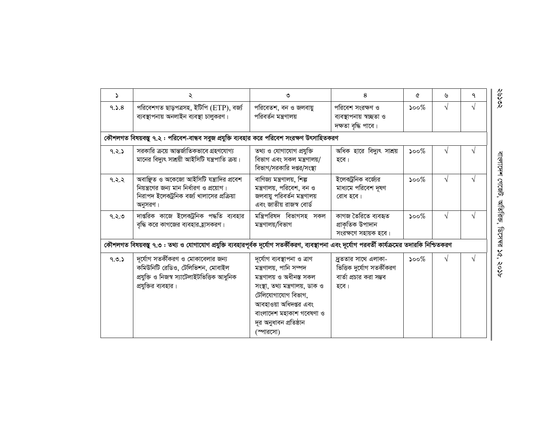| Ž.    | ২                                                                                                                                                | ৩                                                                                                                                                                                                                                        | 8                                                                                    | Q                           | ৬         | ٩          |
|-------|--------------------------------------------------------------------------------------------------------------------------------------------------|------------------------------------------------------------------------------------------------------------------------------------------------------------------------------------------------------------------------------------------|--------------------------------------------------------------------------------------|-----------------------------|-----------|------------|
| 9.5.8 | পরিবেশগত ছাড়পত্রসহ, ইটিপি (ETP), বর্জ্য<br>ব্যবস্থাপনায় অনলাইন ব্যবস্থা চালুকরণ।                                                               | পরিবেতশ, বন ও জলবায়ু<br>পরিবর্তন মন্ত্রণালয়                                                                                                                                                                                            | পরিবেশ সংরক্ষণ ও<br>ব্যবস্থাপনায় স্বচ্ছতা ও<br>দক্ষতা বৃদ্ধি পাবে।                  | $500\%$                     | $\sqrt{}$ | V          |
|       | কৌশলগত বিষয়বস্তু ৭.২ : পরিবেশ-বান্ধব সবুজ প্রযুক্তি ব্যবহার করে পরিবেশ সংরক্ষণ উৎসাহিতকরণ                                                       |                                                                                                                                                                                                                                          |                                                                                      |                             |           |            |
| 9.5.5 | সরকারি ক্রয়ে আন্তর্জাতিকভাবে গ্রহণযোগ্য<br>মানের বিদ্যুৎ সাশ্রয়ী আইসিটি যন্ত্রপাতি ক্রয়।                                                      | তথ্য ও যোগাযোগ প্ৰযুক্তি<br>বিভাগ এবং সকল মন্ত্রণালয়/<br>বিভাগ/সরকারি দগুর/সংস্থা                                                                                                                                                       | অধিক হারে বিদ্যুৎ সাশ্রয়<br>হবে।                                                    | $\mathcal{S}^{\text{oo}\%}$ |           |            |
| 9.2.2 | অবাঞ্ছিত ও অকেজো আইসিটি যন্ত্রাদির প্রবেশ<br>নিয়ন্ত্রণের জন্য মান নির্ধারণ ও প্রয়োগ।<br>নিরাপদ ইলেকট্রনিক বর্জ্য খালাসের প্রক্রিয়া<br>অনুসরণ। | বাণিজ্য মন্ত্রণালয়, শিল্প<br>মন্ত্রণালয়, পরিবেশ, বন ও<br>জলবায়ু পরিবর্তন মন্ত্রণালয়<br>এবং জাতীয় রাজস্ব বোর্ড                                                                                                                       | ইলেক্ট্রনিক বর্জ্যের<br>মাধ্যমে পরিবেশ দূষণ<br>রোধ হবে।                              | $\mathcal{S}^{\mathcal{O}}$ | V         | V          |
| 9.5.9 | দাগুরিক কাজে ইলেকট্রনিক পদ্ধতি ব্যবহার<br>বৃদ্ধি করে কাগজের ব্যবহার হ্রাসকরণ।                                                                    | মন্ত্ৰিপরিষদ বিভাগসহ সকল<br>মন্ত্ৰণালয়/বিভাগ                                                                                                                                                                                            | কাগজ তৈরিতে ব্যবহৃত<br>প্ৰাকৃতিক উপাদান<br>সংরক্ষণে সহায়ক হবে।                      | $500\%$                     | $\sqrt{}$ | V          |
|       | কৌশলগত বিষয়বস্তু ৭.৩ : তথ্য ও যোগাযোগ প্রযুক্তি ব্যবহারপূর্বক দূর্যোগ সতর্কীকরণ, ব্যবস্থাপনা এবং দূর্যোগ পরবর্তী কার্যক্রমের তদারকি নিশ্চিতকরণ  |                                                                                                                                                                                                                                          |                                                                                      |                             |           |            |
| 9.0.5 | দূর্যোগ সতর্কীকরণ ও মোকাবেলার জন্য<br>কমিউনিটি রেডিও, টেলিভিশন, মোবাইল<br>প্ৰযুক্তি ও নিজস্ব স্যাটেলাইটভিত্তিক আধুনিক<br>প্রযুক্তির ব্যবহার।     | দূৰ্যোগ ব্যবস্থাপনা ও ত্ৰাণ<br>মন্ত্ৰণালয়, পানি সম্পদ<br>মন্ত্ৰণালয় ও অধীনস্ত সকল<br>সংস্থা, তথ্য মন্ত্ৰণালয়, ডাক ও<br>টেলিযোগাযোগ বিভাগ,<br>আবহাওয়া অধিদপ্তর এবং<br>বাংলাদেশ মহাকাশ গবেষণা ও<br>দূর অনুধাবন প্রতিষ্ঠান<br>(স্পারসো) | দ্রুততার সাথে এলাকা-<br>ভিত্তিক দুৰ্যোগ সতৰ্কীকরণ<br>বার্তা প্রচার করা সম্ভব<br>হবে। | $\mathcal{S}^{\mathcal{O}}$ | $\sqrt{}$ | $\sqrt{ }$ |

 $\frac{20000}{}$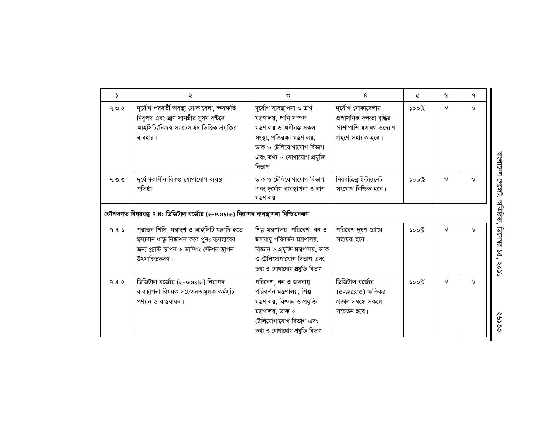| $\Delta$ | ২                                                                                                                                                          | ৩                                                                                                                                                                                          | 8                                                                                             | Q        | ৬          | ٩ |
|----------|------------------------------------------------------------------------------------------------------------------------------------------------------------|--------------------------------------------------------------------------------------------------------------------------------------------------------------------------------------------|-----------------------------------------------------------------------------------------------|----------|------------|---|
| 9.0.5    | দূৰ্যোগ পরবৰ্তী অবস্থা মোকাবেলা, ক্ষয়ক্ষতি<br>নিরূপণ এবং ত্রাণ সামগ্রীর সুষম বণ্টনে<br>আইসিটি/নিজস্ব স্যাটেলাইট ভিত্তিক প্রযুক্তির<br>ব্যবহার।            | দূৰ্যোগ ব্যবস্থাপনা ও ত্ৰাণ<br>মন্ত্ৰণালয়, পানি সম্পদ<br>মন্ত্ৰণালয় ও অধীনস্ত সকল<br>সংস্থা, প্রতিরক্ষা মন্ত্রণালয়,<br>ডাক ও টেলিযোগাযোগ বিভাগ<br>এবং তথ্য ও যোগাযোগ প্রযুক্তি<br>বিভাগ | দুৰ্যোগ মোকাবেলায়<br>প্রশাসনিক দক্ষতা বৃদ্ধির<br>পাশাপাশি যথাযথ উদ্যোগ<br>গ্ৰহণে সহায়ক হবে। | $500\%$  | $\sqrt{ }$ | V |
| 9.0.0    | দূৰ্যোগকালীন বিকল্প যোগাযোগ ব্যবস্থা<br>প্রতিষ্ঠা।                                                                                                         | ডাক ও টেলিযোগাযোগ বিভাগ<br>এবং দূর্যোগ ব্যবস্থাপনা ও ত্রাণ<br>মন্ত্ৰণালয়                                                                                                                  | নিরবচ্ছিন্ন ইন্টারনেট<br>সংযোগ নিশ্চিত হবে।                                                   | $500\%$  | $\sqrt{ }$ |   |
|          | কৌশলগত বিষয়বস্তু ৭.৪: ডিজিটাল বর্জ্যের (e-waste) নিরাপদ ব্যবস্থাপনা নিশ্চিতকরণ                                                                            |                                                                                                                                                                                            |                                                                                               |          |            |   |
| 9.8.5    | পুরাতন পিসি, যন্ত্রাংশ ও আইসিটি যন্ত্রাদি হতে<br>মূল্যবান ধাতু নিষ্কাশন করে পুনঃ ব্যবহারের<br>জন্য প্ল্যান্ট স্থাপন ও ডাম্পিং স্টেশন স্থাপন<br>উৎসাহিতকরণ। | শিল্প মন্ত্রণালয়, পরিবেশ, বন ও<br>জলবায়ু পরিবর্তন মন্ত্রণালয়,<br>বিজ্ঞান ও প্রযুক্তি মন্ত্রণালয়, ডাক<br>ও টেলিযোগাযোগ বিভাগ এবং<br>তথ্য ও যোগাযোগ প্ৰযুক্তি বিভাগ                      | পরিবেশ দূষণ রোধে<br>সহায়ক হবে।                                                               | $500\%$  | $\sqrt{}$  | V |
| 9.8.5    | ডিজিটাল বর্জ্যের (e-waste) নিরাপদ<br>ব্যবস্থাপনা বিষয়ক সচেতনতামূলক কৰ্মসূচি<br>প্রণয়ন ও বাস্তবায়ন।                                                      | পরিবেশ, বন ও জলবায়ু<br>পরিবর্তন মন্ত্রণালয়, শিল্প<br>মন্ত্রণালয়, বিজ্ঞান ও প্রযুক্তি<br>মন্ত্ৰণালয়, ডাক ও<br>টেলিযোগাযোগ বিভাগ এবং<br>তথ্য ও যোগাযোগ প্ৰযুক্তি বিভাগ                   | ডিজিটাল বর্জ্যের<br>(e-waste) ক্ষতিকর<br>প্ৰভাব সম্বন্ধে সকলে<br>সচেতন হবে।                   | ১০০ $\%$ | $\sqrt{}$  |   |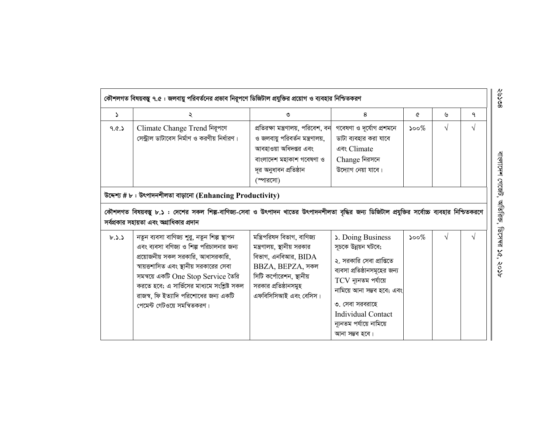|                                                            | কৌশলগত বিষয়বস্তু ৭.৫ : জলবায়ু পরিবর্তনের প্রভাব নিরূপণে ডিজিটাল প্রযুক্তির প্রয়োগ ও ব্যবহার নিশ্চিতকরণ                                                                                                                                                                                                                               |                                                                                                                                                                                      |                                                                                                                                                                                                                                                             |         |            |            |  |  |  |  |
|------------------------------------------------------------|-----------------------------------------------------------------------------------------------------------------------------------------------------------------------------------------------------------------------------------------------------------------------------------------------------------------------------------------|--------------------------------------------------------------------------------------------------------------------------------------------------------------------------------------|-------------------------------------------------------------------------------------------------------------------------------------------------------------------------------------------------------------------------------------------------------------|---------|------------|------------|--|--|--|--|
| $\mathcal{L}$                                              | ২                                                                                                                                                                                                                                                                                                                                       | ৩                                                                                                                                                                                    | 8                                                                                                                                                                                                                                                           | Q       | ৬          | ٩          |  |  |  |  |
| 9. $&$                                                     | Climate Change Trend निबृभरण<br>সেন্ট্রাল ডাটাবেস নির্মাণ ও করণীয় নির্ধারণ।                                                                                                                                                                                                                                                            | প্রতিরক্ষা মন্ত্রণালয়, পরিবেশ, বন<br>ও জলবায়ু পরিবর্তন মন্ত্রণালয়,<br>আবহাওয়া অধিদপ্তর এবং<br>বাংলাদেশ মহাকাশ গবেষণা ও<br>দূর অনুধাবন প্রতিষ্ঠান<br>(স্পারসো)                    | গবেষণা ও দূৰ্যোগ প্ৰশমনে<br>ডাটা ব্যবহার করা যাবে<br>এবং Climate<br>Change নিরসনে<br>উদ্যোগ নেয়া যাবে।                                                                                                                                                     | $500\%$ | $\sqrt{ }$ | $\sqrt{ }$ |  |  |  |  |
| উদ্দেশ্য # ৮: উৎপাদনশীলতা বাড়ানো (Enhancing Productivity) |                                                                                                                                                                                                                                                                                                                                         |                                                                                                                                                                                      |                                                                                                                                                                                                                                                             |         |            |            |  |  |  |  |
|                                                            | কৌশলগত বিষয়বস্তু ৮.১ : দেশের সকল শিল্প-বাণিজ্য-সেবা ও উৎপাদন খাতের উৎপাদনশীলতা বৃদ্ধির জন্য ডিজিটাল প্রযুক্তির সর্বোচ্চ ব্যবহার নিশ্চিতকরণে<br>সর্বপ্রকার সহায়তা এবং অগ্রাধিকার প্রদান                                                                                                                                                |                                                                                                                                                                                      |                                                                                                                                                                                                                                                             |         |            |            |  |  |  |  |
| b.3.5                                                      | নতুন ব্যবসা বাণিজ্য শুরু, নতুন শিল্প স্থাপন<br>এবং ব্যবসা বণিজ্য ও শিল্প পরিচালনার জন্য<br>প্রয়োজনীয় সকল সরকারি, আধাসরকারি,<br>স্বায়ত্তশাসিত এবং স্থানীয় সরকারের সেবা<br>সমন্বয়ে একটি One Stop Service তৈরি<br>করতে হবে; এ সার্ভিসের মাধ্যমে সংশ্লিষ্ট সকল<br>রাজস্ব, ফি ইত্যাদি পরিশোধের জন্য একটি<br>পেমেন্ট গেটওয়ে সমন্বিতকরণ। | মন্ত্রিপরিষদ বিভাগ, বাণিজ্য<br>মন্ত্রণালয়, স্থানীয় সরকার<br>বিভাগ, এনবিআর, $BIDA$<br>BBZA, BEPZA, সকল<br>সিটি কর্পোরেশন, স্থানীয়<br>সরকার প্রতিষ্ঠানসমুহ<br>এফবিসিসিআই এবং বেসিস। | S. Doing Business<br>সূচকে উন্নয়ন ঘটবে;<br>২. সরকারি সেবা প্রাপ্তিতে<br>ব্যবসা প্রতিষ্ঠানসমূহের জন্য<br>$TCV$ ন্যূনতম পর্যায়ে<br>নামিয়ে আনা সম্ভব হবে; এবং<br>৩. সেবা সরবরাহে<br><b>Individual Contact</b><br>ন্যূনতম পর্যায়ে নামিয়ে<br>আনা সম্ভব হবে। | $500\%$ | $\sqrt{ }$ | $\sqrt{ }$ |  |  |  |  |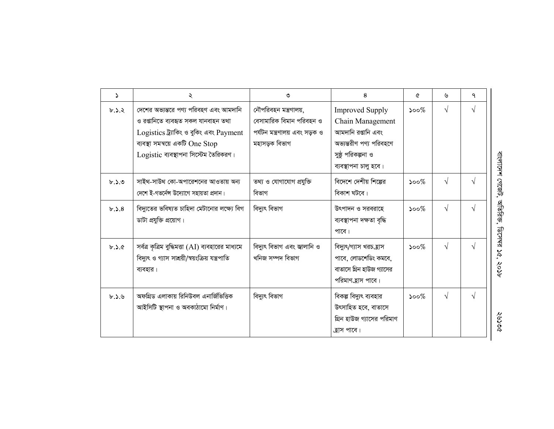| Σ     | ২                                                                                                                                                                                                    | ৩                                                                                                   | 8                                                                                                                                          | ᢙ                           | ৬          | ٩             |
|-------|------------------------------------------------------------------------------------------------------------------------------------------------------------------------------------------------------|-----------------------------------------------------------------------------------------------------|--------------------------------------------------------------------------------------------------------------------------------------------|-----------------------------|------------|---------------|
| b.3.3 | দেশের অভ্যন্তরে পণ্য পরিবহণ এবং আমদানি<br>ও রপ্তানিতে ব্যবহৃত সকল যানবাহন তথা<br>Logistics ট্ৰ্যাকিং ও বুকিং এবং Payment<br>ব্যবস্থা সমন্বয়ে একটি One Stop<br>Logistic ব্যবস্থাপনা সিস্টেম তৈরিকরণ। | নৌপরিবহন মন্ত্রণালয়,<br>বেসামারিক বিমান পরিবহন ও<br>পৰ্যটন মন্ত্ৰণালয় এবং সড়ক ও<br>মহাসড়ক বিভাগ | <b>Improved Supply</b><br>Chain Management<br>আমদানি রপ্তানি এবং<br>অভ্যন্তরীণ পণ্য পরিবহণে<br>সুষ্ঠু পরিকল্পনা ও<br>ব্যবস্থাপনা চালু হবে। | $\mathcal{S}^{\mathcal{O}}$ | $\sqrt{ }$ | $\mathcal{N}$ |
| b.50  | সাইথ-সাউথ কো-অপারেশনের আওতায় অন্য<br>দেশে ই-গভর্নেন্স উদ্যোগে সহায়তা প্রদান।                                                                                                                       | তথ্য ও যোগাযোগ প্রযুক্তি<br>বিভাগ                                                                   | বিদেশে দেশীয় শিল্পের<br>বিকাশ ঘটবে।                                                                                                       | $\mathcal{S}^{\mathcal{O}}$ | $\sqrt{ }$ | $\sqrt{ }$    |
| b.3.8 | বিদ্যুতের ভবিষ্যত চাহিদা মেটানোর লক্ষ্যে বিগ<br>ডাটা প্রযুক্তি প্রয়োগ।                                                                                                                              | বিদ্যুৎ বিভাগ                                                                                       | উৎপাদন ও সরবরাহে<br>ব্যবস্থাপনা দক্ষতা বৃদ্ধি<br>পাবে।                                                                                     | $500\%$                     | $\sqrt{}$  | $\sqrt{ }$    |
| b.2.6 | সর্বত্র কৃত্রিম বুদ্ধিমত্তা $(AI)$ ব্যবহারের মাধ্যমে<br>বিদ্যুৎ ও গ্যাস সাশ্রয়ী/স্বয়ংক্রিয় যন্ত্রপাতি<br>ব্যবহার।                                                                                 | বিদ্যুৎ বিভাগ এবং জ্বালানি ও<br>খনিজ সম্পদ বিভাগ                                                    | বিদ্যুৎ/গ্যাস খরচ_হাস<br>পাবে, লোডশেডিং কমবে,<br>বাতাসে গ্রিন হাউজ গ্যাসের<br>পরিমাণ হ্রাস পাবে।                                           | $500\%$                     | $\sqrt{}$  | $\mathcal{N}$ |
| b.3.9 | অফগ্রিড এলাকায় রিনিউবল এনার্জিভিত্তিক<br>আইসিটি স্থাপনা ও অবকাঠামো নিৰ্মাণ।                                                                                                                         | বিদ্যুৎ বিভাগ                                                                                       | বিকল্প বিদ্যুৎ ব্যবহার<br>উৎসাহিত হবে, বাতাসে<br>গ্রিন হাউজ গ্যাসের পরিমাণ<br>ক্লাস পাবে।                                                  | $\mathcal{S}^{\mathcal{O}}$ | $\sqrt{ }$ | $\mathcal{N}$ |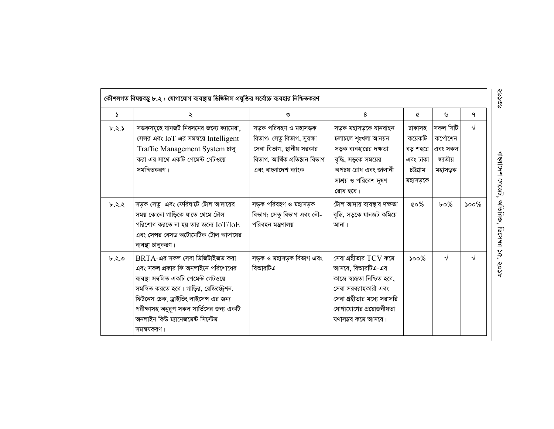|          | কৌশলগত বিষয়বস্তু ৮.২ : যোগাযোগ ব্যবস্থায় ডিজিটাল প্রযুক্তির সর্বোচ্চ ব্যবহার নিশ্চিতকরণ                                                                                                                                                                                                         |                                                                                                                                            |                                                                                                                                                                               |                                                                    |                                                      |            |
|----------|---------------------------------------------------------------------------------------------------------------------------------------------------------------------------------------------------------------------------------------------------------------------------------------------------|--------------------------------------------------------------------------------------------------------------------------------------------|-------------------------------------------------------------------------------------------------------------------------------------------------------------------------------|--------------------------------------------------------------------|------------------------------------------------------|------------|
| $\Delta$ | ২                                                                                                                                                                                                                                                                                                 | ৩                                                                                                                                          | 8                                                                                                                                                                             | ℰ                                                                  | ৬                                                    | ٩          |
| b.3.5    | সড়কসমূহে যানজট নিরসনের জন্যে ক্যামেরা,<br>সেন্সর এবং IoT এর সমন্বয়ে Intelligent<br>Traffic Management System চালু<br>করা এর সাথে একটি পেমেন্ট গেটওয়ে<br>সমন্বিতকরণ।                                                                                                                            | সড়ক পরিবহণ ও মহাসড়ক<br>বিভাগ; সেতু বিভাগ, সুরক্ষা<br>সেবা বিভাগ, স্থানীয় সরকার<br>বিভাগ, আৰ্থিক প্ৰতিষ্ঠান বিভাগ<br>এবং বাংলাদেশ ব্যাংক | সড়ক মহাসড়কে যানবাহন<br>চলাচলে শৃংখলা আনয়ন।<br>সড়ক ব্যবহারের দক্ষতা<br>বৃদ্ধি, সড়কে সময়ের<br>অপচয় রোধ এবং জ্বালানী<br>সাশ্রয় ও পরিবেশ দূষণ<br>রোধ হবে।                 | ঢাকাসহ<br>কয়েকটি<br>বড় শহরে  <br>এবং ঢাকা<br>চউগ্ৰাম<br>মহাসড়কে | সকল সিটি<br>কৰ্পোশেন<br>এবং সকল<br>জাতীয়<br>মহাসড়ক | $\sqrt{ }$ |
| b.2.2    | সড়ক সেতু এবং ফেরিঘাটে টোল আদায়ের<br>সময় কোনো গাড়িকে যাতে থেমে টোল<br>পরিশোধ করতে না হয় তার জন্যে $\rm{IoT/IoE}$<br>এবং সেন্সর বেসড অটোমেটিক টোল আদায়ের<br>ব্যবস্থা চালুকরণ।                                                                                                                 | সড়ক পরিবহণ ও মহাসড়ক<br>বিভাগ; সেতু বিভাগ এবং নৌ-<br>পরিবহন মন্ত্রণালয়                                                                   | টোল আদায় ব্যবস্থার দক্ষতা<br>বৃদ্ধি, সড়কে যানজট কমিয়ে<br>আনা।                                                                                                              | $\mathfrak{c}\circ\mathcal{\%}$                                    | $b \circ \%$                                         | $500\%$    |
| b.5.9    | $BRTA$ -এর সকল সেবা ডিজিটাইজড করা<br>এবং সকল প্রকার ফি অনলাইনে পরিশোধের<br>ব্যবস্থা সম্বলিত একটি পেমেন্ট গেটওয়ে<br>সমন্বিত করতে হবে। গাড়ির, রেজিস্ট্রেশন,<br>ফিটনেস চেক, ড্রাইভিং লাইসেন্স এর জন্য<br>পরীক্ষাসহ অনুরূপ সকল সার্ভিসের জন্য একটি<br>অনলাইন কিউ ম্যানেজমেন্ট সিস্টেম<br>সমন্বযকরণ। | সড়ক ও মহাসড়ক বিভাগ এবং<br>বিআরটিএ                                                                                                        | সেবা গ্রহীতার TCV কমে<br>আসবে, বিআরটিএ-এর<br>কাজে স্বচ্ছতা নিশ্চিত হবে,<br>সেবা সরবরাহকারী এবং<br>সেবা গ্রহীতার মধ্যে সরাসরি<br>যোগাযোগের প্রয়োজনীয়তা<br>যথাসম্ভব কমে আসবে। | $\mathcal{S}^{\mathcal{O}}$                                        | $\sqrt{}$                                            | $\sqrt{ }$ |

ବର୍ବ

বাংলাদেশ গেজেট, অতিরিক্ত, ডিসেম্বর ১৫, ২০১৮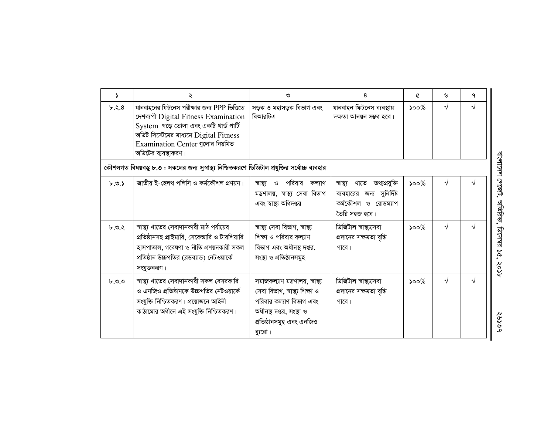| $\Delta$ | ২                                                                                                                                                                                                                                  | ৩                                                                                                                                                               | 8                                                                                                        | ৫                           | ৬         | ٩          |
|----------|------------------------------------------------------------------------------------------------------------------------------------------------------------------------------------------------------------------------------------|-----------------------------------------------------------------------------------------------------------------------------------------------------------------|----------------------------------------------------------------------------------------------------------|-----------------------------|-----------|------------|
| b.2.8    | যানবাহনের ফিটনেস পরীক্ষার জন্য PPP ভিত্তিতে<br>দেশব্যপী Digital Fitness Examination<br>System গড়ে তোলা এবং একটি থার্ড পার্টি<br>অডিট সিস্টেমের মাধ্যমে Digital Fitness<br>Examination Center গুলোর নিয়মিত<br>অডিটের ব্যবস্থাকরণ। | সড়ক ও মহাসড়ক বিভাগ এবং<br>বিআরটিএ                                                                                                                             | যানবাহন ফিটনেস ব্যবস্থায়<br>দক্ষতা আনয়ন সম্ভব হবে।                                                     | $\mathcal{S}^{\mathcal{O}}$ | $\sqrt{}$ | $\sqrt{ }$ |
|          | কৌশলগত বিষয়বস্তু ৮.৩ : সকলের জন্য সুস্বাস্থ্য নিশ্চিতকরণে ডিজিটাল প্রযুক্তির সর্বোচ্চ ব্যবহার                                                                                                                                     |                                                                                                                                                                 |                                                                                                          |                             |           |            |
| b.9.5    | জাতীয় ই-হেলথ পলিসি ও কর্মকৌশল প্রণয়ন।                                                                                                                                                                                            | পরিবার<br>স্বাস্ত্য<br>ଂ<br>কল্যাণ<br>মন্ত্ৰণালয়, স্বাস্থ্য সেবা বিভাগ<br>এবং স্বাস্থ্য অধিদপ্তর                                                               | তথ্যপ্ৰযুক্তি<br>খাতে<br>স্বাস্থ্য<br>ব্যবহারের জন্য সুনির্দিষ্ট<br>কর্মকৌশল ও রোডম্যাপ<br>তৈরি সহজ হবে। | $\mathcal{S}^{\mathcal{O}}$ | $\sqrt{}$ | $\sqrt{ }$ |
| b.9.8    | স্বাস্থ্য খাতের সেবাদানকারী মাঠ পর্যায়ের<br>প্রতিষ্ঠানসহ প্রাইমারি, সেকেন্ডারি ও টারশিয়ারি<br>হাসপাতাল, গবেষণা ও নীতি প্রণয়নকারী সকল<br>প্রতিষ্ঠান উচ্চগতির (ব্রডব্যান্ড) নেটওয়ার্কে<br>সংযুক্তকরণ।                            | স্বাস্থ্য সেবা বিভাগ, স্বাস্থ্য<br>শিক্ষা ও পরিবার কল্যাণ<br>বিভাগ এবং অধীনস্থ দপ্তর,<br>সংস্থা ও প্রতিষ্ঠানসমুহ                                                | ডিজিটাল স্বাস্থ্যসেবা<br>প্রদানের সক্ষমতা বৃদ্ধি<br>পাবে।                                                | $\mathcal{S}^{\mathcal{O}}$ | $\sqrt{}$ | V          |
| b.9.9    | স্বাস্থ্য খাতের সেবাদানকারী সকল বেসরকারি<br>ও এনজিও প্রতিষ্ঠানকে উচ্চগতির নেটওয়ার্কে<br>সংযুক্তি নিশ্চিতকরণ। প্রয়োজনে আইনী<br>কাঠামোর অধীনে এই সংযুক্তি নিশ্চিতকরণ।                                                              | সমাজকল্যাণ মন্ত্ৰণালয়, স্বাস্থ্য<br>সেবা বিভাগ, স্বাস্থ্য শিক্ষা ও<br>পরিবার কল্যাণ বিভাগ এবং<br>অধীনস্থ দপ্তর, সংস্থা ও<br>প্ৰতিষ্ঠানসমুহ এবং এনজিও<br>ব্যরো। | ডিজিটাল স্বাস্থ্যসেবা<br>প্রদানের সক্ষমতা বৃদ্ধি<br>পাবে।                                                | $\mathcal{S}^{\mathcal{O}}$ | $\sqrt{}$ | $\sqrt{ }$ |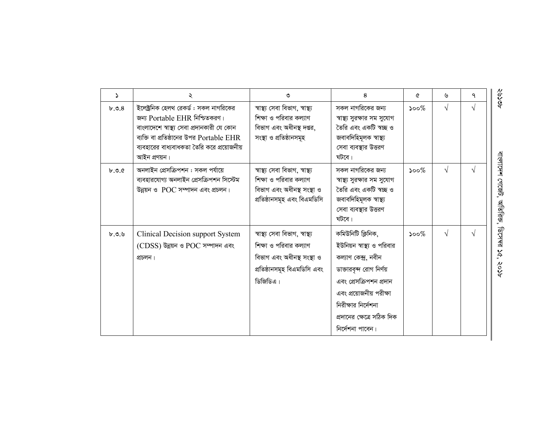| ۵     | ২                                                                                                                                                                                                                               | ৩                                                                                                                                  | 8                                                                                                                                                                                                                                  | ৫       | ৬          | ٩ |
|-------|---------------------------------------------------------------------------------------------------------------------------------------------------------------------------------------------------------------------------------|------------------------------------------------------------------------------------------------------------------------------------|------------------------------------------------------------------------------------------------------------------------------------------------------------------------------------------------------------------------------------|---------|------------|---|
| b.9.8 | ইলেক্ট্রনিক হেলথ রেকর্ড : সকল নাগরিকের<br>জন্য Portable EHR নিশ্চিতকরণ।<br>বাংলাদেশে স্বাস্থ্য সেবা প্রদানকারী যে কোন<br>ব্যক্তি বা প্রতিষ্ঠানের উপর Portable EHR<br>ব্যবহারের বাধ্যবাধকতা তৈরি করে প্রয়োজনীয়<br>আইন প্ৰণয়ন। | স্বাস্থ্য সেবা বিভাগ, স্বাস্থ্য<br>শিক্ষা ও পরিবার কল্যাণ<br>বিভাগ এবং অধীনস্থ দপ্তর,<br>সংস্থা ও প্রতিষ্ঠানসমূহ                   | সকল নাগরিকের জন্য<br>স্বাস্থ্য সুরক্ষার সম সুযোগ<br>তৈরি এবং একটি স্বচ্ছ ও<br>জবাবদিহিমূলক স্বাস্থ্য<br>সেবা ব্যবস্থার উত্তরণ<br>ঘটবে।                                                                                             | $500\%$ | $\sqrt{}$  |   |
| b.9.6 | অনলাইন প্রেসক্রিপশন : সকল পর্যায়ে<br>ব্যবহারযোগ্য অনলাইন প্রেসক্রিপশন সিস্টেম<br>উন্নয়ন ও $POC$ সম্পাদন এবং প্রচলন।                                                                                                           | স্বাস্থ্য সেবা বিভাগ, স্বাস্থ্য<br>শিক্ষা ও পরিবার কল্যাণ<br>বিভাগ এবং অধীনস্থ সংস্থা ও<br>প্ৰতিষ্ঠানসমূহ এবং বিএমডিসি             | সকল নাগরিকের জন্য<br>স্বাস্থ্য সুরক্ষার সম সুযোগ<br>তৈরি এবং একটি স্বচ্ছ ও<br>জবাবদিহিমূলক স্বাস্থ্য<br>সেবা ব্যবস্থার উত্তরণ<br>ঘটবে।                                                                                             | $500\%$ | $\sqrt{ }$ |   |
| b.9.9 | Clinical Decision support System<br>(CDSS) উন্নয়ন ও POC সম্পাদন এবং<br>প্ৰচলন।                                                                                                                                                 | স্বাস্থ্য সেবা বিভাগ, স্বাস্থ্য<br>শিক্ষা ও পরিবার কল্যাণ<br>বিভাগ এবং অধীনস্থ সংস্থা ও<br>প্ৰতিষ্ঠানসমূহ বিএমডিসি এবং<br>ডিজিডিএ। | কমিউনিটি ক্লিনিক,<br>ইউনিয়ন স্বাস্থ্য ও পরিবার<br>কল্যাণ কেন্দ্ৰ, নবীন<br>ডাক্তারবৃন্দ রোগ নির্ণয়<br>এবং প্রেসক্রিপশন প্রদান<br>এবং প্রয়োজনীয় পরীক্ষা<br>নিরীক্ষার নির্দেশনা<br>প্রদানের ক্ষেত্রে সঠিক দিক<br>নির্দেশনা পাবেন। | $500\%$ | $\sqrt{}$  |   |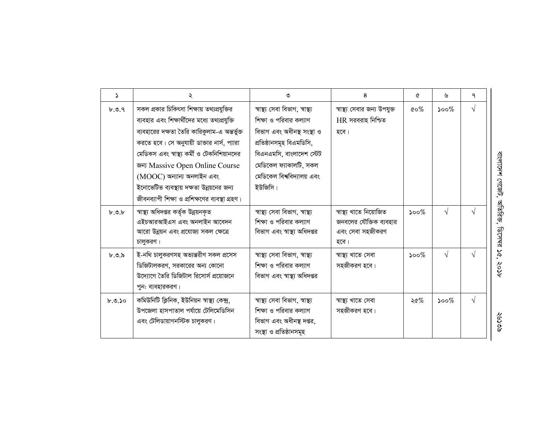| $\Delta$ | ২                                                                                                                                                                                                                                                                                                                                                                                                           | ৩                                                                                                                                                                                                                  | 8                                                                             | ৫       | ৬                           | ٩          |
|----------|-------------------------------------------------------------------------------------------------------------------------------------------------------------------------------------------------------------------------------------------------------------------------------------------------------------------------------------------------------------------------------------------------------------|--------------------------------------------------------------------------------------------------------------------------------------------------------------------------------------------------------------------|-------------------------------------------------------------------------------|---------|-----------------------------|------------|
| b.9.9    | সকল প্রকার চিকিৎসা শিক্ষায় তথ্যপ্রযুক্তির<br>ব্যবহার এবং শিক্ষার্থীদের মধ্যে তথ্যপ্রযুক্তি<br>ব্যবহারের দক্ষতা তৈরি কারিকুলাম-এ অন্তর্ভুক্ত<br>করতে হবে। সে অনুযায়ী ডাক্তার নার্স, প্যারা<br>মেডিকস এবং স্বাস্থ্য কর্মী ও টেকনিশিয়ানদের<br>জন্য Massive Open Online Course<br>(MOOC) অন্যান্য অনলাইন এবং<br>ইনোভেটিভ ব্যবস্থায় দক্ষতা উন্নয়নের জন্য<br>জীবনব্যাপী শিক্ষা ও প্রশিক্ষণের ব্যবস্থা গ্রহণ। | স্বাস্থ্য সেবা বিভাগ, স্বাস্থ্য<br>শিক্ষা ও পরিবার কল্যাণ<br>বিভাগ এবং অধীনস্থ সংস্থা ও<br>প্ৰতিষ্ঠানসমূহ বিএমডিসি,<br>বিএনএমসি, বাংলাদেশ স্টেট<br>মেডিকেল ফ্যাকালটি, সকল<br>মেডিকেল বিশ্ববিদ্যালয় এবং<br>ইউজিসি। | স্বাস্থ্য সেবার জন্য উপযুক্ত<br>$HR$ সরবরাহ নিশ্চিত<br>হবে।                   | ৫০ $%$  | ১০০ $%$                     | $\sqrt{ }$ |
| b.9.b    | স্বাস্থ্য অধিদপ্তর কর্তৃক উন্নয়নকৃত<br>এইচআরআইএস এবং অনলাইন আবেদন<br>আরো উন্নয়ন এবং প্রযোজ্য সকল ক্ষেত্রে<br>চালুকরণ।                                                                                                                                                                                                                                                                                     | স্বাস্থ্য সেবা বিভাগ, স্বাস্থ্য<br>শিক্ষা ও পরিবার কল্যাণ<br>বিভাগ এবং স্বাস্থ্য অধিদপ্তর                                                                                                                          | স্বাস্থ্য খাতে নিয়োজিত<br>জনবলের যৌক্তিক ব্যবহার<br>এবং সেবা সহজীকরণ<br>হবে। | $500\%$ | $\sqrt{ }$                  |            |
| b.9.8    | ই-নথি চালুকরণসহ অভ্যন্তরীণ সকল প্রসেস<br>ডিজিটালকরণ, সরকারের অন্য কোনো<br>উদ্যোগে তৈরি ডিজিটাল রিসোর্স প্রয়োজনে<br>পুন: ব্যবহারকরণ।                                                                                                                                                                                                                                                                        | স্বাস্থ্য সেবা বিভাগ, স্বাস্থ্য<br>শিক্ষা ও পরিবার কল্যাণ<br>বিভাগ এবং স্বাস্থ্য অধিদপ্তর                                                                                                                          | স্বাস্থ্য খাতে সেবা<br>সহজীকরণ হবে।                                           | $500\%$ | $\sqrt{ }$                  |            |
| b.9.50   | কমিউনিটি ক্লিনিক, ইউনিয়ন স্বাস্থ্য কেন্দ্ৰ,<br>উপজেলা হাসপাতাল পর্যায়ে টেলিমেডিসিন<br>এবং টেলিডায়াগনস্টিক চালুকরণ।                                                                                                                                                                                                                                                                                       | স্বাস্থ্য সেবা বিভাগ, স্বাস্থ্য<br>শিক্ষা ও পরিবার কল্যাণ<br>বিভাগ এবং অধীনস্থ দপ্তর,<br>সংস্থা ও প্রতিষ্ঠানসমূহ                                                                                                   | স্বাস্থ্য খাতে সেবা<br>সহজীকরণ হবে।                                           | ২৫%     | $\mathcal{S}^{\mathcal{O}}$ | $\sqrt{ }$ |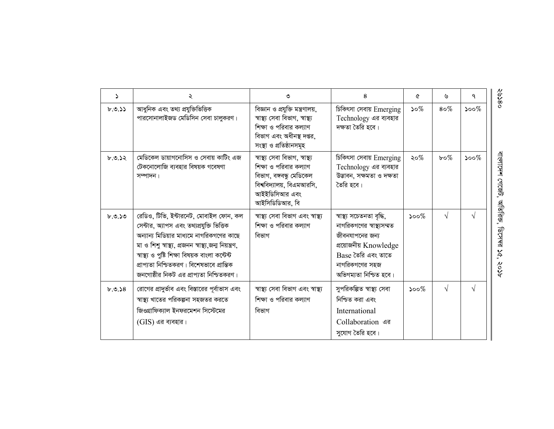| Σ      | ২                                                                                                                                                                                                                                                                                                                                     | ৩                                                                                                                                                     | 8                                                                                                                                                                    | ৫       | ৬             | ٩          |
|--------|---------------------------------------------------------------------------------------------------------------------------------------------------------------------------------------------------------------------------------------------------------------------------------------------------------------------------------------|-------------------------------------------------------------------------------------------------------------------------------------------------------|----------------------------------------------------------------------------------------------------------------------------------------------------------------------|---------|---------------|------------|
| b.9.55 | আধুনিক এবং তথ্য প্রযুক্তিভিত্তিক<br>পারসোনালাইজড মেডিসিন সেবা চালুকরণ।                                                                                                                                                                                                                                                                | বিজ্ঞান ও প্রযুক্তি মন্ত্রণালয়,<br>স্বাস্থ্য সেবা বিভাগ, স্বাস্থ্য<br>শিক্ষা ও পরিবার কল্যাণ<br>বিভাগ এবং অধীনস্থ দপ্তর,<br>সংস্থা ও প্রতিষ্ঠানসমূহ  | চিকিৎসা সেবায় Emerging<br>Technology এর ব্যবহার<br>দক্ষতা তৈরি হবে।                                                                                                 | $50\%$  | $8\,\sigma\%$ | $500\%$    |
| 6.0.52 | মেডিকেল ডায়াগনোসিস ও সেবায় কাটিং এজ<br>টেকনোলোজি ব্যবহার বিষয়ক গবেষণা<br>সম্পাদন।                                                                                                                                                                                                                                                  | স্বাস্থ্য সেবা বিভাগ, স্বাস্থ্য<br>শিক্ষা ও পরিবার কল্যাণ<br>বিভাগ, বঙ্গবন্ধু মেডিকেল<br>বিশ্ববিদ্যালয়, বিএমআরসি,<br>আইইডিসিআর এবং<br>আইসিডিডিআর, বি | চিকিৎসা সেবায় Emerging<br>Technology এর ব্যবহার<br>উদ্ভাবন, সক্ষমতা ও দক্ষতা<br>তৈরি হবে।                                                                           | ২০%     | $b \circ \%$  | $500\%$    |
| b.9.50 | রেডিও, টিভি, ইন্টারনেট, মোবাইল ফোন, কল<br>সেন্টার, অ্যাপস এবং তথ্যপ্রযুক্তি ভিত্তিক<br>অন্যান্য মিডিয়ার মাধ্যমে নাগরিকগণের কাছে<br>মা ও শিশু স্বাস্থ্য, প্ৰজনন স্বাস্থ্য,জন্ম নিয়ন্ত্ৰণ,<br>স্বাস্থ্য ও পুষ্টি শিক্ষা বিষয়ক বাংলা কন্টেন্ট<br>প্রাপ্যতা নিশ্চিতকরণ। বিশেষভাবে প্রান্তিক<br>জনগোষ্ঠীর নিকট এর প্রাপ্যতা নিশ্চিতকরণ। | স্বাস্থ্য সেবা বিভাগ এবং স্বাস্থ্য<br>শিক্ষা ও পরিবার কল্যাণ<br>বিভাগ                                                                                 | স্বাস্থ্য সচেতনতা বৃদ্ধি,<br>নাগরিকগণের স্বাস্থ্যসম্মত<br>জীবনযাপনের জন্য<br>প্রয়োজনীয় Knowledge<br>Base তৈরি এবং তাতে<br>নাগরিকগণের সহজ<br>অভিগম্যতা নিশ্চিত হবে। | $500\%$ | $\sqrt{ }$    | $\sqrt{ }$ |
| b.0.58 | রোগের প্রাদুর্ভাব এবং বিস্তারের পূর্বাভাস এবং<br>স্বাস্থ্য খাতের পরিকল্পনা সহজতর করতে<br>জিওগ্রাফিক্যাল ইনফরমেশন সিস্টেমের<br>$(GIS)$ এর ব্যবহার।                                                                                                                                                                                     | স্বাস্থ্য সেবা বিভাগ এবং স্বাস্থ্য<br>শিক্ষা ও পরিবার কল্যাণ<br>বিভাগ                                                                                 | সুপরিকল্পিত স্বাস্থ্য সেবা<br>নিশ্চিত করা এবং<br>International<br>Collaboration এর<br>সুযোগ তৈরি হবে।                                                                | $500\%$ | V             | V          |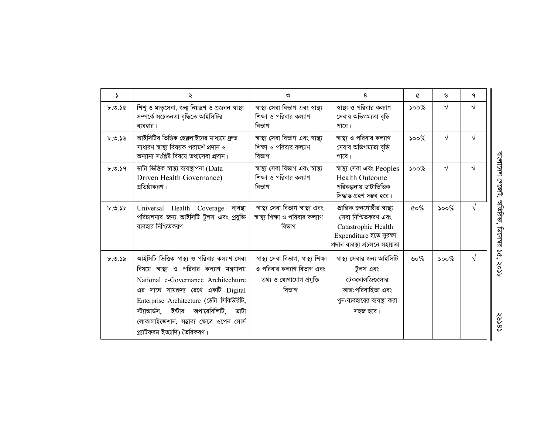| $\Delta$ | ২                                                                                                                                                                                                                                                                                                                                                 | ৩                                                                                                        | 8                                                                                                                                         | A                                | ৬         | ٩          |
|----------|---------------------------------------------------------------------------------------------------------------------------------------------------------------------------------------------------------------------------------------------------------------------------------------------------------------------------------------------------|----------------------------------------------------------------------------------------------------------|-------------------------------------------------------------------------------------------------------------------------------------------|----------------------------------|-----------|------------|
| b.9.56   | শিশু ও মাতৃসেবা, জন্ম নিয়ন্ত্রণ ও প্রজনন স্বাস্থ্য<br>সম্পৰ্কে সচেতনতা বৃদ্ধিতে আইসিটির<br>ব্যবহার।                                                                                                                                                                                                                                              | স্বাস্থ্য সেবা বিভাগ এবং স্বাস্থ্য<br>শিক্ষা ও পরিবার কল্যাণ<br>বিভাগ                                    | স্বাস্থ্য ও পরিবার কল্যাণ<br>সেবার অভিগম্যতা বৃদ্ধি<br>পাবে।                                                                              | $500\%$                          | $\sqrt{}$ | $\sqrt{ }$ |
| b.9.59   | আইসিটির ভিত্তিক হেল্পলাইনের মাধ্যমে দ্রুত<br>সাধারণ স্বাস্থ্য বিষয়ক পরামর্শ প্রদান ও<br>অন্যান্য সংশ্লিষ্ট বিষয়ে তথ্যসেবা প্রদান।                                                                                                                                                                                                               | স্বাস্থ্য সেবা বিভাগ এবং স্বাস্থ্য<br>শিক্ষা ও পরিবার কল্যাণ<br>বিভাগ                                    | স্বাস্থ্য ও পরিবার কল্যাণ<br>সেবার অভিগম্যতা বৃদ্ধি<br>পারে।                                                                              | $500\%$                          | $\sqrt{}$ | N          |
| b.9.59   | ডাটা ভিত্তিক স্বাস্থ্য ব্যবস্থাপনা (Data<br>Driven Health Governance)<br>প্রতিষ্ঠাকরণ।                                                                                                                                                                                                                                                            | স্বাস্থ্য সেবা বিভাগ এবং স্বাস্থ্য<br>শিক্ষা ও পরিবার কল্যাণ<br>বিভাগ                                    | স্বাস্থ্য সেবা এবং Peoples<br><b>Health Outcome</b><br>পরিকল্পনায় ডাটাভিত্তিক<br>সিদ্ধান্ত গ্ৰহণ সম্ভব হবে।                              | $500\%$                          | V         | $\sqrt{ }$ |
| b.9.5b   | Universal Health Coverage ব্যবস্থা<br>পরিচালনার জন্য আইসিটি টুলস এবং প্রযুক্তি<br>ব্যবহার নিশ্চিতকরণ                                                                                                                                                                                                                                              | স্বাস্থ্য সেবা বিভাগ স্বাস্থ্য এবং<br>স্বাস্থ্য শিক্ষা ও পরিবার কল্যাণ<br>বিভাগ                          | প্রান্তিক জনগোষ্ঠীর স্বাস্থ্য<br>সেবা নিশ্চিতকরণ এবং<br>Catastrophic Health<br>Expenditure হতে সুরক্ষা<br>প্ৰদান ব্যবস্থা প্ৰচলনে সহায়তা | $\mathfrak{c} \circ \mathscr{C}$ | $500\%$   | $\sqrt{ }$ |
| ৮.৩.১৯   | আইসিটি ভিত্তিক স্বাস্থ্য ও পরিবার কল্যাণ সেবা<br>বিষয়ে স্বাস্থ্য ও পরিবার কল্যাণ মন্ত্রণালয়<br>National e-Governance Architechture<br>এর সাথে সামঞ্জস্য রেখে একটি Digital<br>Enterprise Architecture (ডেটা সিকিউরিটি,<br>স্ট্যান্ডার্ডস, ইন্টার অপারেবিলিটি, ডাটা<br>লোকালাইজেশান, সম্ভাব্য ক্ষেত্রে ওপেন সোর্স<br>প্ল্যাটফরম ইত্যাদি) তৈরিকরণ। | স্বাস্থ্য সেবা বিভাগ, স্বাস্থ্য শিক্ষা<br>ও পরিবার কল্যাণ বিভাগ এবং<br>তথ্য ও যোগাযোগ প্রযুক্তি<br>বিভাগ | স্বাস্থ্য সেবার জন্য আইসিটি<br>টুলস এবং<br>টেকনোলজিগুলোর<br>আন্ত:পরিবাহিতা এবং<br>পুন:ব্যবহারের ব্যবস্থা করা<br>সহজ হবে।                  | ৬০%                              | $500\%$   | $\sqrt{ }$ |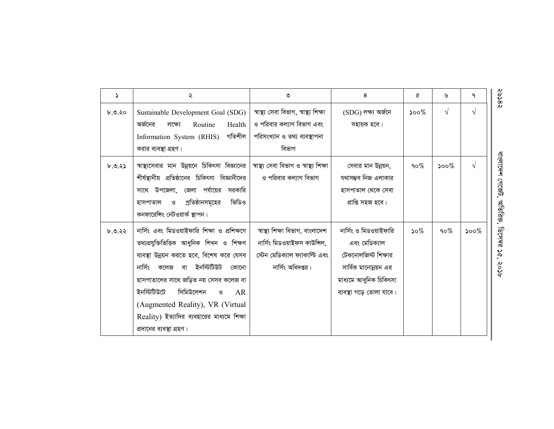| $\Delta$ | ২                                                                                                                                                                                                                                                                                                                                                                                             | ৩                                                                                                                       | 8                                                                                                                                             | Q                               | ৬          | ٩                           |
|----------|-----------------------------------------------------------------------------------------------------------------------------------------------------------------------------------------------------------------------------------------------------------------------------------------------------------------------------------------------------------------------------------------------|-------------------------------------------------------------------------------------------------------------------------|-----------------------------------------------------------------------------------------------------------------------------------------------|---------------------------------|------------|-----------------------------|
| ৮.৩.২০   | Sustainable Development Goal (SDG)<br>অর্জনের<br>Health<br>লক্ষ্যে<br>Routine<br>গতিশীল<br>Information System (RHIS)<br>করার ব্যবস্থা গ্রহণ।                                                                                                                                                                                                                                                  | স্বাস্থ্য সেবা বিভাগ, স্বাস্থ্য শিক্ষা<br>ও পরিবার কল্যাণ বিভাগ এবং<br>পরিসংখ্যান ও তথ্য ব্যবস্থাপনা<br>বিভাগ           | $(SDG)$ লক্ষ্য অৰ্জনে<br>সহায়ক হবে।                                                                                                          | $\mathcal{S}^{\mathcal{O}}$     | $\sqrt{ }$ | $\sqrt{}$                   |
| b.9.35   | স্বাস্থ্যসেবার মান উন্নয়নে চিকিৎসা বিজ্ঞানের  <br>শীর্ষস্থানীয় প্রতিষ্ঠানের চিকিৎসা বিজ্ঞানীদের<br>জেলা পর্যায়ের<br>সাথে উপজেলা,<br>সরকারি<br>প্রতিষ্ঠানসমূহের<br>ভিডিও<br>হাসপাতাল<br>$\mathcal{G}% _{0}^{\ast }=\mathcal{G}_{\mathrm{out}}^{\ast }$<br>কনফারেঙ্গিং নেটওয়ার্ক স্থাপন।                                                                                                    | স্বাস্থ্য সেবা বিভাগ ও স্বাস্থ্য শিক্ষা<br>ও পরিবার কল্যাণ বিভাগ                                                        | সেবার মান উন্নয়ন,<br>যথাসম্ভব নিজ এলাকার<br>হাসপাতাল থেকে সেবা<br>প্ৰাপ্তি সহজ হবে।                                                          | १० $\%$                         | ১০০ $\%$   | $\sqrt{ }$                  |
| b.0.22   | নার্সিং এবং মিডওয়াইফারি শিক্ষা ও প্রশিক্ষণে<br>তথ্যপ্রযুক্তিভিত্তিক আধুনিক শিখন ও শিক্ষণ<br>ব্যবস্থা উন্নয়ন করতে হবে, বিশেষ করে যেসব<br>নাৰ্সিং<br>বা ইনস্টিটিউট<br>কলেজ<br>কোনো<br>হাসপাতালের সাথে জড়িত নয় সেসব কলেজ বা<br>ইনস্টিটিউটে<br>সিমিউলেশন<br>AR<br>$\mathcal{O}$<br>(Augmented Reality), VR (Virtual<br>Reality) ইত্যাদির ব্যবহারের মাধ্যমে শিক্ষা<br>প্রদানের ব্যবস্থা গ্রহণ। | স্বাস্থ্য শিক্ষা বিভাগ, বাংলাদেশ<br>নাৰ্সিং মিডওয়াইফস কাউন্সিল,<br>স্টেন মেডিক্যাল ফ্যাকাল্টি এবং<br>নাৰ্সিং অধিদপ্তর। | নাৰ্সিং ও মিডওয়াইফারি<br>এবং মেডিক্যাল<br>টেকনোলজিস্ট শিক্ষার<br>সার্বিক মানোন্নয়ন এর<br>মাধ্যমে আধুনিক চিকিৎসা<br>ব্যবস্থা গড়ে তোলা যাবে। | $\mathcal{S} \circ \mathcal{C}$ | 90 $%$     | $\mathcal{S}^{\mathcal{O}}$ |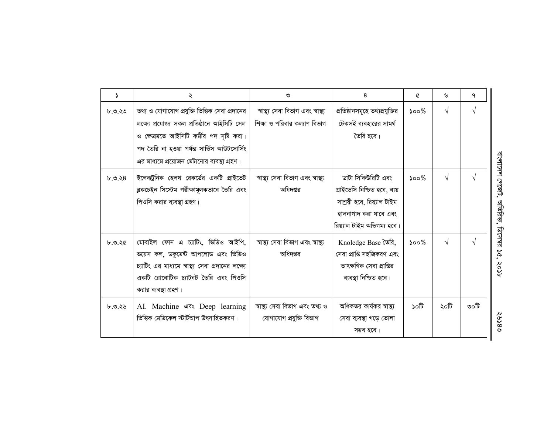| $\Delta$ | ২                                                                                                                                                                                            | ৩                                                                  | 8                                                                                                                                        | ৫       | ৬          | ٩          |
|----------|----------------------------------------------------------------------------------------------------------------------------------------------------------------------------------------------|--------------------------------------------------------------------|------------------------------------------------------------------------------------------------------------------------------------------|---------|------------|------------|
| ৮.৩.২৩   | তথ্য ও যোগাযোগ প্রযুক্তি ভিত্তিক সেবা প্রদানের<br>লক্ষ্যে প্ৰযোজ্য সকল প্ৰতিষ্ঠানে আইসিটি সেল                                                                                                | স্বাস্থ্য সেবা বিভাগ এবং স্বাস্থ্য<br>শিক্ষা ও পরিবার কল্যাণ বিভাগ | প্রতিষ্ঠানসমূহে তথ্যপ্রযুক্তির<br>টেকসই ব্যবহারের সামর্থ                                                                                 | $500\%$ | $\sqrt{}$  | $\sqrt{ }$ |
|          | ও ক্ষেত্রমতে আইসিটি কর্মীর পদ সৃষ্টি করা।<br>পদ তৈরি না হওয়া পর্যন্ত সার্ভিস আউটসোর্সিং<br>এর মাধ্যমে প্রয়োজন মেটানোর ব্যবস্থা গ্রহণ।                                                      |                                                                    | তৈরি হবে।                                                                                                                                |         |            |            |
| b.9.38   | ইলেকট্রনিক হেলথ রেকর্ডের একটি প্রাইভেট<br>ব্লকচেইন সিস্টেম পরীক্ষামূলকভাবে তৈরি এবং<br>পিওসি করার ব্যবস্থা গ্রহণ।                                                                            | স্বাস্থ্য সেবা বিভাগ এবং স্বাস্থ্য<br>অধিদপ্তর                     | ডাটা সিকিউরিটি এবং<br>প্রাইভেসি নিশ্চিত হবে, ব্যয়<br>সাশ্রয়ী হবে, রিয়্যাল টাইম<br>হালনাগাদ করা যাবে এবং<br>রিয়্যাল টাইম অভিগম্য হবে। | $500\%$ | $\sqrt{ }$ | $\sqrt{ }$ |
| b.9.30   | মোবাইল ফোন এ চ্যাটিং, ভিডিও আইপি,<br>ভয়েস কল, ডকুমেন্ট আপলোড এবং ভিডিও<br>চ্যাটিং এর মাধ্যমে স্বাস্থ্য সেবা প্রদানের লক্ষ্যে<br>একটি রোবোটিক চ্যাটবট তৈরি এবং পিওসি<br>করার ব্যবস্থা গ্রহণ। | স্বাস্থ্য সেবা বিভাগ এবং স্বাস্থ্য<br>অধিদপ্তর                     | Knoledge Base তৈরি,<br>সেবা প্রাপ্তি সহজিকরণ এবং<br>তাৎক্ষণিক সেবা প্রাপ্তির<br>ব্যবস্থা নিশ্চিত হবে।                                    | $500\%$ | $\sqrt{}$  | $\sqrt{ }$ |
| ৮.৩.২৬   | AI. Machine এবং Deep learning<br>ভিত্তিক মেডিকেল স্টার্টআপ উৎসাহিতকরণ।                                                                                                                       | স্বাস্থ্য সেবা বিভাগ এবং তথ্য ও<br>যোগাযোগ প্ৰযুক্তি বিভাগ         | অধিকতর কার্যকর স্বাস্থ্য<br>সেবা ব্যবস্থা গড়ে তোলা<br>সম্ভব হবে।                                                                        | টা০১    | ২০টি       | ৩০টি       |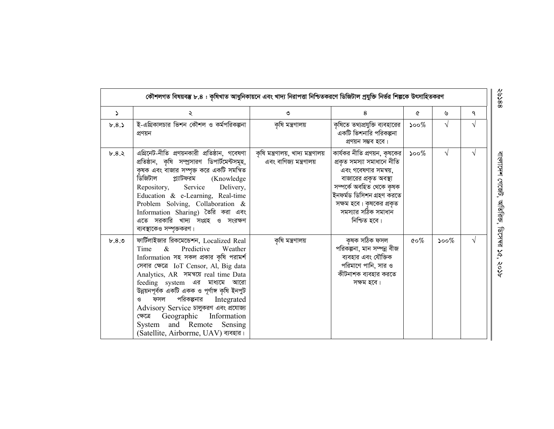|          | কৌশলগত বিষয়বম্ভ ৮.৪ : কৃষিখাত আধুনিকায়নে এবং খাদ্য নিরাপত্তা নিশ্চিতকরণে ডিজিটাল প্রযুক্তি নির্ভর শিল্পকে উৎসাহিতকরণ                                                                                                                                                                                                                                                                                                                                                                      |                                                                |                                                                                                                                                                                                                                         |                                  |            |   |
|----------|---------------------------------------------------------------------------------------------------------------------------------------------------------------------------------------------------------------------------------------------------------------------------------------------------------------------------------------------------------------------------------------------------------------------------------------------------------------------------------------------|----------------------------------------------------------------|-----------------------------------------------------------------------------------------------------------------------------------------------------------------------------------------------------------------------------------------|----------------------------------|------------|---|
| $\Delta$ |                                                                                                                                                                                                                                                                                                                                                                                                                                                                                             | ৩                                                              | 8                                                                                                                                                                                                                                       | Q                                | ৬          | ٩ |
| b.8.5    | ই-এগ্রিকালচার ভিশন কৌশল ও কর্মপরিকল্পনা<br>প্ৰণয়ন                                                                                                                                                                                                                                                                                                                                                                                                                                          | কৃষি মন্ত্ৰণালয়                                               | কৃষিতে তথ্যপ্রযুক্তি ব্যবহারের<br>একটি ভিশনারি পরিকল্পনা<br>প্রণয়ন সম্ভব হবে।                                                                                                                                                          | $500\%$                          | V          |   |
| b.8.3    | এগ্রিনেট-নীতি প্রণয়নকারী প্রতিষ্ঠান, গবেষণা<br>প্রতিষ্ঠান, কৃষি সম্প্রসারণ ডিপার্টমেন্টসমূহ,<br>কৃষক এবং বাজার সম্পৃক্ত করে একটি সমন্বিত<br>ডিজিটাল<br>প্ল্যাটফরম (Knowledge<br>Repository, Service Delivery,<br>Education & e-Learning, Real-time<br>Problem Solving, Collaboration &<br>Information Sharing) তৈরি করা এবং<br>এতে সরকারি খাদ্য সংগ্রহ ও সংরক্ষণ<br>ব্যবস্থাকেও সম্পৃক্তকরণ।                                                                                               | কৃষি মন্ত্ৰণালয়, খাদ্য মন্ত্ৰণালয়<br>এবং বাণিজ্য মন্ত্রণালয় | কার্যকর নীতি প্রণয়ন, কৃষকের<br>প্ৰকৃত সমস্যা সমাধানে নীতি<br>এবং গবেষণার সমন্বয়,<br>বাজারের প্রকৃত অবস্থা<br>সম্পৰ্কে অবহিত থেকে কৃষক<br>ইনফৰ্মড ডিসিশন গ্ৰহণ করতে<br>সক্ষম হবে। কৃষকের প্রকৃত<br>সমস্যার সঠিক সমাধান<br>নিশ্চিত হবে। | $\mathcal{S}^{\mathcal{O}}$      | $\sqrt{ }$ |   |
| b.8.9    | ফার্টিলাইজার রিকমেন্ডেশন, Localized Real<br>Predictive<br>$\&$<br>Time<br>Weather<br>Information সহ সকল প্রকার কৃষি পরামর্শ<br>সেবার ক্ষেত্রে IoT Censor, Al, Big data<br>Analytics, AR गयब्रा real time Data<br>feeding system এর মাধ্যমে আরো<br>উন্নয়নপূৰ্বক একটি একক ও পূৰ্ণাঙ্গ কৃষি ইনপুট<br>পরিকল্পনার<br>Integrated<br>ফসল<br>G<br>Advisory Service চালুকরণ এবং প্রযোজ্য<br>Geographic Information<br>ক্ষেত্ৰে<br>System and Remote Sensing<br>(Satellite, Airborrne, UAV) ব্যবহার। | কৃষি মন্ত্ৰণালয়                                               | কৃষক সঠিক ফসল<br>পরিকল্পনা, মান সম্পন্ন বীজ<br>ব্যবহার এবং যৌক্তিক<br>পরিমাণে পানি, সার ও<br>কীটনাশক ব্যবহার করতে<br>সক্ষম হবে।                                                                                                         | $\mathfrak{c} \circ \mathscr{C}$ | $500\%$    |   |

বাংলাদেশ যে গজেট, অতিরিক্ত, ডিসেম্ব ১৫, ২০১৮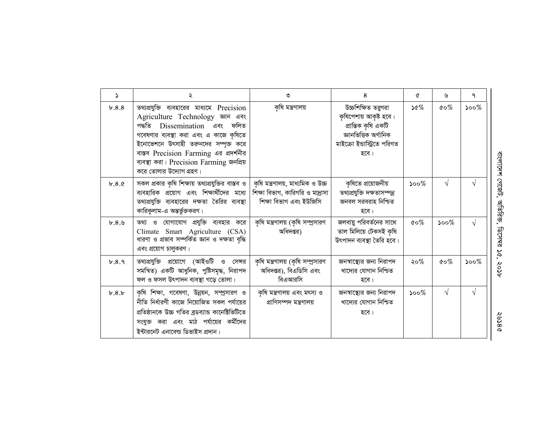| 2     | ২                                                                                                                                                                                                                                                                                                               | ৩                                                                                                | 8                                                                                                                                   | A                                 | ৬          | ٩          |
|-------|-----------------------------------------------------------------------------------------------------------------------------------------------------------------------------------------------------------------------------------------------------------------------------------------------------------------|--------------------------------------------------------------------------------------------------|-------------------------------------------------------------------------------------------------------------------------------------|-----------------------------------|------------|------------|
| b.8.8 | তথ্যপ্রযুক্তি ব্যবহারের মাধ্যমে Precision<br>Agriculture Technology खान बवर<br>পদ্ধতি Dissemination এবং ফলিত<br>গবেষণার ব্যবস্থা করা এবং এ কাজে কৃষিতে<br>ইনোভেশনে উৎসাহী তরুনদের সম্পৃক্ত করে<br>বাস্তব Precision Farming এর প্রদর্শনীর<br>ব্যবস্থা করা। Precision Farming জনপ্রিয়<br>করে তোলার উদ্যোগ গ্রহণ। | কৃষি মন্ত্ৰণালয়                                                                                 | উচ্চশিক্ষিত তরুণরা<br>কৃষিপেশায় আকৃষ্ট হবে।<br>প্ৰান্তিক কৃষি একটি<br>জ্ঞানভিত্তিক অৰ্গানিক<br>মাইক্রো ইন্ডাস্ট্রিতে পরিণত<br>হবে। | $\mathcal{S} \mathcal{C}$         | $\&o\%$    | $500\%$    |
| b.8.c | সকল প্রকার কৃষি শিক্ষায় তথ্যপ্রযুক্তির বাস্তব ও<br>ব্যবহারিক প্রয়োগ এবং শিক্ষার্থীদের মধ্যে<br>তথ্যপ্রযুক্তি ব্যবহারের দক্ষতা তৈরির ব্যবস্থা<br>কারিকুলাম-এ অন্তর্ভুক্তকরণ।                                                                                                                                   | কৃষি মন্ত্ৰণালয়, মাধ্যমিক ও উচ্চ<br>শিক্ষা বিভাগ, কারিগরি ও মাদ্রাসা<br>শিক্ষা বিভাগ এবং ইউজিসি | কৃষিতে প্ৰয়োজনীয়<br>তথ্যপ্রযুক্তি দক্ষতাসম্পন্ন<br>জনবল সরবরাহ নিশ্চিত<br>হবে।                                                    | $500\%$                           | $\sqrt{ }$ | V          |
| b.8.9 | তথ্য ও যোগাযোগ প্রযুক্তি ব্যবহার করে<br>Climate Smart Agriculture (CSA)<br>ধারণা ও প্রভাব সম্পর্কিত জ্ঞান ও দক্ষতা বৃদ্ধি<br>এবং প্রয়োগ চালুকরণ।                                                                                                                                                               | কৃষি মন্ত্রণালয় (কৃষি সম্প্রসারণ<br>অধিদপ্তর)                                                   | জলবায়ু পরিবর্তনের সাথে<br>তাল মিলিয়ে টেকসই কৃষি<br>উৎপাদন ব্যবস্থা তৈরি হবে।                                                      | $\mathfrak{c} \circ \mathcal{\%}$ | $500\%$    | $\sqrt{}$  |
| b.8.9 | তথ্যপ্রযুক্তি প্রয়োগে (আইওটি ও সেন্সর<br>সমন্বিত) একটি আধুনিক, পুষ্টিসমৃদ্ধ, নিরাপদ<br>ফল ও ফসল উৎপাদন ব্যবস্থা গড়ে তোলা।                                                                                                                                                                                     | কৃষি মন্ত্রণালয় (কৃষি সম্প্রসারণ<br>অধিদপ্তর), বিএডিসি এবং<br>বিএআরসি                           | জনস্বাস্থ্যের জন্য নিরাপদ<br>খাদ্যের যোগান নিশ্চিত<br>হবে।                                                                          | ২০%                               | $\&o\%$    | $500\%$    |
| b.8.b | কৃষি শিক্ষা, গবেষণা, উন্নয়ন, সম্প্রসারণ ও<br>নীতি নির্ধারণী কাজে নিয়োজিত সকল পর্যায়ের<br>প্রতিষ্ঠানকে উচ্চ গতির ব্রডব্যান্ড কানেক্টিভিটিতে<br>সংযুক্ত করা এবং মাঠ পর্যায়ের কর্মীদের<br>ইন্টারনেট এনাবেল্ড ডিভাইস প্রদান।                                                                                    | কৃষি মন্ত্রণালয় এবং মৎস্য ও<br>প্ৰাণিসম্পদ মন্ত্ৰণালয়                                          | জনস্বাস্থ্যের জন্য নিরাপদ<br>খাদ্যের যোগান নিশ্চিত<br>হবে।                                                                          | $500\%$                           | $\sqrt{ }$ | $\sqrt{ }$ |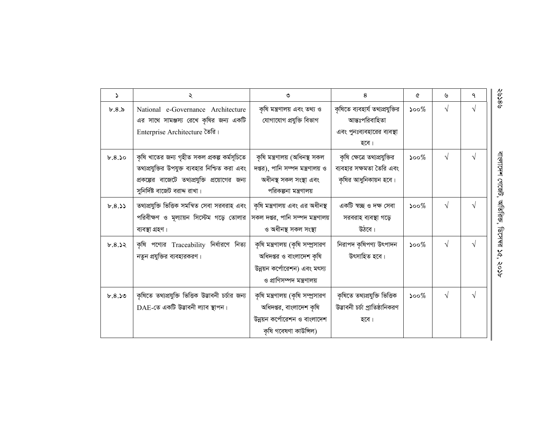| <sup>2</sup> | ২                                                                                                                                                                                 | ৩                                                                                                                          | 8                                                                                       | Q                           | ৬          | ٩ | ବଃକେ≷                        |
|--------------|-----------------------------------------------------------------------------------------------------------------------------------------------------------------------------------|----------------------------------------------------------------------------------------------------------------------------|-----------------------------------------------------------------------------------------|-----------------------------|------------|---|------------------------------|
| b.8.8        | National e-Governance Architecture<br>এর সাথে সামঞ্জস্য রেখে কৃষির জন্য একটি<br>Enterprise Architecture তৈরি।                                                                     | কৃষি মন্ত্ৰণালয় এবং তথ্য ও<br>যোগাযোগ প্ৰযুক্তি বিভাগ                                                                     | কৃষিতে ব্যবহার্য তথ্যপ্রযুক্তির<br>আন্তঃপরিবাহিতা<br>এবং পুনঃব্যবহারের ব্যবস্থা<br>হবে। | $500\%$                     | $\sqrt{ }$ |   |                              |
| b.8.50       | কৃষি খাতের জন্য গৃহীত সকল প্রকল্প কর্মসূচিতে<br>তথ্যপ্রযুক্তির উপযুক্ত ব্যবহার নিশ্চিত করা এবং<br>প্রকল্পের বাজেটে তথ্যপ্রযুক্তি প্রয়োগের জন্য<br>সুনির্দিষ্ট বাজেট বরাদ্দ রাখা। | কৃষি মন্ত্ৰণালয় (অধিনস্থ সকল<br>দপ্তর), পানি সম্পদ মন্ত্রণালয় ও<br>অধীনস্থ সকল সংস্থা এবং<br>পরিকল্পনা মন্ত্রণালয়       | কৃষি ক্ষেত্রে তথ্যপ্রযুক্তির<br>ব্যবহার সক্ষমতা তৈরি এবং<br>কৃষির আধুনিকায়ন হবে।       | $\mathcal{S}^{\mathcal{O}}$ | $\sqrt{ }$ | V | বাংলাদেশ গেজেট,              |
| b.8.33       | তথ্যপ্রযুক্তি ভিত্তিক সমন্বিত সেবা সরবরাহ এবং<br>পরিবীক্ষণ ও মূল্যায়ন সিস্টেম গড়ে তোলার<br>ব্যবস্থা গ্ৰহণ।                                                                      | কৃষি মন্ত্রণালয় এবং এর অধীনস্থ<br>সকল দপ্তর, পানি সম্পদ মন্ত্রণালয়<br>ও অধীনস্থ সকল সংস্থা                               | একটি স্বচ্ছ ও দক্ষ সেবা<br>সরবরাহ ব্যবস্থা গড়ে<br>উঠবে।                                | $500\%$                     |            |   | অতিরিজ,                      |
| b.8.32       | কৃষি পণ্যের Traceability নির্ধারণে নিত্য<br>নতুন প্রযুক্তির ব্যবহারকরণ।                                                                                                           | কৃষি মন্ত্রণালয় (কৃষি সম্প্রসারণ<br>অধিদপ্তর ও বাংলাদেশ কৃষি<br>উন্নয়ন কর্পোরেশন) এবং মৎস্য<br>ও প্রাণিসম্পদ মন্ত্রণালয় | নিরাপদ কৃষিপণ্য উৎপাদন<br>উৎসাহিত হবে।                                                  | $500\%$                     | $\sqrt{ }$ | V | <b>ARL-144</b><br>26,<br>१०१ |
| b.8.50       | কৃষিতে তথ্যপ্রযুক্তি ভিত্তিক উদ্ভাবনী চর্চার জন্য<br>DAE-তে একটি উদ্ভাবনী ল্যাব স্থাপন।                                                                                           | কৃষি মন্ত্রণালয় (কৃষি সম্প্রসারণ<br>অধিদপ্তর, বাংলাদেশ কৃষি<br>উন্নয়ন কর্পোরেশন ও বাংলাদেশ<br>কৃষি গবেষণা কাউন্সিল)      | কৃষিতে তথ্যপ্ৰযুক্তি ভিত্তিক<br>উদ্ভাবনী চৰ্চা প্ৰাতিষ্ঠানিকরণ<br>হবে।                  | $500\%$                     | $\sqrt{ }$ |   |                              |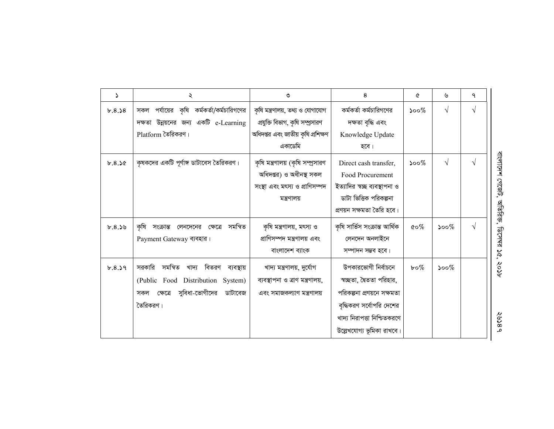| Z.     | ২                                            | ৩                                  | 8                             | ৫            | ৬         | ٩          |
|--------|----------------------------------------------|------------------------------------|-------------------------------|--------------|-----------|------------|
| b.8.58 | পর্যায়ের কৃষি কর্মকর্তা/কর্মচারিগণের<br>সকল | কৃষি মন্ত্রণালয়, তথ্য ও যোগাযোগ   | কর্মকর্তা কর্মচারিগণের        | $500\%$      | $\sqrt{}$ | $\sqrt{ }$ |
|        | দক্ষতা উন্নয়নের জন্য একটি e-Learning        | প্রযুক্তি বিভাগ, কৃষি সম্প্রসারণ   | দক্ষতা বৃদ্ধি এবং             |              |           |            |
|        | Platform তৈরিকরণ।                            | অধিদপ্তর এবং জাতীয় কৃষি প্রশিক্ষণ | Knowledge Update              |              |           |            |
|        |                                              | একাডেমি                            | হবে।                          |              |           |            |
| b.8.50 | কৃষকদের একটি পূর্ণাঙ্গ ডাটাবেস তৈরিকরণ।      | কৃষি মন্ত্রণালয় (কৃষি সম্প্রসারণ  | Direct cash transfer,         | $500\%$      | $\sqrt{}$ | $\sqrt{ }$ |
|        |                                              | অধিদপ্তর) ও অধীনস্থ সকল            | Food Procurement              |              |           |            |
|        |                                              | সংস্থা এবং মৎস্য ও প্রাণিসম্পদ     | ইত্যাদির স্বচ্ছ ব্যবস্থাপনা ও |              |           |            |
|        |                                              | মন্ত্রণালয়                        | ডাটা ভিত্তিক পরিকল্পনা        |              |           |            |
|        |                                              |                                    | প্ৰণয়ন সক্ষমতা তৈরি হবে।     |              |           |            |
| b.8.59 | কৃষি সংক্রান্ত লেনদেনের ক্ষেত্রে<br>সমন্বিত  | কৃষি মন্ত্ৰণালয়, মৎস্য ও          | কৃষি সার্ভিস সংক্রান্ত আর্থিক | $\&o\%$      | $500\%$   | $\sqrt{ }$ |
|        | Payment Gateway ব্যবহার।                     | প্রাণিসম্পদ মন্ত্রণালয় এবং        | লেনদেন অনলাইনে                |              |           |            |
|        |                                              | বাংলাদেশ ব্যাংক                    | সম্পাদন সম্ভব হবে।            |              |           |            |
| b.8.39 | সমন্বিত<br>খাদ্য বিতরণ ব্যবস্থায়<br>সরকারি  | খাদ্য মন্ত্ৰণালয়, দুৰ্যোগ         | উপকারভোগী নির্বাচনে           | $b \circ \%$ | $500\%$   |            |
|        | (Public Food Distribution System)            | ব্যবস্থাপনা ও ত্রাণ মন্ত্রণালয়,   | স্বচ্ছতা, দ্বৈততা পরিহার,     |              |           |            |
|        | সুবিধা-ভোগীদের<br>ডাটাবেজ<br>ক্ষেত্ৰে<br>সকল | এবং সমাজকল্যাণ মন্ত্ৰণালয়         | পরিকল্পনা প্রণয়নে সক্ষমতা    |              |           |            |
|        | তৈরিকরণ।                                     |                                    | বৃদ্ধিকরণ সর্বোপরি দেশের      |              |           |            |
|        |                                              |                                    | খাদ্য নিরাপত্তা নিশ্চিতকরণে   |              |           |            |
|        |                                              |                                    | উল্লেখযোগ্য ভূমিকা রাখবে।     |              |           |            |

বাংলাদেশ গেজেট, অতিরিজ, ডিসেমর ১৫, ২০১৮ বাংলাদেশ গেজেট , আতরিক, ডিসেম্র ১৫, ২০১৮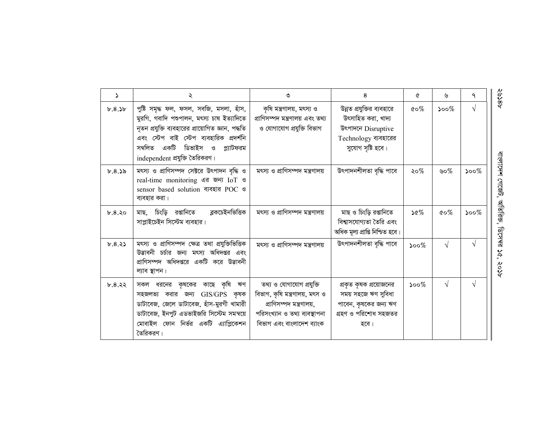| 2      | ২                                                                                                                                                                                                                                                              | ৩                                                                                                                                                    | 8                                                                                                                  | Q                                    | ৬          | ٩          |
|--------|----------------------------------------------------------------------------------------------------------------------------------------------------------------------------------------------------------------------------------------------------------------|------------------------------------------------------------------------------------------------------------------------------------------------------|--------------------------------------------------------------------------------------------------------------------|--------------------------------------|------------|------------|
| b.8.3b | পুষ্টি সমৃদ্ধ ফল, ফসল, সবজি, মসলা, হাঁস,<br>মুরগি, গবাদি পশুপালন, মৎস্য চাষ ইত্যাদিতে<br>নূতন প্রযুক্তি ব্যবহারের প্রায়োগিত জ্ঞান, পদ্ধতি<br>এবং স্টেপ বাই স্টেপ ব্যবহারিক প্রদর্শনি<br>সম্বলিত একটি ডিভাইস ও<br>প্ল্যাটফরম<br>independent প্রযুক্তি তৈরিকরণ। | কৃষি মন্ত্ৰণালয়, মৎস্য ও<br>প্ৰাণিসম্পদ মন্ত্ৰণালয় এবং তথ্য<br>ও যোগাযোগ প্রযুক্তি বিভাগ                                                           | উন্নত প্রযুক্তির ব্যবহারে<br>উৎসাহিত করা, খাদ্য<br>উৎপাদনে Disruptive<br>Technology ব্যবহারের<br>সুযোগ সৃষ্টি হবে। | $\mathfrak{c}\!\circ\!\mathscr{C}\!$ | ১০০ $\%$   | $\sqrt{ }$ |
| b.8.35 | মৎস্য ও প্রাণিসম্পদ সেক্টরে উৎপাদন বৃদ্ধি ও<br>real-time monitoring এর জন্য IoT ও<br>sensor based solution ব্যবহার POC ও<br>ব্যবহার করা।                                                                                                                       | মৎস্য ও প্রাণিসম্পদ মন্ত্রণালয়                                                                                                                      | উৎপাদনশীলতা বৃদ্ধি পাবে                                                                                            | ২০%                                  | ৬০%        | $500\%$    |
| b.8.30 | চিংড়ি রপ্তানিতে<br>ব্লকচেইনভিত্তিক<br>মাছ.<br>সাপ্লাইচেইন সিস্টেম ব্যবহার।                                                                                                                                                                                    | মৎস্য ও প্রাণিসম্পদ মন্ত্রণালয়                                                                                                                      | মাছ ও চিংড়ি রপ্তানিতে<br>বিশ্বাসযোগ্যতা তৈরি এবং<br>অধিক মূল্য প্ৰাপ্তি নিশ্চিত হবে।                              | $\mathcal{Q} \otimes \mathcal{C}$    | $\&o\%$    | $500\%$    |
| b.8.33 | মৎস্য ও প্রাণিসম্পদ ক্ষেত্র তথা প্রযুক্তিভিত্তিক<br>উড্ডাবনী চর্চার জন্য মৎস্য অধিদপ্তর এবং<br>প্রাণিসম্পদ অধিদপ্তরে একটি করে উদ্ভাবনী<br>ল্যাব স্থাপন।                                                                                                        | মৎস্য ও প্রাণিসম্পদ মন্ত্রণালয়                                                                                                                      | উৎপাদনশীলতা বৃদ্ধি পাবে                                                                                            | $500\%$                              | $\sqrt{ }$ |            |
| b.8.32 | সকল ধরনের কৃষকের কাছে কৃষি<br>ঋণ<br>GIS/GPS কৃষক<br>সহজলভ্য করার জন্য<br>ডাটাবেজ, জেলে ডাটাবেজ, হাঁস-মুরগী খামারী<br>ডাটাবেজ, ইনপুট এডভাইজরি সিস্টেম সমন্বয়ে<br>মোবাইল ফোন নির্ভর একটি এ্যাপ্লিকেশন<br>তৈরিকরণ।                                               | তথ্য ও যোগাযোগ প্রযুক্তি<br>বিভাগ, কৃষি মন্ত্ৰণালয়, মৎস ও<br>প্ৰাণিসম্পদ মন্ত্ৰণালয়,<br>পরিসংখ্যান ও তথ্য ব্যবস্থাপনা<br>বিভাগ এবং বাংলাদেশ ব্যাংক | প্রকৃত কৃষক প্রয়োজনের<br>সময় সহজে ঋণ সুবিধা<br>পাবেন, কৃষকের জন্য ঋণ<br>গ্রহণ ও পরিশোধ সহজতর<br>হবে।             | $500\%$                              | $\sqrt{ }$ | V          |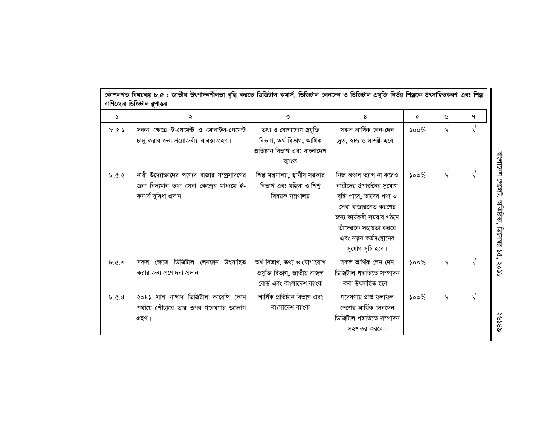| কৌশলগত বিষয়বম্ভ ৮.৫ : জাতীয় উৎপাদনশীলতা বৃদ্ধি করতে ডিজিটাল কমার্স, ডিজিটাল লেনদেন ও ডিজিটাল প্রযুক্তি নির্ভর শিল্পকে উৎসাহিতকরণ এবং শিল্প<br>বাণিজ্যের ডিজিটাল রূপান্তর |                                                                                                                      |                                                                                                  |                                                                                                                                                                                                             |         |            |            |  |  |  |
|----------------------------------------------------------------------------------------------------------------------------------------------------------------------------|----------------------------------------------------------------------------------------------------------------------|--------------------------------------------------------------------------------------------------|-------------------------------------------------------------------------------------------------------------------------------------------------------------------------------------------------------------|---------|------------|------------|--|--|--|
| د                                                                                                                                                                          | ২                                                                                                                    | ৩                                                                                                | 8                                                                                                                                                                                                           | ¢       | ৬          | ٩          |  |  |  |
| b.0.5                                                                                                                                                                      | সকল ক্ষেত্রে ই-পেমেন্ট ও মোবাইল-পেমেন্ট<br>চালু করার জন্য প্রয়োজনীয় ব্যবস্থা গ্রহণ।                                | তথ্য ও যোগাযোগ প্রযুক্তি<br>বিভাগ, অৰ্থ বিভাগ, আৰ্থিক<br>প্ৰতিষ্ঠান বিভাগ এবং বাংলাদেশ<br>ব্যাংক | সকল আৰ্থিক লেন-দেন<br>দ্ৰুত, স্বচ্ছ ও সাশ্ৰয়ী হবে।                                                                                                                                                         | $500\%$ | $\sqrt{ }$ | V          |  |  |  |
| 6.8.8                                                                                                                                                                      | নারী উদ্যোক্তাদের পণ্যের বাজার সম্প্রসারণের<br>জন্য বিদ্যমান তথ্য সেবা কেন্দ্রের মাধ্যমে ই-<br>কমাৰ্স সুবিধা প্ৰদান। | শিল্প মন্ত্রণালয়, স্থানীয় সরকার<br>বিভাগ এবং মহিলা ও শিশু<br>বিষয়ক মন্ত্ৰণালয়                | নিজ অঞ্চল ত্যাগ না করেও<br>নারীদের উপার্জনের সুযোগ<br>বৃদ্ধি পাবে, তাদের পণ্য ও<br>সেবা বাজারজাত করণের<br>জন্য কাৰ্যকরী সমবায় গঠনে<br>তাঁদেরকে সহায়তা করবে<br>এবং নতুন কর্মসংস্থানের<br>সুযোগ সৃষ্টি হবে। | $500\%$ | $\sqrt{ }$ | V          |  |  |  |
| $\mathfrak{b}$ . $\mathfrak{b}$ . $\mathfrak{b}$                                                                                                                           | ক্ষেত্রে ডিজিটাল লেনদেন উৎসাহিত<br>সকল<br>করার জন্য প্রণোদনা প্রদান।                                                 | অৰ্থ বিভাগ, তথ্য ও যোগাযোগ<br>প্রযুক্তি বিভাগ, জাতীয় রাজস্ব<br>বোৰ্ড এবং বাংলাদেশ ব্যাংক        | সকল আৰ্থিক লেন-দেন<br>ডিজিটাল পদ্ধতিতে সম্পাদন<br>করা উৎসাহিত হবে।                                                                                                                                          | $500\%$ | $\sqrt{ }$ | V          |  |  |  |
| b.0.8                                                                                                                                                                      | ২০৪১ সাল নাগাদ ডিজিটাল কারেসি কোন<br>পর্যায়ে পৌছাবে তার ওপর গবেষণার উদ্যোগ<br>গ্ৰহণ।                                | আৰ্থিক প্ৰতিষ্ঠান বিভাগ এবং<br>বাংলাদেশ ব্যাংক                                                   | গবেষণায় প্ৰাপ্ত ফলাফল<br>দেশের আর্থিক লেনদেন<br>ডিজিটাল পদ্ধতিতে সম্পাদন<br>সহজতর করবে।                                                                                                                    | $500\%$ | $\sqrt{}$  | $\sqrt{ }$ |  |  |  |

বাংলাদেশ গেজেট, অতিরিজ, ডিসেমর ১৫, ২০১৮